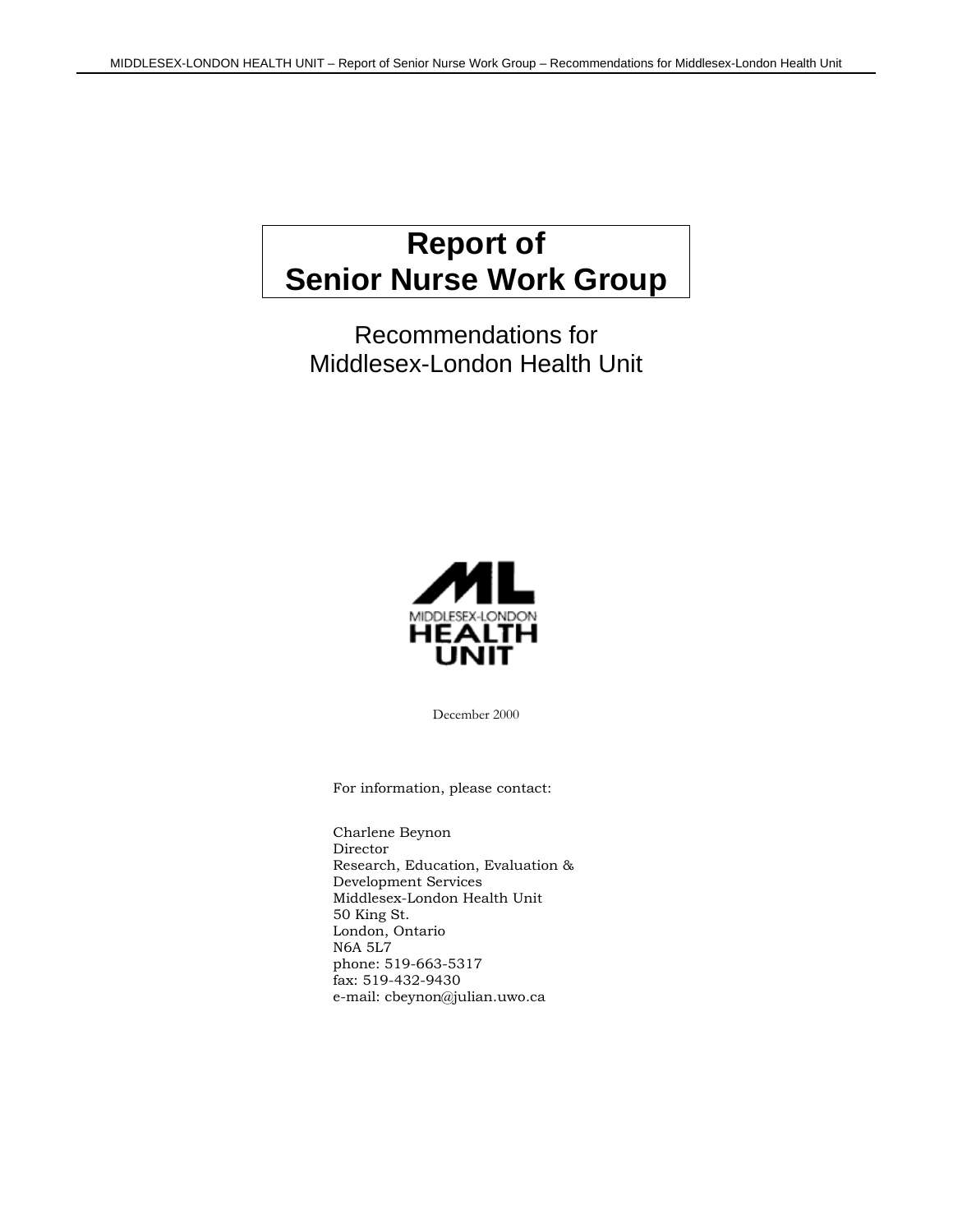# **Report of Senior Nurse Work Group**

Recommendations for Middlesex-London Health Unit



December 2000

For information, please contact:

Charlene Beynon Director Research, Education, Evaluation & Development Services Middlesex-London Health Unit 50 King St. London, Ontario N6A 5L7 phone: 519-663-5317 fax: 519-432-9430 e-mail: cbeynon@julian.uwo.ca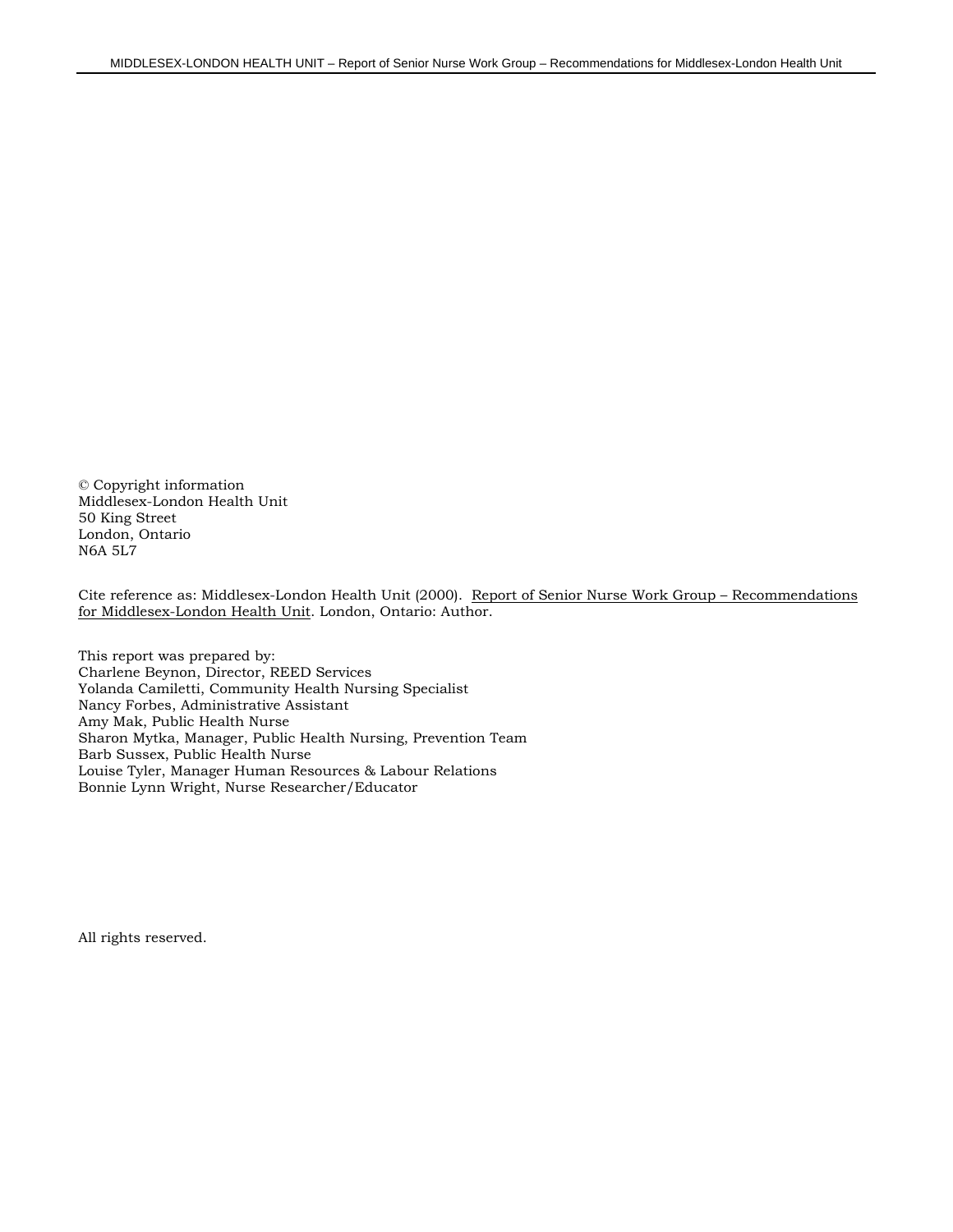© Copyright information Middlesex-London Health Unit 50 King Street London, Ontario N6A 5L7

Cite reference as: Middlesex-London Health Unit (2000). Report of Senior Nurse Work Group – Recommendations for Middlesex-London Health Unit. London, Ontario: Author.

This report was prepared by: Charlene Beynon, Director, REED Services Yolanda Camiletti, Community Health Nursing Specialist Nancy Forbes, Administrative Assistant Amy Mak, Public Health Nurse Sharon Mytka, Manager, Public Health Nursing, Prevention Team Barb Sussex, Public Health Nurse Louise Tyler, Manager Human Resources & Labour Relations Bonnie Lynn Wright, Nurse Researcher/Educator

All rights reserved.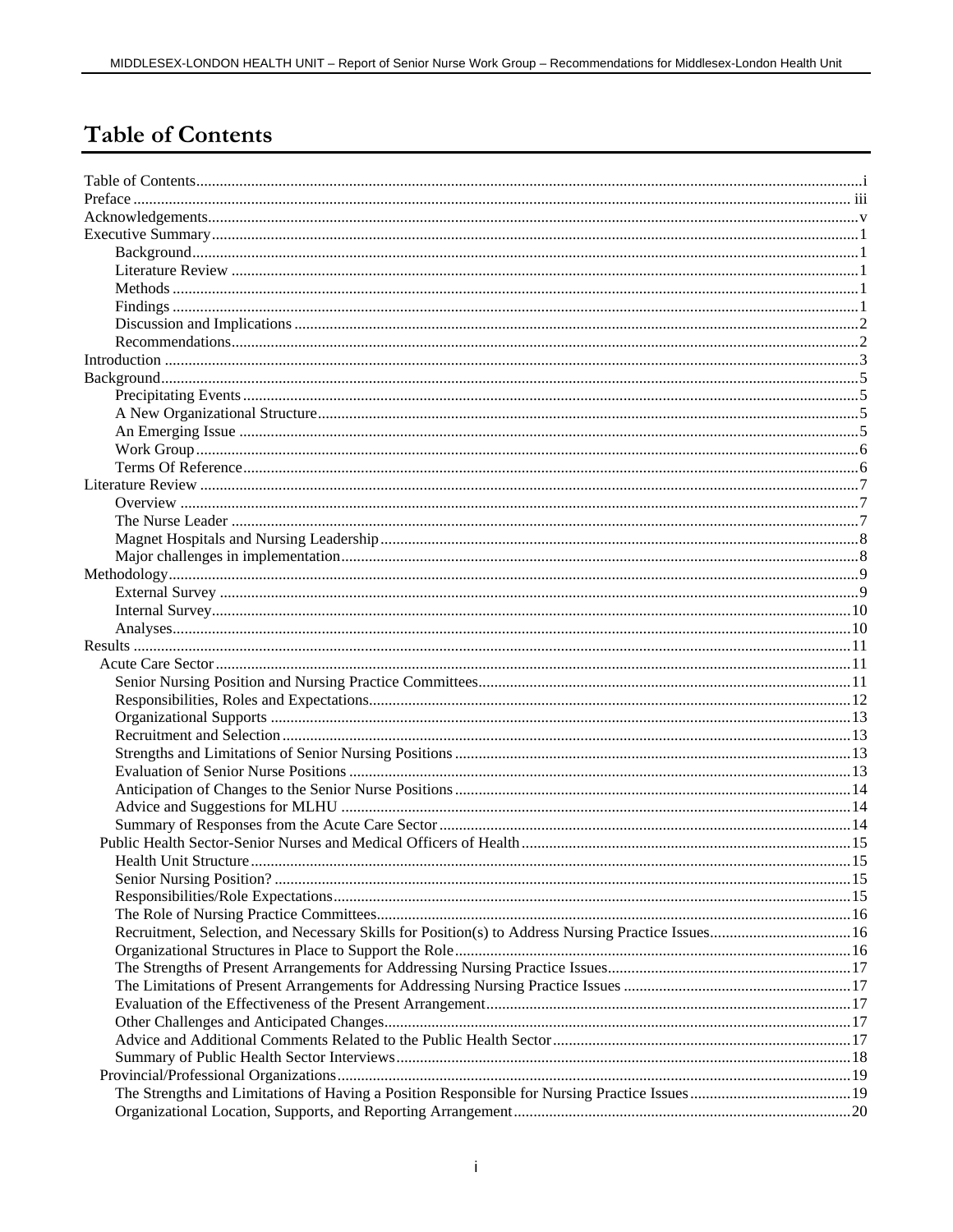# **Table of Contents**

| Recruitment, Selection, and Necessary Skills for Position(s) to Address Nursing Practice Issues 16 |  |
|----------------------------------------------------------------------------------------------------|--|
|                                                                                                    |  |
|                                                                                                    |  |
|                                                                                                    |  |
|                                                                                                    |  |
|                                                                                                    |  |
|                                                                                                    |  |
|                                                                                                    |  |
|                                                                                                    |  |
|                                                                                                    |  |
|                                                                                                    |  |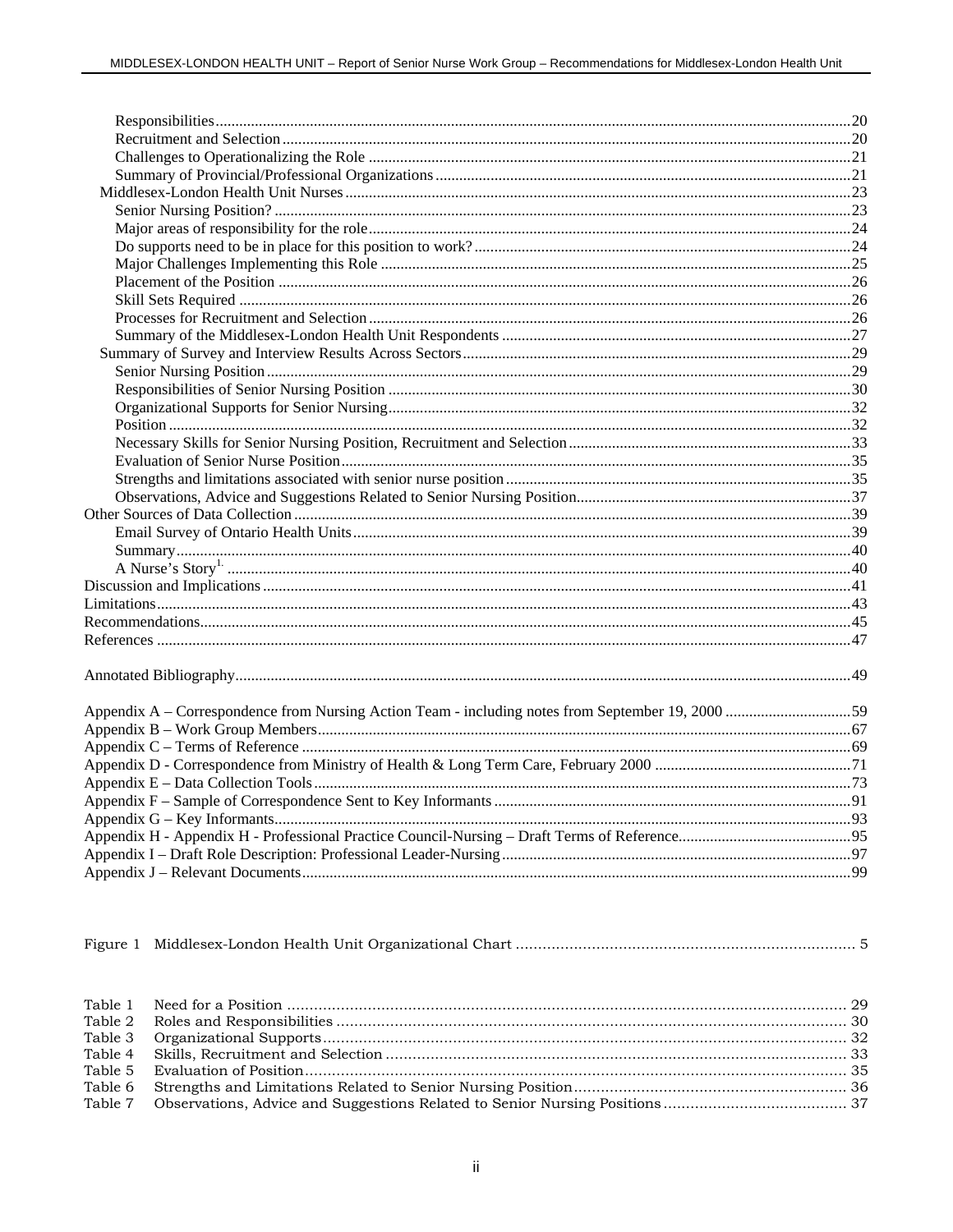|--|--|--|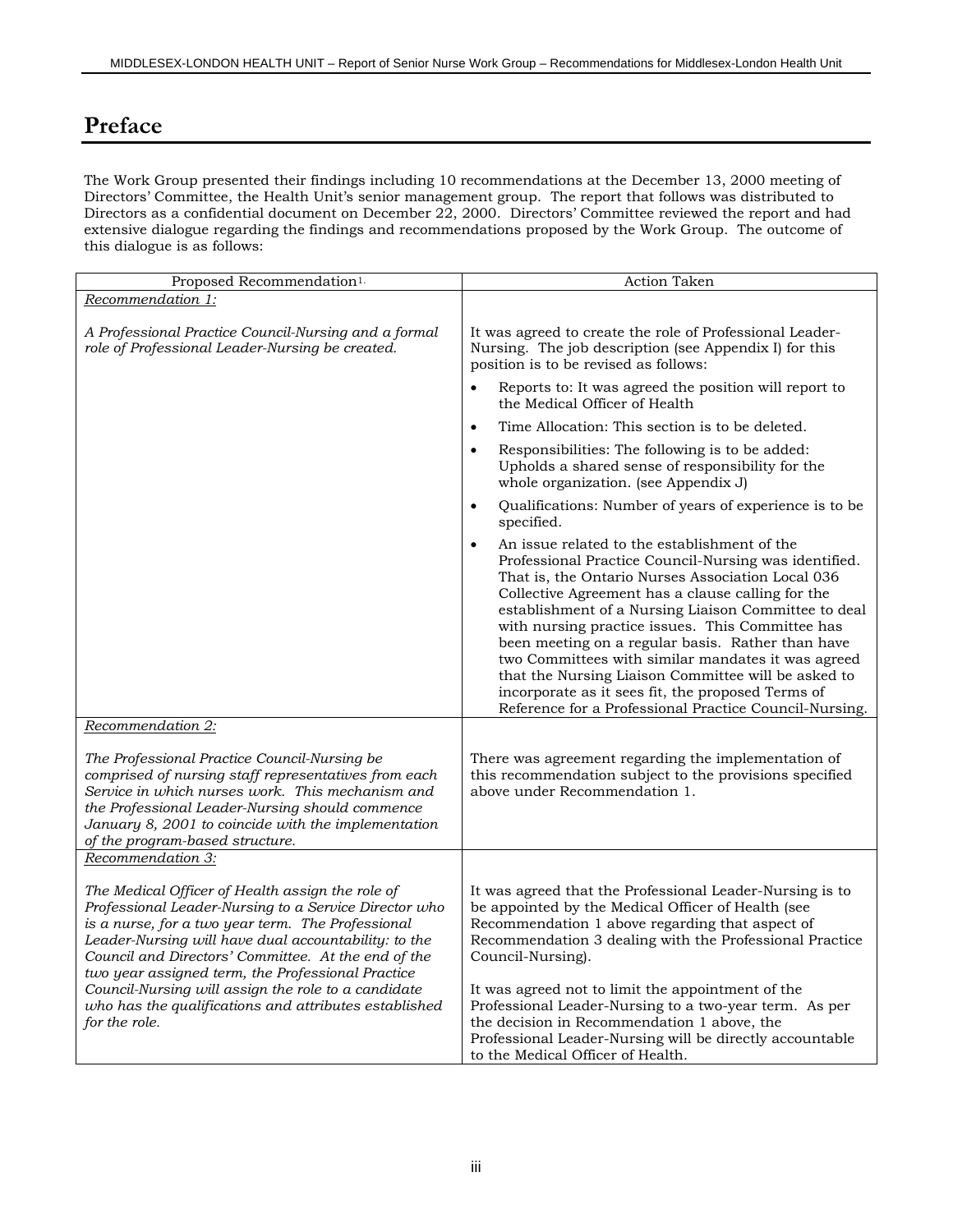# **Preface**

The Work Group presented their findings including 10 recommendations at the December 13, 2000 meeting of Directors' Committee, the Health Unit's senior management group. The report that follows was distributed to Directors as a confidential document on December 22, 2000. Directors' Committee reviewed the report and had extensive dialogue regarding the findings and recommendations proposed by the Work Group. The outcome of this dialogue is as follows:

| Proposed Recommendation <sup>1.</sup>                                                                                                                                                                                                                                                                                                                                                                                                                               | <b>Action Taken</b>                                                                                                                                                                                                                                                                                                                                                                                                                                                                                                                                                                                                       |
|---------------------------------------------------------------------------------------------------------------------------------------------------------------------------------------------------------------------------------------------------------------------------------------------------------------------------------------------------------------------------------------------------------------------------------------------------------------------|---------------------------------------------------------------------------------------------------------------------------------------------------------------------------------------------------------------------------------------------------------------------------------------------------------------------------------------------------------------------------------------------------------------------------------------------------------------------------------------------------------------------------------------------------------------------------------------------------------------------------|
| Recommendation 1:                                                                                                                                                                                                                                                                                                                                                                                                                                                   |                                                                                                                                                                                                                                                                                                                                                                                                                                                                                                                                                                                                                           |
| A Professional Practice Council-Nursing and a formal<br>role of Professional Leader-Nursing be created.                                                                                                                                                                                                                                                                                                                                                             | It was agreed to create the role of Professional Leader-<br>Nursing. The job description (see Appendix I) for this<br>position is to be revised as follows:                                                                                                                                                                                                                                                                                                                                                                                                                                                               |
|                                                                                                                                                                                                                                                                                                                                                                                                                                                                     | Reports to: It was agreed the position will report to<br>$\bullet$<br>the Medical Officer of Health                                                                                                                                                                                                                                                                                                                                                                                                                                                                                                                       |
|                                                                                                                                                                                                                                                                                                                                                                                                                                                                     | Time Allocation: This section is to be deleted.<br>$\bullet$                                                                                                                                                                                                                                                                                                                                                                                                                                                                                                                                                              |
|                                                                                                                                                                                                                                                                                                                                                                                                                                                                     | Responsibilities: The following is to be added:<br>$\bullet$<br>Upholds a shared sense of responsibility for the<br>whole organization. (see Appendix J)                                                                                                                                                                                                                                                                                                                                                                                                                                                                  |
|                                                                                                                                                                                                                                                                                                                                                                                                                                                                     | Qualifications: Number of years of experience is to be<br>$\bullet$<br>specified.                                                                                                                                                                                                                                                                                                                                                                                                                                                                                                                                         |
|                                                                                                                                                                                                                                                                                                                                                                                                                                                                     | An issue related to the establishment of the<br>$\bullet$<br>Professional Practice Council-Nursing was identified.<br>That is, the Ontario Nurses Association Local 036<br>Collective Agreement has a clause calling for the<br>establishment of a Nursing Liaison Committee to deal<br>with nursing practice issues. This Committee has<br>been meeting on a regular basis. Rather than have<br>two Committees with similar mandates it was agreed<br>that the Nursing Liaison Committee will be asked to<br>incorporate as it sees fit, the proposed Terms of<br>Reference for a Professional Practice Council-Nursing. |
| Recommendation 2:                                                                                                                                                                                                                                                                                                                                                                                                                                                   |                                                                                                                                                                                                                                                                                                                                                                                                                                                                                                                                                                                                                           |
| The Professional Practice Council-Nursing be<br>comprised of nursing staff representatives from each<br>Service in which nurses work. This mechanism and<br>the Professional Leader-Nursing should commence<br>January 8, 2001 to coincide with the implementation<br>of the program-based structure.                                                                                                                                                               | There was agreement regarding the implementation of<br>this recommendation subject to the provisions specified<br>above under Recommendation 1.                                                                                                                                                                                                                                                                                                                                                                                                                                                                           |
| Recommendation 3:                                                                                                                                                                                                                                                                                                                                                                                                                                                   |                                                                                                                                                                                                                                                                                                                                                                                                                                                                                                                                                                                                                           |
| The Medical Officer of Health assign the role of<br>Professional Leader-Nursing to a Service Director who<br>is a nurse, for a two year term. The Professional<br>Leader-Nursing will have dual accountability: to the<br>Council and Directors' Committee. At the end of the<br>two year assigned term, the Professional Practice<br>Council-Nursing will assign the role to a candidate<br>who has the qualifications and attributes established<br>for the role. | It was agreed that the Professional Leader-Nursing is to<br>be appointed by the Medical Officer of Health (see<br>Recommendation 1 above regarding that aspect of<br>Recommendation 3 dealing with the Professional Practice<br>Council-Nursing).<br>It was agreed not to limit the appointment of the<br>Professional Leader-Nursing to a two-year term. As per<br>the decision in Recommendation 1 above, the<br>Professional Leader-Nursing will be directly accountable<br>to the Medical Officer of Health.                                                                                                          |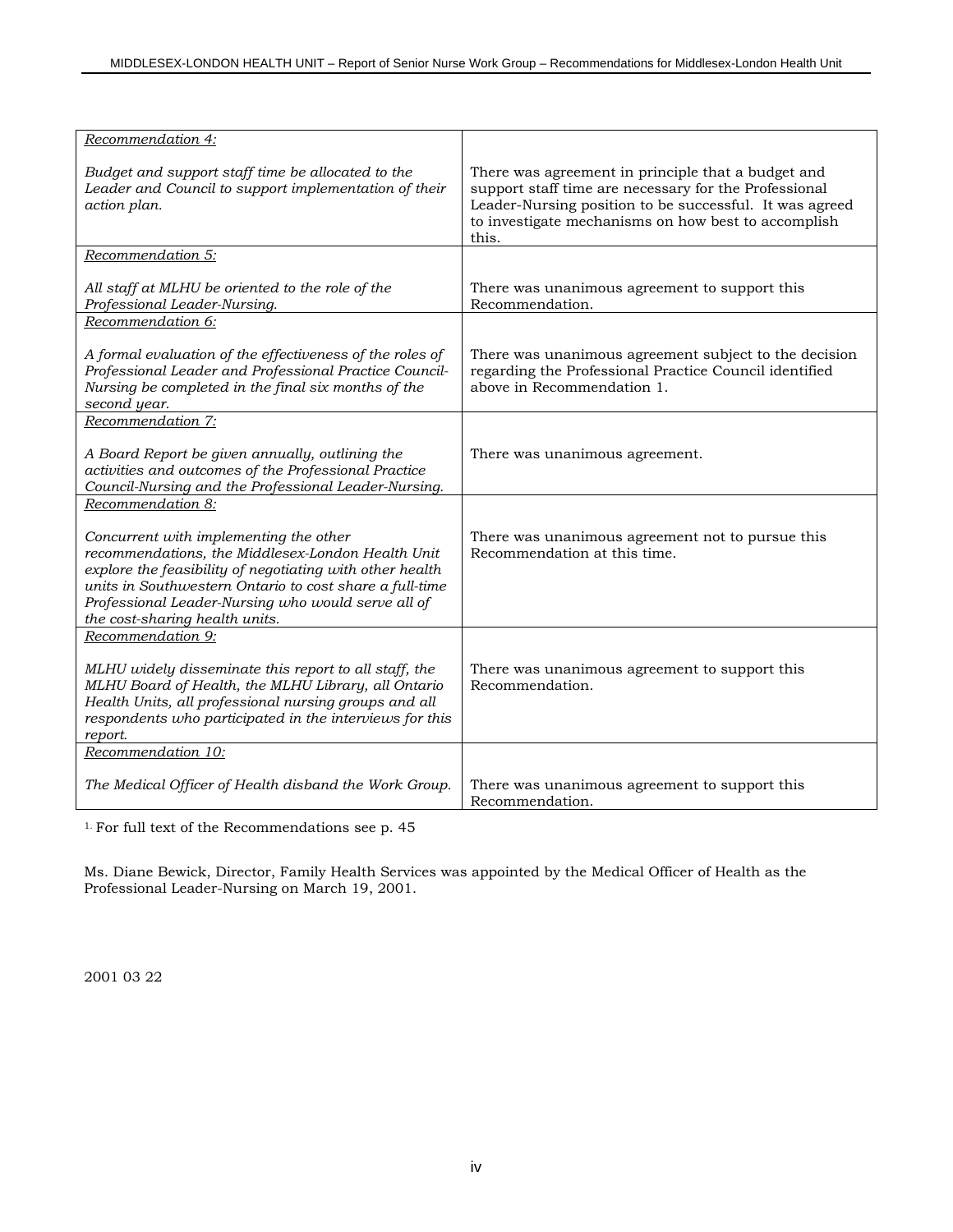| Recommendation 4:                                                                                                                                                                                                                                                                                          |                                                                                                                                                                                                                                        |
|------------------------------------------------------------------------------------------------------------------------------------------------------------------------------------------------------------------------------------------------------------------------------------------------------------|----------------------------------------------------------------------------------------------------------------------------------------------------------------------------------------------------------------------------------------|
| Budget and support staff time be allocated to the<br>Leader and Council to support implementation of their<br>action plan.                                                                                                                                                                                 | There was agreement in principle that a budget and<br>support staff time are necessary for the Professional<br>Leader-Nursing position to be successful. It was agreed<br>to investigate mechanisms on how best to accomplish<br>this. |
| Recommendation 5:                                                                                                                                                                                                                                                                                          |                                                                                                                                                                                                                                        |
| All staff at MLHU be oriented to the role of the<br>Professional Leader-Nursing.                                                                                                                                                                                                                           | There was unanimous agreement to support this<br>Recommendation.                                                                                                                                                                       |
| Recommendation 6:                                                                                                                                                                                                                                                                                          |                                                                                                                                                                                                                                        |
| A formal evaluation of the effectiveness of the roles of<br>Professional Leader and Professional Practice Council-<br>Nursing be completed in the final six months of the<br>second year.                                                                                                                  | There was unanimous agreement subject to the decision<br>regarding the Professional Practice Council identified<br>above in Recommendation 1.                                                                                          |
| Recommendation 7:                                                                                                                                                                                                                                                                                          |                                                                                                                                                                                                                                        |
| A Board Report be given annually, outlining the<br>activities and outcomes of the Professional Practice<br>Council-Nursing and the Professional Leader-Nursing.                                                                                                                                            | There was unanimous agreement.                                                                                                                                                                                                         |
| Recommendation 8:                                                                                                                                                                                                                                                                                          |                                                                                                                                                                                                                                        |
| Concurrent with implementing the other<br>recommendations, the Middlesex-London Health Unit<br>explore the feasibility of negotiating with other health<br>units in Southwestern Ontario to cost share a full-time<br>Professional Leader-Nursing who would serve all of<br>the cost-sharing health units. | There was unanimous agreement not to pursue this<br>Recommendation at this time.                                                                                                                                                       |
| Recommendation 9:                                                                                                                                                                                                                                                                                          |                                                                                                                                                                                                                                        |
| MLHU widely disseminate this report to all staff, the<br>MLHU Board of Health, the MLHU Library, all Ontario<br>Health Units, all professional nursing groups and all<br>respondents who participated in the interviews for this<br>report.                                                                | There was unanimous agreement to support this<br>Recommendation.                                                                                                                                                                       |
| Recommendation 10:                                                                                                                                                                                                                                                                                         |                                                                                                                                                                                                                                        |
| The Medical Officer of Health disband the Work Group.                                                                                                                                                                                                                                                      | There was unanimous agreement to support this.<br>Recommendation.                                                                                                                                                                      |

1. For full text of the Recommendations see p. 45

Ms. Diane Bewick, Director, Family Health Services was appointed by the Medical Officer of Health as the Professional Leader-Nursing on March 19, 2001.

2001 03 22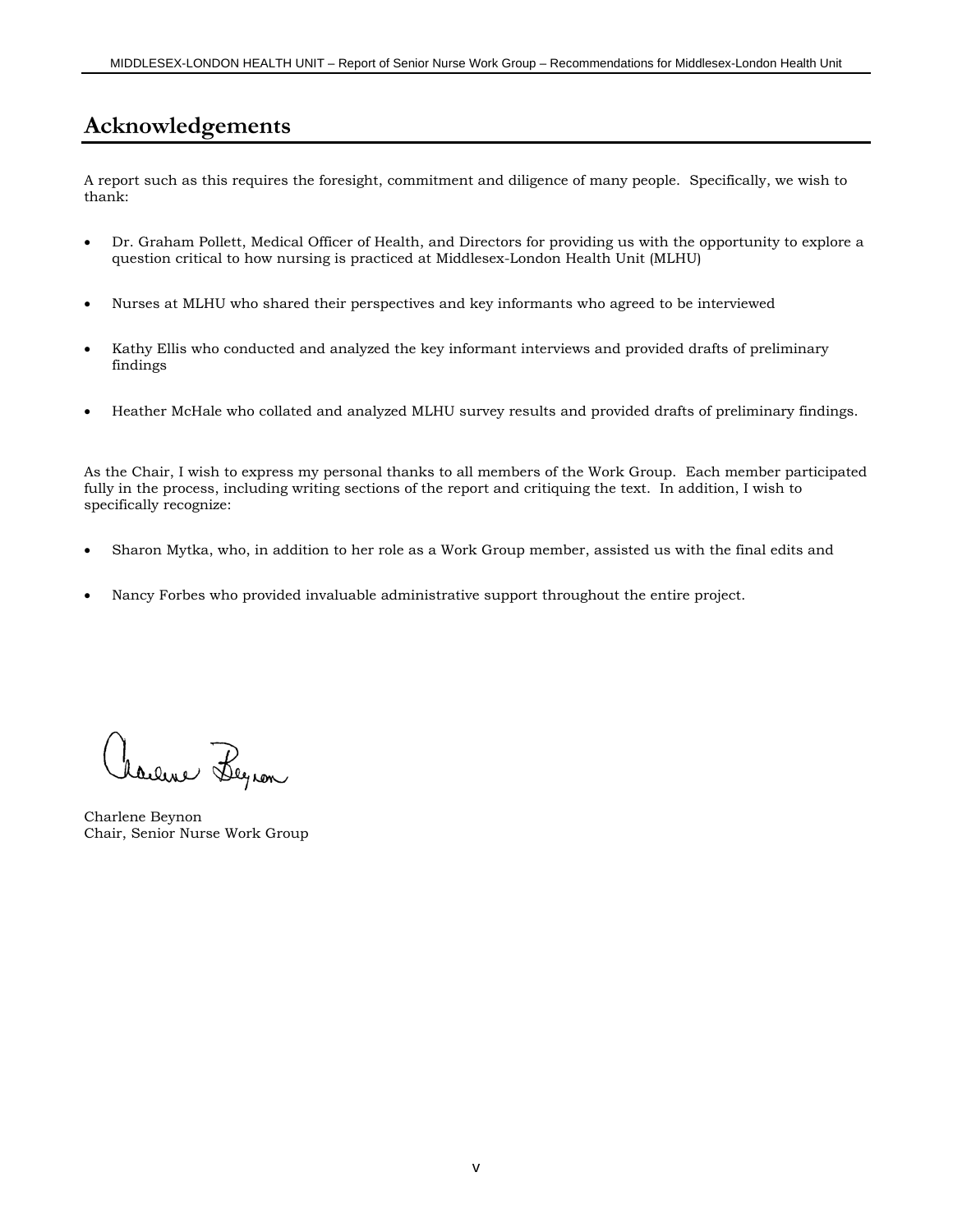# **Acknowledgements**

A report such as this requires the foresight, commitment and diligence of many people. Specifically, we wish to thank:

- Dr. Graham Pollett, Medical Officer of Health, and Directors for providing us with the opportunity to explore a question critical to how nursing is practiced at Middlesex-London Health Unit (MLHU)
- Nurses at MLHU who shared their perspectives and key informants who agreed to be interviewed
- Kathy Ellis who conducted and analyzed the key informant interviews and provided drafts of preliminary findings
- Heather McHale who collated and analyzed MLHU survey results and provided drafts of preliminary findings.

As the Chair, I wish to express my personal thanks to all members of the Work Group. Each member participated fully in the process, including writing sections of the report and critiquing the text. In addition, I wish to specifically recognize:

- Sharon Mytka, who, in addition to her role as a Work Group member, assisted us with the final edits and
- Nancy Forbes who provided invaluable administrative support throughout the entire project.

Laure Begron

Charlene Beynon Chair, Senior Nurse Work Group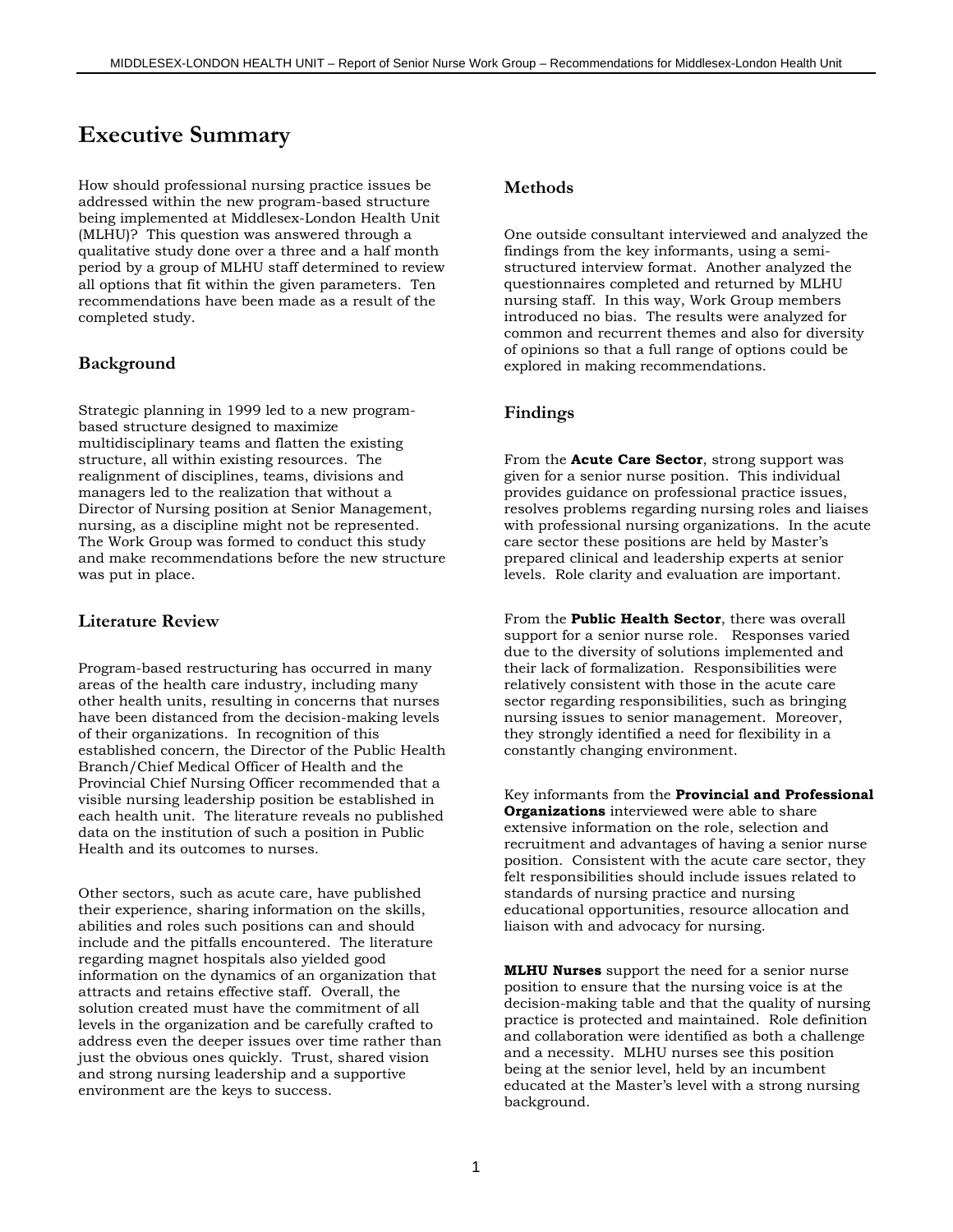# **Executive Summary**

How should professional nursing practice issues be addressed within the new program-based structure being implemented at Middlesex-London Health Unit (MLHU)? This question was answered through a qualitative study done over a three and a half month period by a group of MLHU staff determined to review all options that fit within the given parameters. Ten recommendations have been made as a result of the completed study.

### **Background**

Strategic planning in 1999 led to a new programbased structure designed to maximize multidisciplinary teams and flatten the existing structure, all within existing resources. The realignment of disciplines, teams, divisions and managers led to the realization that without a Director of Nursing position at Senior Management, nursing, as a discipline might not be represented. The Work Group was formed to conduct this study and make recommendations before the new structure was put in place.

#### **Literature Review**

Program-based restructuring has occurred in many areas of the health care industry, including many other health units, resulting in concerns that nurses have been distanced from the decision-making levels of their organizations. In recognition of this established concern, the Director of the Public Health Branch/Chief Medical Officer of Health and the Provincial Chief Nursing Officer recommended that a visible nursing leadership position be established in each health unit. The literature reveals no published data on the institution of such a position in Public Health and its outcomes to nurses.

Other sectors, such as acute care, have published their experience, sharing information on the skills, abilities and roles such positions can and should include and the pitfalls encountered. The literature regarding magnet hospitals also yielded good information on the dynamics of an organization that attracts and retains effective staff. Overall, the solution created must have the commitment of all levels in the organization and be carefully crafted to address even the deeper issues over time rather than just the obvious ones quickly. Trust, shared vision and strong nursing leadership and a supportive environment are the keys to success.

### **Methods**

One outside consultant interviewed and analyzed the findings from the key informants, using a semistructured interview format. Another analyzed the questionnaires completed and returned by MLHU nursing staff. In this way, Work Group members introduced no bias. The results were analyzed for common and recurrent themes and also for diversity of opinions so that a full range of options could be explored in making recommendations.

#### **Findings**

From the **Acute Care Sector**, strong support was given for a senior nurse position. This individual provides guidance on professional practice issues, resolves problems regarding nursing roles and liaises with professional nursing organizations. In the acute care sector these positions are held by Master's prepared clinical and leadership experts at senior levels. Role clarity and evaluation are important.

From the **Public Health Sector**, there was overall support for a senior nurse role. Responses varied due to the diversity of solutions implemented and their lack of formalization. Responsibilities were relatively consistent with those in the acute care sector regarding responsibilities, such as bringing nursing issues to senior management. Moreover, they strongly identified a need for flexibility in a constantly changing environment.

Key informants from the **Provincial and Professional Organizations** interviewed were able to share extensive information on the role, selection and recruitment and advantages of having a senior nurse position. Consistent with the acute care sector, they felt responsibilities should include issues related to standards of nursing practice and nursing educational opportunities, resource allocation and liaison with and advocacy for nursing.

**MLHU Nurses** support the need for a senior nurse position to ensure that the nursing voice is at the decision-making table and that the quality of nursing practice is protected and maintained. Role definition and collaboration were identified as both a challenge and a necessity. MLHU nurses see this position being at the senior level, held by an incumbent educated at the Master's level with a strong nursing background.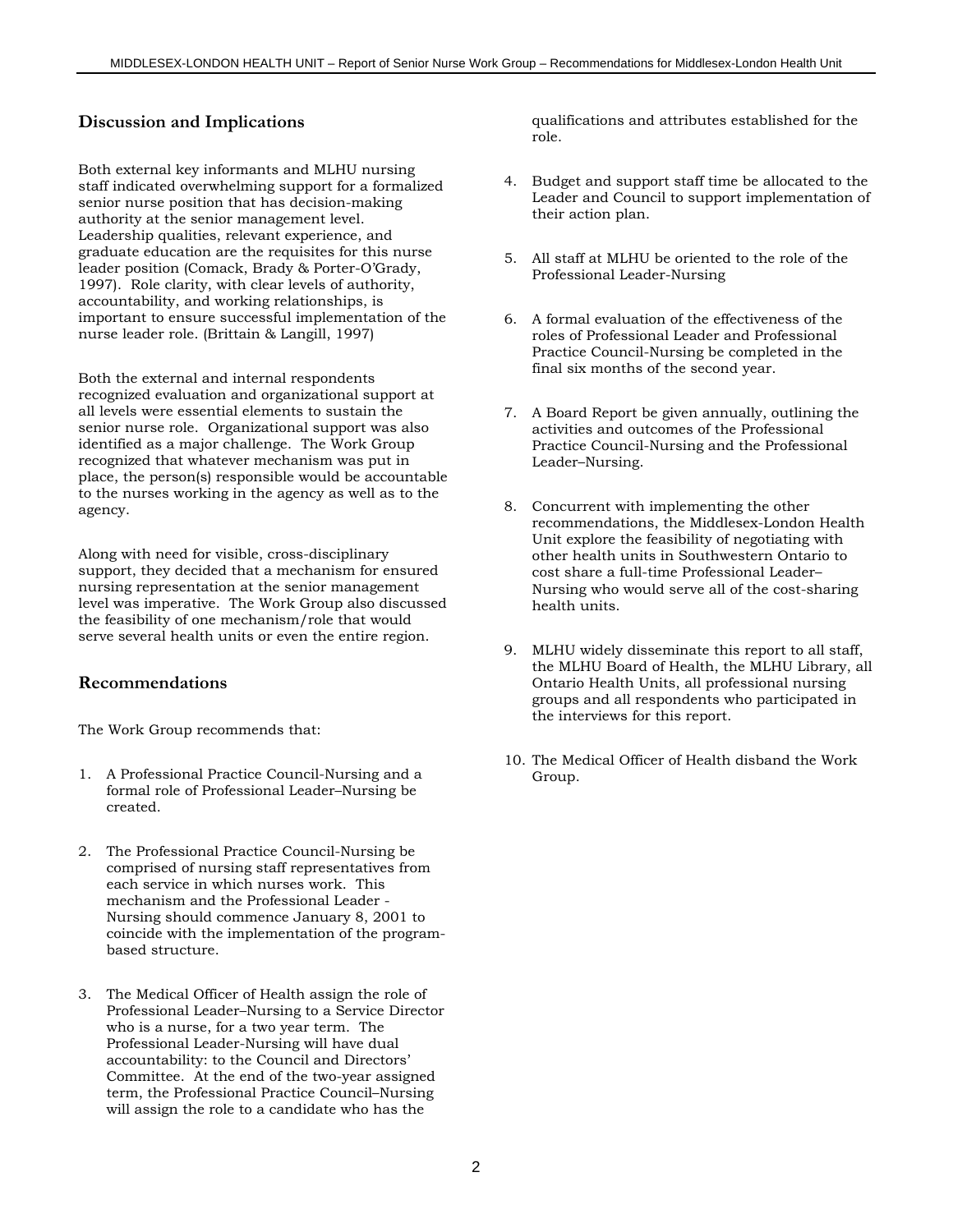#### **Discussion and Implications**

Both external key informants and MLHU nursing staff indicated overwhelming support for a formalized senior nurse position that has decision-making authority at the senior management level. Leadership qualities, relevant experience, and graduate education are the requisites for this nurse leader position (Comack, Brady & Porter-O'Grady, 1997). Role clarity, with clear levels of authority, accountability, and working relationships, is important to ensure successful implementation of the nurse leader role. (Brittain & Langill, 1997)

Both the external and internal respondents recognized evaluation and organizational support at all levels were essential elements to sustain the senior nurse role. Organizational support was also identified as a major challenge. The Work Group recognized that whatever mechanism was put in place, the person(s) responsible would be accountable to the nurses working in the agency as well as to the agency.

Along with need for visible, cross-disciplinary support, they decided that a mechanism for ensured nursing representation at the senior management level was imperative. The Work Group also discussed the feasibility of one mechanism/role that would serve several health units or even the entire region.

#### **Recommendations**

The Work Group recommends that:

- 1. A Professional Practice Council-Nursing and a formal role of Professional Leader–Nursing be created.
- 2. The Professional Practice Council-Nursing be comprised of nursing staff representatives from each service in which nurses work. This mechanism and the Professional Leader - Nursing should commence January 8, 2001 to coincide with the implementation of the programbased structure.
- 3. The Medical Officer of Health assign the role of Professional Leader–Nursing to a Service Director who is a nurse, for a two year term. The Professional Leader-Nursing will have dual accountability: to the Council and Directors' Committee. At the end of the two-year assigned term, the Professional Practice Council–Nursing will assign the role to a candidate who has the

qualifications and attributes established for the role.

- 4. Budget and support staff time be allocated to the Leader and Council to support implementation of their action plan.
- 5. All staff at MLHU be oriented to the role of the Professional Leader-Nursing
- 6. A formal evaluation of the effectiveness of the roles of Professional Leader and Professional Practice Council-Nursing be completed in the final six months of the second year.
- 7. A Board Report be given annually, outlining the activities and outcomes of the Professional Practice Council-Nursing and the Professional Leader–Nursing.
- 8. Concurrent with implementing the other recommendations, the Middlesex-London Health Unit explore the feasibility of negotiating with other health units in Southwestern Ontario to cost share a full-time Professional Leader– Nursing who would serve all of the cost-sharing health units.
- 9. MLHU widely disseminate this report to all staff, the MLHU Board of Health, the MLHU Library, all Ontario Health Units, all professional nursing groups and all respondents who participated in the interviews for this report.
- 10. The Medical Officer of Health disband the Work Group.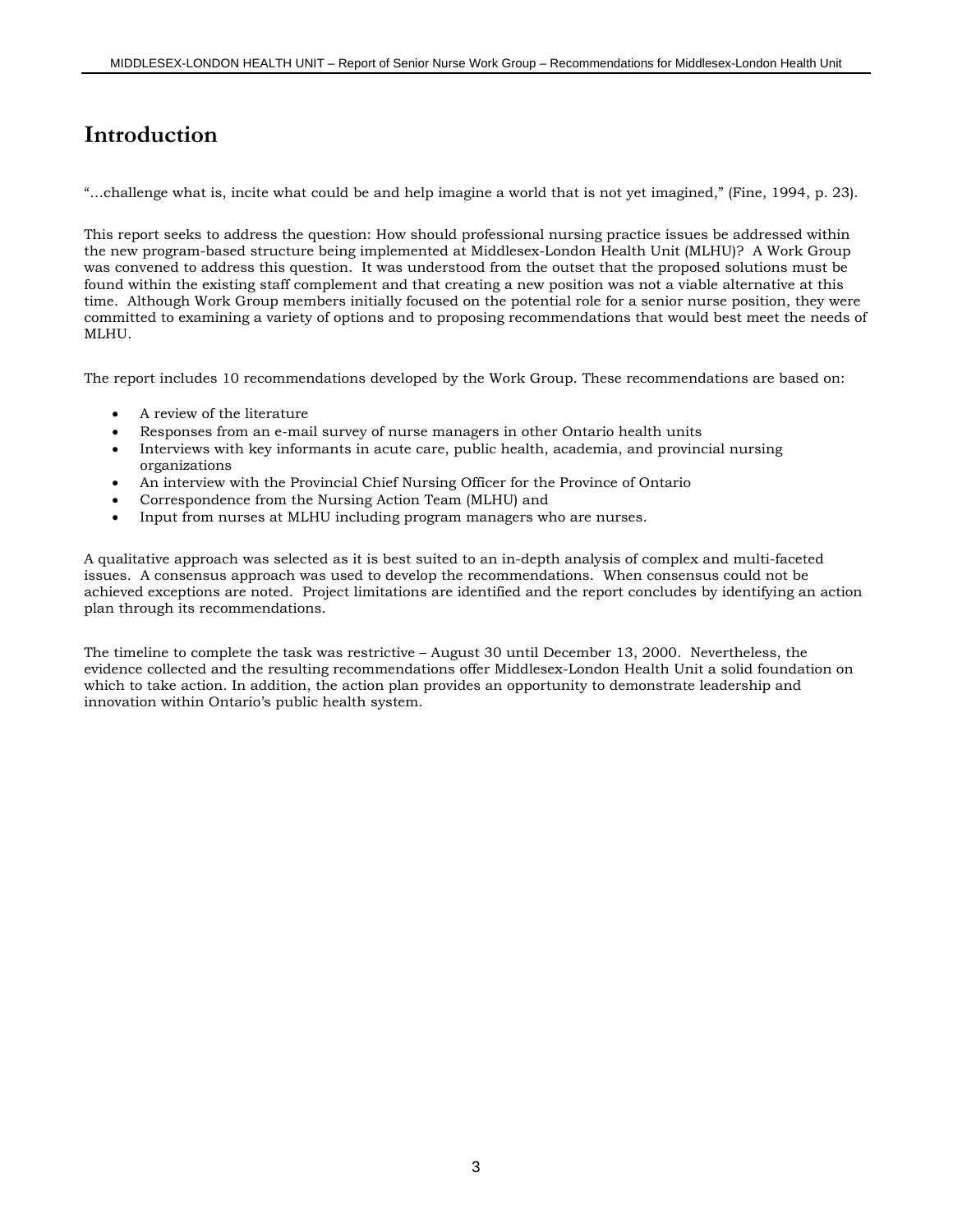# **Introduction**

"…challenge what is, incite what could be and help imagine a world that is not yet imagined," (Fine, 1994, p. 23).

This report seeks to address the question: How should professional nursing practice issues be addressed within the new program-based structure being implemented at Middlesex-London Health Unit (MLHU)? A Work Group was convened to address this question. It was understood from the outset that the proposed solutions must be found within the existing staff complement and that creating a new position was not a viable alternative at this time. Although Work Group members initially focused on the potential role for a senior nurse position, they were committed to examining a variety of options and to proposing recommendations that would best meet the needs of MLHU.

The report includes 10 recommendations developed by the Work Group. These recommendations are based on:

- A review of the literature
- Responses from an e-mail survey of nurse managers in other Ontario health units
- Interviews with key informants in acute care, public health, academia, and provincial nursing organizations
- An interview with the Provincial Chief Nursing Officer for the Province of Ontario
- Correspondence from the Nursing Action Team (MLHU) and
- Input from nurses at MLHU including program managers who are nurses.

A qualitative approach was selected as it is best suited to an in-depth analysis of complex and multi-faceted issues. A consensus approach was used to develop the recommendations. When consensus could not be achieved exceptions are noted. Project limitations are identified and the report concludes by identifying an action plan through its recommendations.

The timeline to complete the task was restrictive – August 30 until December 13, 2000. Nevertheless, the evidence collected and the resulting recommendations offer Middlesex-London Health Unit a solid foundation on which to take action. In addition, the action plan provides an opportunity to demonstrate leadership and innovation within Ontario's public health system.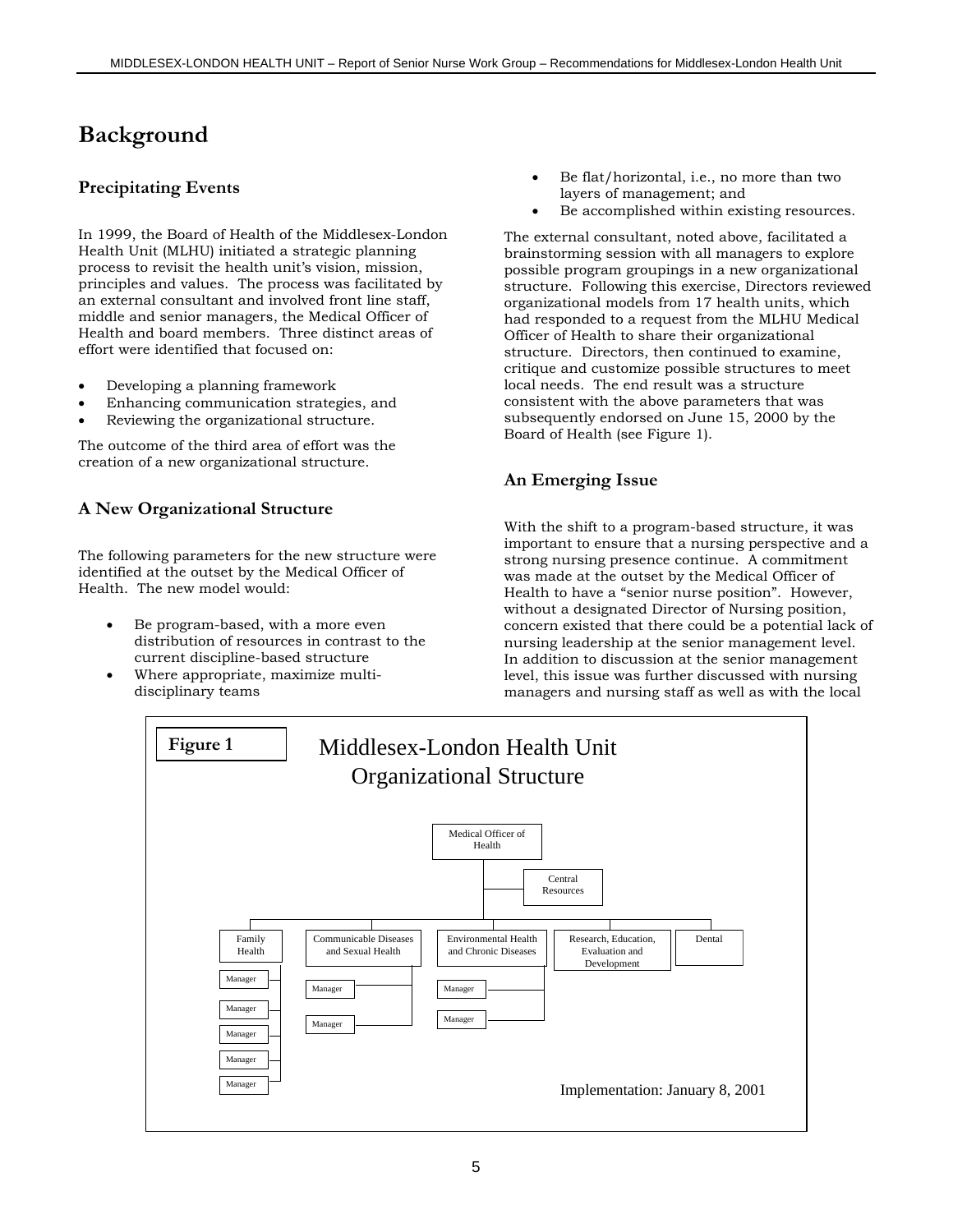# **Background**

### **Precipitating Events**

In 1999, the Board of Health of the Middlesex-London Health Unit (MLHU) initiated a strategic planning process to revisit the health unit's vision, mission, principles and values. The process was facilitated by an external consultant and involved front line staff, middle and senior managers, the Medical Officer of Health and board members. Three distinct areas of effort were identified that focused on:

- Developing a planning framework
- Enhancing communication strategies, and
- Reviewing the organizational structure.

The outcome of the third area of effort was the creation of a new organizational structure.

# **A New Organizational Structure**

The following parameters for the new structure were identified at the outset by the Medical Officer of Health. The new model would:

- Be program-based, with a more even distribution of resources in contrast to the current discipline-based structure
- Where appropriate, maximize multidisciplinary teams
- Be flat/horizontal, i.e., no more than two layers of management; and
- Be accomplished within existing resources.

The external consultant, noted above, facilitated a brainstorming session with all managers to explore possible program groupings in a new organizational structure. Following this exercise, Directors reviewed organizational models from 17 health units, which had responded to a request from the MLHU Medical Officer of Health to share their organizational structure. Directors, then continued to examine, critique and customize possible structures to meet local needs. The end result was a structure consistent with the above parameters that was subsequently endorsed on June 15, 2000 by the Board of Health (see Figure 1).

# **An Emerging Issue**

With the shift to a program-based structure, it was important to ensure that a nursing perspective and a strong nursing presence continue. A commitment was made at the outset by the Medical Officer of Health to have a "senior nurse position". However, without a designated Director of Nursing position, concern existed that there could be a potential lack of nursing leadership at the senior management level. In addition to discussion at the senior management level, this issue was further discussed with nursing managers and nursing staff as well as with the local

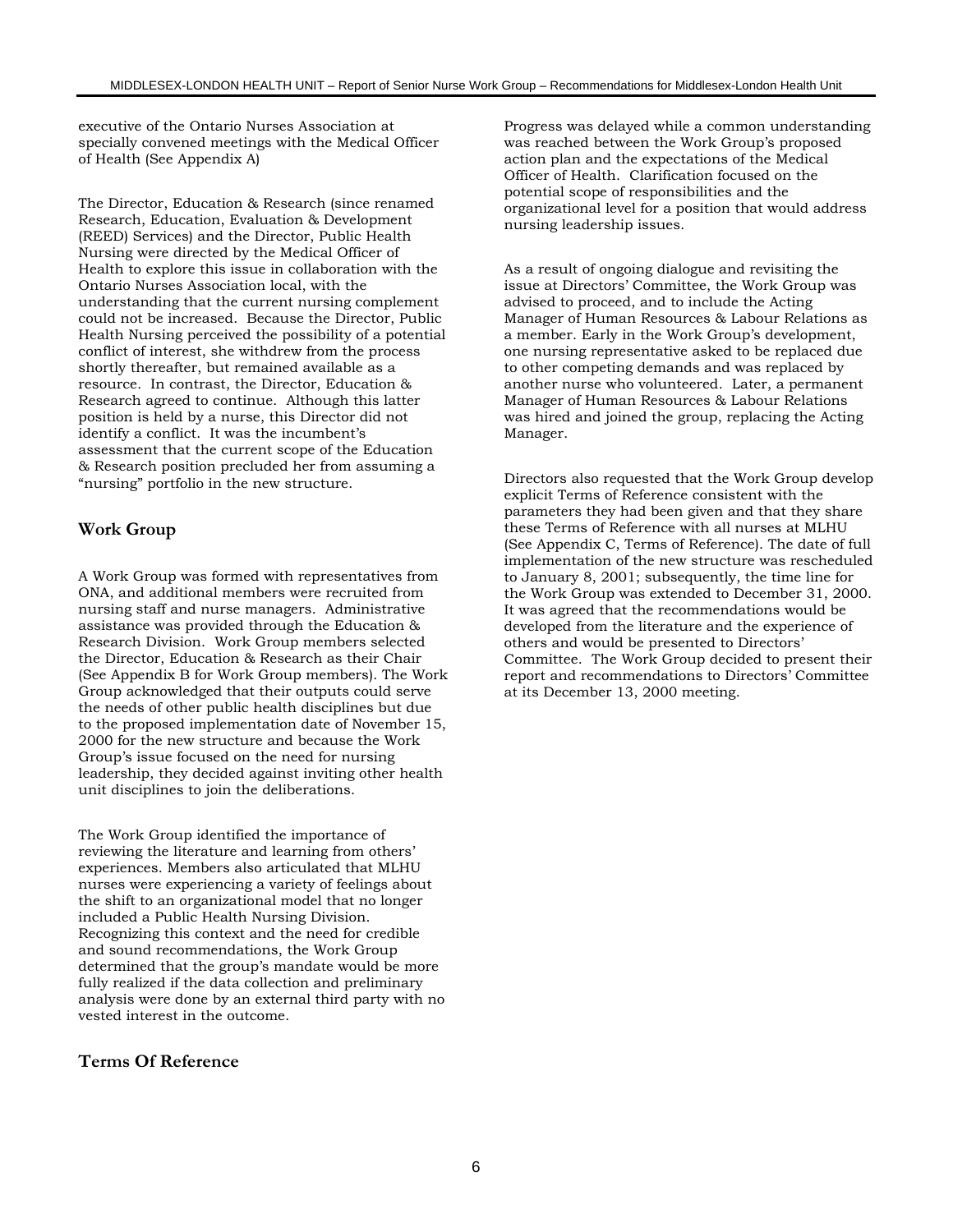executive of the Ontario Nurses Association at specially convened meetings with the Medical Officer of Health (See Appendix A)

The Director, Education & Research (since renamed Research, Education, Evaluation & Development (REED) Services) and the Director, Public Health Nursing were directed by the Medical Officer of Health to explore this issue in collaboration with the Ontario Nurses Association local, with the understanding that the current nursing complement could not be increased. Because the Director, Public Health Nursing perceived the possibility of a potential conflict of interest, she withdrew from the process shortly thereafter, but remained available as a resource. In contrast, the Director, Education & Research agreed to continue. Although this latter position is held by a nurse, this Director did not identify a conflict. It was the incumbent's assessment that the current scope of the Education & Research position precluded her from assuming a "nursing" portfolio in the new structure.

### **Work Group**

A Work Group was formed with representatives from ONA, and additional members were recruited from nursing staff and nurse managers. Administrative assistance was provided through the Education & Research Division. Work Group members selected the Director, Education & Research as their Chair (See Appendix B for Work Group members). The Work Group acknowledged that their outputs could serve the needs of other public health disciplines but due to the proposed implementation date of November 15, 2000 for the new structure and because the Work Group's issue focused on the need for nursing leadership, they decided against inviting other health unit disciplines to join the deliberations.

The Work Group identified the importance of reviewing the literature and learning from others' experiences. Members also articulated that MLHU nurses were experiencing a variety of feelings about the shift to an organizational model that no longer included a Public Health Nursing Division. Recognizing this context and the need for credible and sound recommendations, the Work Group determined that the group's mandate would be more fully realized if the data collection and preliminary analysis were done by an external third party with no vested interest in the outcome.

### **Terms Of Reference**

Progress was delayed while a common understanding was reached between the Work Group's proposed action plan and the expectations of the Medical Officer of Health. Clarification focused on the potential scope of responsibilities and the organizational level for a position that would address nursing leadership issues.

As a result of ongoing dialogue and revisiting the issue at Directors' Committee, the Work Group was advised to proceed, and to include the Acting Manager of Human Resources & Labour Relations as a member. Early in the Work Group's development, one nursing representative asked to be replaced due to other competing demands and was replaced by another nurse who volunteered. Later, a permanent Manager of Human Resources & Labour Relations was hired and joined the group, replacing the Acting Manager.

Directors also requested that the Work Group develop explicit Terms of Reference consistent with the parameters they had been given and that they share these Terms of Reference with all nurses at MLHU (See Appendix C, Terms of Reference). The date of full implementation of the new structure was rescheduled to January 8, 2001; subsequently, the time line for the Work Group was extended to December 31, 2000. It was agreed that the recommendations would be developed from the literature and the experience of others and would be presented to Directors' Committee. The Work Group decided to present their report and recommendations to Directors' Committee at its December 13, 2000 meeting.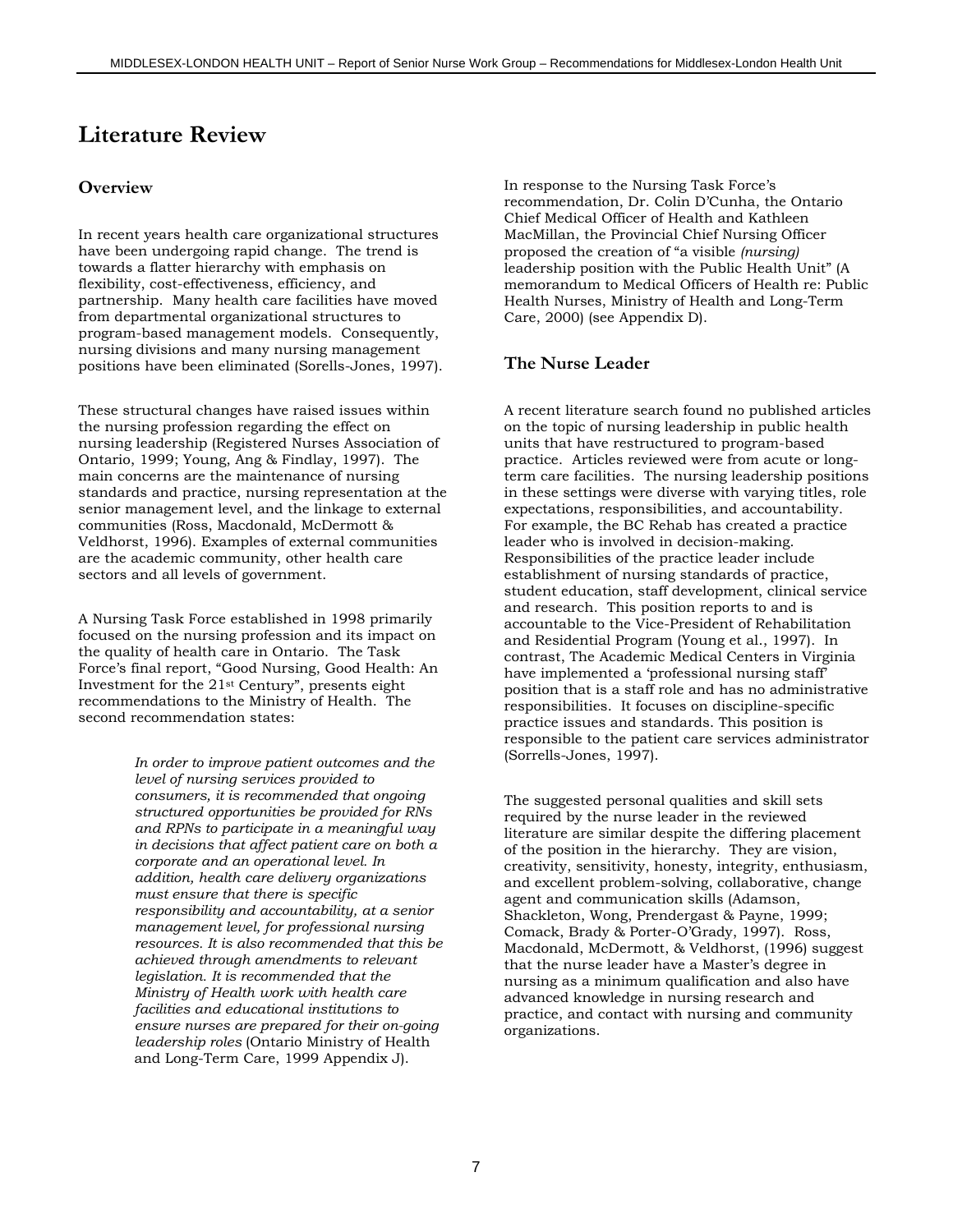# **Literature Review**

#### **Overview**

In recent years health care organizational structures have been undergoing rapid change. The trend is towards a flatter hierarchy with emphasis on flexibility, cost-effectiveness, efficiency, and partnership. Many health care facilities have moved from departmental organizational structures to program-based management models. Consequently, nursing divisions and many nursing management positions have been eliminated (Sorells-Jones, 1997).

These structural changes have raised issues within the nursing profession regarding the effect on nursing leadership (Registered Nurses Association of Ontario, 1999; Young, Ang & Findlay, 1997). The main concerns are the maintenance of nursing standards and practice, nursing representation at the senior management level, and the linkage to external communities (Ross, Macdonald, McDermott & Veldhorst, 1996). Examples of external communities are the academic community, other health care sectors and all levels of government.

A Nursing Task Force established in 1998 primarily focused on the nursing profession and its impact on the quality of health care in Ontario. The Task Force's final report, "Good Nursing, Good Health: An Investment for the 21st Century", presents eight recommendations to the Ministry of Health. The second recommendation states:

> *In order to improve patient outcomes and the level of nursing services provided to consumers, it is recommended that ongoing structured opportunities be provided for RNs and RPNs to participate in a meaningful way in decisions that affect patient care on both a corporate and an operational level. In addition, health care delivery organizations must ensure that there is specific responsibility and accountability, at a senior management level, for professional nursing resources. It is also recommended that this be achieved through amendments to relevant legislation. It is recommended that the Ministry of Health work with health care facilities and educational institutions to ensure nurses are prepared for their on-going leadership roles* (Ontario Ministry of Health and Long-Term Care, 1999 Appendix J).

In response to the Nursing Task Force's recommendation, Dr. Colin D'Cunha, the Ontario Chief Medical Officer of Health and Kathleen MacMillan, the Provincial Chief Nursing Officer proposed the creation of "a visible *(nursing)* leadership position with the Public Health Unit" (A memorandum to Medical Officers of Health re: Public Health Nurses, Ministry of Health and Long-Term Care, 2000) (see Appendix D).

#### **The Nurse Leader**

A recent literature search found no published articles on the topic of nursing leadership in public health units that have restructured to program-based practice. Articles reviewed were from acute or longterm care facilities. The nursing leadership positions in these settings were diverse with varying titles, role expectations, responsibilities, and accountability. For example, the BC Rehab has created a practice leader who is involved in decision-making. Responsibilities of the practice leader include establishment of nursing standards of practice, student education, staff development, clinical service and research. This position reports to and is accountable to the Vice-President of Rehabilitation and Residential Program (Young et al., 1997). In contrast, The Academic Medical Centers in Virginia have implemented a 'professional nursing staff' position that is a staff role and has no administrative responsibilities. It focuses on discipline-specific practice issues and standards. This position is responsible to the patient care services administrator (Sorrells-Jones, 1997).

The suggested personal qualities and skill sets required by the nurse leader in the reviewed literature are similar despite the differing placement of the position in the hierarchy. They are vision, creativity, sensitivity, honesty, integrity, enthusiasm, and excellent problem-solving, collaborative, change agent and communication skills (Adamson, Shackleton, Wong, Prendergast & Payne, 1999; Comack, Brady & Porter-O'Grady, 1997). Ross, Macdonald, McDermott, & Veldhorst, (1996) suggest that the nurse leader have a Master's degree in nursing as a minimum qualification and also have advanced knowledge in nursing research and practice, and contact with nursing and community organizations.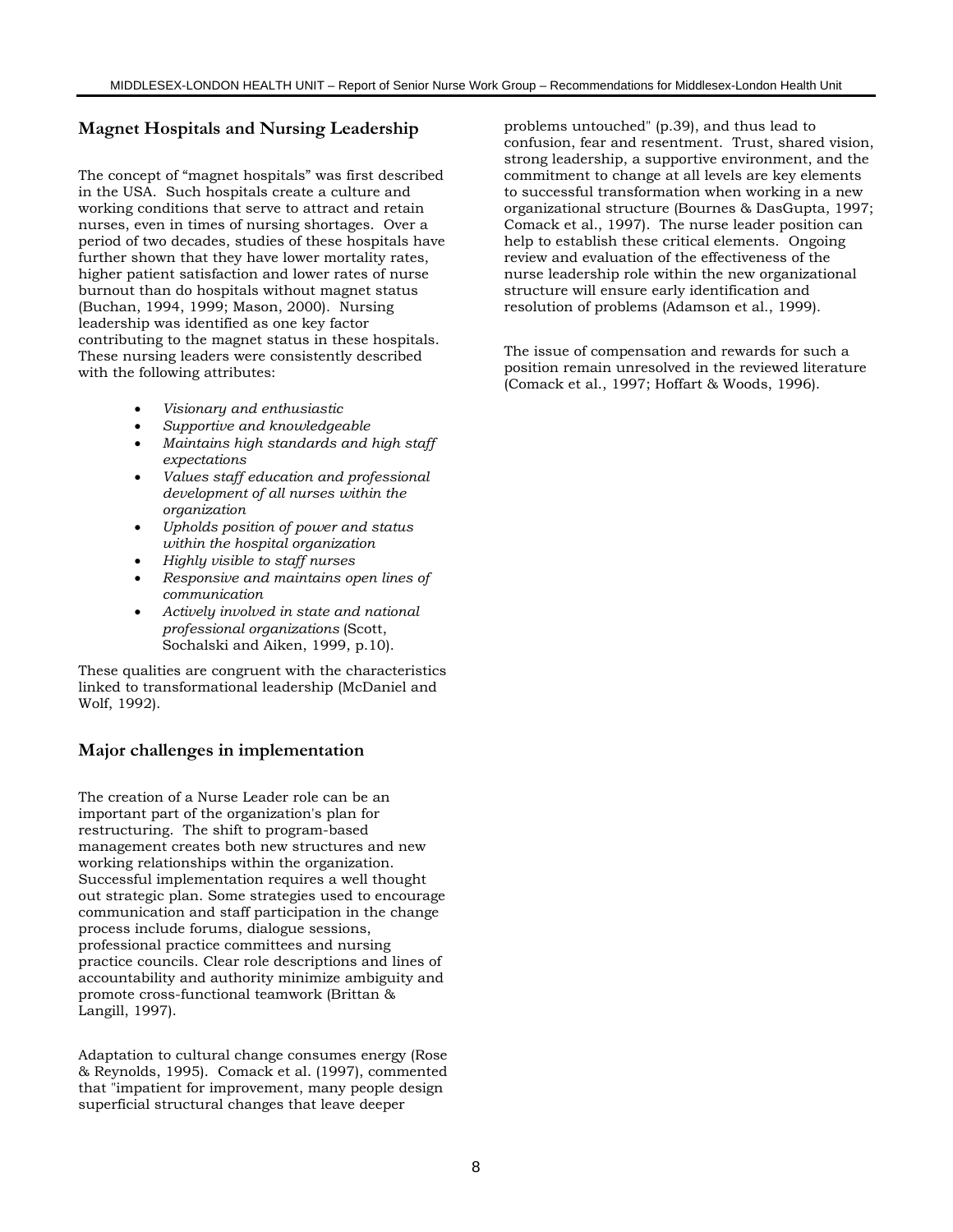### **Magnet Hospitals and Nursing Leadership**

The concept of "magnet hospitals" was first described in the USA. Such hospitals create a culture and working conditions that serve to attract and retain nurses, even in times of nursing shortages. Over a period of two decades, studies of these hospitals have further shown that they have lower mortality rates, higher patient satisfaction and lower rates of nurse burnout than do hospitals without magnet status (Buchan, 1994, 1999; Mason, 2000). Nursing leadership was identified as one key factor contributing to the magnet status in these hospitals. These nursing leaders were consistently described with the following attributes:

- *Visionary and enthusiastic*
- *Supportive and knowledgeable*
- *Maintains high standards and high staff expectations*
- *Values staff education and professional development of all nurses within the organization*
- *Upholds position of power and status within the hospital organization*
- *Highly visible to staff nurses*
- *Responsive and maintains open lines of communication*
- *Actively involved in state and national professional organizations* (Scott, Sochalski and Aiken, 1999, p.10).

These qualities are congruent with the characteristics linked to transformational leadership (McDaniel and Wolf, 1992).

#### **Major challenges in implementation**

The creation of a Nurse Leader role can be an important part of the organization's plan for restructuring. The shift to program-based management creates both new structures and new working relationships within the organization. Successful implementation requires a well thought out strategic plan. Some strategies used to encourage communication and staff participation in the change process include forums, dialogue sessions, professional practice committees and nursing practice councils. Clear role descriptions and lines of accountability and authority minimize ambiguity and promote cross-functional teamwork (Brittan & Langill, 1997).

Adaptation to cultural change consumes energy (Rose & Reynolds, 1995). Comack et al. (1997), commented that "impatient for improvement, many people design superficial structural changes that leave deeper

problems untouched" (p.39), and thus lead to confusion, fear and resentment. Trust, shared vision, strong leadership, a supportive environment, and the commitment to change at all levels are key elements to successful transformation when working in a new organizational structure (Bournes & DasGupta, 1997; Comack et al., 1997). The nurse leader position can help to establish these critical elements. Ongoing review and evaluation of the effectiveness of the nurse leadership role within the new organizational structure will ensure early identification and resolution of problems (Adamson et al., 1999).

The issue of compensation and rewards for such a position remain unresolved in the reviewed literature (Comack et al., 1997; Hoffart & Woods, 1996).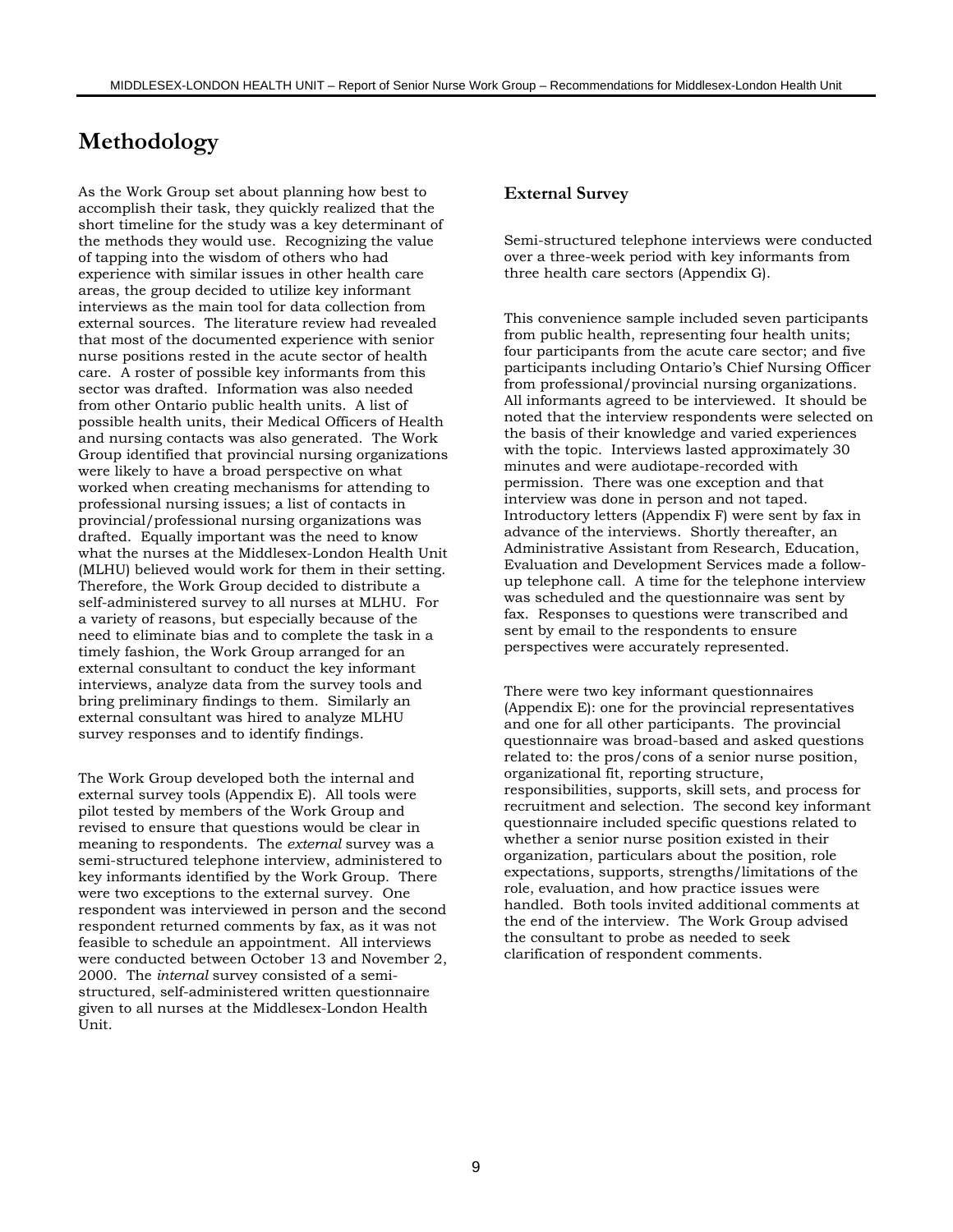# **Methodology**

As the Work Group set about planning how best to accomplish their task, they quickly realized that the short timeline for the study was a key determinant of the methods they would use. Recognizing the value of tapping into the wisdom of others who had experience with similar issues in other health care areas, the group decided to utilize key informant interviews as the main tool for data collection from external sources. The literature review had revealed that most of the documented experience with senior nurse positions rested in the acute sector of health care. A roster of possible key informants from this sector was drafted. Information was also needed from other Ontario public health units. A list of possible health units, their Medical Officers of Health and nursing contacts was also generated. The Work Group identified that provincial nursing organizations were likely to have a broad perspective on what worked when creating mechanisms for attending to professional nursing issues; a list of contacts in provincial/professional nursing organizations was drafted. Equally important was the need to know what the nurses at the Middlesex-London Health Unit (MLHU) believed would work for them in their setting. Therefore, the Work Group decided to distribute a self-administered survey to all nurses at MLHU. For a variety of reasons, but especially because of the need to eliminate bias and to complete the task in a timely fashion, the Work Group arranged for an external consultant to conduct the key informant interviews, analyze data from the survey tools and bring preliminary findings to them. Similarly an external consultant was hired to analyze MLHU survey responses and to identify findings.

The Work Group developed both the internal and external survey tools (Appendix E). All tools were pilot tested by members of the Work Group and revised to ensure that questions would be clear in meaning to respondents. The *external* survey was a semi-structured telephone interview, administered to key informants identified by the Work Group. There were two exceptions to the external survey. One respondent was interviewed in person and the second respondent returned comments by fax, as it was not feasible to schedule an appointment. All interviews were conducted between October 13 and November 2, 2000. The *internal* survey consisted of a semistructured, self-administered written questionnaire given to all nurses at the Middlesex-London Health Unit.

#### **External Survey**

Semi-structured telephone interviews were conducted over a three-week period with key informants from three health care sectors (Appendix G).

This convenience sample included seven participants from public health, representing four health units; four participants from the acute care sector; and five participants including Ontario's Chief Nursing Officer from professional/provincial nursing organizations. All informants agreed to be interviewed. It should be noted that the interview respondents were selected on the basis of their knowledge and varied experiences with the topic. Interviews lasted approximately 30 minutes and were audiotape-recorded with permission. There was one exception and that interview was done in person and not taped. Introductory letters (Appendix F) were sent by fax in advance of the interviews. Shortly thereafter, an Administrative Assistant from Research, Education, Evaluation and Development Services made a followup telephone call. A time for the telephone interview was scheduled and the questionnaire was sent by fax. Responses to questions were transcribed and sent by email to the respondents to ensure perspectives were accurately represented.

There were two key informant questionnaires (Appendix E): one for the provincial representatives and one for all other participants. The provincial questionnaire was broad-based and asked questions related to: the pros/cons of a senior nurse position, organizational fit, reporting structure, responsibilities, supports, skill sets, and process for recruitment and selection. The second key informant questionnaire included specific questions related to whether a senior nurse position existed in their organization, particulars about the position, role expectations, supports, strengths/limitations of the role, evaluation, and how practice issues were handled. Both tools invited additional comments at the end of the interview. The Work Group advised the consultant to probe as needed to seek clarification of respondent comments.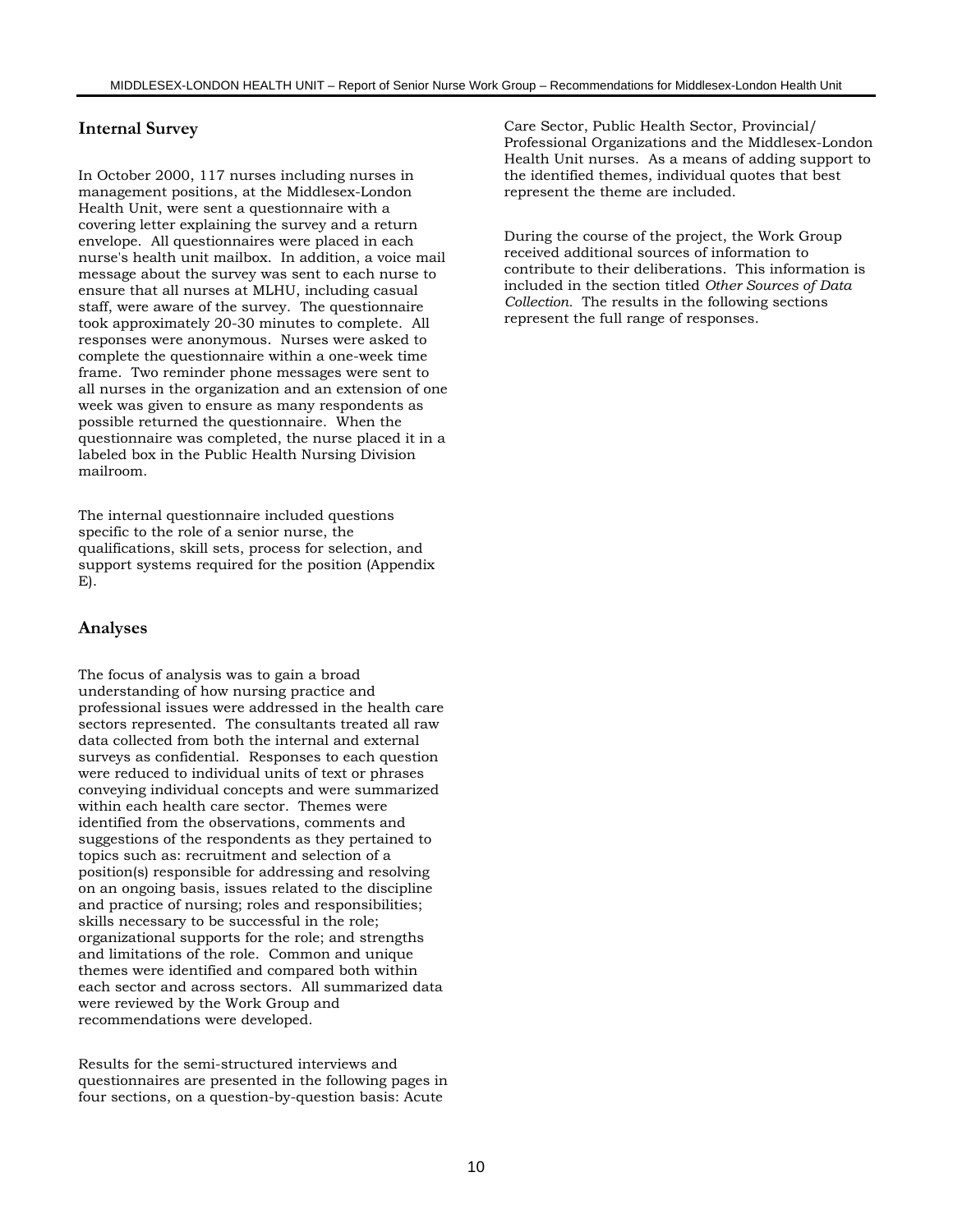### **Internal Survey**

In October 2000, 117 nurses including nurses in management positions, at the Middlesex-London Health Unit, were sent a questionnaire with a covering letter explaining the survey and a return envelope. All questionnaires were placed in each nurse's health unit mailbox. In addition, a voice mail message about the survey was sent to each nurse to ensure that all nurses at MLHU, including casual staff, were aware of the survey. The questionnaire took approximately 20-30 minutes to complete. All responses were anonymous. Nurses were asked to complete the questionnaire within a one-week time frame. Two reminder phone messages were sent to all nurses in the organization and an extension of one week was given to ensure as many respondents as possible returned the questionnaire. When the questionnaire was completed, the nurse placed it in a labeled box in the Public Health Nursing Division mailroom.

The internal questionnaire included questions specific to the role of a senior nurse, the qualifications, skill sets, process for selection, and support systems required for the position (Appendix E).

#### **Analyses**

The focus of analysis was to gain a broad understanding of how nursing practice and professional issues were addressed in the health care sectors represented. The consultants treated all raw data collected from both the internal and external surveys as confidential. Responses to each question were reduced to individual units of text or phrases conveying individual concepts and were summarized within each health care sector. Themes were identified from the observations, comments and suggestions of the respondents as they pertained to topics such as: recruitment and selection of a position(s) responsible for addressing and resolving on an ongoing basis, issues related to the discipline and practice of nursing; roles and responsibilities; skills necessary to be successful in the role; organizational supports for the role; and strengths and limitations of the role. Common and unique themes were identified and compared both within each sector and across sectors. All summarized data were reviewed by the Work Group and recommendations were developed.

Results for the semi-structured interviews and questionnaires are presented in the following pages in four sections, on a question-by-question basis: Acute

Care Sector, Public Health Sector, Provincial/ Professional Organizations and the Middlesex-London Health Unit nurses. As a means of adding support to the identified themes, individual quotes that best represent the theme are included.

During the course of the project, the Work Group received additional sources of information to contribute to their deliberations. This information is included in the section titled *Other Sources of Data Collection.* The results in the following sections represent the full range of responses.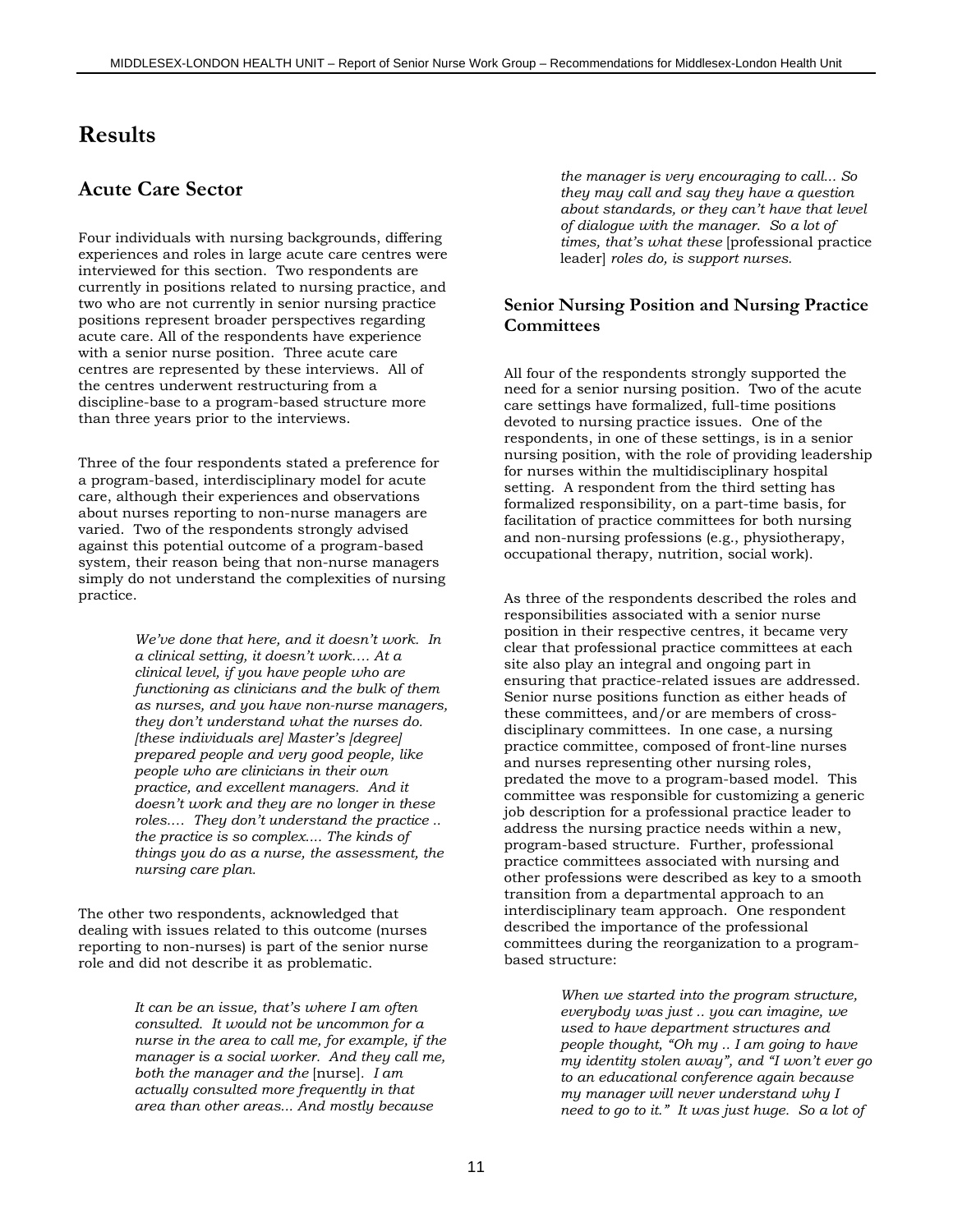# **Results**

# **Acute Care Sector**

Four individuals with nursing backgrounds, differing experiences and roles in large acute care centres were interviewed for this section. Two respondents are currently in positions related to nursing practice, and two who are not currently in senior nursing practice positions represent broader perspectives regarding acute care. All of the respondents have experience with a senior nurse position. Three acute care centres are represented by these interviews. All of the centres underwent restructuring from a discipline-base to a program-based structure more than three years prior to the interviews.

Three of the four respondents stated a preference for a program-based, interdisciplinary model for acute care, although their experiences and observations about nurses reporting to non-nurse managers are varied. Two of the respondents strongly advised against this potential outcome of a program-based system, their reason being that non-nurse managers simply do not understand the complexities of nursing practice.

> *We've done that here, and it doesn't work. In a clinical setting, it doesn't work…. At a clinical level, if you have people who are functioning as clinicians and the bulk of them as nurses, and you have non-nurse managers, they don't understand what the nurses do. [these individuals are] Master's [degree] prepared people and very good people, like people who are clinicians in their own practice, and excellent managers. And it doesn't work and they are no longer in these roles.… They don't understand the practice .. the practice is so complex.... The kinds of things you do as a nurse, the assessment, the nursing care plan.*

The other two respondents, acknowledged that dealing with issues related to this outcome (nurses reporting to non-nurses) is part of the senior nurse role and did not describe it as problematic.

> *It can be an issue, that's where I am often consulted. It would not be uncommon for a nurse in the area to call me, for example, if the manager is a social worker. And they call me, both the manager and the* [nurse]*. I am actually consulted more frequently in that area than other areas... And mostly because*

*the manager is very encouraging to call... So they may call and say they have a question about standards, or they can't have that level of dialogue with the manager. So a lot of times, that's what these* [professional practice leader] *roles do, is support nurses.*

#### **Senior Nursing Position and Nursing Practice Committees**

All four of the respondents strongly supported the need for a senior nursing position. Two of the acute care settings have formalized, full-time positions devoted to nursing practice issues. One of the respondents, in one of these settings, is in a senior nursing position, with the role of providing leadership for nurses within the multidisciplinary hospital setting. A respondent from the third setting has formalized responsibility, on a part-time basis, for facilitation of practice committees for both nursing and non-nursing professions (e.g., physiotherapy, occupational therapy, nutrition, social work).

As three of the respondents described the roles and responsibilities associated with a senior nurse position in their respective centres, it became very clear that professional practice committees at each site also play an integral and ongoing part in ensuring that practice-related issues are addressed. Senior nurse positions function as either heads of these committees, and/or are members of crossdisciplinary committees. In one case, a nursing practice committee, composed of front-line nurses and nurses representing other nursing roles, predated the move to a program-based model. This committee was responsible for customizing a generic job description for a professional practice leader to address the nursing practice needs within a new, program-based structure. Further, professional practice committees associated with nursing and other professions were described as key to a smooth transition from a departmental approach to an interdisciplinary team approach. One respondent described the importance of the professional committees during the reorganization to a programbased structure:

> *When we started into the program structure, everybody was just .. you can imagine, we used to have department structures and people thought, "Oh my .. I am going to have my identity stolen away", and "I won't ever go to an educational conference again because my manager will never understand why I need to go to it." It was just huge. So a lot of*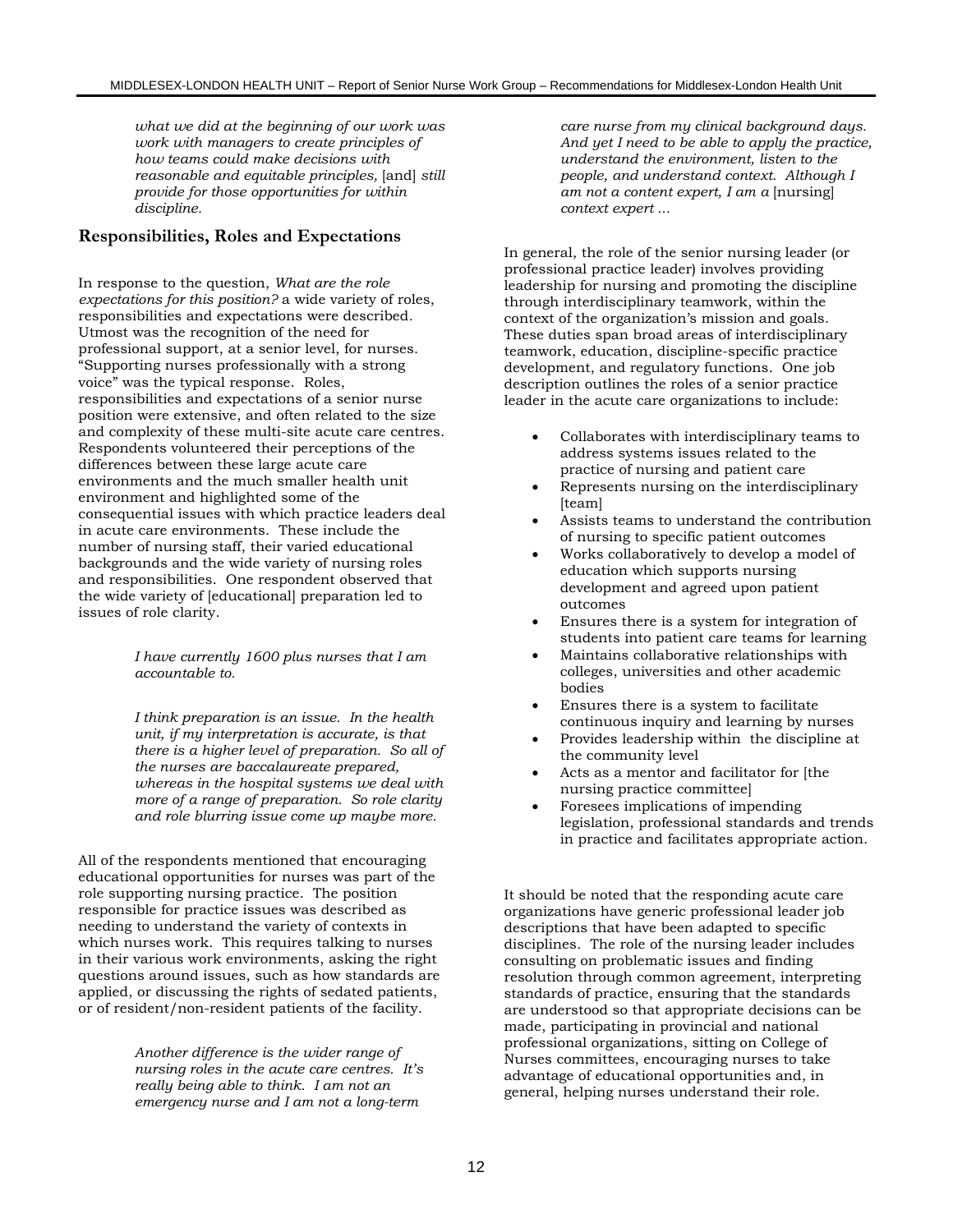*what we did at the beginning of our work was work with managers to create principles of how teams could make decisions with reasonable and equitable principles,* [and] *still provide for those opportunities for within discipline.*

#### **Responsibilities, Roles and Expectations**

In response to the question, *What are the role expectations for this position?* a wide variety of roles, responsibilities and expectations were described*.* Utmost was the recognition of the need for professional support, at a senior level, for nurses. "Supporting nurses professionally with a strong voice" was the typical response. Roles, responsibilities and expectations of a senior nurse position were extensive, and often related to the size and complexity of these multi-site acute care centres. Respondents volunteered their perceptions of the differences between these large acute care environments and the much smaller health unit environment and highlighted some of the consequential issues with which practice leaders deal in acute care environments. These include the number of nursing staff, their varied educational backgrounds and the wide variety of nursing roles and responsibilities. One respondent observed that the wide variety of [educational] preparation led to issues of role clarity.

> *I have currently 1600 plus nurses that I am accountable to.*

*I think preparation is an issue. In the health unit, if my interpretation is accurate, is that there is a higher level of preparation. So all of the nurses are baccalaureate prepared, whereas in the hospital systems we deal with more of a range of preparation. So role clarity and role blurring issue come up maybe more.*

All of the respondents mentioned that encouraging educational opportunities for nurses was part of the role supporting nursing practice. The position responsible for practice issues was described as needing to understand the variety of contexts in which nurses work. This requires talking to nurses in their various work environments, asking the right questions around issues, such as how standards are applied, or discussing the rights of sedated patients, or of resident/non-resident patients of the facility.

> *Another difference is the wider range of nursing roles in the acute care centres. It's really being able to think. I am not an emergency nurse and I am not a long-term*

*care nurse from my clinical background days. And yet I need to be able to apply the practice, understand the environment, listen to the people, and understand context. Although I am not a content expert, I am a* [nursing] *context expert ...*

In general, the role of the senior nursing leader (or professional practice leader) involves providing leadership for nursing and promoting the discipline through interdisciplinary teamwork, within the context of the organization's mission and goals. These duties span broad areas of interdisciplinary teamwork, education, discipline-specific practice development, and regulatory functions. One job description outlines the roles of a senior practice leader in the acute care organizations to include:

- Collaborates with interdisciplinary teams to address systems issues related to the practice of nursing and patient care
- Represents nursing on the interdisciplinary [team]
- Assists teams to understand the contribution of nursing to specific patient outcomes
- Works collaboratively to develop a model of education which supports nursing development and agreed upon patient outcomes
- Ensures there is a system for integration of students into patient care teams for learning
- Maintains collaborative relationships with colleges, universities and other academic bodies
- Ensures there is a system to facilitate continuous inquiry and learning by nurses
- Provides leadership within the discipline at the community level
- Acts as a mentor and facilitator for [the nursing practice committee]
- Foresees implications of impending legislation, professional standards and trends in practice and facilitates appropriate action.

It should be noted that the responding acute care organizations have generic professional leader job descriptions that have been adapted to specific disciplines. The role of the nursing leader includes consulting on problematic issues and finding resolution through common agreement, interpreting standards of practice, ensuring that the standards are understood so that appropriate decisions can be made, participating in provincial and national professional organizations, sitting on College of Nurses committees, encouraging nurses to take advantage of educational opportunities and, in general, helping nurses understand their role.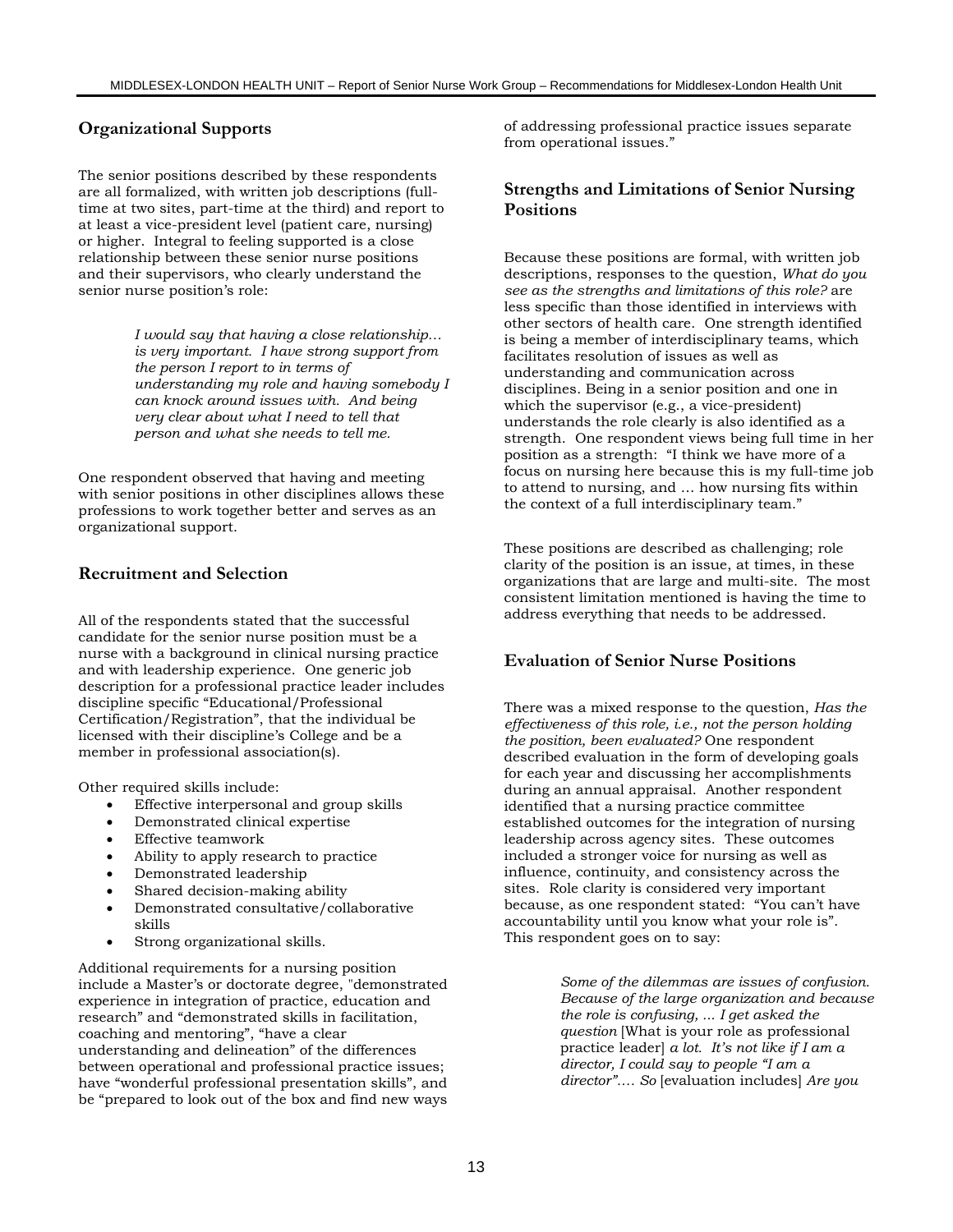#### **Organizational Supports**

The senior positions described by these respondents are all formalized, with written job descriptions (fulltime at two sites, part-time at the third) and report to at least a vice-president level (patient care, nursing) or higher. Integral to feeling supported is a close relationship between these senior nurse positions and their supervisors, who clearly understand the senior nurse position's role:

> *I would say that having a close relationship… is very important. I have strong support from the person I report to in terms of understanding my role and having somebody I can knock around issues with. And being very clear about what I need to tell that person and what she needs to tell me.*

One respondent observed that having and meeting with senior positions in other disciplines allows these professions to work together better and serves as an organizational support.

#### **Recruitment and Selection**

All of the respondents stated that the successful candidate for the senior nurse position must be a nurse with a background in clinical nursing practice and with leadership experience. One generic job description for a professional practice leader includes discipline specific "Educational/Professional Certification/Registration", that the individual be licensed with their discipline's College and be a member in professional association(s).

Other required skills include:

- Effective interpersonal and group skills
- Demonstrated clinical expertise
- Effective teamwork
- Ability to apply research to practice
- Demonstrated leadership
- Shared decision-making ability
- Demonstrated consultative/collaborative skills
- Strong organizational skills.

Additional requirements for a nursing position include a Master's or doctorate degree, "demonstrated experience in integration of practice, education and research" and "demonstrated skills in facilitation, coaching and mentoring", "have a clear understanding and delineation" of the differences between operational and professional practice issues; have "wonderful professional presentation skills", and be "prepared to look out of the box and find new ways of addressing professional practice issues separate from operational issues."

#### **Strengths and Limitations of Senior Nursing Positions**

Because these positions are formal, with written job descriptions, responses to the question, *What do you see as the strengths and limitations of this role?* are less specific than those identified in interviews with other sectors of health care. One strength identified is being a member of interdisciplinary teams, which facilitates resolution of issues as well as understanding and communication across disciplines. Being in a senior position and one in which the supervisor (e.g., a vice-president) understands the role clearly is also identified as a strength. One respondent views being full time in her position as a strength: "I think we have more of a focus on nursing here because this is my full-time job to attend to nursing, and … how nursing fits within the context of a full interdisciplinary team."

These positions are described as challenging; role clarity of the position is an issue, at times, in these organizations that are large and multi-site. The most consistent limitation mentioned is having the time to address everything that needs to be addressed.

#### **Evaluation of Senior Nurse Positions**

There was a mixed response to the question, *Has the effectiveness of this role, i.e., not the person holding the position, been evaluated?* One respondent described evaluation in the form of developing goals for each year and discussing her accomplishments during an annual appraisal. Another respondent identified that a nursing practice committee established outcomes for the integration of nursing leadership across agency sites. These outcomes included a stronger voice for nursing as well as influence, continuity, and consistency across the sites. Role clarity is considered very important because, as one respondent stated: "You can't have accountability until you know what your role is". This respondent goes on to say:

> *Some of the dilemmas are issues of confusion. Because of the large organization and because the role is confusing, ... I get asked the question* [What is your role as professional practice leader] *a lot. It's not like if I am a director, I could say to people "I am a director".… So* [evaluation includes] *Are you*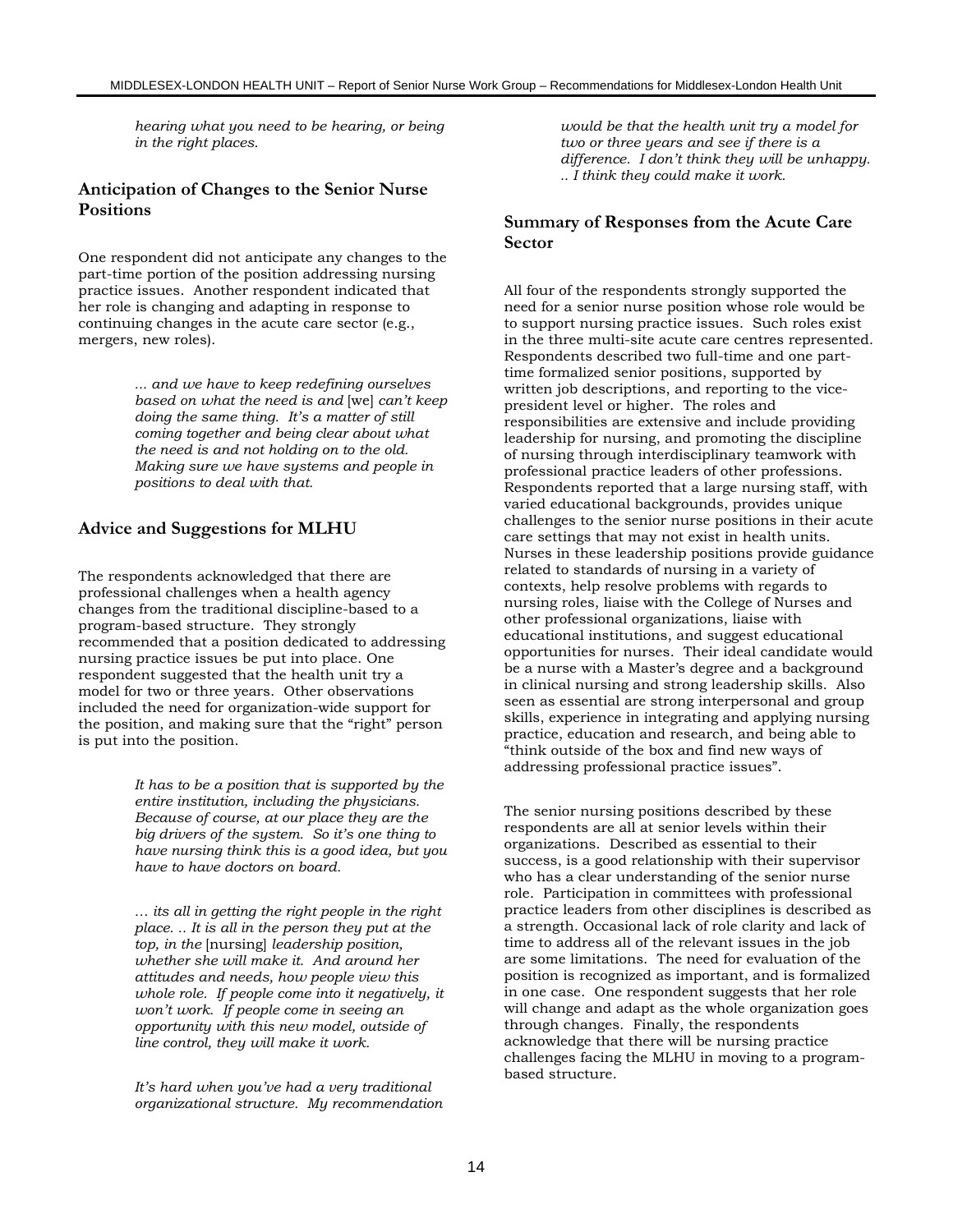*hearing what you need to be hearing, or being in the right places.*

#### **Anticipation of Changes to the Senior Nurse Positions**

One respondent did not anticipate any changes to the part-time portion of the position addressing nursing practice issues. Another respondent indicated that her role is changing and adapting in response to continuing changes in the acute care sector (e.g., mergers, new roles).

> *... and we have to keep redefining ourselves based on what the need is and* [we] *can't keep doing the same thing. It's a matter of still coming together and being clear about what the need is and not holding on to the old. Making sure we have systems and people in positions to deal with that.*

#### **Advice and Suggestions for MLHU**

The respondents acknowledged that there are professional challenges when a health agency changes from the traditional discipline-based to a program-based structure. They strongly recommended that a position dedicated to addressing nursing practice issues be put into place. One respondent suggested that the health unit try a model for two or three years. Other observations included the need for organization-wide support for the position, and making sure that the "right" person is put into the position.

> *It has to be a position that is supported by the entire institution, including the physicians. Because of course, at our place they are the big drivers of the system. So it's one thing to have nursing think this is a good idea, but you have to have doctors on board.*

*… its all in getting the right people in the right place. .. It is all in the person they put at the top, in the* [nursing] *leadership position, whether she will make it. And around her attitudes and needs, how people view this whole role. If people come into it negatively, it won't work. If people come in seeing an opportunity with this new model, outside of line control, they will make it work.*

*It's hard when you've had a very traditional organizational structure. My recommendation* *would be that the health unit try a model for two or three years and see if there is a difference. I don't think they will be unhappy. .. I think they could make it work.*

#### **Summary of Responses from the Acute Care Sector**

All four of the respondents strongly supported the need for a senior nurse position whose role would be to support nursing practice issues. Such roles exist in the three multi-site acute care centres represented. Respondents described two full-time and one parttime formalized senior positions, supported by written job descriptions, and reporting to the vicepresident level or higher. The roles and responsibilities are extensive and include providing leadership for nursing, and promoting the discipline of nursing through interdisciplinary teamwork with professional practice leaders of other professions. Respondents reported that a large nursing staff, with varied educational backgrounds, provides unique challenges to the senior nurse positions in their acute care settings that may not exist in health units. Nurses in these leadership positions provide guidance related to standards of nursing in a variety of contexts, help resolve problems with regards to nursing roles, liaise with the College of Nurses and other professional organizations, liaise with educational institutions, and suggest educational opportunities for nurses. Their ideal candidate would be a nurse with a Master's degree and a background in clinical nursing and strong leadership skills. Also seen as essential are strong interpersonal and group skills, experience in integrating and applying nursing practice, education and research, and being able to "think outside of the box and find new ways of addressing professional practice issues".

The senior nursing positions described by these respondents are all at senior levels within their organizations. Described as essential to their success, is a good relationship with their supervisor who has a clear understanding of the senior nurse role. Participation in committees with professional practice leaders from other disciplines is described as a strength. Occasional lack of role clarity and lack of time to address all of the relevant issues in the job are some limitations. The need for evaluation of the position is recognized as important, and is formalized in one case. One respondent suggests that her role will change and adapt as the whole organization goes through changes. Finally, the respondents acknowledge that there will be nursing practice challenges facing the MLHU in moving to a programbased structure.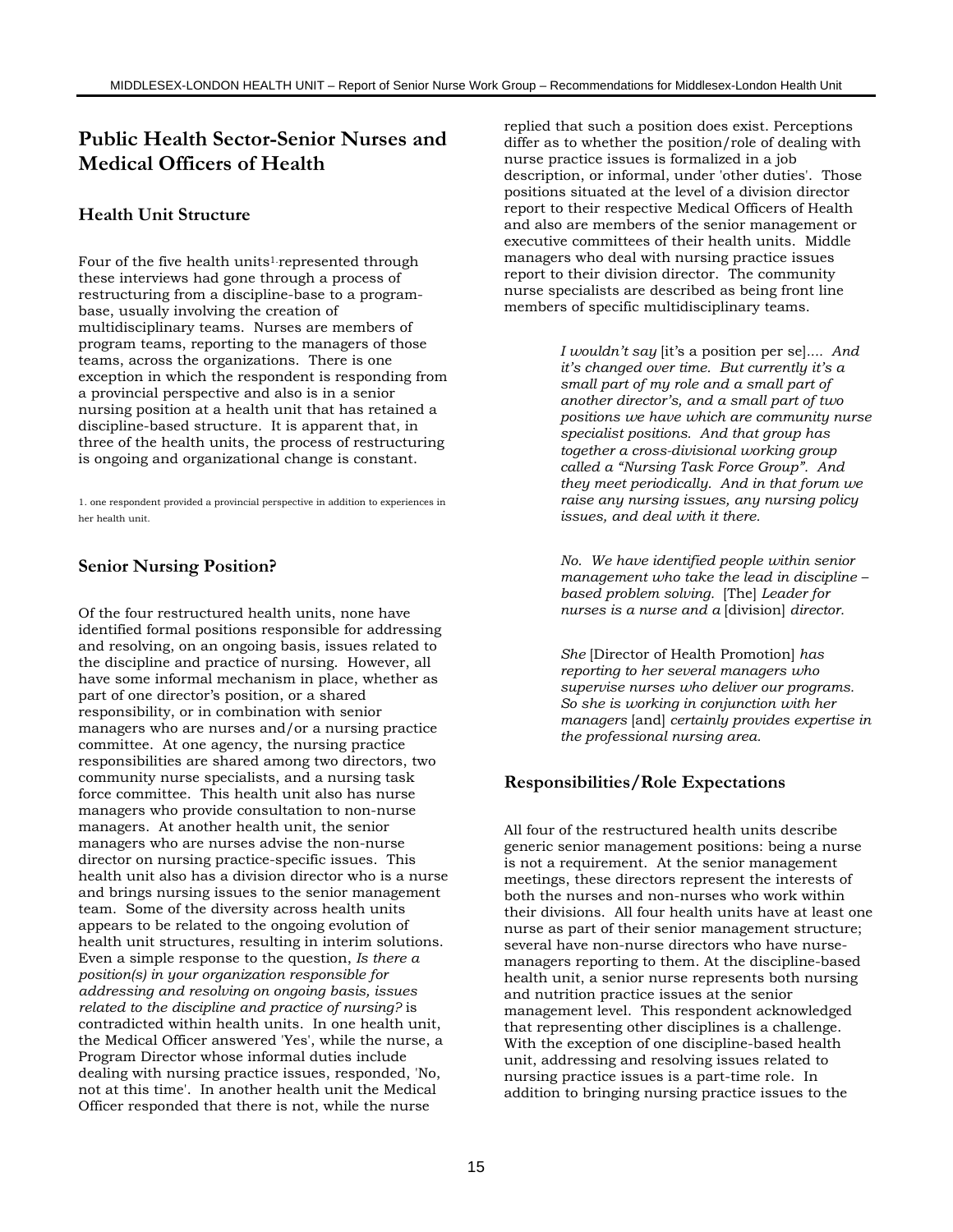# **Public Health Sector-Senior Nurses and Medical Officers of Health**

#### **Health Unit Structure**

Four of the five health units<sup>1</sup> represented through these interviews had gone through a process of restructuring from a discipline-base to a programbase, usually involving the creation of multidisciplinary teams. Nurses are members of program teams, reporting to the managers of those teams, across the organizations. There is one exception in which the respondent is responding from a provincial perspective and also is in a senior nursing position at a health unit that has retained a discipline-based structure. It is apparent that, in three of the health units, the process of restructuring is ongoing and organizational change is constant.

1. one respondent provided a provincial perspective in addition to experiences in her health unit.

#### **Senior Nursing Position?**

Of the four restructured health units, none have identified formal positions responsible for addressing and resolving, on an ongoing basis, issues related to the discipline and practice of nursing. However, all have some informal mechanism in place, whether as part of one director's position, or a shared responsibility, or in combination with senior managers who are nurses and/or a nursing practice committee. At one agency, the nursing practice responsibilities are shared among two directors, two community nurse specialists, and a nursing task force committee. This health unit also has nurse managers who provide consultation to non-nurse managers. At another health unit, the senior managers who are nurses advise the non-nurse director on nursing practice-specific issues. This health unit also has a division director who is a nurse and brings nursing issues to the senior management team. Some of the diversity across health units appears to be related to the ongoing evolution of health unit structures, resulting in interim solutions. Even a simple response to the question, *Is there a position(s) in your organization responsible for addressing and resolving on ongoing basis, issues related to the discipline and practice of nursing?* is contradicted within health units. In one health unit, the Medical Officer answered 'Yes', while the nurse, a Program Director whose informal duties include dealing with nursing practice issues, responded, 'No, not at this time'. In another health unit the Medical Officer responded that there is not, while the nurse

replied that such a position does exist. Perceptions differ as to whether the position/role of dealing with nurse practice issues is formalized in a job description, or informal, under 'other duties'. Those positions situated at the level of a division director report to their respective Medical Officers of Health and also are members of the senior management or executive committees of their health units. Middle managers who deal with nursing practice issues report to their division director. The community nurse specialists are described as being front line members of specific multidisciplinary teams.

> *I wouldn't say* [it's a position per se]*.... And it's changed over time. But currently it's a small part of my role and a small part of another director's, and a small part of two positions we have which are community nurse specialist positions. And that group has together a cross-divisional working group called a "Nursing Task Force Group". And they meet periodically. And in that forum we raise any nursing issues, any nursing policy issues, and deal with it there.*

*No. We have identified people within senior management who take the lead in discipline – based problem solving.* [The] *Leader for nurses is a nurse and a* [division] *director.*

*She* [Director of Health Promotion] *has reporting to her several managers who supervise nurses who deliver our programs. So she is working in conjunction with her managers* [and] *certainly provides expertise in the professional nursing area.*

#### **Responsibilities/Role Expectations**

All four of the restructured health units describe generic senior management positions: being a nurse is not a requirement. At the senior management meetings, these directors represent the interests of both the nurses and non-nurses who work within their divisions. All four health units have at least one nurse as part of their senior management structure; several have non-nurse directors who have nursemanagers reporting to them. At the discipline-based health unit, a senior nurse represents both nursing and nutrition practice issues at the senior management level. This respondent acknowledged that representing other disciplines is a challenge. With the exception of one discipline-based health unit, addressing and resolving issues related to nursing practice issues is a part-time role. In addition to bringing nursing practice issues to the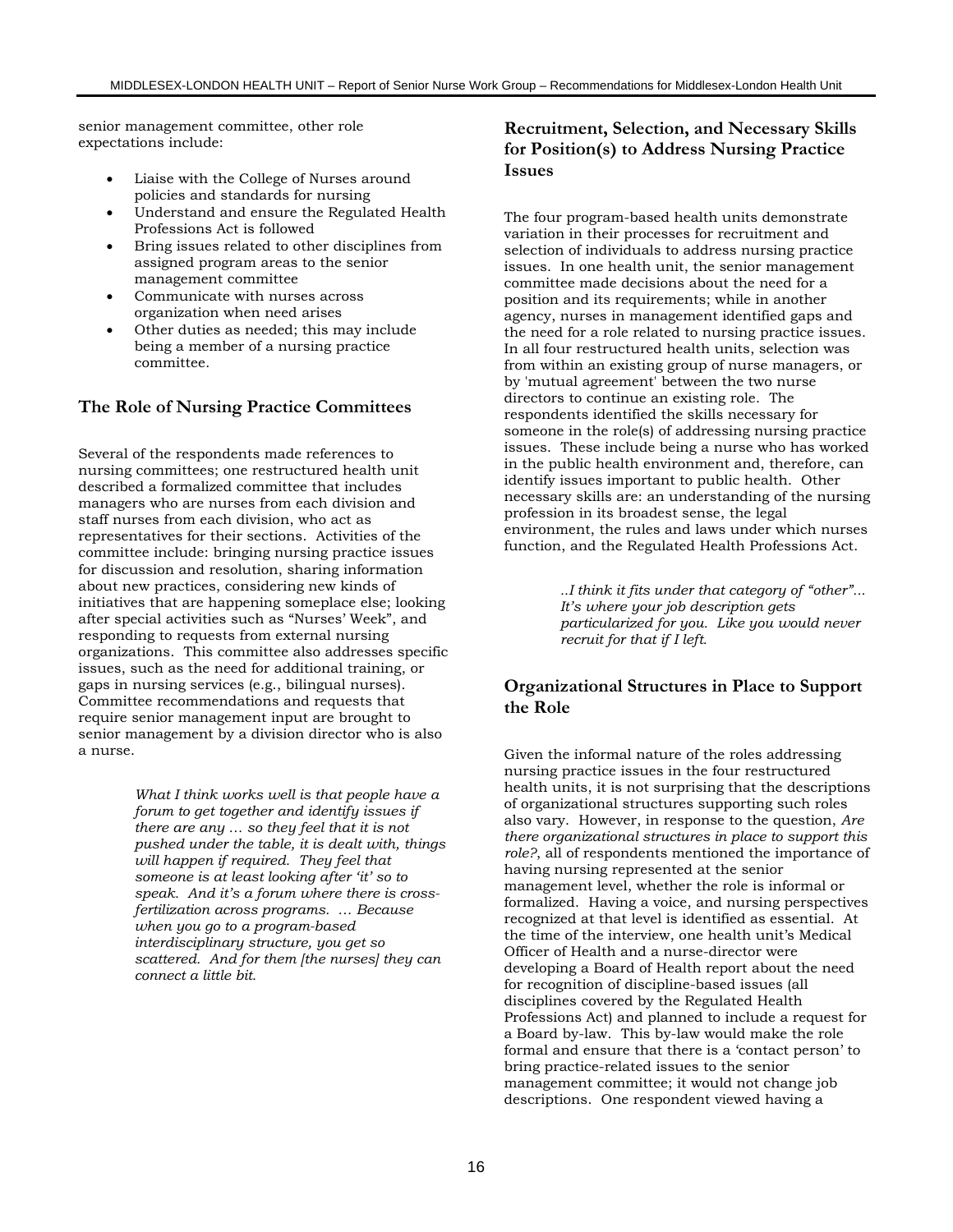senior management committee, other role expectations include:

- Liaise with the College of Nurses around policies and standards for nursing
- Understand and ensure the Regulated Health Professions Act is followed
- Bring issues related to other disciplines from assigned program areas to the senior management committee
- Communicate with nurses across organization when need arises
- Other duties as needed; this may include being a member of a nursing practice committee.

#### **The Role of Nursing Practice Committees**

Several of the respondents made references to nursing committees; one restructured health unit described a formalized committee that includes managers who are nurses from each division and staff nurses from each division, who act as representatives for their sections. Activities of the committee include: bringing nursing practice issues for discussion and resolution, sharing information about new practices, considering new kinds of initiatives that are happening someplace else; looking after special activities such as "Nurses' Week", and responding to requests from external nursing organizations. This committee also addresses specific issues, such as the need for additional training, or gaps in nursing services (e.g., bilingual nurses). Committee recommendations and requests that require senior management input are brought to senior management by a division director who is also a nurse.

> *What I think works well is that people have a forum to get together and identify issues if there are any … so they feel that it is not pushed under the table, it is dealt with, things will happen if required. They feel that someone is at least looking after 'it' so to speak. And it's a forum where there is crossfertilization across programs. … Because when you go to a program-based interdisciplinary structure, you get so scattered. And for them [the nurses] they can connect a little bit.*

### **Recruitment, Selection, and Necessary Skills for Position(s) to Address Nursing Practice Issues**

The four program-based health units demonstrate variation in their processes for recruitment and selection of individuals to address nursing practice issues. In one health unit, the senior management committee made decisions about the need for a position and its requirements; while in another agency, nurses in management identified gaps and the need for a role related to nursing practice issues. In all four restructured health units, selection was from within an existing group of nurse managers, or by 'mutual agreement' between the two nurse directors to continue an existing role. The respondents identified the skills necessary for someone in the role(s) of addressing nursing practice issues. These include being a nurse who has worked in the public health environment and, therefore, can identify issues important to public health. Other necessary skills are: an understanding of the nursing profession in its broadest sense, the legal environment, the rules and laws under which nurses function, and the Regulated Health Professions Act.

> *..I think it fits under that category of "other"... It's where your job description gets particularized for you. Like you would never recruit for that if I left.*

#### **Organizational Structures in Place to Support the Role**

Given the informal nature of the roles addressing nursing practice issues in the four restructured health units, it is not surprising that the descriptions of organizational structures supporting such roles also vary. However, in response to the question, *Are there organizational structures in place to support this role?*, all of respondents mentioned the importance of having nursing represented at the senior management level, whether the role is informal or formalized. Having a voice, and nursing perspectives recognized at that level is identified as essential. At the time of the interview, one health unit's Medical Officer of Health and a nurse-director were developing a Board of Health report about the need for recognition of discipline-based issues (all disciplines covered by the Regulated Health Professions Act) and planned to include a request for a Board by-law. This by-law would make the role formal and ensure that there is a 'contact person' to bring practice-related issues to the senior management committee; it would not change job descriptions. One respondent viewed having a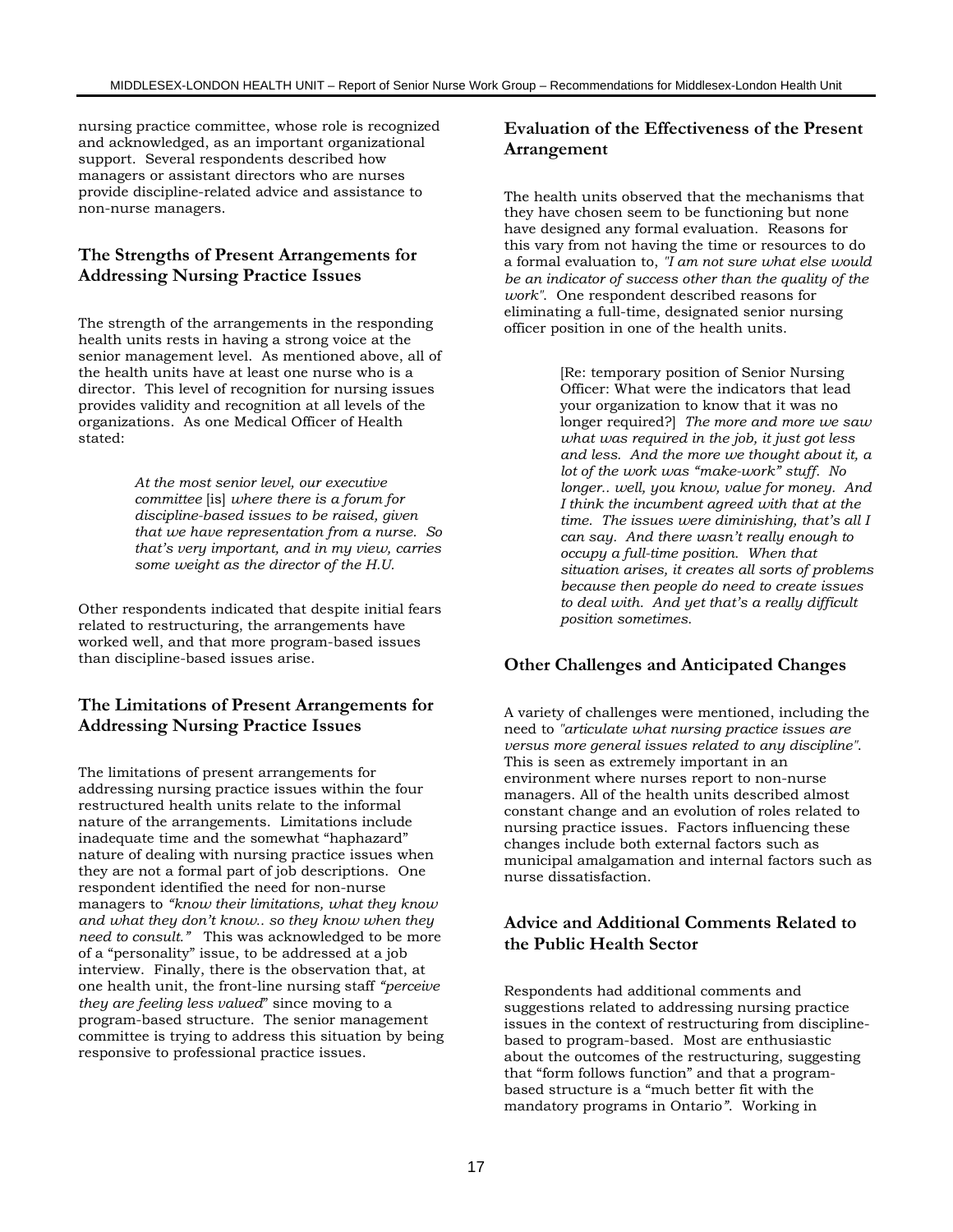nursing practice committee, whose role is recognized and acknowledged, as an important organizational support. Several respondents described how managers or assistant directors who are nurses provide discipline-related advice and assistance to non-nurse managers.

### **The Strengths of Present Arrangements for Addressing Nursing Practice Issues**

The strength of the arrangements in the responding health units rests in having a strong voice at the senior management level. As mentioned above, all of the health units have at least one nurse who is a director. This level of recognition for nursing issues provides validity and recognition at all levels of the organizations. As one Medical Officer of Health stated:

> *At the most senior level, our executive committee* [is] *where there is a forum for discipline-based issues to be raised, given that we have representation from a nurse. So that's very important, and in my view, carries some weight as the director of the H.U.*

Other respondents indicated that despite initial fears related to restructuring, the arrangements have worked well, and that more program-based issues than discipline-based issues arise.

# **The Limitations of Present Arrangements for Addressing Nursing Practice Issues**

The limitations of present arrangements for addressing nursing practice issues within the four restructured health units relate to the informal nature of the arrangements. Limitations include inadequate time and the somewhat "haphazard" nature of dealing with nursing practice issues when they are not a formal part of job descriptions. One respondent identified the need for non-nurse managers to *"know their limitations, what they know and what they don't know.. so they know when they need to consult."* This was acknowledged to be more of a "personality" issue, to be addressed at a job interview. Finally, there is the observation that, at one health unit, the front-line nursing staff *"perceive they are feeling less valued*" since moving to a program-based structure. The senior management committee is trying to address this situation by being responsive to professional practice issues.

### **Evaluation of the Effectiveness of the Present Arrangement**

The health units observed that the mechanisms that they have chosen seem to be functioning but none have designed any formal evaluation. Reasons for this vary from not having the time or resources to do a formal evaluation to, *"I am not sure what else would be an indicator of success other than the quality of the work"*. One respondent described reasons for eliminating a full-time, designated senior nursing officer position in one of the health units.

> [Re: temporary position of Senior Nursing Officer: What were the indicators that lead your organization to know that it was no longer required?] *The more and more we saw what was required in the job, it just got less and less. And the more we thought about it, a lot of the work was "make-work" stuff. No longer.. well, you know, value for money. And I think the incumbent agreed with that at the time. The issues were diminishing, that's all I can say. And there wasn't really enough to occupy a full-time position. When that situation arises, it creates all sorts of problems because then people do need to create issues to deal with. And yet that's a really difficult position sometimes.*

# **Other Challenges and Anticipated Changes**

A variety of challenges were mentioned, including the need to *"articulate what nursing practice issues are versus more general issues related to any discipline"*. This is seen as extremely important in an environment where nurses report to non-nurse managers. All of the health units described almost constant change and an evolution of roles related to nursing practice issues. Factors influencing these changes include both external factors such as municipal amalgamation and internal factors such as nurse dissatisfaction.

### **Advice and Additional Comments Related to the Public Health Sector**

Respondents had additional comments and suggestions related to addressing nursing practice issues in the context of restructuring from disciplinebased to program-based. Most are enthusiastic about the outcomes of the restructuring, suggesting that "form follows function" and that a programbased structure is a "much better fit with the mandatory programs in Ontario*"*. Working in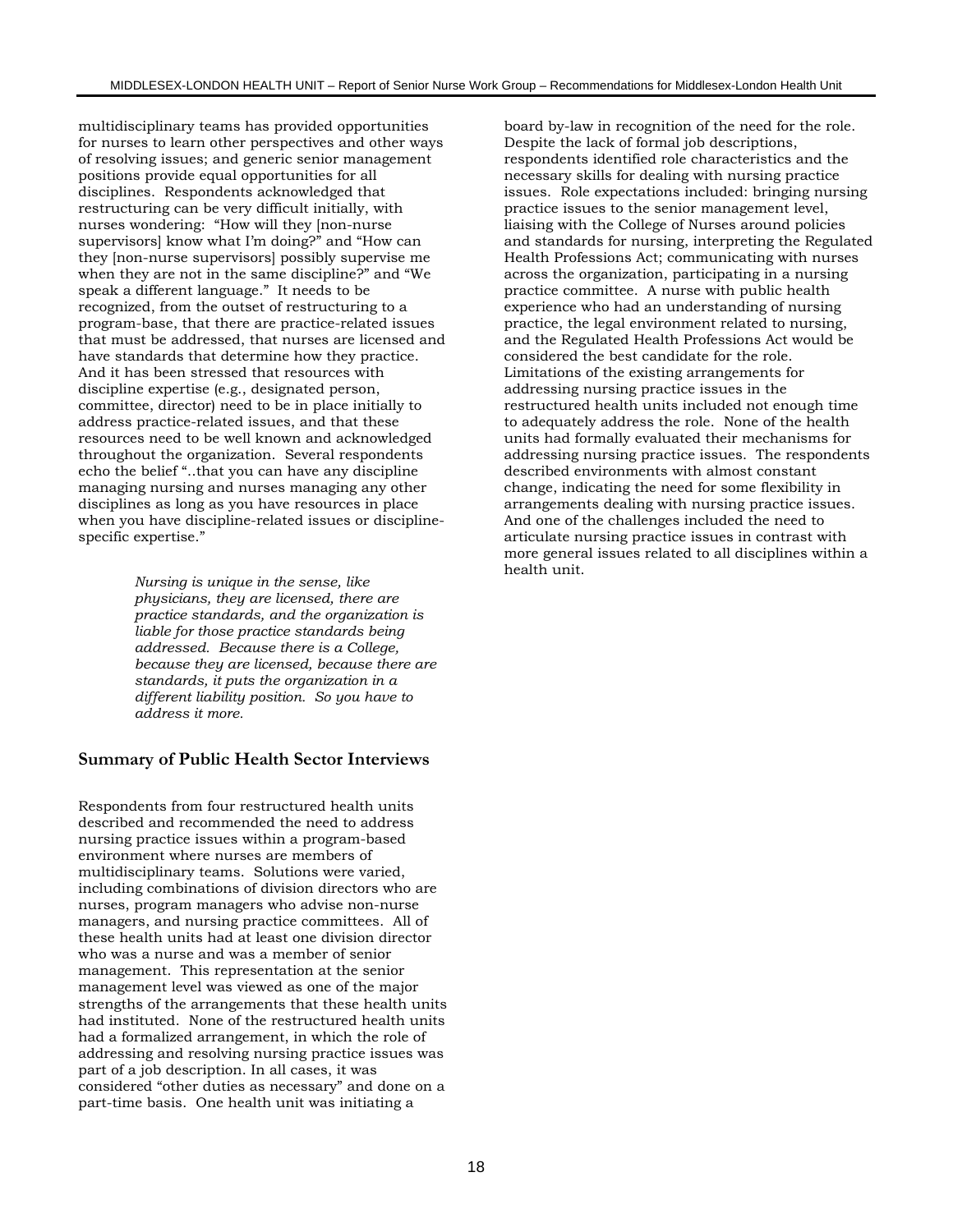multidisciplinary teams has provided opportunities for nurses to learn other perspectives and other ways of resolving issues; and generic senior management positions provide equal opportunities for all disciplines. Respondents acknowledged that restructuring can be very difficult initially, with nurses wondering: "How will they [non-nurse supervisors] know what I'm doing?" and "How can they [non-nurse supervisors] possibly supervise me when they are not in the same discipline?" and "We speak a different language." It needs to be recognized, from the outset of restructuring to a program-base, that there are practice-related issues that must be addressed, that nurses are licensed and have standards that determine how they practice. And it has been stressed that resources with discipline expertise (e.g., designated person, committee, director) need to be in place initially to address practice-related issues, and that these resources need to be well known and acknowledged throughout the organization. Several respondents echo the belief "..that you can have any discipline managing nursing and nurses managing any other disciplines as long as you have resources in place when you have discipline-related issues or disciplinespecific expertise."

> *Nursing is unique in the sense, like physicians, they are licensed, there are practice standards, and the organization is liable for those practice standards being addressed. Because there is a College, because they are licensed, because there are standards, it puts the organization in a different liability position. So you have to address it more.*

#### **Summary of Public Health Sector Interviews**

Respondents from four restructured health units described and recommended the need to address nursing practice issues within a program-based environment where nurses are members of multidisciplinary teams. Solutions were varied, including combinations of division directors who are nurses, program managers who advise non-nurse managers, and nursing practice committees. All of these health units had at least one division director who was a nurse and was a member of senior management. This representation at the senior management level was viewed as one of the major strengths of the arrangements that these health units had instituted. None of the restructured health units had a formalized arrangement, in which the role of addressing and resolving nursing practice issues was part of a job description. In all cases, it was considered "other duties as necessary" and done on a part-time basis. One health unit was initiating a

board by-law in recognition of the need for the role. Despite the lack of formal job descriptions, respondents identified role characteristics and the necessary skills for dealing with nursing practice issues. Role expectations included: bringing nursing practice issues to the senior management level, liaising with the College of Nurses around policies and standards for nursing, interpreting the Regulated Health Professions Act; communicating with nurses across the organization, participating in a nursing practice committee. A nurse with public health experience who had an understanding of nursing practice, the legal environment related to nursing, and the Regulated Health Professions Act would be considered the best candidate for the role. Limitations of the existing arrangements for addressing nursing practice issues in the restructured health units included not enough time to adequately address the role. None of the health units had formally evaluated their mechanisms for addressing nursing practice issues. The respondents described environments with almost constant change, indicating the need for some flexibility in arrangements dealing with nursing practice issues. And one of the challenges included the need to articulate nursing practice issues in contrast with more general issues related to all disciplines within a health unit.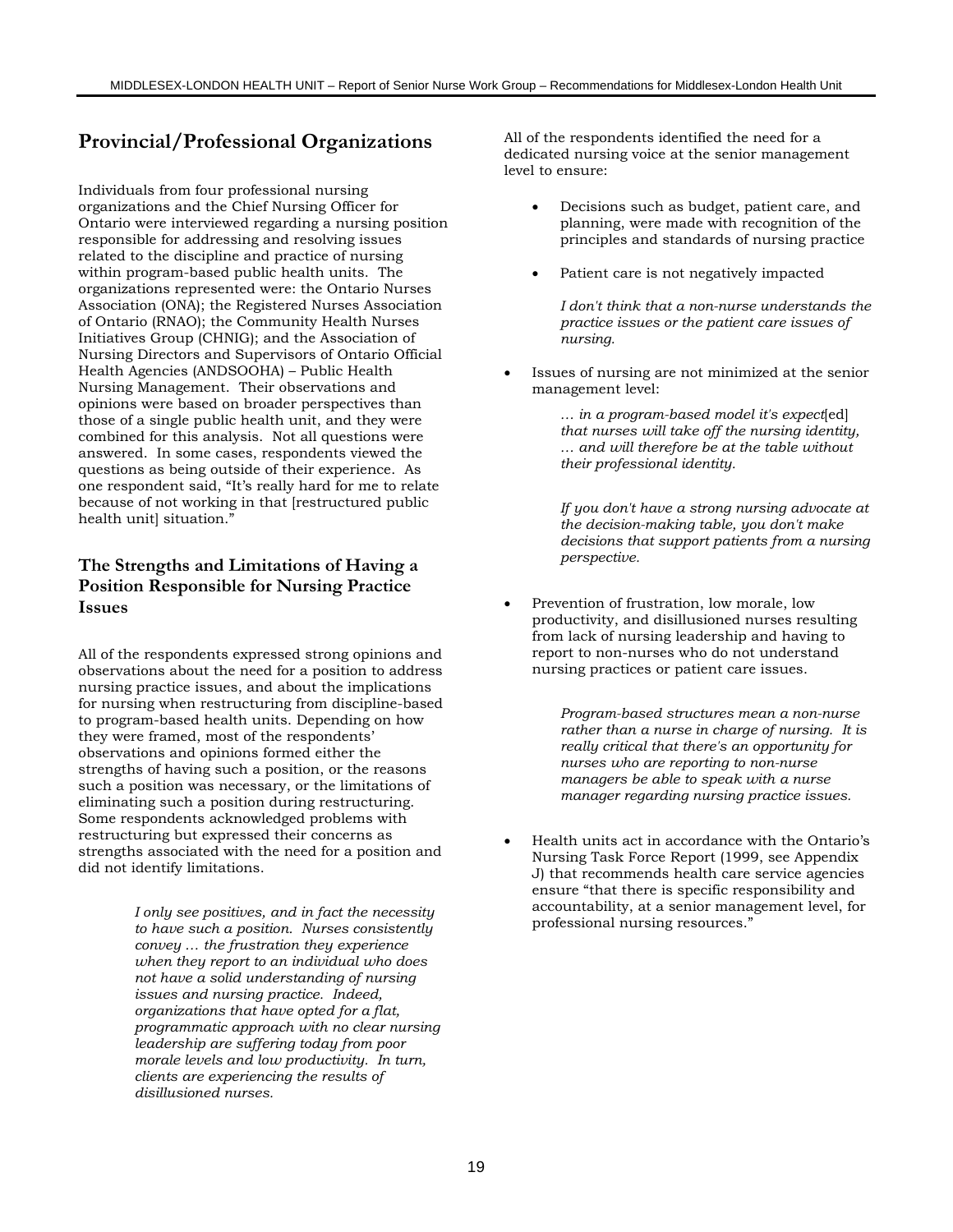# **Provincial/Professional Organizations**

Individuals from four professional nursing organizations and the Chief Nursing Officer for Ontario were interviewed regarding a nursing position responsible for addressing and resolving issues related to the discipline and practice of nursing within program-based public health units. The organizations represented were: the Ontario Nurses Association (ONA); the Registered Nurses Association of Ontario (RNAO); the Community Health Nurses Initiatives Group (CHNIG); and the Association of Nursing Directors and Supervisors of Ontario Official Health Agencies (ANDSOOHA) – Public Health Nursing Management. Their observations and opinions were based on broader perspectives than those of a single public health unit, and they were combined for this analysis. Not all questions were answered. In some cases, respondents viewed the questions as being outside of their experience. As one respondent said, "It's really hard for me to relate because of not working in that [restructured public health unit] situation."

### **The Strengths and Limitations of Having a Position Responsible for Nursing Practice Issues**

All of the respondents expressed strong opinions and observations about the need for a position to address nursing practice issues, and about the implications for nursing when restructuring from discipline-based to program-based health units. Depending on how they were framed, most of the respondents' observations and opinions formed either the strengths of having such a position, or the reasons such a position was necessary, or the limitations of eliminating such a position during restructuring. Some respondents acknowledged problems with restructuring but expressed their concerns as strengths associated with the need for a position and did not identify limitations.

> *I only see positives, and in fact the necessity to have such a position. Nurses consistently convey … the frustration they experience when they report to an individual who does not have a solid understanding of nursing issues and nursing practice. Indeed, organizations that have opted for a flat, programmatic approach with no clear nursing leadership are suffering today from poor morale levels and low productivity. In turn, clients are experiencing the results of disillusioned nurses.*

All of the respondents identified the need for a dedicated nursing voice at the senior management level to ensure:

- Decisions such as budget, patient care, and planning, were made with recognition of the principles and standards of nursing practice
- Patient care is not negatively impacted

*I don't think that a non-nurse understands the practice issues or the patient care issues of nursing.*

Issues of nursing are not minimized at the senior management level:

> *… in a program-based model it's expect*[ed] *that nurses will take off the nursing identity, … and will therefore be at the table without their professional identity.*

*If you don't have a strong nursing advocate at the decision-making table, you don't make decisions that support patients from a nursing perspective.*

• Prevention of frustration, low morale, low productivity, and disillusioned nurses resulting from lack of nursing leadership and having to report to non-nurses who do not understand nursing practices or patient care issues.

> *Program-based structures mean a non-nurse rather than a nurse in charge of nursing. It is really critical that there's an opportunity for nurses who are reporting to non-nurse managers be able to speak with a nurse manager regarding nursing practice issues.*

• Health units act in accordance with the Ontario's Nursing Task Force Report (1999, see Appendix J) that recommends health care service agencies ensure "that there is specific responsibility and accountability, at a senior management level, for professional nursing resources."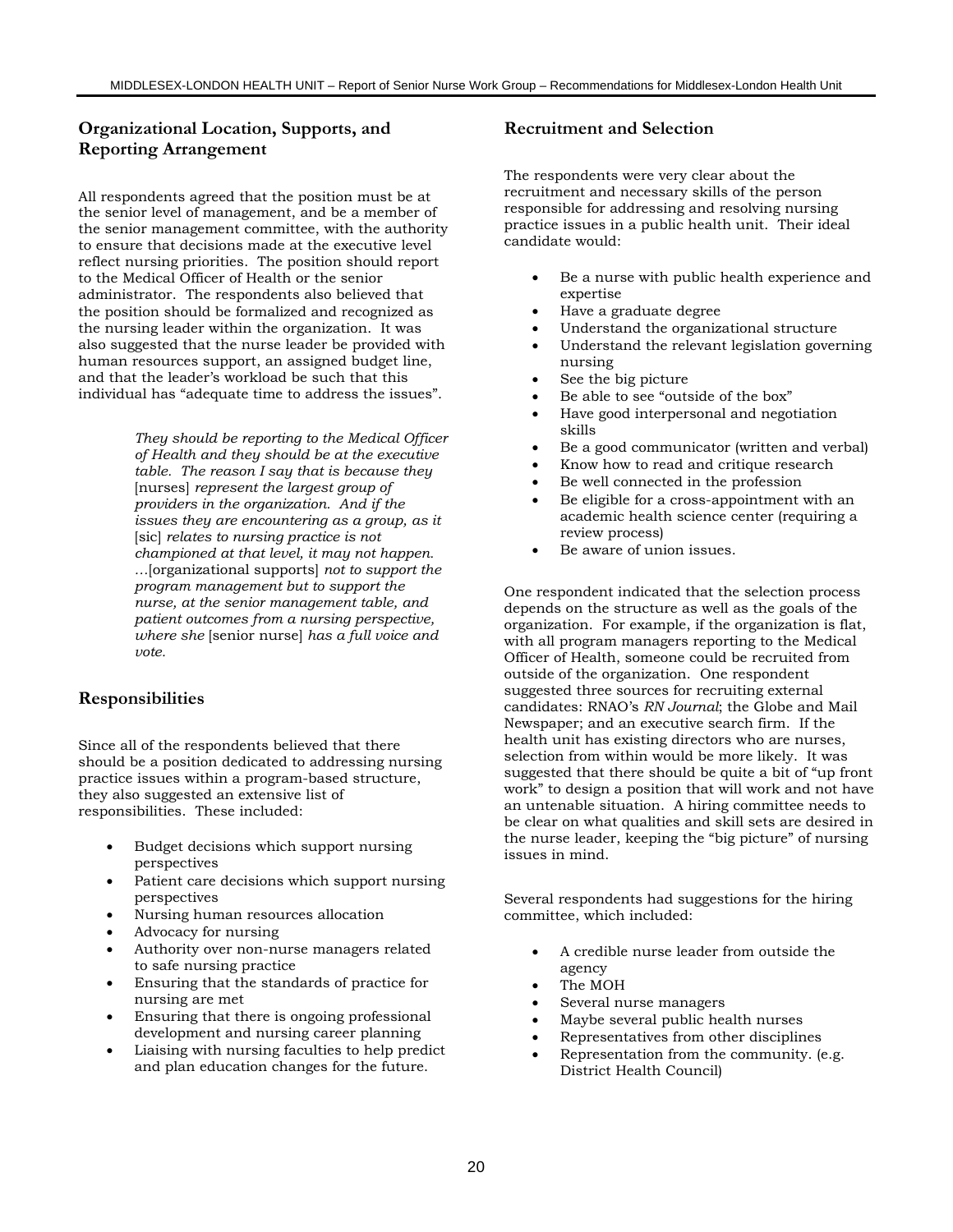# **Organizational Location, Supports, and Reporting Arrangement**

All respondents agreed that the position must be at the senior level of management, and be a member of the senior management committee, with the authority to ensure that decisions made at the executive level reflect nursing priorities. The position should report to the Medical Officer of Health or the senior administrator. The respondents also believed that the position should be formalized and recognized as the nursing leader within the organization. It was also suggested that the nurse leader be provided with human resources support, an assigned budget line, and that the leader's workload be such that this individual has "adequate time to address the issues".

> *They should be reporting to the Medical Officer of Health and they should be at the executive table. The reason I say that is because they* [nurses] *represent the largest group of providers in the organization. And if the issues they are encountering as a group, as it* [sic] *relates to nursing practice is not championed at that level, it may not happen. …*[organizational supports] *not to support the program management but to support the nurse, at the senior management table, and patient outcomes from a nursing perspective, where she* [senior nurse] *has a full voice and vote.*

### **Responsibilities**

Since all of the respondents believed that there should be a position dedicated to addressing nursing practice issues within a program-based structure, they also suggested an extensive list of responsibilities. These included:

- Budget decisions which support nursing perspectives
- Patient care decisions which support nursing perspectives
- Nursing human resources allocation
- Advocacy for nursing
- Authority over non-nurse managers related to safe nursing practice
- Ensuring that the standards of practice for nursing are met
- Ensuring that there is ongoing professional development and nursing career planning
- Liaising with nursing faculties to help predict and plan education changes for the future.

#### **Recruitment and Selection**

The respondents were very clear about the recruitment and necessary skills of the person responsible for addressing and resolving nursing practice issues in a public health unit. Their ideal candidate would:

- Be a nurse with public health experience and expertise
- Have a graduate degree
- Understand the organizational structure
- Understand the relevant legislation governing nursing
- See the big picture
- Be able to see "outside of the box"
- Have good interpersonal and negotiation skills
- Be a good communicator (written and verbal)
- Know how to read and critique research
- Be well connected in the profession
- Be eligible for a cross-appointment with an academic health science center (requiring a review process)
- Be aware of union issues.

One respondent indicated that the selection process depends on the structure as well as the goals of the organization. For example, if the organization is flat, with all program managers reporting to the Medical Officer of Health, someone could be recruited from outside of the organization. One respondent suggested three sources for recruiting external candidates: RNAO's *RN Journal*; the Globe and Mail Newspaper; and an executive search firm. If the health unit has existing directors who are nurses, selection from within would be more likely. It was suggested that there should be quite a bit of "up front work" to design a position that will work and not have an untenable situation. A hiring committee needs to be clear on what qualities and skill sets are desired in the nurse leader, keeping the "big picture" of nursing issues in mind.

Several respondents had suggestions for the hiring committee, which included:

- A credible nurse leader from outside the agency
- The MOH
- Several nurse managers
- Maybe several public health nurses
- Representatives from other disciplines
- Representation from the community. (e.g. District Health Council)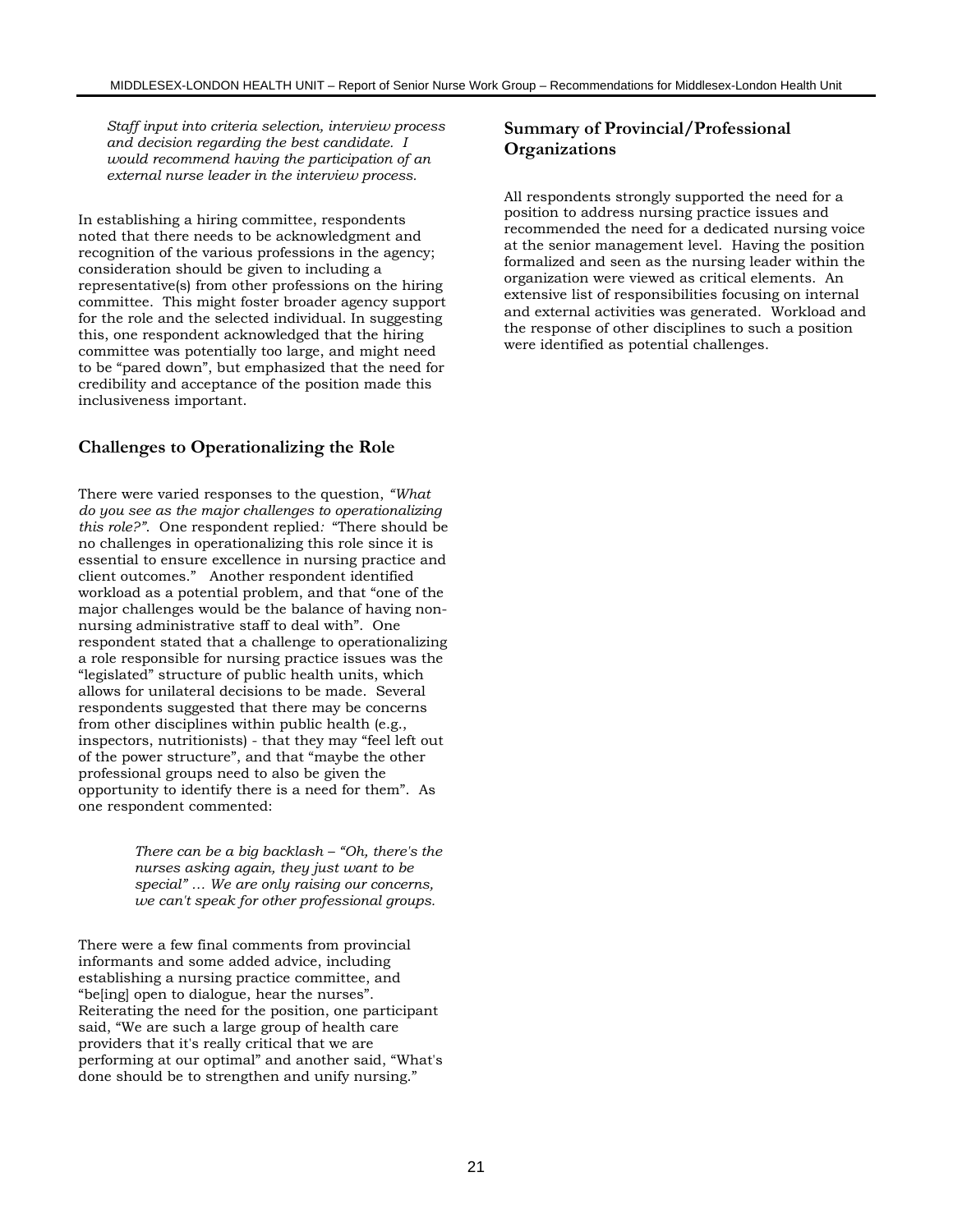*Staff input into criteria selection, interview process and decision regarding the best candidate. I would recommend having the participation of an external nurse leader in the interview process.*

In establishing a hiring committee, respondents noted that there needs to be acknowledgment and recognition of the various professions in the agency; consideration should be given to including a representative(s) from other professions on the hiring committee. This might foster broader agency support for the role and the selected individual. In suggesting this, one respondent acknowledged that the hiring committee was potentially too large, and might need to be "pared down", but emphasized that the need for credibility and acceptance of the position made this inclusiveness important.

#### **Challenges to Operationalizing the Role**

There were varied responses to the question, *"What do you see as the major challenges to operationalizing this role?"*. One respondent replied*:* "There should be no challenges in operationalizing this role since it is essential to ensure excellence in nursing practice and client outcomes." Another respondent identified workload as a potential problem, and that "one of the major challenges would be the balance of having nonnursing administrative staff to deal with". One respondent stated that a challenge to operationalizing a role responsible for nursing practice issues was the "legislated" structure of public health units, which allows for unilateral decisions to be made. Several respondents suggested that there may be concerns from other disciplines within public health (e.g., inspectors, nutritionists) - that they may "feel left out of the power structure", and that "maybe the other professional groups need to also be given the opportunity to identify there is a need for them". As one respondent commented:

> *There can be a big backlash – "Oh, there's the nurses asking again, they just want to be special" … We are only raising our concerns, we can't speak for other professional groups.*

There were a few final comments from provincial informants and some added advice, including establishing a nursing practice committee, and "be[ing] open to dialogue, hear the nurses". Reiterating the need for the position, one participant said, "We are such a large group of health care providers that it's really critical that we are performing at our optimal" and another said, "What's done should be to strengthen and unify nursing."

### **Summary of Provincial/Professional Organizations**

All respondents strongly supported the need for a position to address nursing practice issues and recommended the need for a dedicated nursing voice at the senior management level. Having the position formalized and seen as the nursing leader within the organization were viewed as critical elements. An extensive list of responsibilities focusing on internal and external activities was generated. Workload and the response of other disciplines to such a position were identified as potential challenges.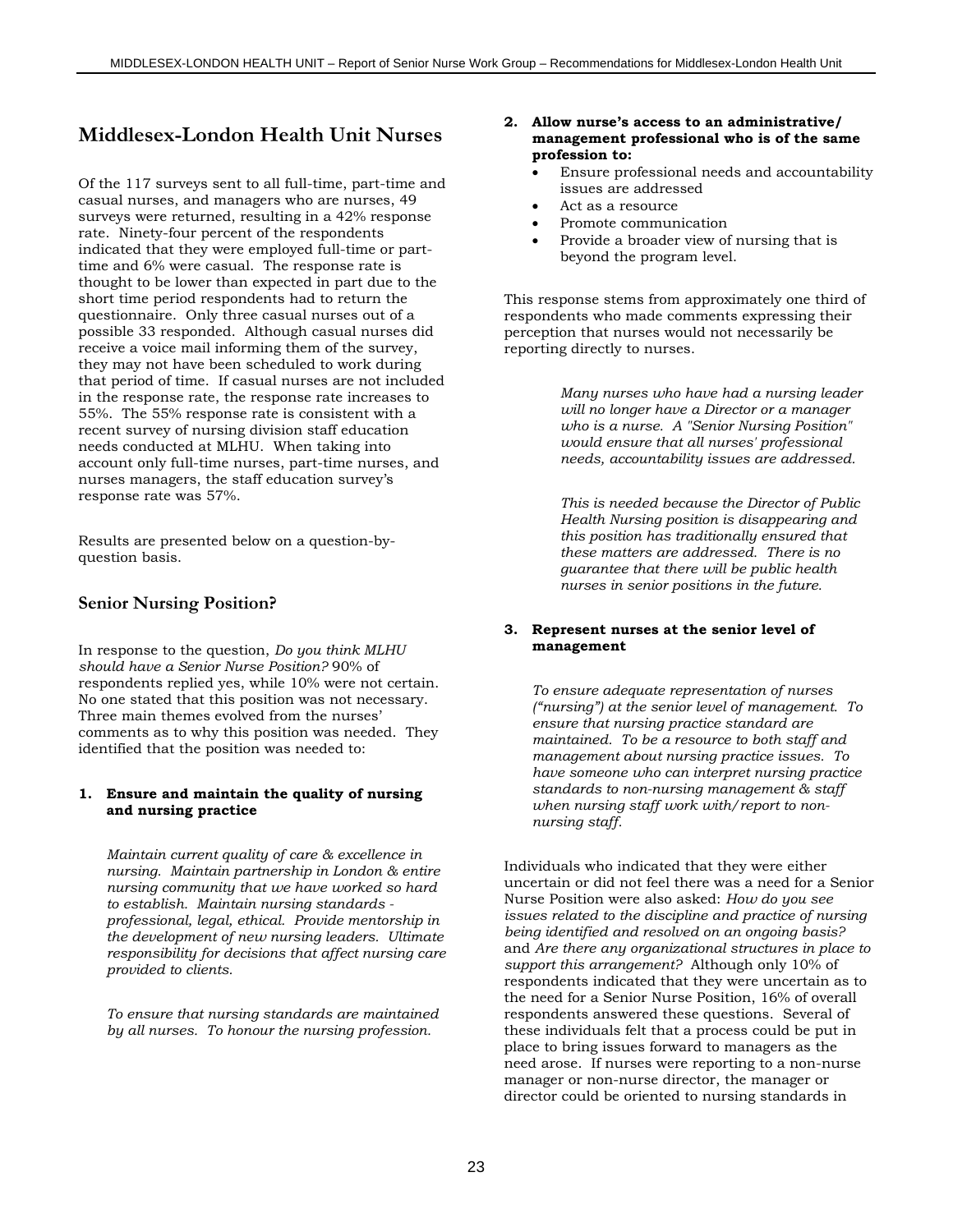# **Middlesex-London Health Unit Nurses**

Of the 117 surveys sent to all full-time, part-time and casual nurses, and managers who are nurses, 49 surveys were returned, resulting in a 42% response rate. Ninety-four percent of the respondents indicated that they were employed full-time or parttime and 6% were casual. The response rate is thought to be lower than expected in part due to the short time period respondents had to return the questionnaire. Only three casual nurses out of a possible 33 responded. Although casual nurses did receive a voice mail informing them of the survey, they may not have been scheduled to work during that period of time. If casual nurses are not included in the response rate, the response rate increases to 55%. The 55% response rate is consistent with a recent survey of nursing division staff education needs conducted at MLHU. When taking into account only full-time nurses, part-time nurses, and nurses managers, the staff education survey's response rate was 57%.

Results are presented below on a question-byquestion basis.

### **Senior Nursing Position?**

In response to the question, *Do you think MLHU should have a Senior Nurse Position?* 90% of respondents replied yes, while 10% were not certain. No one stated that this position was not necessary. Three main themes evolved from the nurses' comments as to why this position was needed. They identified that the position was needed to:

#### **1. Ensure and maintain the quality of nursing and nursing practice**

*Maintain current quality of care & excellence in nursing. Maintain partnership in London & entire nursing community that we have worked so hard to establish. Maintain nursing standards professional, legal, ethical. Provide mentorship in the development of new nursing leaders. Ultimate responsibility for decisions that affect nursing care provided to clients.*

*To ensure that nursing standards are maintained by all nurses. To honour the nursing profession.*

#### **2. Allow nurse's access to an administrative/ management professional who is of the same profession to:**

- Ensure professional needs and accountability issues are addressed
- Act as a resource
- Promote communication
- Provide a broader view of nursing that is beyond the program level.

This response stems from approximately one third of respondents who made comments expressing their perception that nurses would not necessarily be reporting directly to nurses.

> *Many nurses who have had a nursing leader will no longer have a Director or a manager who is a nurse. A "Senior Nursing Position" would ensure that all nurses' professional needs, accountability issues are addressed.*

*This is needed because the Director of Public Health Nursing position is disappearing and this position has traditionally ensured that these matters are addressed. There is no guarantee that there will be public health nurses in senior positions in the future.*

#### **3. Represent nurses at the senior level of management**

*To ensure adequate representation of nurses ("nursing") at the senior level of management. To ensure that nursing practice standard are maintained. To be a resource to both staff and management about nursing practice issues. To have someone who can interpret nursing practice standards to non-nursing management & staff when nursing staff work with/report to nonnursing staff.*

Individuals who indicated that they were either uncertain or did not feel there was a need for a Senior Nurse Position were also asked: *How do you see issues related to the discipline and practice of nursing being identified and resolved on an ongoing basis?* and *Are there any organizational structures in place to support this arrangement?* Although only 10% of respondents indicated that they were uncertain as to the need for a Senior Nurse Position, 16% of overall respondents answered these questions. Several of these individuals felt that a process could be put in place to bring issues forward to managers as the need arose. If nurses were reporting to a non-nurse manager or non-nurse director, the manager or director could be oriented to nursing standards in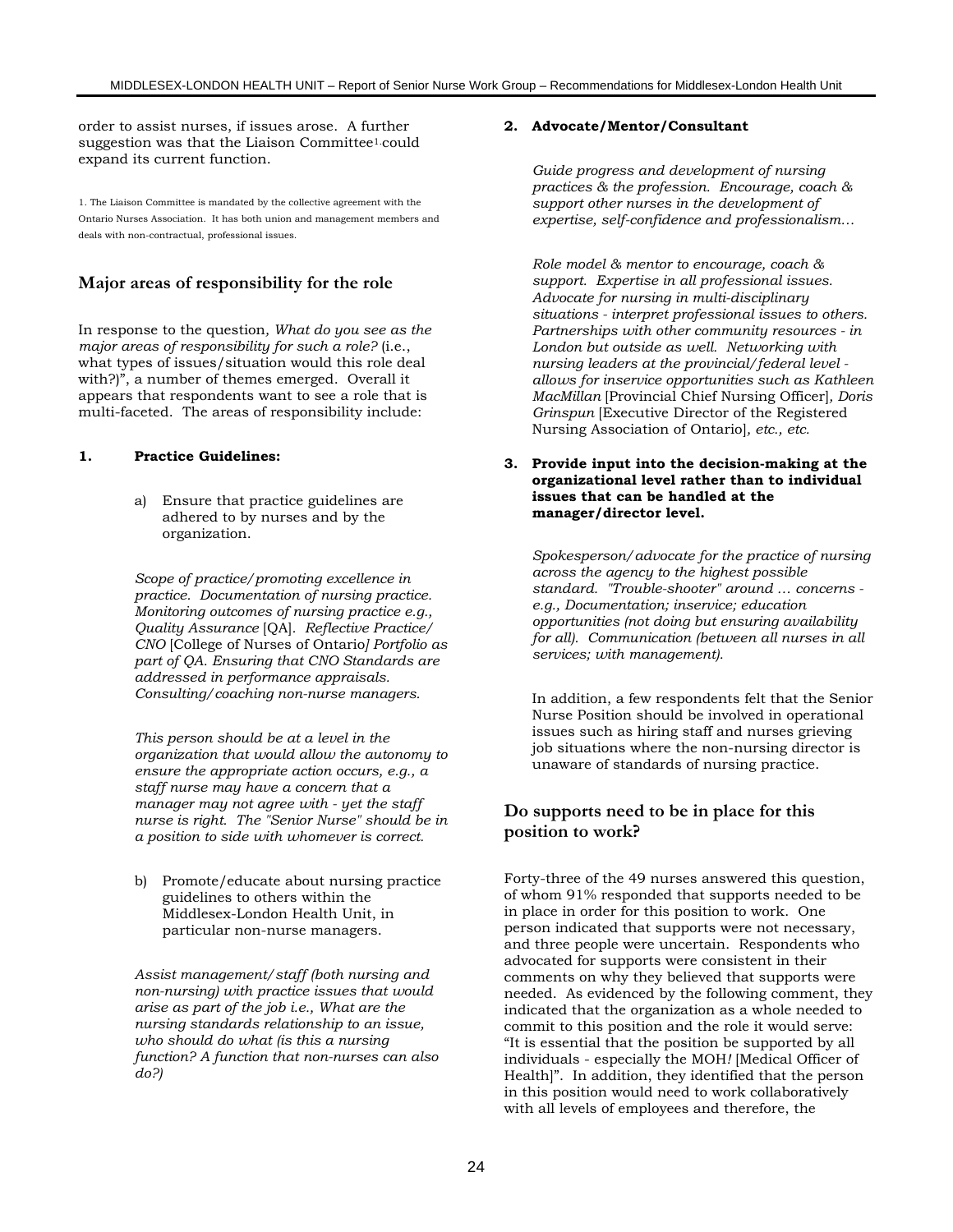order to assist nurses, if issues arose. A further suggestion was that the Liaison Committee1.could expand its current function.

1. The Liaison Committee is mandated by the collective agreement with the Ontario Nurses Association. It has both union and management members and deals with non-contractual, professional issues.

### **Major areas of responsibility for the role**

In response to the question*, What do you see as the major areas of responsibility for such a role?* (i.e., what types of issues/situation would this role deal with?)", a number of themes emerged. Overall it appears that respondents want to see a role that is multi-faceted. The areas of responsibility include:

#### **1. Practice Guidelines:**

a) Ensure that practice guidelines are adhered to by nurses and by the organization.

*Scope of practice/promoting excellence in practice. Documentation of nursing practice. Monitoring outcomes of nursing practice e.g., Quality Assurance* [QA]*. Reflective Practice/ CNO* [College of Nurses of Ontario*] Portfolio as part of QA. Ensuring that CNO Standards are addressed in performance appraisals. Consulting/coaching non-nurse managers.*

*This person should be at a level in the organization that would allow the autonomy to ensure the appropriate action occurs, e.g., a staff nurse may have a concern that a manager may not agree with - yet the staff nurse is right. The "Senior Nurse" should be in a position to side with whomever is correct.*

b) Promote/educate about nursing practice guidelines to others within the Middlesex-London Health Unit, in particular non-nurse managers.

*Assist management/staff (both nursing and non-nursing) with practice issues that would arise as part of the job i.e., What are the nursing standards relationship to an issue, who should do what (is this a nursing function? A function that non-nurses can also do?)*

#### **2. Advocate/Mentor/Consultant**

*Guide progress and development of nursing practices & the profession. Encourage, coach & support other nurses in the development of expertise, self-confidence and professionalism…*

*Role model & mentor to encourage, coach & support. Expertise in all professional issues. Advocate for nursing in multi-disciplinary situations - interpret professional issues to others. Partnerships with other community resources - in London but outside as well. Networking with nursing leaders at the provincial/federal level allows for inservice opportunities such as Kathleen MacMillan* [Provincial Chief Nursing Officer]*, Doris Grinspun* [Executive Director of the Registered Nursing Association of Ontario]*, etc., etc.*

**3. Provide input into the decision-making at the organizational level rather than to individual issues that can be handled at the manager/director level.**

*Spokesperson/advocate for the practice of nursing across the agency to the highest possible standard. "Trouble-shooter" around … concerns e.g., Documentation; inservice; education opportunities (not doing but ensuring availability for all). Communication (between all nurses in all services; with management).*

In addition, a few respondents felt that the Senior Nurse Position should be involved in operational issues such as hiring staff and nurses grieving job situations where the non-nursing director is unaware of standards of nursing practice.

### **Do supports need to be in place for this position to work?**

Forty-three of the 49 nurses answered this question, of whom 91% responded that supports needed to be in place in order for this position to work. One person indicated that supports were not necessary, and three people were uncertain. Respondents who advocated for supports were consistent in their comments on why they believed that supports were needed. As evidenced by the following comment, they indicated that the organization as a whole needed to commit to this position and the role it would serve: "It is essential that the position be supported by all individuals - especially the MOH*!* [Medical Officer of Health]". In addition, they identified that the person in this position would need to work collaboratively with all levels of employees and therefore, the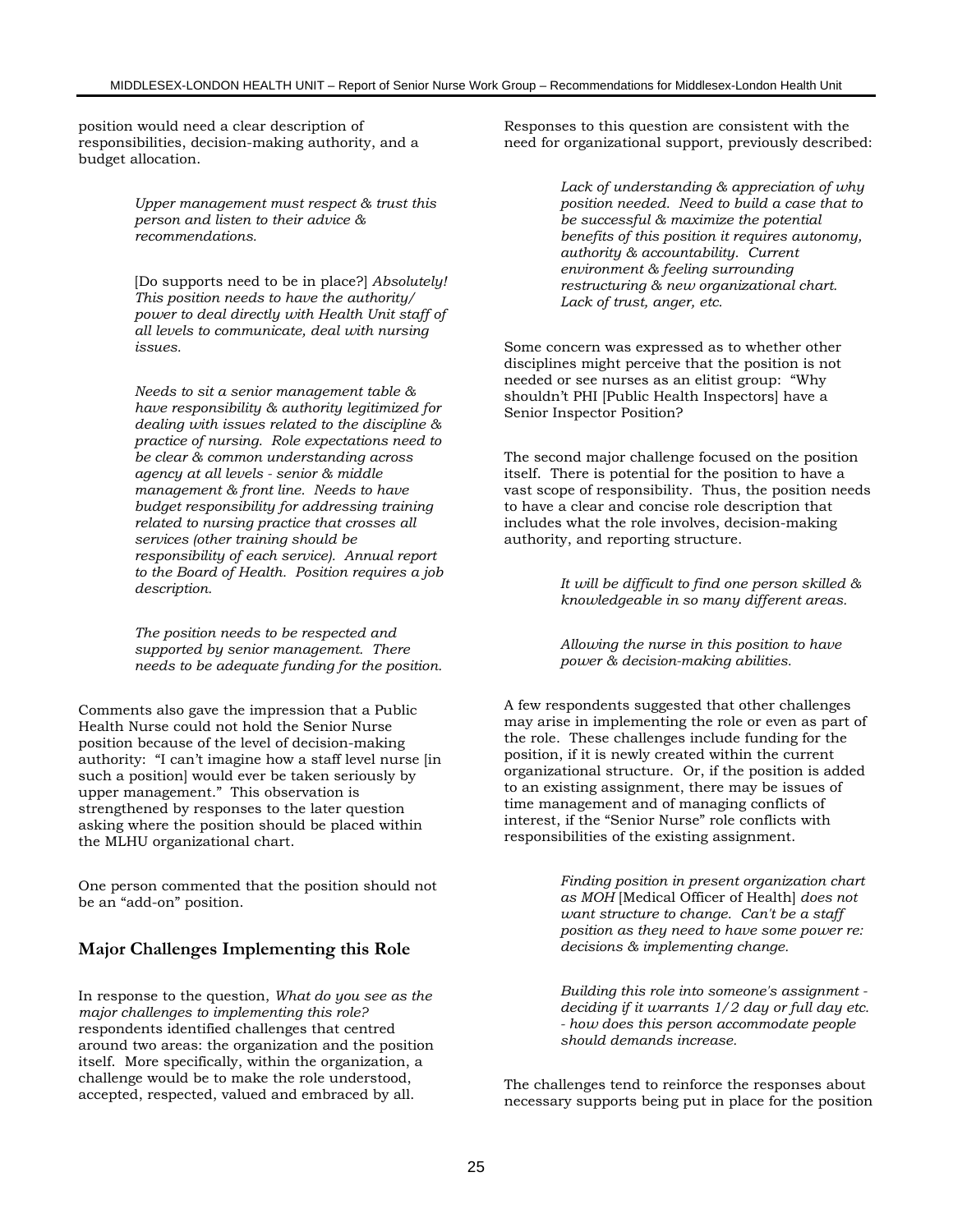position would need a clear description of responsibilities, decision-making authority, and a budget allocation.

> *Upper management must respect & trust this person and listen to their advice & recommendations.*

[Do supports need to be in place?] *Absolutely! This position needs to have the authority/ power to deal directly with Health Unit staff of all levels to communicate, deal with nursing issues.*

*Needs to sit a senior management table & have responsibility & authority legitimized for dealing with issues related to the discipline & practice of nursing. Role expectations need to be clear & common understanding across agency at all levels - senior & middle management & front line. Needs to have budget responsibility for addressing training related to nursing practice that crosses all services (other training should be responsibility of each service). Annual report to the Board of Health. Position requires a job description.*

*The position needs to be respected and supported by senior management. There needs to be adequate funding for the position.*

Comments also gave the impression that a Public Health Nurse could not hold the Senior Nurse position because of the level of decision-making authority: "I can't imagine how a staff level nurse [in such a position] would ever be taken seriously by upper management." This observation is strengthened by responses to the later question asking where the position should be placed within the MLHU organizational chart.

One person commented that the position should not be an "add-on" position.

#### **Major Challenges Implementing this Role**

In response to the question, *What do you see as the major challenges to implementing this role?* respondents identified challenges that centred around two areas: the organization and the position itself. More specifically, within the organization, a challenge would be to make the role understood, accepted, respected, valued and embraced by all.

Responses to this question are consistent with the need for organizational support, previously described:

> *Lack of understanding & appreciation of why position needed. Need to build a case that to be successful & maximize the potential benefits of this position it requires autonomy, authority & accountability. Current environment & feeling surrounding restructuring & new organizational chart. Lack of trust, anger, etc.*

Some concern was expressed as to whether other disciplines might perceive that the position is not needed or see nurses as an elitist group: "Why shouldn't PHI [Public Health Inspectors] have a Senior Inspector Position?

The second major challenge focused on the position itself. There is potential for the position to have a vast scope of responsibility. Thus, the position needs to have a clear and concise role description that includes what the role involves, decision-making authority, and reporting structure.

> *It will be difficult to find one person skilled & knowledgeable in so many different areas.*

*Allowing the nurse in this position to have power & decision-making abilities.*

A few respondents suggested that other challenges may arise in implementing the role or even as part of the role. These challenges include funding for the position, if it is newly created within the current organizational structure. Or, if the position is added to an existing assignment, there may be issues of time management and of managing conflicts of interest, if the "Senior Nurse" role conflicts with responsibilities of the existing assignment.

> *Finding position in present organization chart as MOH* [Medical Officer of Health] *does not want structure to change. Can't be a staff position as they need to have some power re: decisions & implementing change.*

*Building this role into someone's assignment deciding if it warrants 1/2 day or full day etc. - how does this person accommodate people should demands increase.*

The challenges tend to reinforce the responses about necessary supports being put in place for the position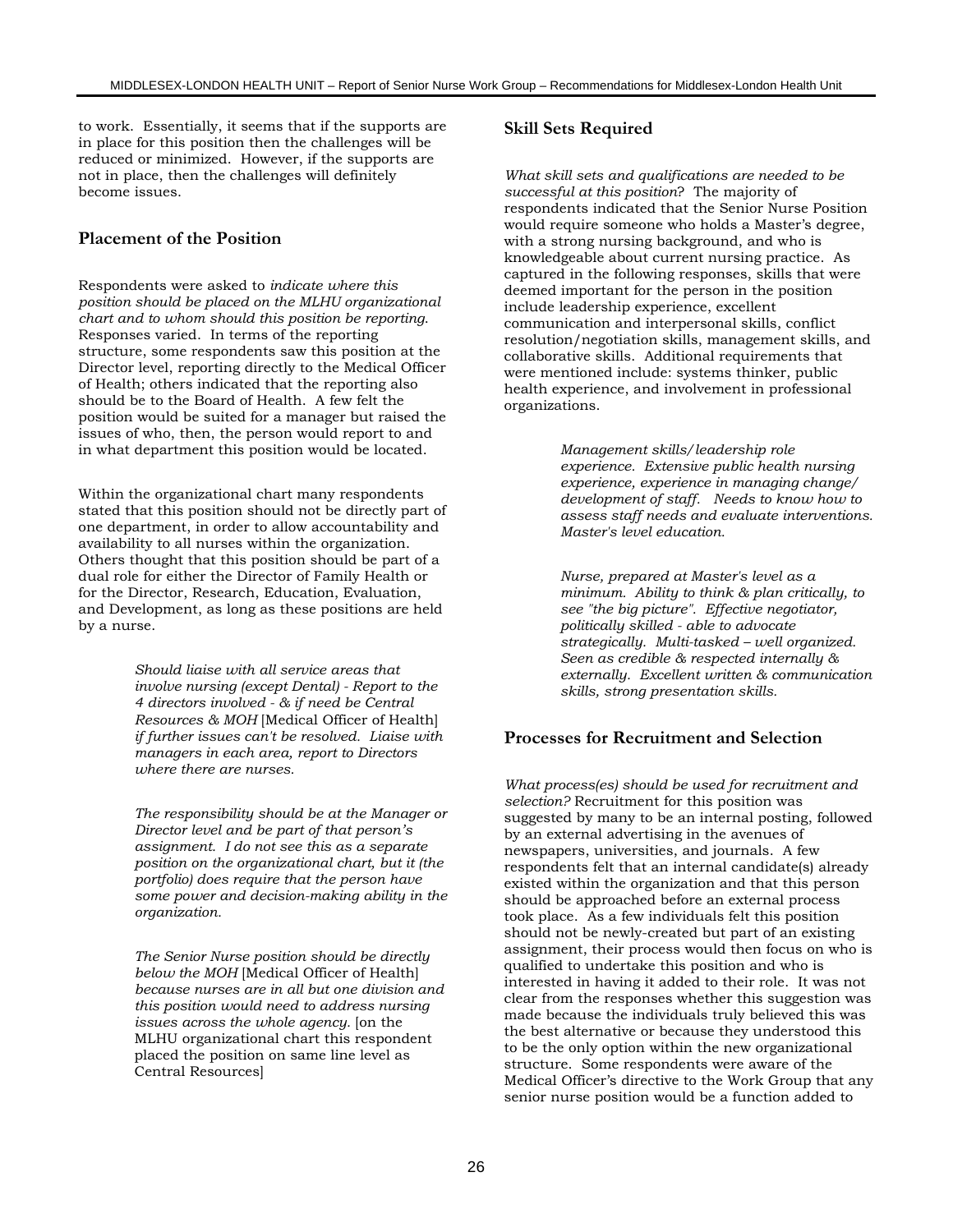to work. Essentially, it seems that if the supports are in place for this position then the challenges will be reduced or minimized. However, if the supports are not in place, then the challenges will definitely become issues.

#### **Placement of the Position**

Respondents were asked to *indicate where this position should be placed on the MLHU organizational chart and to whom should this position be reporting*. Responses varied. In terms of the reporting structure, some respondents saw this position at the Director level, reporting directly to the Medical Officer of Health; others indicated that the reporting also should be to the Board of Health. A few felt the position would be suited for a manager but raised the issues of who, then, the person would report to and in what department this position would be located.

Within the organizational chart many respondents stated that this position should not be directly part of one department, in order to allow accountability and availability to all nurses within the organization. Others thought that this position should be part of a dual role for either the Director of Family Health or for the Director, Research, Education, Evaluation, and Development, as long as these positions are held by a nurse.

> *Should liaise with all service areas that involve nursing (except Dental) - Report to the 4 directors involved - & if need be Central Resources & MOH* [Medical Officer of Health] *if further issues can't be resolved. Liaise with managers in each area, report to Directors where there are nurses.*

*The responsibility should be at the Manager or Director level and be part of that person's assignment. I do not see this as a separate position on the organizational chart, but it (the portfolio) does require that the person have some power and decision-making ability in the organization.*

*The Senior Nurse position should be directly below the MOH* [Medical Officer of Health] *because nurses are in all but one division and this position would need to address nursing issues across the whole agency.* [on the MLHU organizational chart this respondent placed the position on same line level as Central Resources]

#### **Skill Sets Required**

*What skill sets and qualifications are needed to be successful at this position*? The majority of respondents indicated that the Senior Nurse Position would require someone who holds a Master's degree, with a strong nursing background, and who is knowledgeable about current nursing practice. As captured in the following responses, skills that were deemed important for the person in the position include leadership experience, excellent communication and interpersonal skills, conflict resolution/negotiation skills, management skills, and collaborative skills. Additional requirements that were mentioned include: systems thinker, public health experience, and involvement in professional organizations.

> *Management skills/leadership role experience. Extensive public health nursing experience, experience in managing change/ development of staff. Needs to know how to assess staff needs and evaluate interventions. Master's level education.*

> *Nurse, prepared at Master's level as a minimum. Ability to think & plan critically, to see "the big picture". Effective negotiator, politically skilled - able to advocate strategically. Multi-tasked – well organized. Seen as credible & respected internally & externally. Excellent written & communication skills, strong presentation skills.*

#### **Processes for Recruitment and Selection**

*What process(es) should be used for recruitment and selection?* Recruitment for this position was suggested by many to be an internal posting, followed by an external advertising in the avenues of newspapers, universities, and journals. A few respondents felt that an internal candidate(s) already existed within the organization and that this person should be approached before an external process took place. As a few individuals felt this position should not be newly-created but part of an existing assignment, their process would then focus on who is qualified to undertake this position and who is interested in having it added to their role. It was not clear from the responses whether this suggestion was made because the individuals truly believed this was the best alternative or because they understood this to be the only option within the new organizational structure. Some respondents were aware of the Medical Officer's directive to the Work Group that any senior nurse position would be a function added to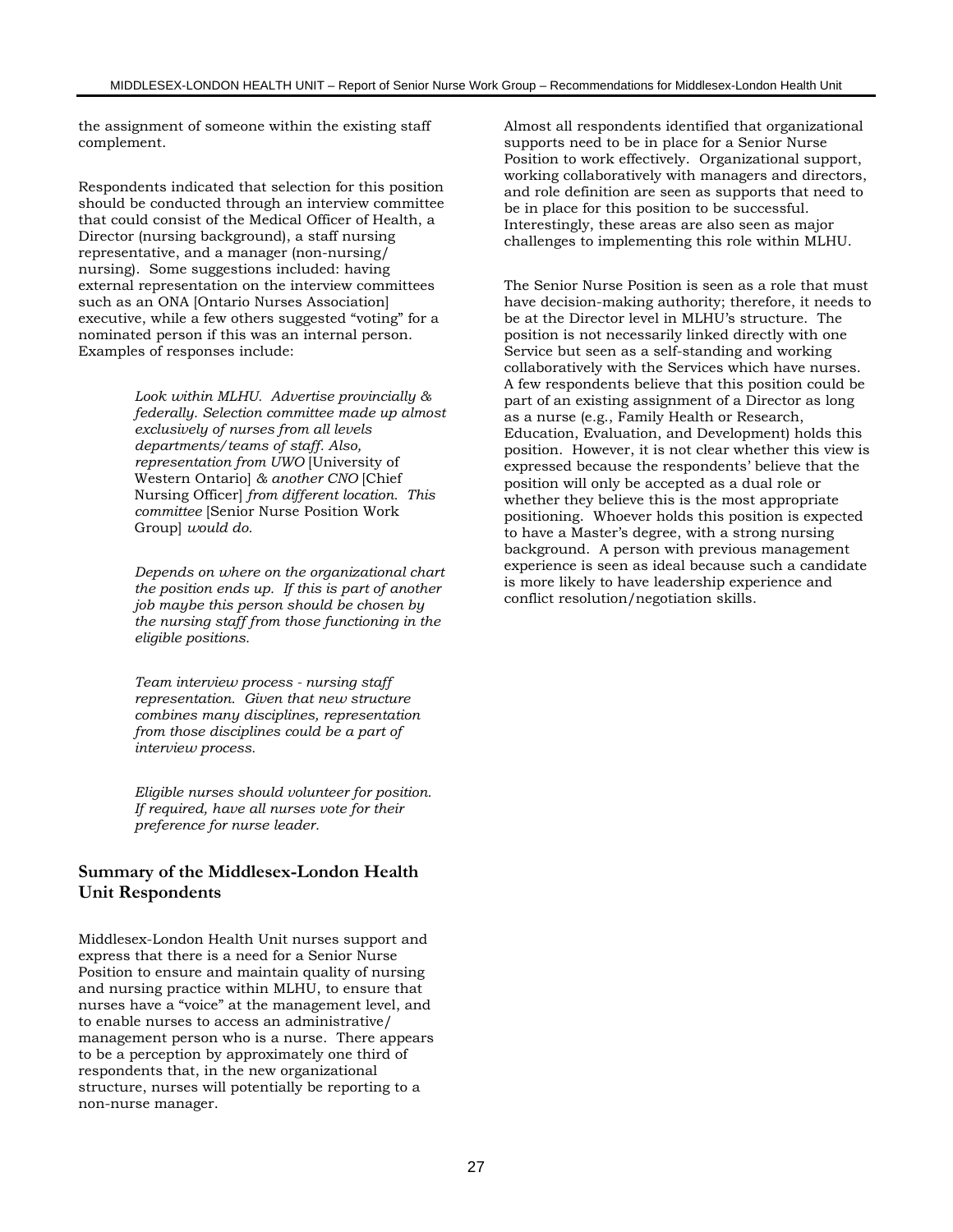the assignment of someone within the existing staff complement.

Respondents indicated that selection for this position should be conducted through an interview committee that could consist of the Medical Officer of Health, a Director (nursing background), a staff nursing representative, and a manager (non-nursing/ nursing). Some suggestions included: having external representation on the interview committees such as an ONA [Ontario Nurses Association] executive, while a few others suggested "voting" for a nominated person if this was an internal person. Examples of responses include:

> *Look within MLHU. Advertise provincially & federally. Selection committee made up almost exclusively of nurses from all levels departments/teams of staff. Also, representation from UWO* [University of Western Ontario] *& another CNO* [Chief Nursing Officer] *from different location. This committee* [Senior Nurse Position Work Group] *would do.*

> *Depends on where on the organizational chart the position ends up. If this is part of another job maybe this person should be chosen by the nursing staff from those functioning in the eligible positions.*

*Team interview process - nursing staff representation. Given that new structure combines many disciplines, representation from those disciplines could be a part of interview process.*

*Eligible nurses should volunteer for position. If required, have all nurses vote for their preference for nurse leader.*

#### **Summary of the Middlesex-London Health Unit Respondents**

Middlesex-London Health Unit nurses support and express that there is a need for a Senior Nurse Position to ensure and maintain quality of nursing and nursing practice within MLHU, to ensure that nurses have a "voice" at the management level, and to enable nurses to access an administrative/ management person who is a nurse. There appears to be a perception by approximately one third of respondents that, in the new organizational structure, nurses will potentially be reporting to a non-nurse manager.

Almost all respondents identified that organizational supports need to be in place for a Senior Nurse Position to work effectively. Organizational support, working collaboratively with managers and directors, and role definition are seen as supports that need to be in place for this position to be successful. Interestingly, these areas are also seen as major challenges to implementing this role within MLHU.

The Senior Nurse Position is seen as a role that must have decision-making authority; therefore, it needs to be at the Director level in MLHU's structure. The position is not necessarily linked directly with one Service but seen as a self-standing and working collaboratively with the Services which have nurses. A few respondents believe that this position could be part of an existing assignment of a Director as long as a nurse (e.g., Family Health or Research, Education, Evaluation, and Development) holds this position. However, it is not clear whether this view is expressed because the respondents' believe that the position will only be accepted as a dual role or whether they believe this is the most appropriate positioning. Whoever holds this position is expected to have a Master's degree, with a strong nursing background. A person with previous management experience is seen as ideal because such a candidate is more likely to have leadership experience and conflict resolution/negotiation skills.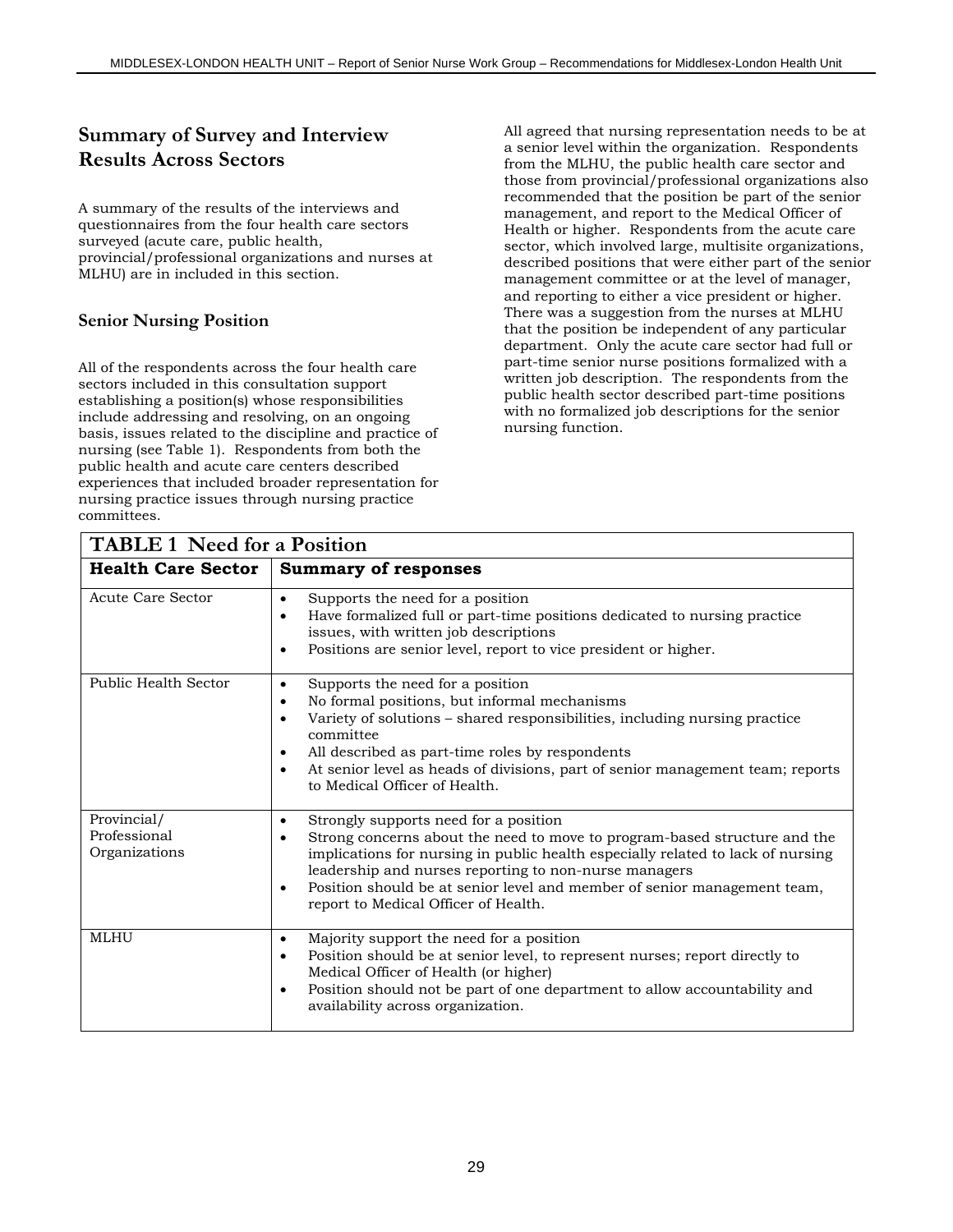# **Summary of Survey and Interview Results Across Sectors**

A summary of the results of the interviews and questionnaires from the four health care sectors surveyed (acute care, public health, provincial/professional organizations and nurses at MLHU) are in included in this section.

### **Senior Nursing Position**

All of the respondents across the four health care sectors included in this consultation support establishing a position(s) whose responsibilities include addressing and resolving, on an ongoing basis, issues related to the discipline and practice of nursing (see Table 1). Respondents from both the public health and acute care centers described experiences that included broader representation for nursing practice issues through nursing practice committees.

All agreed that nursing representation needs to be at a senior level within the organization. Respondents from the MLHU, the public health care sector and those from provincial/professional organizations also recommended that the position be part of the senior management, and report to the Medical Officer of Health or higher. Respondents from the acute care sector, which involved large, multisite organizations, described positions that were either part of the senior management committee or at the level of manager, and reporting to either a vice president or higher. There was a suggestion from the nurses at MLHU that the position be independent of any particular department. Only the acute care sector had full or part-time senior nurse positions formalized with a written job description. The respondents from the public health sector described part-time positions with no formalized job descriptions for the senior nursing function.

| <b>TABLE 1 Need for a Position</b>           |                                                                                                                                                                                                                                                                                                                                                                                                                   |  |
|----------------------------------------------|-------------------------------------------------------------------------------------------------------------------------------------------------------------------------------------------------------------------------------------------------------------------------------------------------------------------------------------------------------------------------------------------------------------------|--|
| <b>Health Care Sector</b>                    | <b>Summary of responses</b>                                                                                                                                                                                                                                                                                                                                                                                       |  |
| <b>Acute Care Sector</b>                     | Supports the need for a position<br>$\bullet$<br>Have formalized full or part-time positions dedicated to nursing practice<br>$\bullet$<br>issues, with written job descriptions<br>Positions are senior level, report to vice president or higher.<br>$\bullet$                                                                                                                                                  |  |
| Public Health Sector                         | Supports the need for a position<br>$\bullet$<br>No formal positions, but informal mechanisms<br>$\bullet$<br>Variety of solutions - shared responsibilities, including nursing practice<br>committee<br>All described as part-time roles by respondents<br>$\bullet$<br>At senior level as heads of divisions, part of senior management team; reports<br>$\bullet$<br>to Medical Officer of Health.             |  |
| Provincial/<br>Professional<br>Organizations | Strongly supports need for a position<br>$\bullet$<br>Strong concerns about the need to move to program-based structure and the<br>$\bullet$<br>implications for nursing in public health especially related to lack of nursing<br>leadership and nurses reporting to non-nurse managers<br>Position should be at senior level and member of senior management team,<br>٠<br>report to Medical Officer of Health. |  |
| <b>MLHU</b>                                  | Majority support the need for a position<br>$\bullet$<br>Position should be at senior level, to represent nurses; report directly to<br>$\bullet$<br>Medical Officer of Health (or higher)<br>Position should not be part of one department to allow accountability and<br>$\bullet$<br>availability across organization.                                                                                         |  |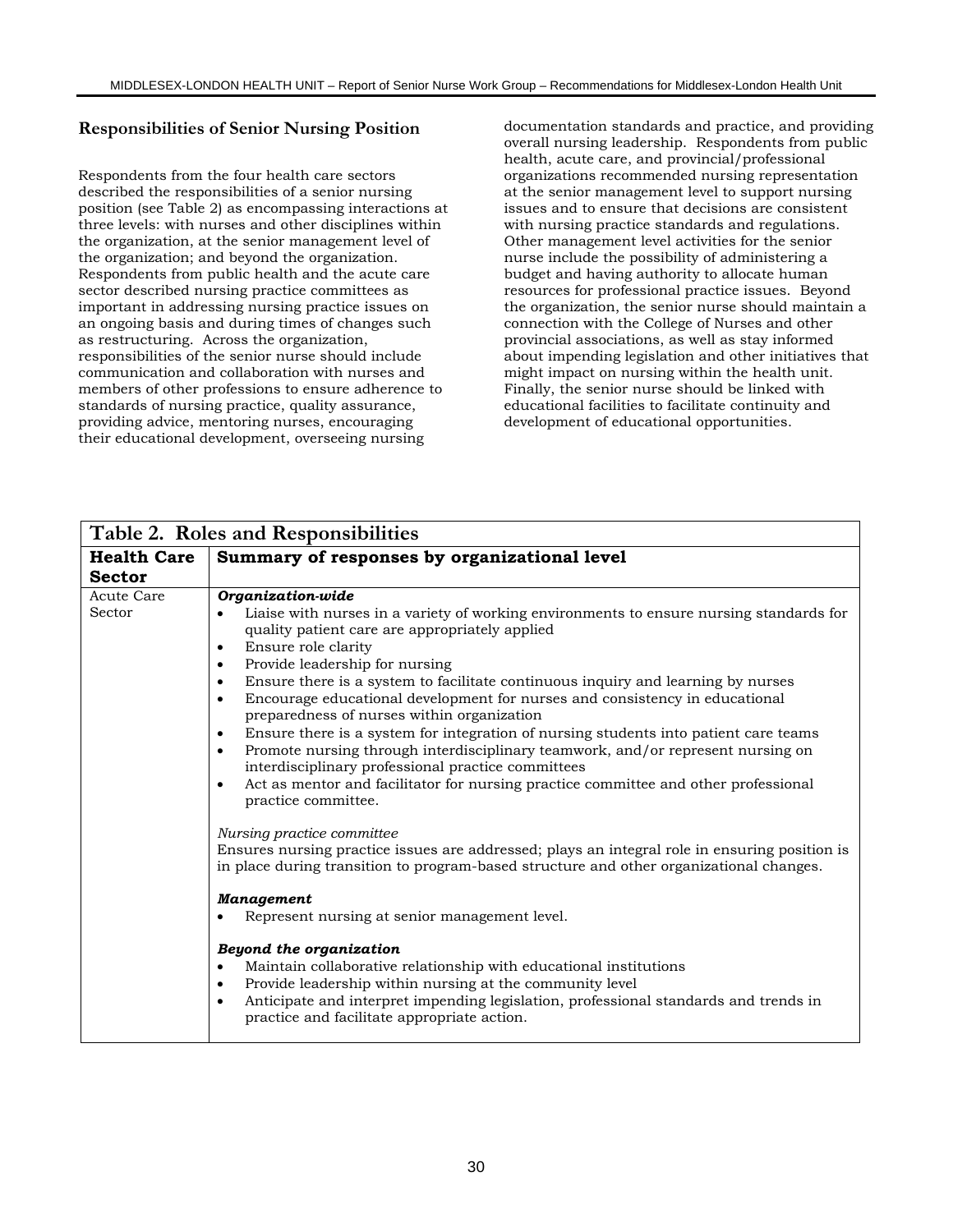### **Responsibilities of Senior Nursing Position**

Respondents from the four health care sectors described the responsibilities of a senior nursing position (see Table 2) as encompassing interactions at three levels: with nurses and other disciplines within the organization, at the senior management level of the organization; and beyond the organization. Respondents from public health and the acute care sector described nursing practice committees as important in addressing nursing practice issues on an ongoing basis and during times of changes such as restructuring. Across the organization, responsibilities of the senior nurse should include communication and collaboration with nurses and members of other professions to ensure adherence to standards of nursing practice, quality assurance, providing advice, mentoring nurses, encouraging their educational development, overseeing nursing

documentation standards and practice, and providing overall nursing leadership. Respondents from public health, acute care, and provincial/professional organizations recommended nursing representation at the senior management level to support nursing issues and to ensure that decisions are consistent with nursing practice standards and regulations. Other management level activities for the senior nurse include the possibility of administering a budget and having authority to allocate human resources for professional practice issues. Beyond the organization, the senior nurse should maintain a connection with the College of Nurses and other provincial associations, as well as stay informed about impending legislation and other initiatives that might impact on nursing within the health unit. Finally, the senior nurse should be linked with educational facilities to facilitate continuity and development of educational opportunities.

|                      | Table 2. Roles and Responsibilities                                                                                                                                                      |
|----------------------|------------------------------------------------------------------------------------------------------------------------------------------------------------------------------------------|
| <b>Health Care</b>   | Summary of responses by organizational level                                                                                                                                             |
| <b>Sector</b>        |                                                                                                                                                                                          |
| Acute Care<br>Sector | Organization-wide<br>Liaise with nurses in a variety of working environments to ensure nursing standards for                                                                             |
|                      | quality patient care are appropriately applied                                                                                                                                           |
|                      | Ensure role clarity<br>$\bullet$<br>Provide leadership for nursing<br>٠                                                                                                                  |
|                      | Ensure there is a system to facilitate continuous inquiry and learning by nurses<br>٠<br>Encourage educational development for nurses and consistency in educational<br>٠                |
|                      | preparedness of nurses within organization<br>Ensure there is a system for integration of nursing students into patient care teams<br>٠                                                  |
|                      | Promote nursing through interdisciplinary teamwork, and/or represent nursing on<br>$\bullet$<br>interdisciplinary professional practice committees                                       |
|                      | Act as mentor and facilitator for nursing practice committee and other professional<br>$\bullet$<br>practice committee.                                                                  |
|                      | Nursing practice committee                                                                                                                                                               |
|                      | Ensures nursing practice issues are addressed; plays an integral role in ensuring position is<br>in place during transition to program-based structure and other organizational changes. |
|                      | <b>Management</b>                                                                                                                                                                        |
|                      | Represent nursing at senior management level.                                                                                                                                            |
|                      | Beyond the organization                                                                                                                                                                  |
|                      | Maintain collaborative relationship with educational institutions<br>$\bullet$<br>Provide leadership within nursing at the community level<br>$\bullet$                                  |
|                      | Anticipate and interpret impending legislation, professional standards and trends in<br>practice and facilitate appropriate action.                                                      |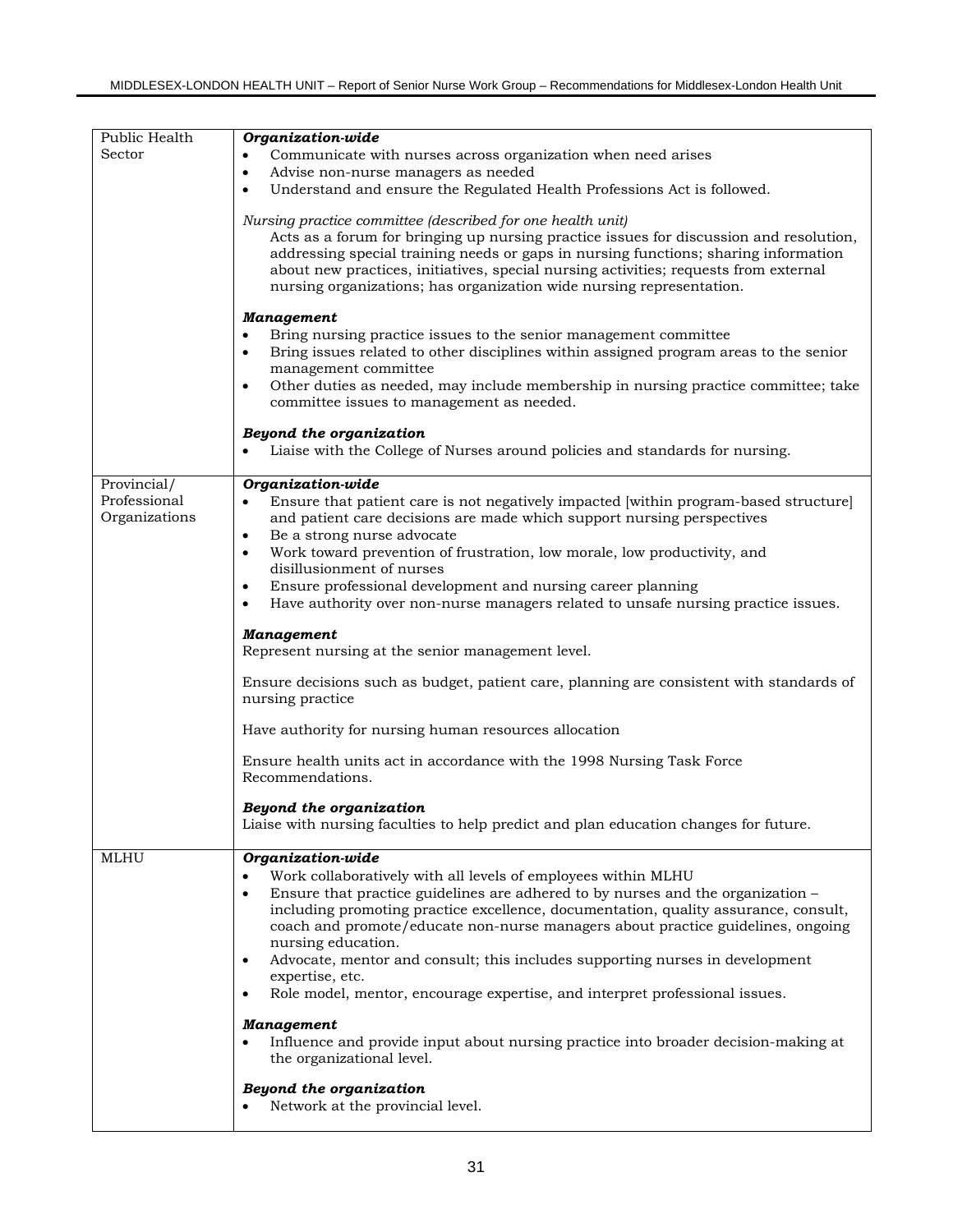| Public Health                                    | Organization-wide                                                                                                                                                                                                                                                                                                                                                                                           |  |  |
|--------------------------------------------------|-------------------------------------------------------------------------------------------------------------------------------------------------------------------------------------------------------------------------------------------------------------------------------------------------------------------------------------------------------------------------------------------------------------|--|--|
| Sector                                           | Communicate with nurses across organization when need arises                                                                                                                                                                                                                                                                                                                                                |  |  |
| Advise non-nurse managers as needed<br>$\bullet$ |                                                                                                                                                                                                                                                                                                                                                                                                             |  |  |
|                                                  | Understand and ensure the Regulated Health Professions Act is followed.                                                                                                                                                                                                                                                                                                                                     |  |  |
|                                                  | Nursing practice committee (described for one health unit)<br>Acts as a forum for bringing up nursing practice issues for discussion and resolution,<br>addressing special training needs or gaps in nursing functions; sharing information<br>about new practices, initiatives, special nursing activities; requests from external<br>nursing organizations; has organization wide nursing representation. |  |  |
|                                                  | <b>Management</b><br>Bring nursing practice issues to the senior management committee<br>Bring issues related to other disciplines within assigned program areas to the senior<br>$\bullet$<br>management committee<br>Other duties as needed, may include membership in nursing practice committee; take<br>committee issues to management as needed.                                                      |  |  |
|                                                  | Beyond the organization<br>Liaise with the College of Nurses around policies and standards for nursing.                                                                                                                                                                                                                                                                                                     |  |  |
| Provincial/<br>Professional<br>Organizations     | Organization-wide<br>Ensure that patient care is not negatively impacted [within program-based structure]<br>$\bullet$<br>and patient care decisions are made which support nursing perspectives<br>Be a strong nurse advocate<br>$\bullet$<br>Work toward prevention of frustration, low morale, low productivity, and<br>$\bullet$                                                                        |  |  |
|                                                  | disillusionment of nurses                                                                                                                                                                                                                                                                                                                                                                                   |  |  |
|                                                  | Ensure professional development and nursing career planning<br>$\bullet$                                                                                                                                                                                                                                                                                                                                    |  |  |
|                                                  |                                                                                                                                                                                                                                                                                                                                                                                                             |  |  |
|                                                  | Have authority over non-nurse managers related to unsafe nursing practice issues.<br>$\bullet$                                                                                                                                                                                                                                                                                                              |  |  |
|                                                  | <b>Management</b><br>Represent nursing at the senior management level.                                                                                                                                                                                                                                                                                                                                      |  |  |
|                                                  | Ensure decisions such as budget, patient care, planning are consistent with standards of<br>nursing practice                                                                                                                                                                                                                                                                                                |  |  |
|                                                  | Have authority for nursing human resources allocation                                                                                                                                                                                                                                                                                                                                                       |  |  |
|                                                  | Ensure health units act in accordance with the 1998 Nursing Task Force<br>Recommendations.                                                                                                                                                                                                                                                                                                                  |  |  |
|                                                  | Beyond the organization<br>Liaise with nursing faculties to help predict and plan education changes for future.                                                                                                                                                                                                                                                                                             |  |  |
|                                                  |                                                                                                                                                                                                                                                                                                                                                                                                             |  |  |
| <b>MLHU</b>                                      | Organization-wide<br>Work collaboratively with all levels of employees within MLHU<br>$\bullet$<br>Ensure that practice guidelines are adhered to by nurses and the organization -<br>$\bullet$<br>including promoting practice excellence, documentation, quality assurance, consult,<br>coach and promote/educate non-nurse managers about practice guidelines, ongoing<br>nursing education.             |  |  |
|                                                  | Advocate, mentor and consult; this includes supporting nurses in development<br>$\bullet$<br>expertise, etc.<br>Role model, mentor, encourage expertise, and interpret professional issues.<br>$\bullet$                                                                                                                                                                                                    |  |  |
|                                                  |                                                                                                                                                                                                                                                                                                                                                                                                             |  |  |
|                                                  | <b>Management</b><br>Influence and provide input about nursing practice into broader decision-making at<br>the organizational level.                                                                                                                                                                                                                                                                        |  |  |
|                                                  | Beyond the organization<br>Network at the provincial level.                                                                                                                                                                                                                                                                                                                                                 |  |  |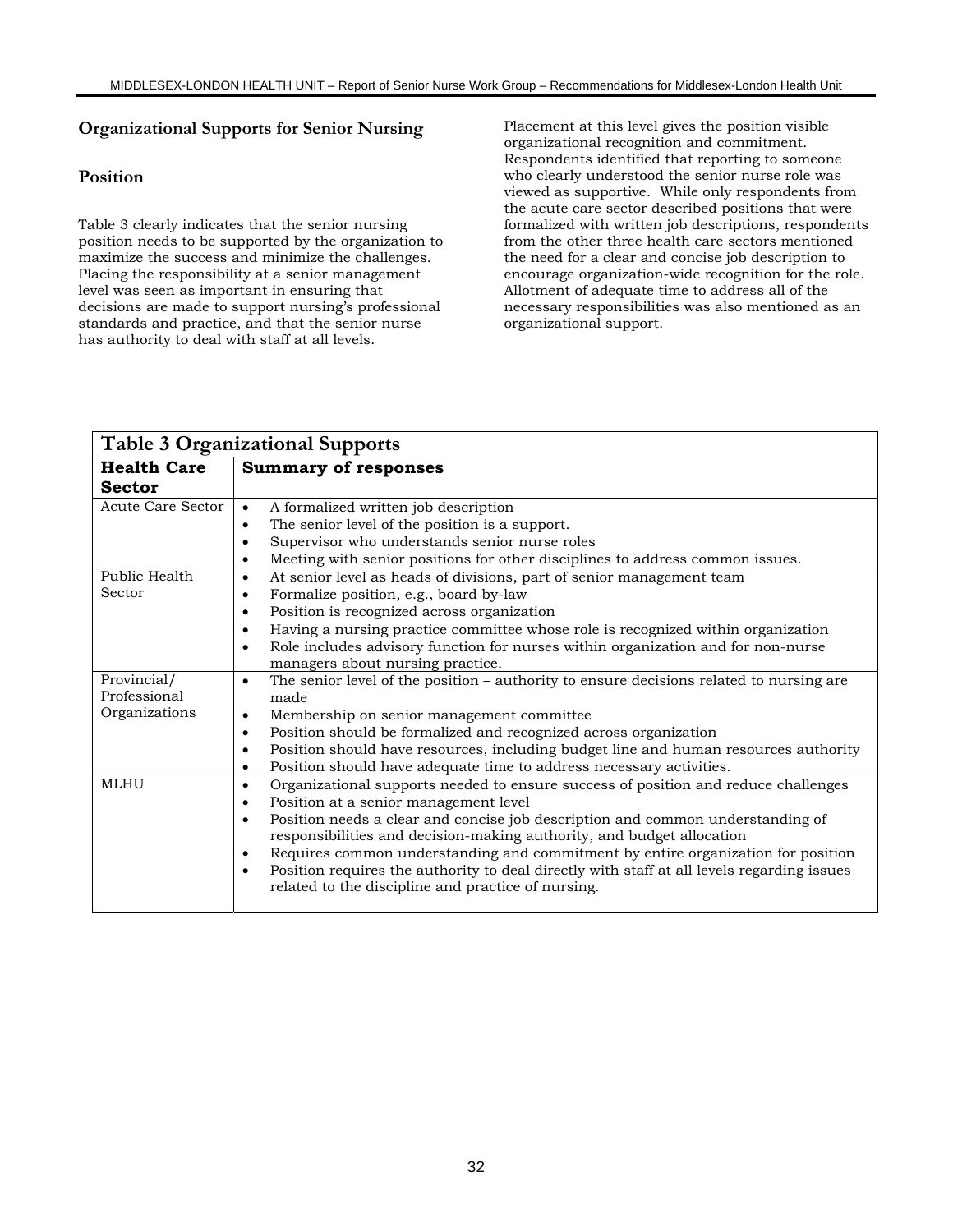# **Organizational Supports for Senior Nursing**

### **Position**

Table 3 clearly indicates that the senior nursing position needs to be supported by the organization to maximize the success and minimize the challenges. Placing the responsibility at a senior management level was seen as important in ensuring that decisions are made to support nursing's professional standards and practice, and that the senior nurse has authority to deal with staff at all levels.

Placement at this level gives the position visible organizational recognition and commitment. Respondents identified that reporting to someone who clearly understood the senior nurse role was viewed as supportive. While only respondents from the acute care sector described positions that were formalized with written job descriptions, respondents from the other three health care sectors mentioned the need for a clear and concise job description to encourage organization-wide recognition for the role. Allotment of adequate time to address all of the necessary responsibilities was also mentioned as an organizational support.

| <b>Table 3 Organizational Supports</b> |                                                                                                         |  |
|----------------------------------------|---------------------------------------------------------------------------------------------------------|--|
| <b>Health Care</b>                     | <b>Summary of responses</b>                                                                             |  |
| <b>Sector</b>                          |                                                                                                         |  |
| Acute Care Sector                      | A formalized written job description<br>$\bullet$                                                       |  |
|                                        | The senior level of the position is a support.<br>٠                                                     |  |
|                                        | Supervisor who understands senior nurse roles<br>$\bullet$                                              |  |
|                                        | Meeting with senior positions for other disciplines to address common issues.<br>٠                      |  |
| Public Health                          | At senior level as heads of divisions, part of senior management team<br>$\bullet$                      |  |
| Sector                                 | Formalize position, e.g., board by-law<br>٠                                                             |  |
|                                        | Position is recognized across organization<br>$\bullet$                                                 |  |
|                                        | Having a nursing practice committee whose role is recognized within organization<br>٠                   |  |
|                                        | Role includes advisory function for nurses within organization and for non-nurse<br>$\bullet$           |  |
|                                        | managers about nursing practice.                                                                        |  |
| Provincial/                            | The senior level of the position – authority to ensure decisions related to nursing are<br>$\bullet$    |  |
| Professional                           | made                                                                                                    |  |
| Organizations                          | Membership on senior management committee<br>$\bullet$                                                  |  |
|                                        | Position should be formalized and recognized across organization<br>٠                                   |  |
|                                        | Position should have resources, including budget line and human resources authority<br>$\bullet$        |  |
|                                        | Position should have adequate time to address necessary activities.<br>$\bullet$                        |  |
| <b>MLHU</b>                            | Organizational supports needed to ensure success of position and reduce challenges<br>$\bullet$         |  |
|                                        | Position at a senior management level<br>٠                                                              |  |
|                                        | Position needs a clear and concise job description and common understanding of<br>$\bullet$             |  |
|                                        | responsibilities and decision-making authority, and budget allocation                                   |  |
|                                        | Requires common understanding and commitment by entire organization for position<br>٠                   |  |
|                                        | Position requires the authority to deal directly with staff at all levels regarding issues<br>$\bullet$ |  |
|                                        | related to the discipline and practice of nursing.                                                      |  |
|                                        |                                                                                                         |  |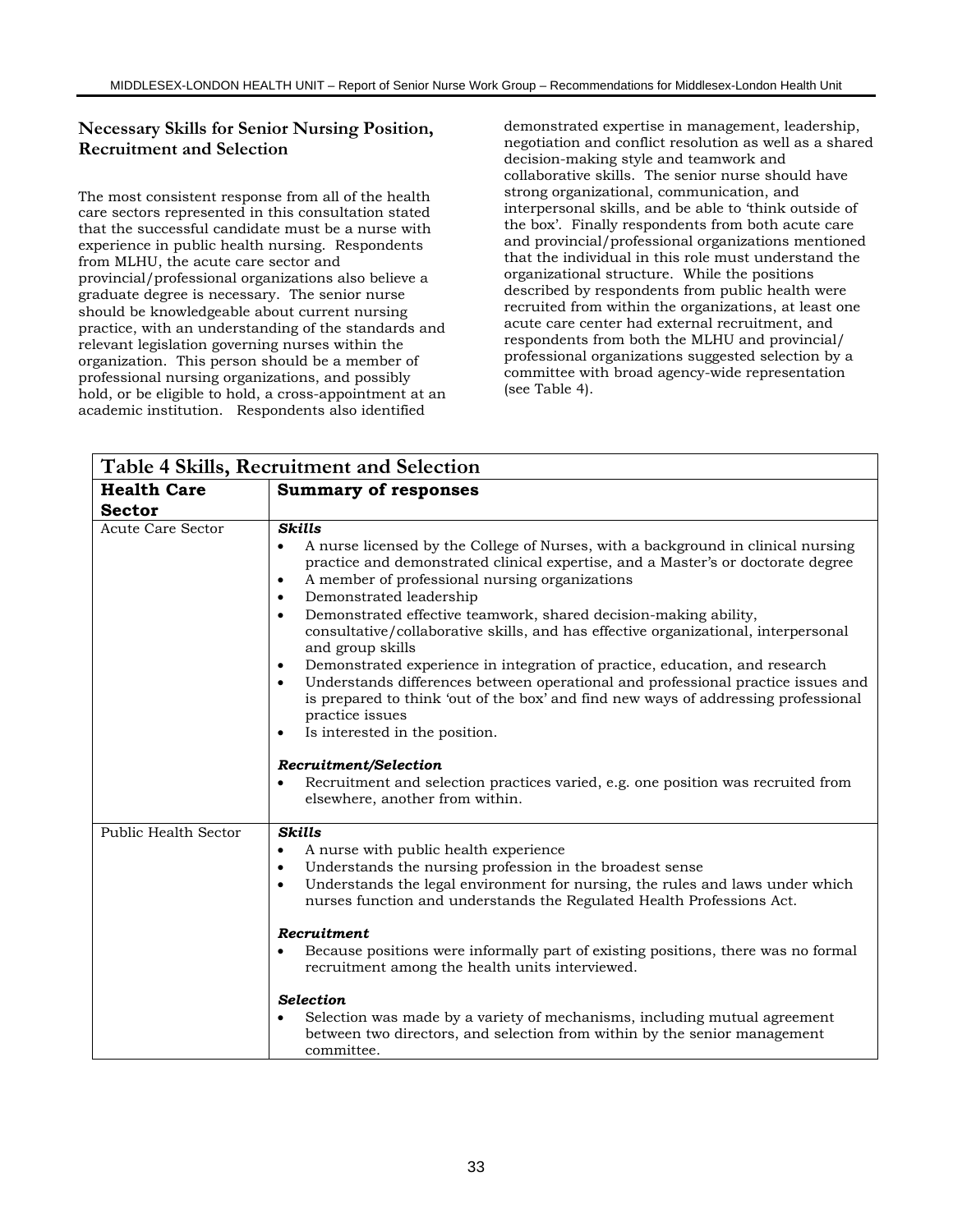# **Necessary Skills for Senior Nursing Position, Recruitment and Selection**

The most consistent response from all of the health care sectors represented in this consultation stated that the successful candidate must be a nurse with experience in public health nursing. Respondents from MLHU, the acute care sector and provincial/professional organizations also believe a graduate degree is necessary. The senior nurse should be knowledgeable about current nursing practice, with an understanding of the standards and relevant legislation governing nurses within the organization. This person should be a member of professional nursing organizations, and possibly hold, or be eligible to hold, a cross-appointment at an academic institution. Respondents also identified

demonstrated expertise in management, leadership, negotiation and conflict resolution as well as a shared decision-making style and teamwork and collaborative skills. The senior nurse should have strong organizational, communication, and interpersonal skills, and be able to 'think outside of the box'. Finally respondents from both acute care and provincial/professional organizations mentioned that the individual in this role must understand the organizational structure. While the positions described by respondents from public health were recruited from within the organizations, at least one acute care center had external recruitment, and respondents from both the MLHU and provincial/ professional organizations suggested selection by a committee with broad agency-wide representation (see Table 4).

|                      | Table 4 Skills, Recruitment and Selection                                                                                                                                                                                                                                                                                                                                                                                                                                                                                                                                                                                                                                                                                                                                                                                                                 |
|----------------------|-----------------------------------------------------------------------------------------------------------------------------------------------------------------------------------------------------------------------------------------------------------------------------------------------------------------------------------------------------------------------------------------------------------------------------------------------------------------------------------------------------------------------------------------------------------------------------------------------------------------------------------------------------------------------------------------------------------------------------------------------------------------------------------------------------------------------------------------------------------|
| <b>Health Care</b>   | <b>Summary of responses</b>                                                                                                                                                                                                                                                                                                                                                                                                                                                                                                                                                                                                                                                                                                                                                                                                                               |
| <b>Sector</b>        |                                                                                                                                                                                                                                                                                                                                                                                                                                                                                                                                                                                                                                                                                                                                                                                                                                                           |
| Acute Care Sector    | <b>Skills</b><br>A nurse licensed by the College of Nurses, with a background in clinical nursing<br>$\bullet$<br>practice and demonstrated clinical expertise, and a Master's or doctorate degree<br>A member of professional nursing organizations<br>$\bullet$<br>Demonstrated leadership<br>$\bullet$<br>Demonstrated effective teamwork, shared decision-making ability,<br>$\bullet$<br>consultative/collaborative skills, and has effective organizational, interpersonal<br>and group skills<br>Demonstrated experience in integration of practice, education, and research<br>$\bullet$<br>Understands differences between operational and professional practice issues and<br>$\bullet$<br>is prepared to think 'out of the box' and find new ways of addressing professional<br>practice issues<br>Is interested in the position.<br>$\bullet$ |
|                      | Recruitment/Selection<br>Recruitment and selection practices varied, e.g. one position was recruited from<br>elsewhere, another from within.                                                                                                                                                                                                                                                                                                                                                                                                                                                                                                                                                                                                                                                                                                              |
| Public Health Sector | <b>Skills</b><br>A nurse with public health experience<br>$\bullet$<br>Understands the nursing profession in the broadest sense<br>$\bullet$<br>Understands the legal environment for nursing, the rules and laws under which<br>$\bullet$<br>nurses function and understands the Regulated Health Professions Act.<br>Recruitment<br>Because positions were informally part of existing positions, there was no formal<br>$\bullet$                                                                                                                                                                                                                                                                                                                                                                                                                      |
|                      | recruitment among the health units interviewed.<br><b>Selection</b><br>Selection was made by a variety of mechanisms, including mutual agreement<br>between two directors, and selection from within by the senior management<br>committee.                                                                                                                                                                                                                                                                                                                                                                                                                                                                                                                                                                                                               |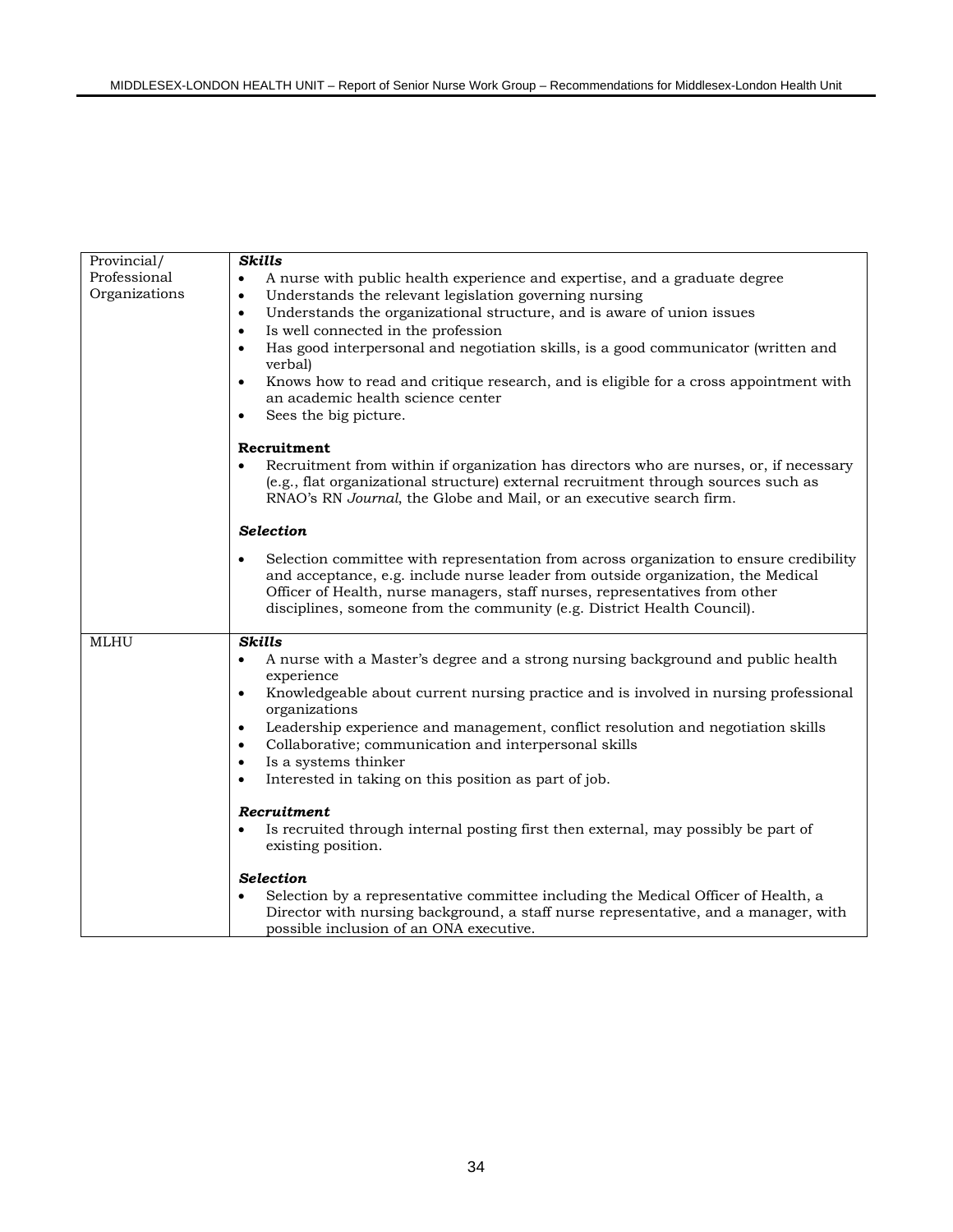| Provincial/                   | <b>Skills</b>                                                                                                                                                                                                                                                                                                                                                                                                                                                                                                                 |  |
|-------------------------------|-------------------------------------------------------------------------------------------------------------------------------------------------------------------------------------------------------------------------------------------------------------------------------------------------------------------------------------------------------------------------------------------------------------------------------------------------------------------------------------------------------------------------------|--|
| Professional<br>Organizations | A nurse with public health experience and expertise, and a graduate degree<br>Understands the relevant legislation governing nursing<br>٠<br>Understands the organizational structure, and is aware of union issues<br>$\bullet$<br>Is well connected in the profession<br>٠<br>Has good interpersonal and negotiation skills, is a good communicator (written and<br>$\bullet$<br>verbal)<br>Knows how to read and critique research, and is eligible for a cross appointment with<br>٠<br>an academic health science center |  |
|                               | Sees the big picture.<br>٠                                                                                                                                                                                                                                                                                                                                                                                                                                                                                                    |  |
|                               | Recruitment<br>Recruitment from within if organization has directors who are nurses, or, if necessary<br>(e.g., flat organizational structure) external recruitment through sources such as<br>RNAO's RN Journal, the Globe and Mail, or an executive search firm.                                                                                                                                                                                                                                                            |  |
|                               | <b>Selection</b>                                                                                                                                                                                                                                                                                                                                                                                                                                                                                                              |  |
|                               | Selection committee with representation from across organization to ensure credibility<br>and acceptance, e.g. include nurse leader from outside organization, the Medical<br>Officer of Health, nurse managers, staff nurses, representatives from other<br>disciplines, someone from the community (e.g. District Health Council).                                                                                                                                                                                          |  |
| <b>MLHU</b>                   | <b>Skills</b><br>A nurse with a Master's degree and a strong nursing background and public health<br>٠                                                                                                                                                                                                                                                                                                                                                                                                                        |  |
|                               | experience<br>Knowledgeable about current nursing practice and is involved in nursing professional<br>$\bullet$<br>organizations<br>Leadership experience and management, conflict resolution and negotiation skills<br>٠<br>Collaborative; communication and interpersonal skills<br>٠<br>Is a systems thinker<br>٠<br>Interested in taking on this position as part of job.<br>$\bullet$                                                                                                                                    |  |
|                               | Recruitment<br>Is recruited through internal posting first then external, may possibly be part of<br>existing position.                                                                                                                                                                                                                                                                                                                                                                                                       |  |
|                               | <b>Selection</b><br>Selection by a representative committee including the Medical Officer of Health, a<br>Director with nursing background, a staff nurse representative, and a manager, with<br>possible inclusion of an ONA executive.                                                                                                                                                                                                                                                                                      |  |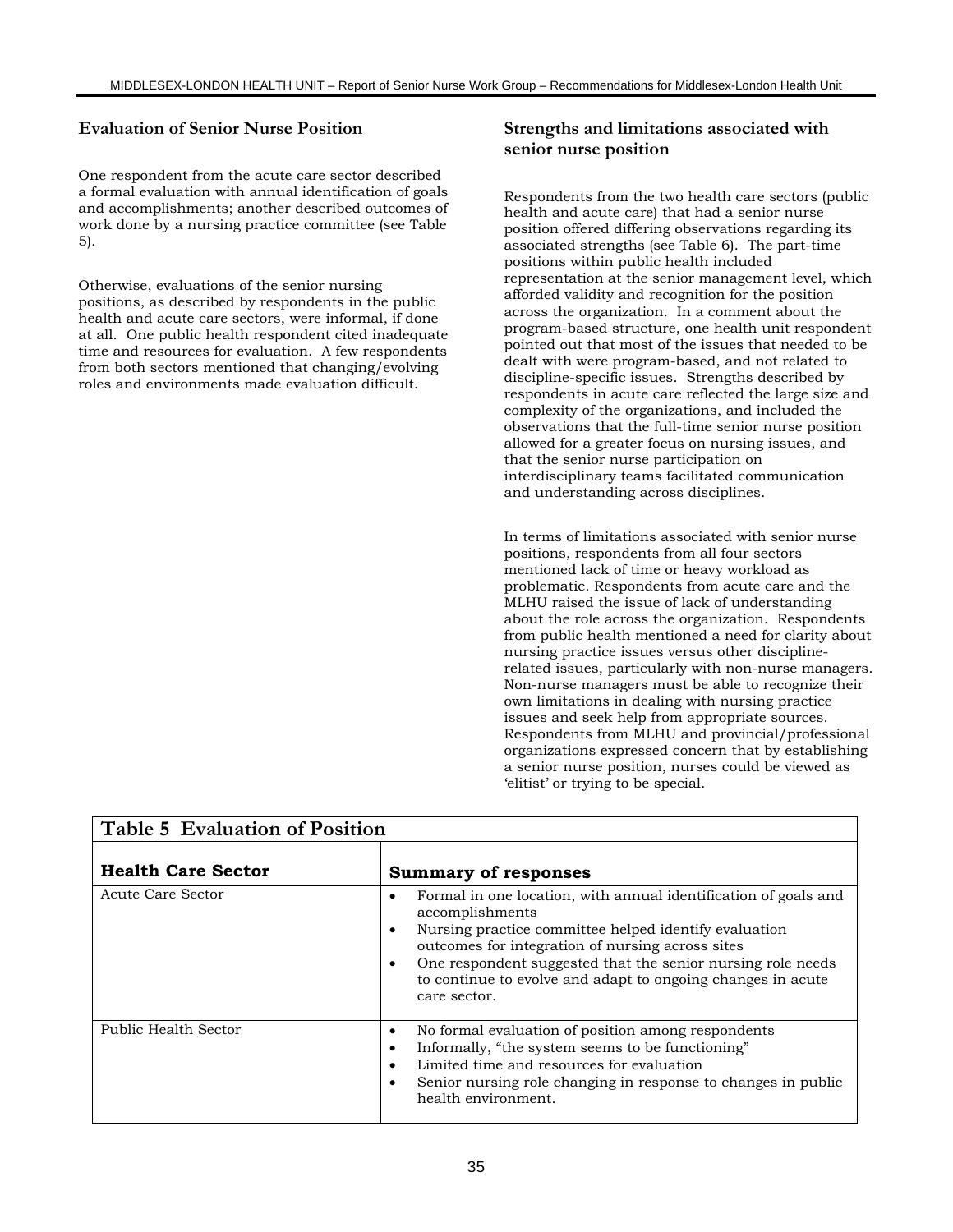### **Evaluation of Senior Nurse Position**

One respondent from the acute care sector described a formal evaluation with annual identification of goals and accomplishments; another described outcomes of work done by a nursing practice committee (see Table 5).

Otherwise, evaluations of the senior nursing positions, as described by respondents in the public health and acute care sectors, were informal, if done at all. One public health respondent cited inadequate time and resources for evaluation. A few respondents from both sectors mentioned that changing/evolving roles and environments made evaluation difficult.

#### **Strengths and limitations associated with senior nurse position**

Respondents from the two health care sectors (public health and acute care) that had a senior nurse position offered differing observations regarding its associated strengths (see Table 6). The part-time positions within public health included representation at the senior management level, which afforded validity and recognition for the position across the organization. In a comment about the program-based structure, one health unit respondent pointed out that most of the issues that needed to be dealt with were program-based, and not related to discipline-specific issues. Strengths described by respondents in acute care reflected the large size and complexity of the organizations, and included the observations that the full-time senior nurse position allowed for a greater focus on nursing issues, and that the senior nurse participation on interdisciplinary teams facilitated communication and understanding across disciplines.

In terms of limitations associated with senior nurse positions, respondents from all four sectors mentioned lack of time or heavy workload as problematic. Respondents from acute care and the MLHU raised the issue of lack of understanding about the role across the organization. Respondents from public health mentioned a need for clarity about nursing practice issues versus other disciplinerelated issues, particularly with non-nurse managers. Non-nurse managers must be able to recognize their own limitations in dealing with nursing practice issues and seek help from appropriate sources. Respondents from MLHU and provincial/professional organizations expressed concern that by establishing a senior nurse position, nurses could be viewed as 'elitist' or trying to be special.

| Table 5 Evaluation of Position |                                                                                                                                                                                                                                                                                                                                                                      |  |
|--------------------------------|----------------------------------------------------------------------------------------------------------------------------------------------------------------------------------------------------------------------------------------------------------------------------------------------------------------------------------------------------------------------|--|
| <b>Health Care Sector</b>      | <b>Summary of responses</b>                                                                                                                                                                                                                                                                                                                                          |  |
| Acute Care Sector              | Formal in one location, with annual identification of goals and<br>٠<br>accomplishments<br>Nursing practice committee helped identify evaluation<br>٠<br>outcomes for integration of nursing across sites<br>One respondent suggested that the senior nursing role needs<br>$\bullet$<br>to continue to evolve and adapt to ongoing changes in acute<br>care sector. |  |
| Public Health Sector           | No formal evaluation of position among respondents<br>٠<br>Informally, "the system seems to be functioning"<br>٠<br>Limited time and resources for evaluation<br>٠<br>Senior nursing role changing in response to changes in public<br>٠<br>health environment.                                                                                                      |  |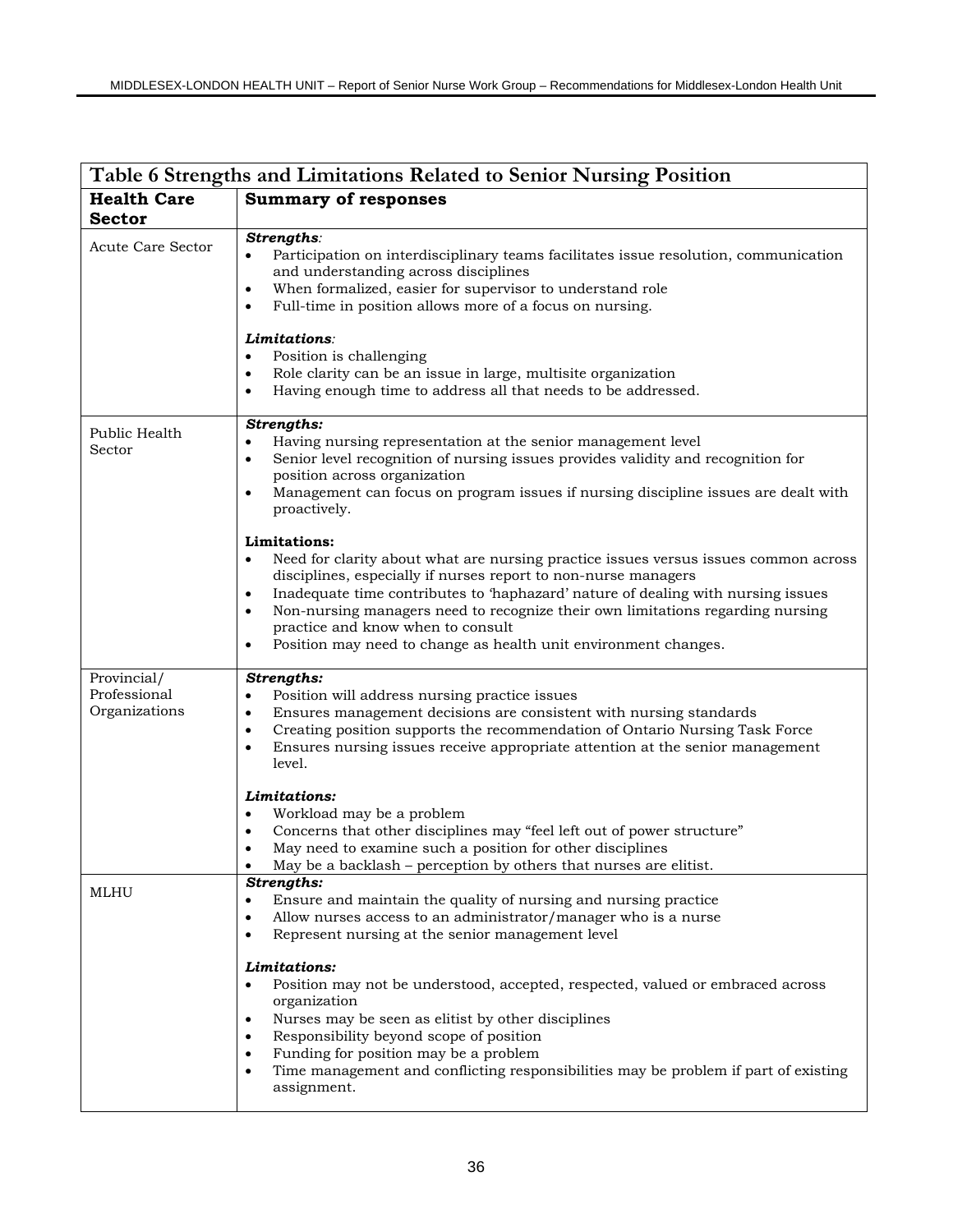| Table 6 Strengths and Limitations Related to Senior Nursing Position |                                                                                                                                                                                                                                                                                                                                                                                                                                                                                    |  |
|----------------------------------------------------------------------|------------------------------------------------------------------------------------------------------------------------------------------------------------------------------------------------------------------------------------------------------------------------------------------------------------------------------------------------------------------------------------------------------------------------------------------------------------------------------------|--|
| <b>Health Care</b><br><b>Sector</b>                                  | <b>Summary of responses</b>                                                                                                                                                                                                                                                                                                                                                                                                                                                        |  |
| <b>Acute Care Sector</b>                                             | Strengths:<br>Participation on interdisciplinary teams facilitates issue resolution, communication<br>and understanding across disciplines<br>When formalized, easier for supervisor to understand role<br>$\bullet$<br>Full-time in position allows more of a focus on nursing.<br>$\bullet$                                                                                                                                                                                      |  |
|                                                                      | Limitations:<br>Position is challenging<br>Role clarity can be an issue in large, multisite organization<br>$\bullet$<br>Having enough time to address all that needs to be addressed.<br>$\bullet$                                                                                                                                                                                                                                                                                |  |
| Public Health<br>Sector                                              | Strengths:<br>Having nursing representation at the senior management level<br>Senior level recognition of nursing issues provides validity and recognition for<br>position across organization<br>Management can focus on program issues if nursing discipline issues are dealt with<br>$\bullet$<br>proactively.                                                                                                                                                                  |  |
|                                                                      | Limitations:<br>Need for clarity about what are nursing practice issues versus issues common across<br>$\bullet$<br>disciplines, especially if nurses report to non-nurse managers<br>Inadequate time contributes to 'haphazard' nature of dealing with nursing issues<br>$\bullet$<br>Non-nursing managers need to recognize their own limitations regarding nursing<br>practice and know when to consult<br>Position may need to change as health unit environment changes.<br>٠ |  |
| Provincial/<br>Professional<br>Organizations                         | Strengths:<br>Position will address nursing practice issues<br>٠<br>Ensures management decisions are consistent with nursing standards<br>٠<br>Creating position supports the recommendation of Ontario Nursing Task Force<br>$\bullet$<br>Ensures nursing issues receive appropriate attention at the senior management<br>٠<br>level.                                                                                                                                            |  |
|                                                                      | Limitations:<br>Workload may be a problem<br>$\bullet$<br>Concerns that other disciplines may "feel left out of power structure"<br>$\bullet$<br>May need to examine such a position for other disciplines<br>٠<br>May be a backlash - perception by others that nurses are elitist.<br>٠                                                                                                                                                                                          |  |
| MLHU                                                                 | Strengths:<br>Ensure and maintain the quality of nursing and nursing practice<br>٠<br>Allow nurses access to an administrator/manager who is a nurse<br>٠<br>Represent nursing at the senior management level<br>$\bullet$                                                                                                                                                                                                                                                         |  |
|                                                                      | Limitations:<br>Position may not be understood, accepted, respected, valued or embraced across<br>$\bullet$<br>organization<br>Nurses may be seen as elitist by other disciplines<br>Responsibility beyond scope of position<br>Funding for position may be a problem<br>$\bullet$<br>Time management and conflicting responsibilities may be problem if part of existing<br>$\bullet$<br>assignment.                                                                              |  |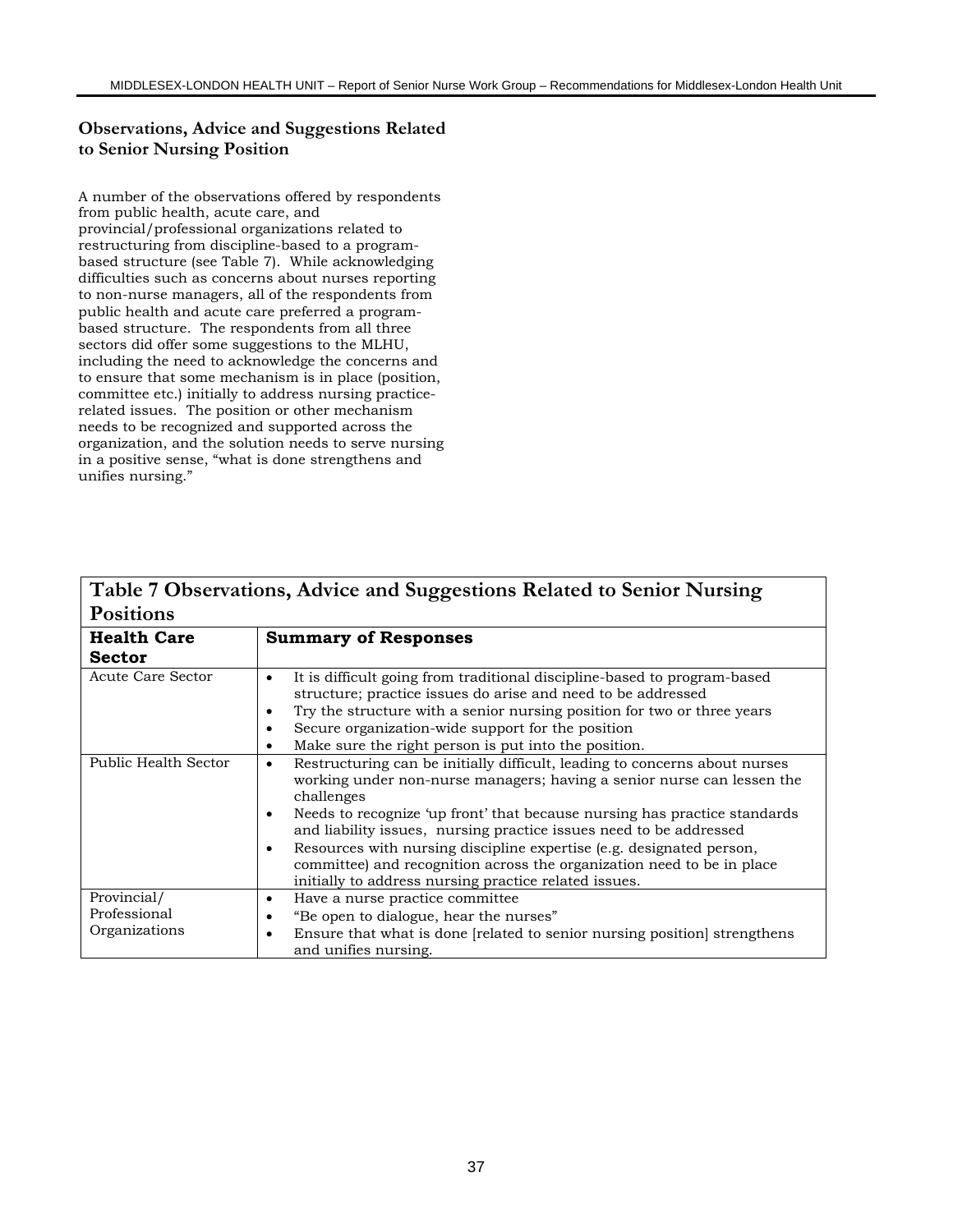# **Observations, Advice and Suggestions Related to Senior Nursing Position**

A number of the observations offered by respondents from public health, acute care, and provincial/professional organizations related to restructuring from discipline-based to a programbased structure (see Table 7). While acknowledging difficulties such as concerns about nurses reporting to non-nurse managers, all of the respondents from public health and acute care preferred a programbased structure. The respondents from all three sectors did offer some suggestions to the MLHU, including the need to acknowledge the concerns and to ensure that some mechanism is in place (position, committee etc.) initially to address nursing practicerelated issues. The position or other mechanism needs to be recognized and supported across the organization, and the solution needs to serve nursing in a positive sense, "what is done strengthens and unifies nursing."

|                                              | Table / Observations, Auvice and ouggestions related to ochion Fraising                                                                                                                                                                                                                                                                                                                                                                                                                                                                    |
|----------------------------------------------|--------------------------------------------------------------------------------------------------------------------------------------------------------------------------------------------------------------------------------------------------------------------------------------------------------------------------------------------------------------------------------------------------------------------------------------------------------------------------------------------------------------------------------------------|
| <b>Positions</b>                             |                                                                                                                                                                                                                                                                                                                                                                                                                                                                                                                                            |
| <b>Health Care</b>                           | <b>Summary of Responses</b>                                                                                                                                                                                                                                                                                                                                                                                                                                                                                                                |
| <b>Sector</b>                                |                                                                                                                                                                                                                                                                                                                                                                                                                                                                                                                                            |
| Acute Care Sector                            | It is difficult going from traditional discipline-based to program-based<br>structure; practice issues do arise and need to be addressed<br>Try the structure with a senior nursing position for two or three years<br>Secure organization-wide support for the position<br>Make sure the right person is put into the position.<br>$\bullet$                                                                                                                                                                                              |
| Public Health Sector                         | Restructuring can be initially difficult, leading to concerns about nurses<br>٠<br>working under non-nurse managers; having a senior nurse can lessen the<br>challenges<br>Needs to recognize 'up front' that because nursing has practice standards<br>and liability issues, nursing practice issues need to be addressed<br>Resources with nursing discipline expertise (e.g. designated person,<br>٠<br>committee) and recognition across the organization need to be in place<br>initially to address nursing practice related issues. |
| Provincial/<br>Professional<br>Organizations | Have a nurse practice committee.<br>٠<br>"Be open to dialogue, hear the nurses"<br>٠<br>Ensure that what is done [related to senior nursing position] strengthens<br>and unifies nursing.                                                                                                                                                                                                                                                                                                                                                  |

# **Table 7 Observations, Advice and Suggestions Related to Senior Nursing**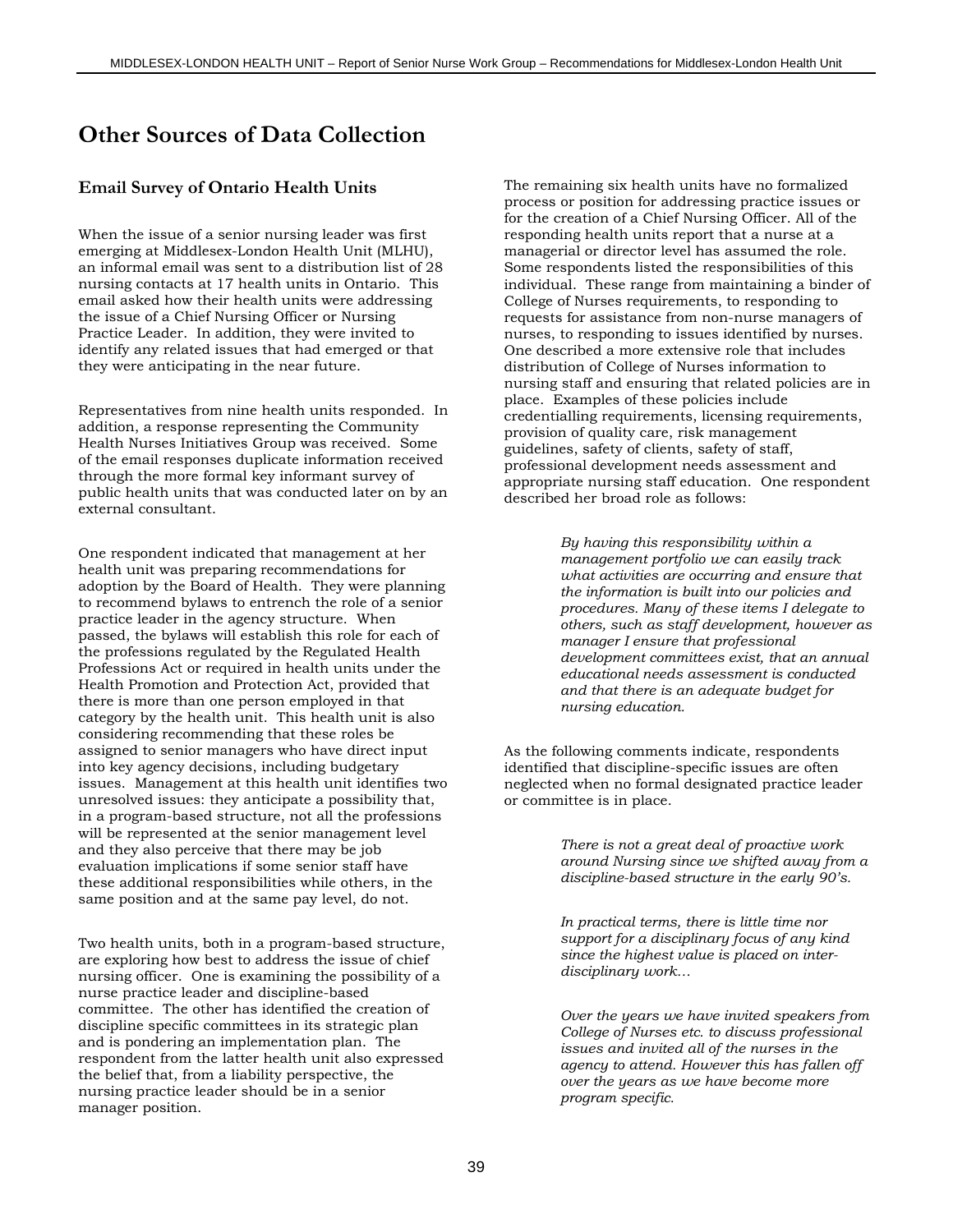# **Other Sources of Data Collection**

### **Email Survey of Ontario Health Units**

When the issue of a senior nursing leader was first emerging at Middlesex-London Health Unit (MLHU), an informal email was sent to a distribution list of 28 nursing contacts at 17 health units in Ontario. This email asked how their health units were addressing the issue of a Chief Nursing Officer or Nursing Practice Leader. In addition, they were invited to identify any related issues that had emerged or that they were anticipating in the near future.

Representatives from nine health units responded. In addition, a response representing the Community Health Nurses Initiatives Group was received. Some of the email responses duplicate information received through the more formal key informant survey of public health units that was conducted later on by an external consultant.

One respondent indicated that management at her health unit was preparing recommendations for adoption by the Board of Health. They were planning to recommend bylaws to entrench the role of a senior practice leader in the agency structure. When passed, the bylaws will establish this role for each of the professions regulated by the Regulated Health Professions Act or required in health units under the Health Promotion and Protection Act, provided that there is more than one person employed in that category by the health unit. This health unit is also considering recommending that these roles be assigned to senior managers who have direct input into key agency decisions, including budgetary issues. Management at this health unit identifies two unresolved issues: they anticipate a possibility that, in a program-based structure, not all the professions will be represented at the senior management level and they also perceive that there may be job evaluation implications if some senior staff have these additional responsibilities while others, in the same position and at the same pay level, do not.

Two health units, both in a program-based structure, are exploring how best to address the issue of chief nursing officer. One is examining the possibility of a nurse practice leader and discipline-based committee. The other has identified the creation of discipline specific committees in its strategic plan and is pondering an implementation plan. The respondent from the latter health unit also expressed the belief that, from a liability perspective, the nursing practice leader should be in a senior manager position.

The remaining six health units have no formalized process or position for addressing practice issues or for the creation of a Chief Nursing Officer. All of the responding health units report that a nurse at a managerial or director level has assumed the role. Some respondents listed the responsibilities of this individual. These range from maintaining a binder of College of Nurses requirements, to responding to requests for assistance from non-nurse managers of nurses, to responding to issues identified by nurses. One described a more extensive role that includes distribution of College of Nurses information to nursing staff and ensuring that related policies are in place. Examples of these policies include credentialling requirements, licensing requirements, provision of quality care, risk management guidelines, safety of clients, safety of staff, professional development needs assessment and appropriate nursing staff education. One respondent described her broad role as follows:

> *By having this responsibility within a management portfolio we can easily track what activities are occurring and ensure that the information is built into our policies and procedures. Many of these items I delegate to others, such as staff development, however as manager I ensure that professional development committees exist, that an annual educational needs assessment is conducted and that there is an adequate budget for nursing education.*

As the following comments indicate, respondents identified that discipline-specific issues are often neglected when no formal designated practice leader or committee is in place.

> *There is not a great deal of proactive work around Nursing since we shifted away from a discipline-based structure in the early 90's.*

*In practical terms, there is little time nor support for a disciplinary focus of any kind since the highest value is placed on interdisciplinary work…*

*Over the years we have invited speakers from College of Nurses etc. to discuss professional issues and invited all of the nurses in the agency to attend. However this has fallen off over the years as we have become more program specific.*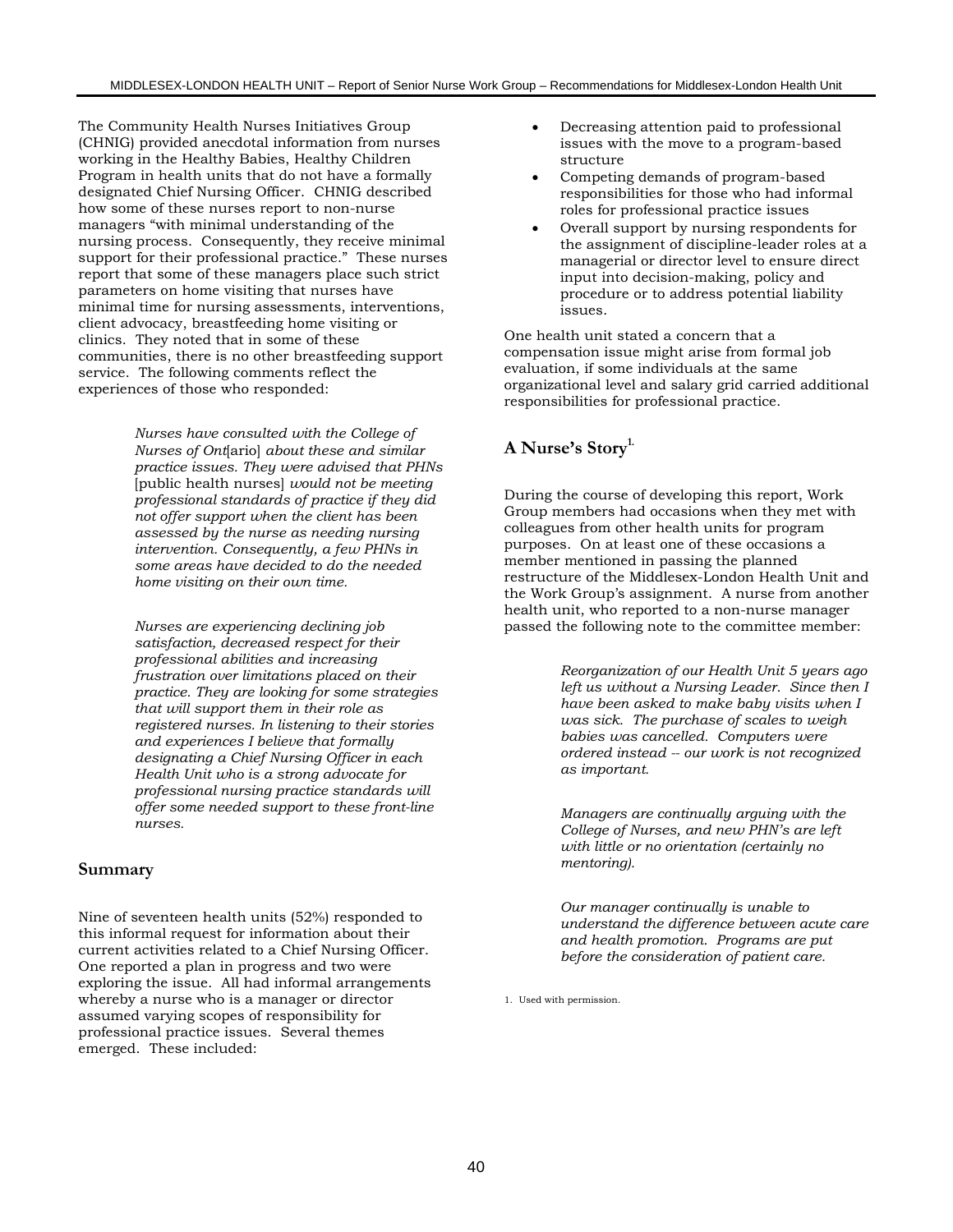The Community Health Nurses Initiatives Group (CHNIG) provided anecdotal information from nurses working in the Healthy Babies, Healthy Children Program in health units that do not have a formally designated Chief Nursing Officer. CHNIG described how some of these nurses report to non-nurse managers "with minimal understanding of the nursing process. Consequently, they receive minimal support for their professional practice." These nurses report that some of these managers place such strict parameters on home visiting that nurses have minimal time for nursing assessments, interventions, client advocacy, breastfeeding home visiting or clinics. They noted that in some of these communities, there is no other breastfeeding support service. The following comments reflect the experiences of those who responded:

> *Nurses have consulted with the College of Nurses of Ont*[ario] *about these and similar practice issues. They were advised that PHNs* [public health nurses] *would not be meeting professional standards of practice if they did not offer support when the client has been assessed by the nurse as needing nursing intervention. Consequently, a few PHNs in some areas have decided to do the needed home visiting on their own time.*

*Nurses are experiencing declining job satisfaction, decreased respect for their professional abilities and increasing frustration over limitations placed on their practice. They are looking for some strategies that will support them in their role as registered nurses. In listening to their stories and experiences I believe that formally designating a Chief Nursing Officer in each Health Unit who is a strong advocate for professional nursing practice standards will offer some needed support to these front-line nurses.*

#### **Summary**

Nine of seventeen health units (52%) responded to this informal request for information about their current activities related to a Chief Nursing Officer. One reported a plan in progress and two were exploring the issue. All had informal arrangements whereby a nurse who is a manager or director assumed varying scopes of responsibility for professional practice issues. Several themes emerged. These included:

- Decreasing attention paid to professional issues with the move to a program-based structure
- Competing demands of program-based responsibilities for those who had informal roles for professional practice issues
- Overall support by nursing respondents for the assignment of discipline-leader roles at a managerial or director level to ensure direct input into decision-making, policy and procedure or to address potential liability issues.

One health unit stated a concern that a compensation issue might arise from formal job evaluation, if some individuals at the same organizational level and salary grid carried additional responsibilities for professional practice.

# A Nurse's Story<sup>1.</sup>

During the course of developing this report, Work Group members had occasions when they met with colleagues from other health units for program purposes. On at least one of these occasions a member mentioned in passing the planned restructure of the Middlesex-London Health Unit and the Work Group's assignment. A nurse from another health unit, who reported to a non-nurse manager passed the following note to the committee member:

> *Reorganization of our Health Unit 5 years ago left us without a Nursing Leader. Since then I have been asked to make baby visits when I was sick. The purchase of scales to weigh babies was cancelled. Computers were ordered instead -- our work is not recognized as important.*

*Managers are continually arguing with the College of Nurses, and new PHN's are left with little or no orientation (certainly no mentoring).*

*Our manager continually is unable to understand the difference between acute care and health promotion. Programs are put before the consideration of patient care.*

1. Used with permission.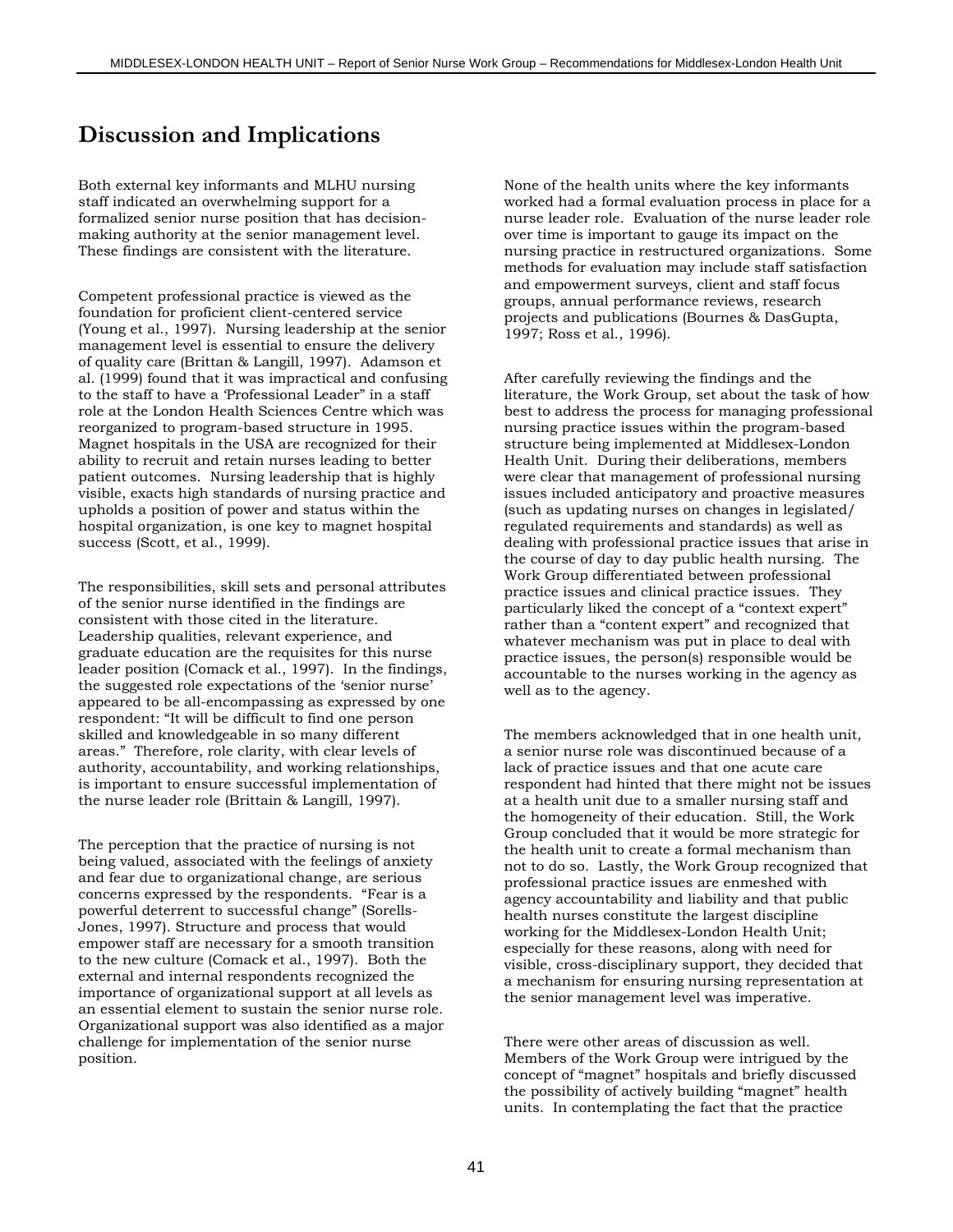# **Discussion and Implications**

Both external key informants and MLHU nursing staff indicated an overwhelming support for a formalized senior nurse position that has decisionmaking authority at the senior management level. These findings are consistent with the literature.

Competent professional practice is viewed as the foundation for proficient client-centered service (Young et al., 1997). Nursing leadership at the senior management level is essential to ensure the delivery of quality care (Brittan & Langill, 1997). Adamson et al. (1999) found that it was impractical and confusing to the staff to have a 'Professional Leader" in a staff role at the London Health Sciences Centre which was reorganized to program-based structure in 1995. Magnet hospitals in the USA are recognized for their ability to recruit and retain nurses leading to better patient outcomes. Nursing leadership that is highly visible, exacts high standards of nursing practice and upholds a position of power and status within the hospital organization, is one key to magnet hospital success (Scott, et al., 1999).

The responsibilities, skill sets and personal attributes of the senior nurse identified in the findings are consistent with those cited in the literature. Leadership qualities, relevant experience, and graduate education are the requisites for this nurse leader position (Comack et al., 1997). In the findings, the suggested role expectations of the 'senior nurse' appeared to be all-encompassing as expressed by one respondent: "It will be difficult to find one person skilled and knowledgeable in so many different areas." Therefore, role clarity, with clear levels of authority, accountability, and working relationships, is important to ensure successful implementation of the nurse leader role (Brittain & Langill, 1997).

The perception that the practice of nursing is not being valued, associated with the feelings of anxiety and fear due to organizational change, are serious concerns expressed by the respondents. "Fear is a powerful deterrent to successful change" (Sorells-Jones, 1997). Structure and process that would empower staff are necessary for a smooth transition to the new culture (Comack et al., 1997). Both the external and internal respondents recognized the importance of organizational support at all levels as an essential element to sustain the senior nurse role. Organizational support was also identified as a major challenge for implementation of the senior nurse position.

None of the health units where the key informants worked had a formal evaluation process in place for a nurse leader role. Evaluation of the nurse leader role over time is important to gauge its impact on the nursing practice in restructured organizations. Some methods for evaluation may include staff satisfaction and empowerment surveys, client and staff focus groups, annual performance reviews, research projects and publications (Bournes & DasGupta, 1997; Ross et al., 1996).

After carefully reviewing the findings and the literature, the Work Group, set about the task of how best to address the process for managing professional nursing practice issues within the program-based structure being implemented at Middlesex-London Health Unit. During their deliberations, members were clear that management of professional nursing issues included anticipatory and proactive measures (such as updating nurses on changes in legislated/ regulated requirements and standards) as well as dealing with professional practice issues that arise in the course of day to day public health nursing. The Work Group differentiated between professional practice issues and clinical practice issues. They particularly liked the concept of a "context expert" rather than a "content expert" and recognized that whatever mechanism was put in place to deal with practice issues, the person(s) responsible would be accountable to the nurses working in the agency as well as to the agency.

The members acknowledged that in one health unit, a senior nurse role was discontinued because of a lack of practice issues and that one acute care respondent had hinted that there might not be issues at a health unit due to a smaller nursing staff and the homogeneity of their education. Still, the Work Group concluded that it would be more strategic for the health unit to create a formal mechanism than not to do so. Lastly, the Work Group recognized that professional practice issues are enmeshed with agency accountability and liability and that public health nurses constitute the largest discipline working for the Middlesex-London Health Unit; especially for these reasons, along with need for visible, cross-disciplinary support, they decided that a mechanism for ensuring nursing representation at the senior management level was imperative.

There were other areas of discussion as well. Members of the Work Group were intrigued by the concept of "magnet" hospitals and briefly discussed the possibility of actively building "magnet" health units. In contemplating the fact that the practice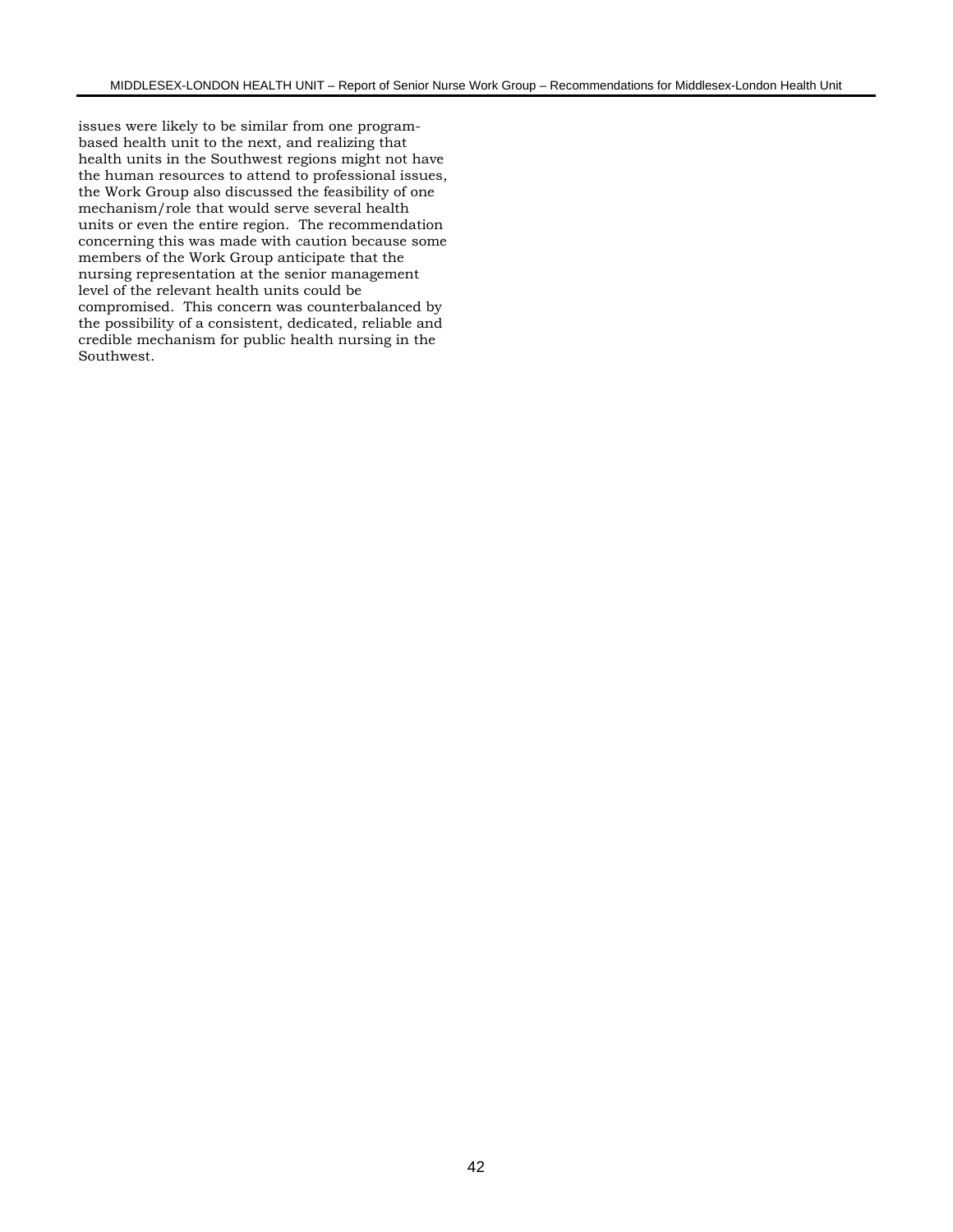issues were likely to be similar from one programbased health unit to the next, and realizing that health units in the Southwest regions might not have the human resources to attend to professional issues, the Work Group also discussed the feasibility of one mechanism/role that would serve several health units or even the entire region. The recommendation concerning this was made with caution because some members of the Work Group anticipate that the nursing representation at the senior management level of the relevant health units could be compromised. This concern was counterbalanced by the possibility of a consistent, dedicated, reliable and credible mechanism for public health nursing in the Southwest.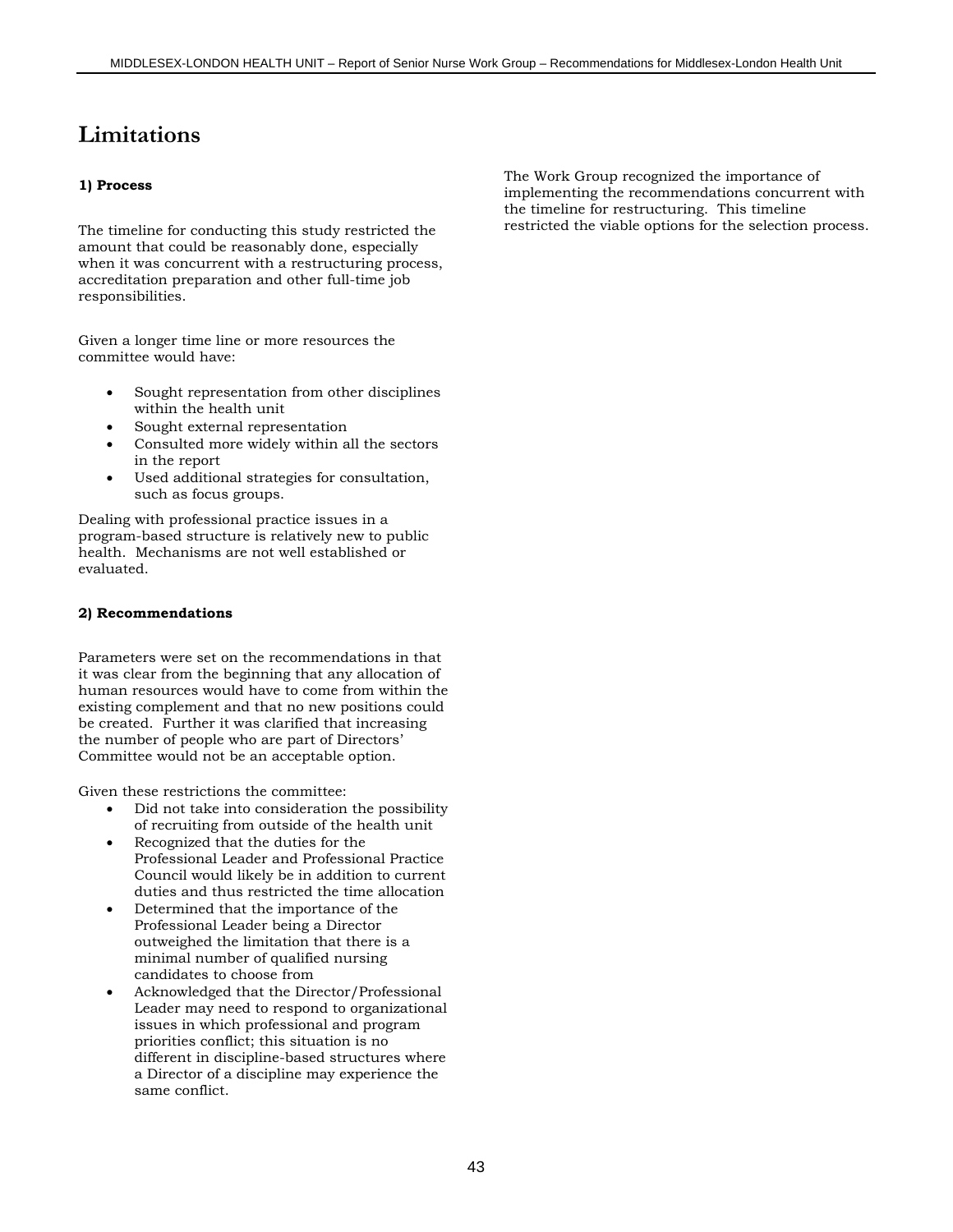# **Limitations**

#### **1) Process**

The timeline for conducting this study restricted the amount that could be reasonably done, especially when it was concurrent with a restructuring process, accreditation preparation and other full-time job responsibilities.

Given a longer time line or more resources the committee would have:

- Sought representation from other disciplines within the health unit
- Sought external representation
- Consulted more widely within all the sectors in the report
- Used additional strategies for consultation, such as focus groups.

Dealing with professional practice issues in a program-based structure is relatively new to public health. Mechanisms are not well established or evaluated.

#### **2) Recommendations**

Parameters were set on the recommendations in that it was clear from the beginning that any allocation of human resources would have to come from within the existing complement and that no new positions could be created. Further it was clarified that increasing the number of people who are part of Directors' Committee would not be an acceptable option.

Given these restrictions the committee:

- Did not take into consideration the possibility of recruiting from outside of the health unit
- Recognized that the duties for the Professional Leader and Professional Practice Council would likely be in addition to current duties and thus restricted the time allocation
- Determined that the importance of the Professional Leader being a Director outweighed the limitation that there is a minimal number of qualified nursing candidates to choose from
- Acknowledged that the Director/Professional Leader may need to respond to organizational issues in which professional and program priorities conflict; this situation is no different in discipline-based structures where a Director of a discipline may experience the same conflict.

The Work Group recognized the importance of implementing the recommendations concurrent with the timeline for restructuring. This timeline restricted the viable options for the selection process.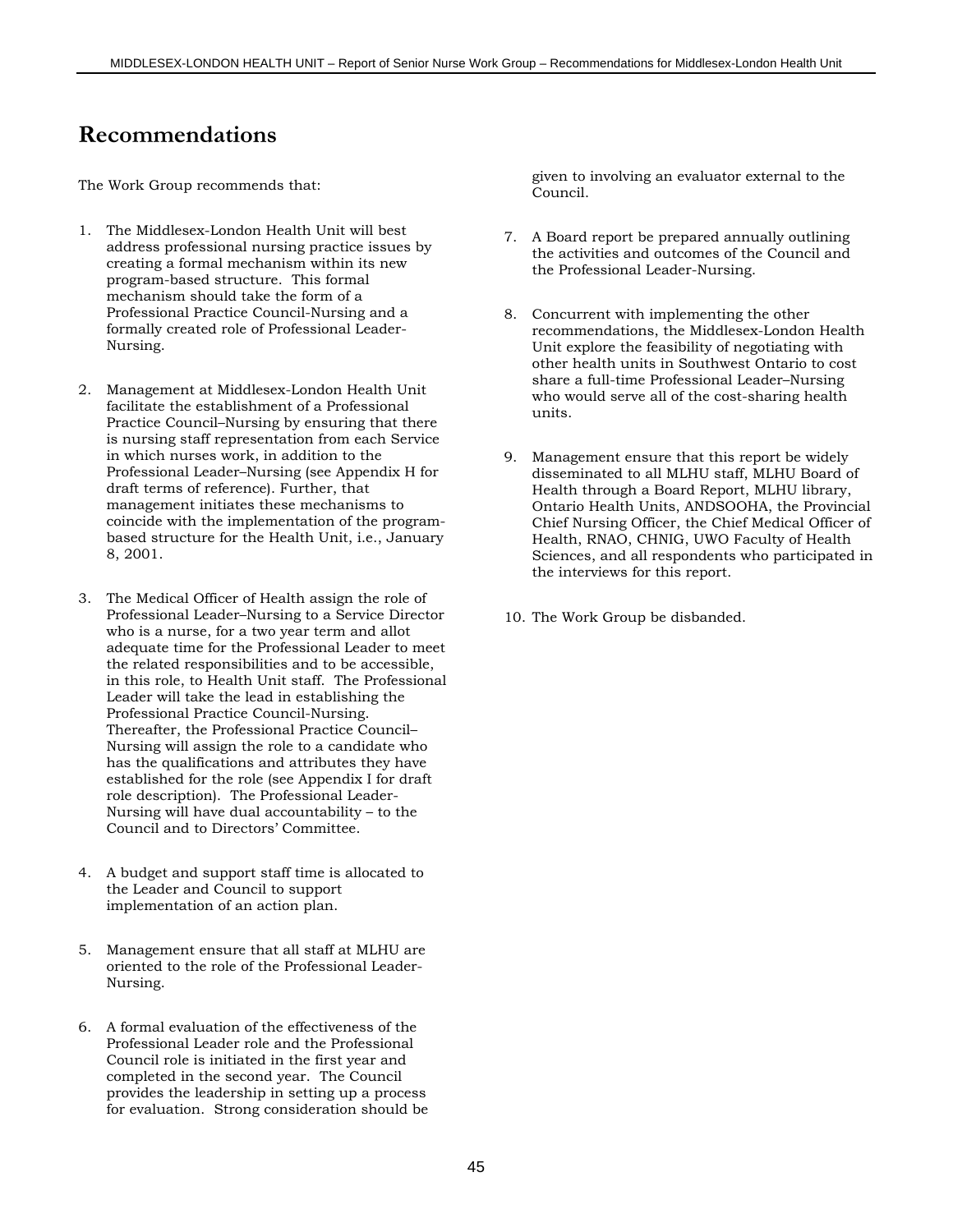# **Recommendations**

The Work Group recommends that:

- 1. The Middlesex-London Health Unit will best address professional nursing practice issues by creating a formal mechanism within its new program-based structure. This formal mechanism should take the form of a Professional Practice Council-Nursing and a formally created role of Professional Leader-Nursing.
- 2. Management at Middlesex-London Health Unit facilitate the establishment of a Professional Practice Council–Nursing by ensuring that there is nursing staff representation from each Service in which nurses work, in addition to the Professional Leader–Nursing (see Appendix H for draft terms of reference). Further, that management initiates these mechanisms to coincide with the implementation of the programbased structure for the Health Unit, i.e., January 8, 2001.
- 3. The Medical Officer of Health assign the role of Professional Leader–Nursing to a Service Director who is a nurse, for a two year term and allot adequate time for the Professional Leader to meet the related responsibilities and to be accessible, in this role, to Health Unit staff. The Professional Leader will take the lead in establishing the Professional Practice Council-Nursing. Thereafter, the Professional Practice Council– Nursing will assign the role to a candidate who has the qualifications and attributes they have established for the role (see Appendix I for draft role description). The Professional Leader-Nursing will have dual accountability – to the Council and to Directors' Committee.
- 4. A budget and support staff time is allocated to the Leader and Council to support implementation of an action plan.
- 5. Management ensure that all staff at MLHU are oriented to the role of the Professional Leader-Nursing.
- 6. A formal evaluation of the effectiveness of the Professional Leader role and the Professional Council role is initiated in the first year and completed in the second year. The Council provides the leadership in setting up a process for evaluation. Strong consideration should be

given to involving an evaluator external to the Council.

- 7. A Board report be prepared annually outlining the activities and outcomes of the Council and the Professional Leader-Nursing.
- 8. Concurrent with implementing the other recommendations, the Middlesex-London Health Unit explore the feasibility of negotiating with other health units in Southwest Ontario to cost share a full-time Professional Leader–Nursing who would serve all of the cost-sharing health units.
- 9. Management ensure that this report be widely disseminated to all MLHU staff, MLHU Board of Health through a Board Report, MLHU library, Ontario Health Units, ANDSOOHA, the Provincial Chief Nursing Officer, the Chief Medical Officer of Health, RNAO, CHNIG, UWO Faculty of Health Sciences, and all respondents who participated in the interviews for this report.
- 10. The Work Group be disbanded.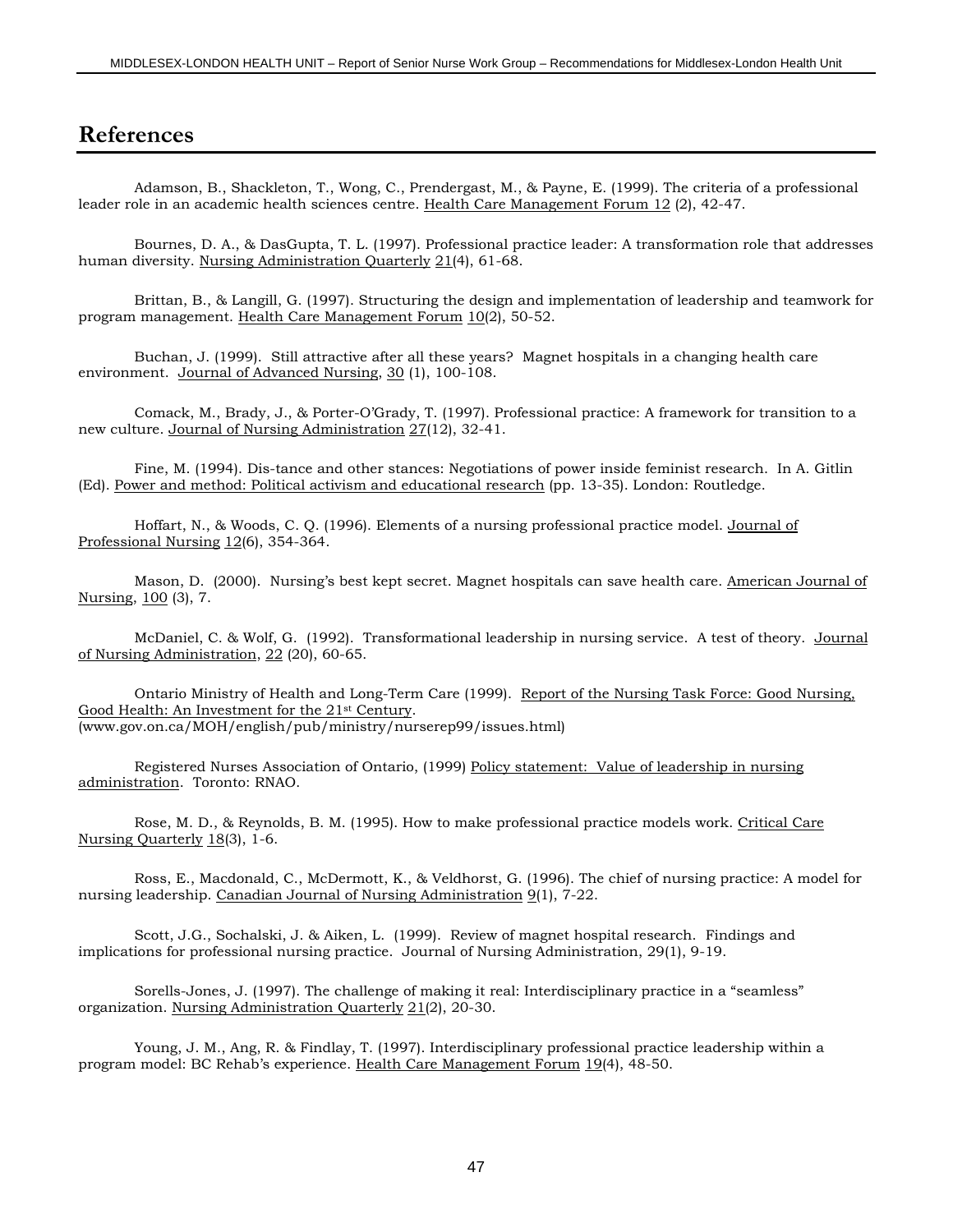# **References**

Adamson, B., Shackleton, T., Wong, C., Prendergast, M., & Payne, E. (1999). The criteria of a professional leader role in an academic health sciences centre. Health Care Management Forum 12 (2), 42-47.

Bournes, D. A., & DasGupta, T. L. (1997). Professional practice leader: A transformation role that addresses human diversity. Nursing Administration Quarterly 21(4), 61-68.

Brittan, B., & Langill, G. (1997). Structuring the design and implementation of leadership and teamwork for program management. Health Care Management Forum 10(2), 50-52.

Buchan, J. (1999). Still attractive after all these years? Magnet hospitals in a changing health care environment. Journal of Advanced Nursing, 30 (1), 100-108.

Comack, M., Brady, J., & Porter-O'Grady, T. (1997). Professional practice: A framework for transition to a new culture. Journal of Nursing Administration 27(12), 32-41.

Fine, M. (1994). Dis-tance and other stances: Negotiations of power inside feminist research. In A. Gitlin (Ed). Power and method: Political activism and educational research (pp. 13-35). London: Routledge.

Hoffart, N., & Woods, C. Q. (1996). Elements of a nursing professional practice model. Journal of Professional Nursing 12(6), 354-364.

Mason, D. (2000). Nursing's best kept secret. Magnet hospitals can save health care. American Journal of Nursing, 100 (3), 7.

McDaniel, C. & Wolf, G. (1992). Transformational leadership in nursing service. A test of theory. Journal of Nursing Administration, 22 (20), 60-65.

Ontario Ministry of Health and Long-Term Care (1999). Report of the Nursing Task Force: Good Nursing, Good Health: An Investment for the 21st Century. (www.gov.on.ca/MOH/english/pub/ministry/nurserep99/issues.html)

Registered Nurses Association of Ontario, (1999) Policy statement: Value of leadership in nursing administration. Toronto: RNAO.

Rose, M. D., & Reynolds, B. M. (1995). How to make professional practice models work. Critical Care Nursing Quarterly 18(3), 1-6.

Ross, E., Macdonald, C., McDermott, K., & Veldhorst, G. (1996). The chief of nursing practice: A model for nursing leadership. Canadian Journal of Nursing Administration 9(1), 7-22.

Scott, J.G., Sochalski, J. & Aiken, L. (1999). Review of magnet hospital research. Findings and implications for professional nursing practice. Journal of Nursing Administration, 29(1), 9-19.

Sorells-Jones, J. (1997). The challenge of making it real: Interdisciplinary practice in a "seamless" organization. Nursing Administration Quarterly 21(2), 20-30.

Young, J. M., Ang, R. & Findlay, T. (1997). Interdisciplinary professional practice leadership within a program model: BC Rehab's experience. Health Care Management Forum 19(4), 48-50.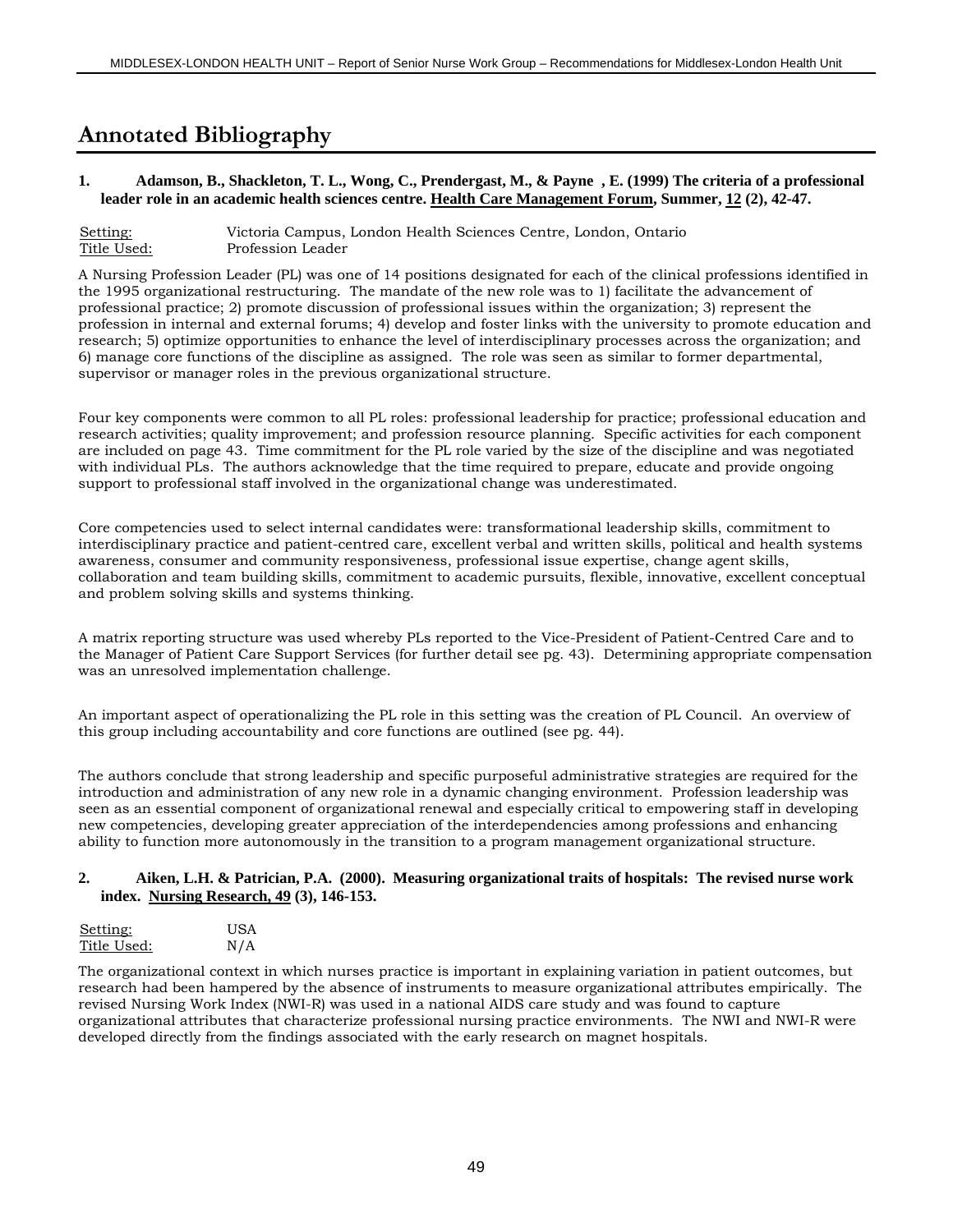# **Annotated Bibliography**

#### **1. Adamson, B., Shackleton, T. L., Wong, C., Prendergast, M., & Payne , E. (1999) The criteria of a professional leader role in an academic health sciences centre. Health Care Management Forum, Summer, 12 (2), 42-47.**

```
Setting: Victoria Campus, London Health Sciences Centre, London, Ontario
      Profession Leader
```
A Nursing Profession Leader (PL) was one of 14 positions designated for each of the clinical professions identified in the 1995 organizational restructuring. The mandate of the new role was to 1) facilitate the advancement of professional practice; 2) promote discussion of professional issues within the organization; 3) represent the profession in internal and external forums; 4) develop and foster links with the university to promote education and research; 5) optimize opportunities to enhance the level of interdisciplinary processes across the organization; and 6) manage core functions of the discipline as assigned. The role was seen as similar to former departmental, supervisor or manager roles in the previous organizational structure.

Four key components were common to all PL roles: professional leadership for practice; professional education and research activities; quality improvement; and profession resource planning. Specific activities for each component are included on page 43. Time commitment for the PL role varied by the size of the discipline and was negotiated with individual PLs. The authors acknowledge that the time required to prepare, educate and provide ongoing support to professional staff involved in the organizational change was underestimated.

Core competencies used to select internal candidates were: transformational leadership skills, commitment to interdisciplinary practice and patient-centred care, excellent verbal and written skills, political and health systems awareness, consumer and community responsiveness, professional issue expertise, change agent skills, collaboration and team building skills, commitment to academic pursuits, flexible, innovative, excellent conceptual and problem solving skills and systems thinking.

A matrix reporting structure was used whereby PLs reported to the Vice-President of Patient-Centred Care and to the Manager of Patient Care Support Services (for further detail see pg. 43). Determining appropriate compensation was an unresolved implementation challenge.

An important aspect of operationalizing the PL role in this setting was the creation of PL Council. An overview of this group including accountability and core functions are outlined (see pg. 44).

The authors conclude that strong leadership and specific purposeful administrative strategies are required for the introduction and administration of any new role in a dynamic changing environment. Profession leadership was seen as an essential component of organizational renewal and especially critical to empowering staff in developing new competencies, developing greater appreciation of the interdependencies among professions and enhancing ability to function more autonomously in the transition to a program management organizational structure.

#### **2. Aiken, L.H. & Patrician, P.A. (2000). Measuring organizational traits of hospitals: The revised nurse work index. Nursing Research, 49 (3), 146-153.**

| Setting:    | <b>USA</b> |
|-------------|------------|
| Title Used: | N/A        |

The organizational context in which nurses practice is important in explaining variation in patient outcomes, but research had been hampered by the absence of instruments to measure organizational attributes empirically. The revised Nursing Work Index (NWI-R) was used in a national AIDS care study and was found to capture organizational attributes that characterize professional nursing practice environments. The NWI and NWI-R were developed directly from the findings associated with the early research on magnet hospitals.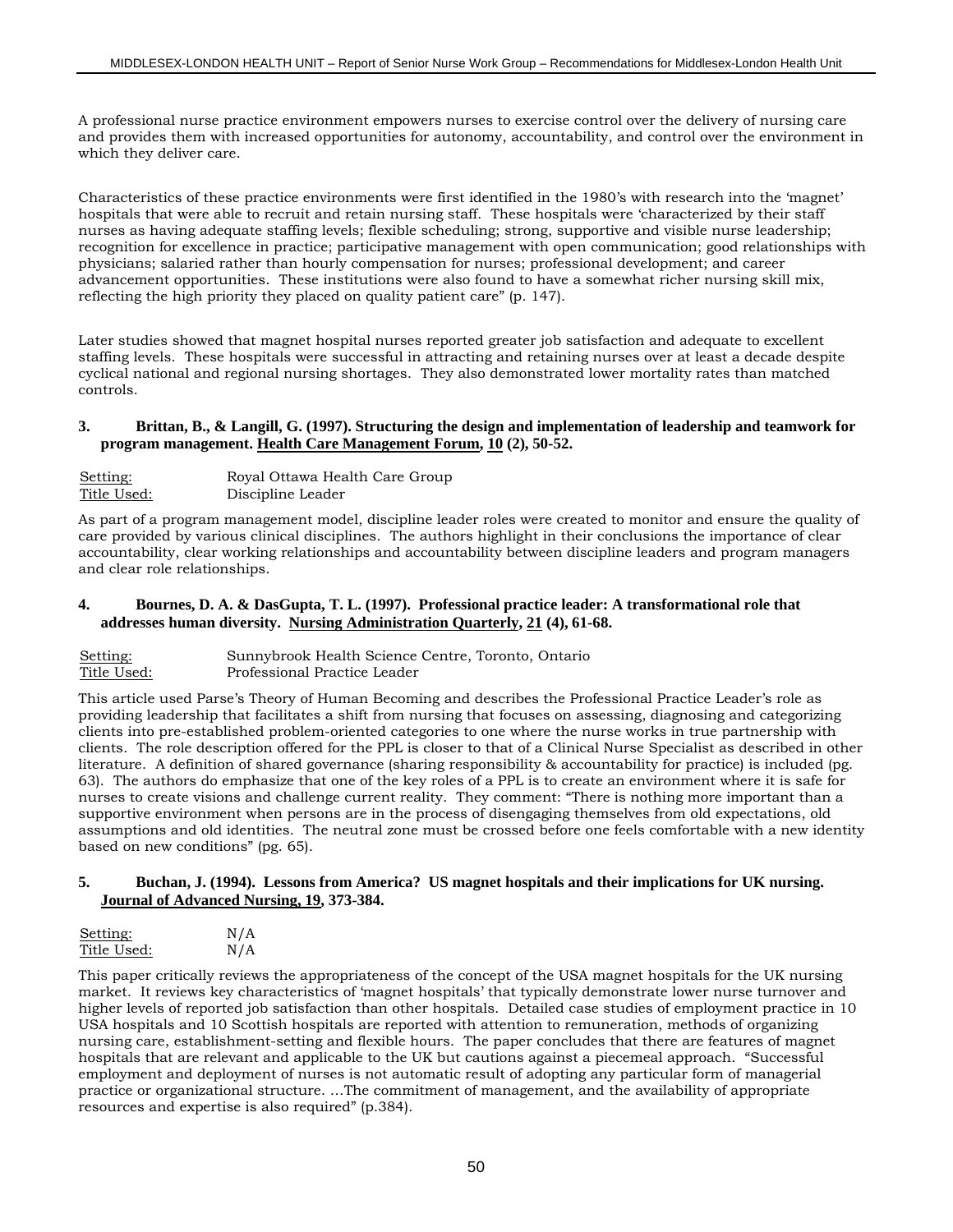A professional nurse practice environment empowers nurses to exercise control over the delivery of nursing care and provides them with increased opportunities for autonomy, accountability, and control over the environment in which they deliver care.

Characteristics of these practice environments were first identified in the 1980's with research into the 'magnet' hospitals that were able to recruit and retain nursing staff. These hospitals were 'characterized by their staff nurses as having adequate staffing levels; flexible scheduling; strong, supportive and visible nurse leadership; recognition for excellence in practice; participative management with open communication; good relationships with physicians; salaried rather than hourly compensation for nurses; professional development; and career advancement opportunities. These institutions were also found to have a somewhat richer nursing skill mix, reflecting the high priority they placed on quality patient care" (p. 147).

Later studies showed that magnet hospital nurses reported greater job satisfaction and adequate to excellent staffing levels. These hospitals were successful in attracting and retaining nurses over at least a decade despite cyclical national and regional nursing shortages. They also demonstrated lower mortality rates than matched controls.

#### **3. Brittan, B., & Langill, G. (1997). Structuring the design and implementation of leadership and teamwork for program management. Health Care Management Forum, 10 (2), 50-52.**

| Setting:    | Royal Ottawa Health Care Group |
|-------------|--------------------------------|
| Title Used: | Discipline Leader              |

As part of a program management model, discipline leader roles were created to monitor and ensure the quality of care provided by various clinical disciplines. The authors highlight in their conclusions the importance of clear accountability, clear working relationships and accountability between discipline leaders and program managers and clear role relationships.

#### **4. Bournes, D. A. & DasGupta, T. L. (1997). Professional practice leader: A transformational role that addresses human diversity. Nursing Administration Quarterly, 21 (4), 61-68.**

| Setting:    | Sunnybrook Health Science Centre, Toronto, Ontario |
|-------------|----------------------------------------------------|
| Title Used: | Professional Practice Leader                       |

This article used Parse's Theory of Human Becoming and describes the Professional Practice Leader's role as providing leadership that facilitates a shift from nursing that focuses on assessing, diagnosing and categorizing clients into pre-established problem-oriented categories to one where the nurse works in true partnership with clients. The role description offered for the PPL is closer to that of a Clinical Nurse Specialist as described in other literature. A definition of shared governance (sharing responsibility & accountability for practice) is included (pg. 63). The authors do emphasize that one of the key roles of a PPL is to create an environment where it is safe for nurses to create visions and challenge current reality. They comment: "There is nothing more important than a supportive environment when persons are in the process of disengaging themselves from old expectations, old assumptions and old identities. The neutral zone must be crossed before one feels comfortable with a new identity based on new conditions" (pg. 65).

#### **5. Buchan, J. (1994). Lessons from America? US magnet hospitals and their implications for UK nursing. Journal of Advanced Nursing, 19, 373-384.**

| Setting:    | N/A |
|-------------|-----|
| Title Used: | N/A |

This paper critically reviews the appropriateness of the concept of the USA magnet hospitals for the UK nursing market. It reviews key characteristics of 'magnet hospitals' that typically demonstrate lower nurse turnover and higher levels of reported job satisfaction than other hospitals. Detailed case studies of employment practice in 10 USA hospitals and 10 Scottish hospitals are reported with attention to remuneration, methods of organizing nursing care, establishment-setting and flexible hours. The paper concludes that there are features of magnet hospitals that are relevant and applicable to the UK but cautions against a piecemeal approach. "Successful employment and deployment of nurses is not automatic result of adopting any particular form of managerial practice or organizational structure. …The commitment of management, and the availability of appropriate resources and expertise is also required" (p.384).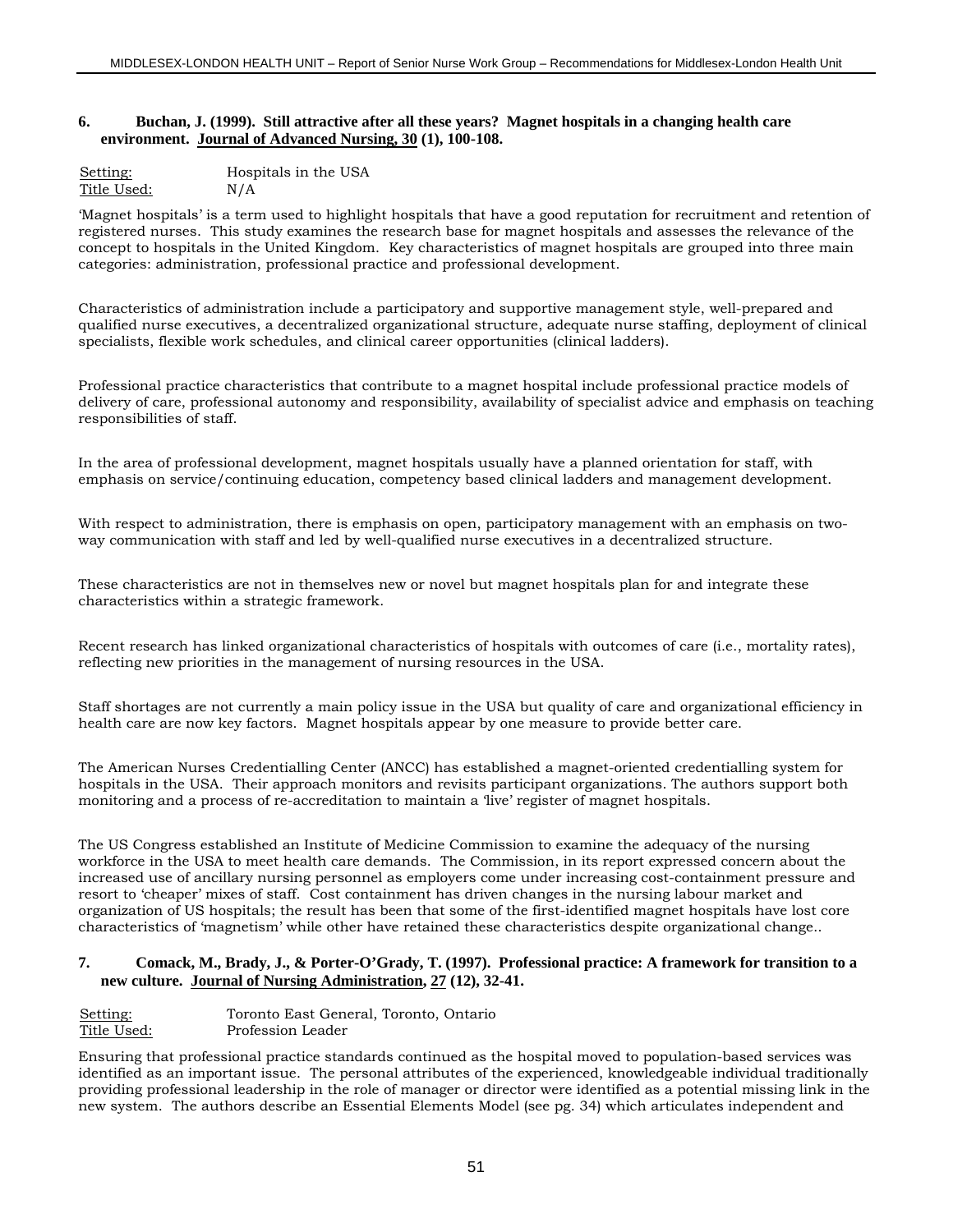#### **6. Buchan, J. (1999). Still attractive after all these years? Magnet hospitals in a changing health care environment. Journal of Advanced Nursing, 30 (1), 100-108.**

| Setting:    | Hospitals in the USA |
|-------------|----------------------|
| Title Used: | N/A                  |

'Magnet hospitals' is a term used to highlight hospitals that have a good reputation for recruitment and retention of registered nurses. This study examines the research base for magnet hospitals and assesses the relevance of the concept to hospitals in the United Kingdom. Key characteristics of magnet hospitals are grouped into three main categories: administration, professional practice and professional development.

Characteristics of administration include a participatory and supportive management style, well-prepared and qualified nurse executives, a decentralized organizational structure, adequate nurse staffing, deployment of clinical specialists, flexible work schedules, and clinical career opportunities (clinical ladders).

Professional practice characteristics that contribute to a magnet hospital include professional practice models of delivery of care, professional autonomy and responsibility, availability of specialist advice and emphasis on teaching responsibilities of staff.

In the area of professional development, magnet hospitals usually have a planned orientation for staff, with emphasis on service/continuing education, competency based clinical ladders and management development.

With respect to administration, there is emphasis on open, participatory management with an emphasis on twoway communication with staff and led by well-qualified nurse executives in a decentralized structure.

These characteristics are not in themselves new or novel but magnet hospitals plan for and integrate these characteristics within a strategic framework.

Recent research has linked organizational characteristics of hospitals with outcomes of care (i.e., mortality rates), reflecting new priorities in the management of nursing resources in the USA.

Staff shortages are not currently a main policy issue in the USA but quality of care and organizational efficiency in health care are now key factors. Magnet hospitals appear by one measure to provide better care.

The American Nurses Credentialling Center (ANCC) has established a magnet-oriented credentialling system for hospitals in the USA. Their approach monitors and revisits participant organizations. The authors support both monitoring and a process of re-accreditation to maintain a 'live' register of magnet hospitals.

The US Congress established an Institute of Medicine Commission to examine the adequacy of the nursing workforce in the USA to meet health care demands. The Commission, in its report expressed concern about the increased use of ancillary nursing personnel as employers come under increasing cost-containment pressure and resort to 'cheaper' mixes of staff. Cost containment has driven changes in the nursing labour market and organization of US hospitals; the result has been that some of the first-identified magnet hospitals have lost core characteristics of 'magnetism' while other have retained these characteristics despite organizational change..

#### **7. Comack, M., Brady, J., & Porter-O'Grady, T. (1997). Professional practice: A framework for transition to a new culture. Journal of Nursing Administration, 27 (12), 32-41.**

| Setting:    | Toronto East General, Toronto, Ontario |
|-------------|----------------------------------------|
| Title Used: | Profession Leader                      |

Ensuring that professional practice standards continued as the hospital moved to population-based services was identified as an important issue. The personal attributes of the experienced, knowledgeable individual traditionally providing professional leadership in the role of manager or director were identified as a potential missing link in the new system. The authors describe an Essential Elements Model (see pg. 34) which articulates independent and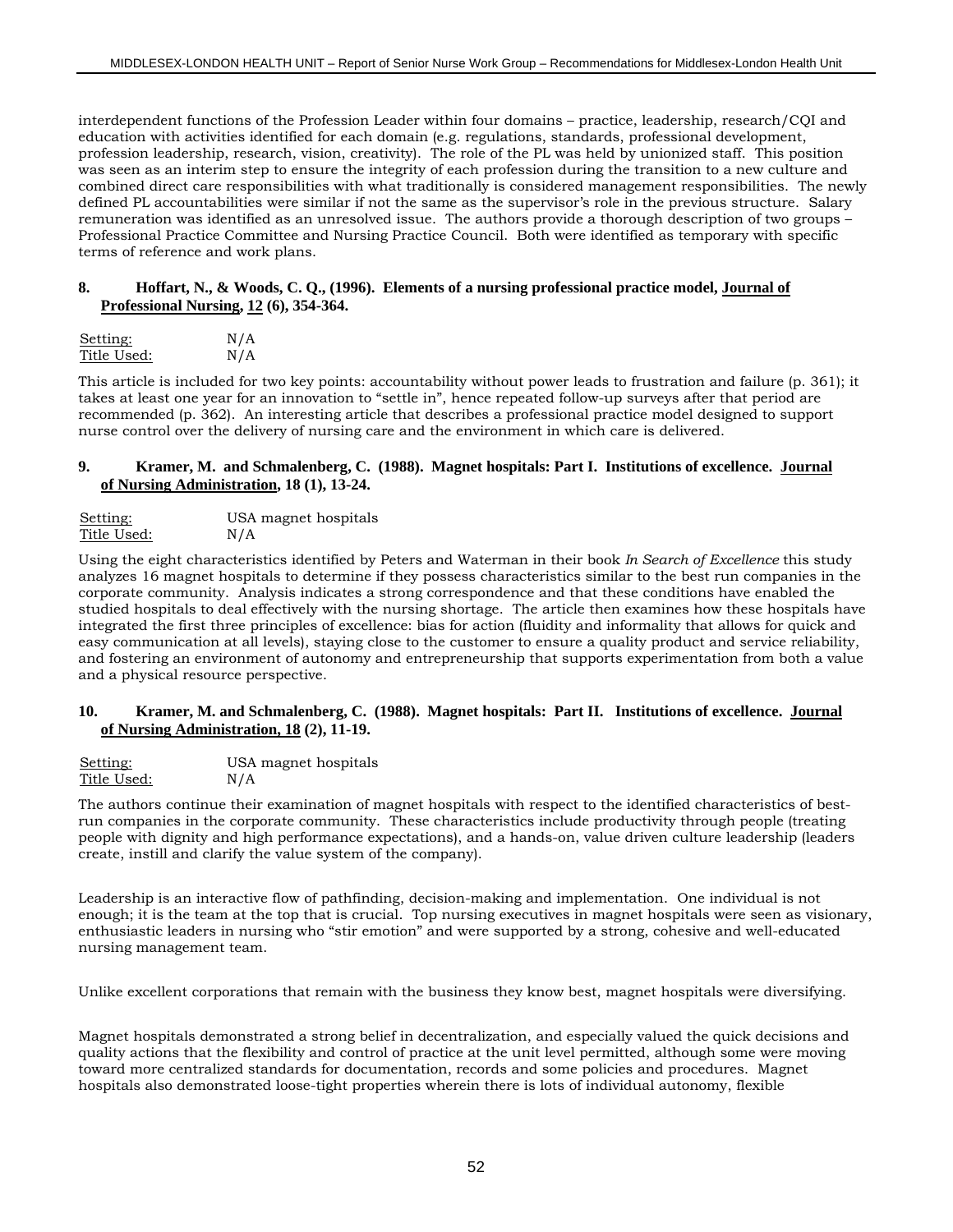interdependent functions of the Profession Leader within four domains – practice, leadership, research/CQI and education with activities identified for each domain (e.g. regulations, standards, professional development, profession leadership, research, vision, creativity). The role of the PL was held by unionized staff. This position was seen as an interim step to ensure the integrity of each profession during the transition to a new culture and combined direct care responsibilities with what traditionally is considered management responsibilities. The newly defined PL accountabilities were similar if not the same as the supervisor's role in the previous structure. Salary remuneration was identified as an unresolved issue. The authors provide a thorough description of two groups – Professional Practice Committee and Nursing Practice Council. Both were identified as temporary with specific terms of reference and work plans.

#### **8. Hoffart, N., & Woods, C. Q., (1996). Elements of a nursing professional practice model, Journal of Professional Nursing, 12 (6), 354-364.**

| Setting:    | N/A |
|-------------|-----|
| Title Used: | N/A |

This article is included for two key points: accountability without power leads to frustration and failure (p. 361); it takes at least one year for an innovation to "settle in", hence repeated follow-up surveys after that period are recommended (p. 362). An interesting article that describes a professional practice model designed to support nurse control over the delivery of nursing care and the environment in which care is delivered.

#### **9. Kramer, M. and Schmalenberg, C. (1988). Magnet hospitals: Part I. Institutions of excellence. Journal of Nursing Administration, 18 (1), 13-24.**

| Setting:    | USA magnet hospitals |
|-------------|----------------------|
| Title Used: | N/A                  |

Using the eight characteristics identified by Peters and Waterman in their book *In Search of Excellence* this study analyzes 16 magnet hospitals to determine if they possess characteristics similar to the best run companies in the corporate community. Analysis indicates a strong correspondence and that these conditions have enabled the studied hospitals to deal effectively with the nursing shortage. The article then examines how these hospitals have integrated the first three principles of excellence: bias for action (fluidity and informality that allows for quick and easy communication at all levels), staying close to the customer to ensure a quality product and service reliability, and fostering an environment of autonomy and entrepreneurship that supports experimentation from both a value and a physical resource perspective.

#### **10. Kramer, M. and Schmalenberg, C. (1988). Magnet hospitals: Part II. Institutions of excellence. Journal of Nursing Administration, 18 (2), 11-19.**

| Setting:    | USA magnet hospitals |
|-------------|----------------------|
| Title Used: | N/A                  |

The authors continue their examination of magnet hospitals with respect to the identified characteristics of bestrun companies in the corporate community. These characteristics include productivity through people (treating people with dignity and high performance expectations), and a hands-on, value driven culture leadership (leaders create, instill and clarify the value system of the company).

Leadership is an interactive flow of pathfinding, decision-making and implementation. One individual is not enough; it is the team at the top that is crucial. Top nursing executives in magnet hospitals were seen as visionary, enthusiastic leaders in nursing who "stir emotion" and were supported by a strong, cohesive and well-educated nursing management team.

Unlike excellent corporations that remain with the business they know best, magnet hospitals were diversifying.

Magnet hospitals demonstrated a strong belief in decentralization, and especially valued the quick decisions and quality actions that the flexibility and control of practice at the unit level permitted, although some were moving toward more centralized standards for documentation, records and some policies and procedures. Magnet hospitals also demonstrated loose-tight properties wherein there is lots of individual autonomy, flexible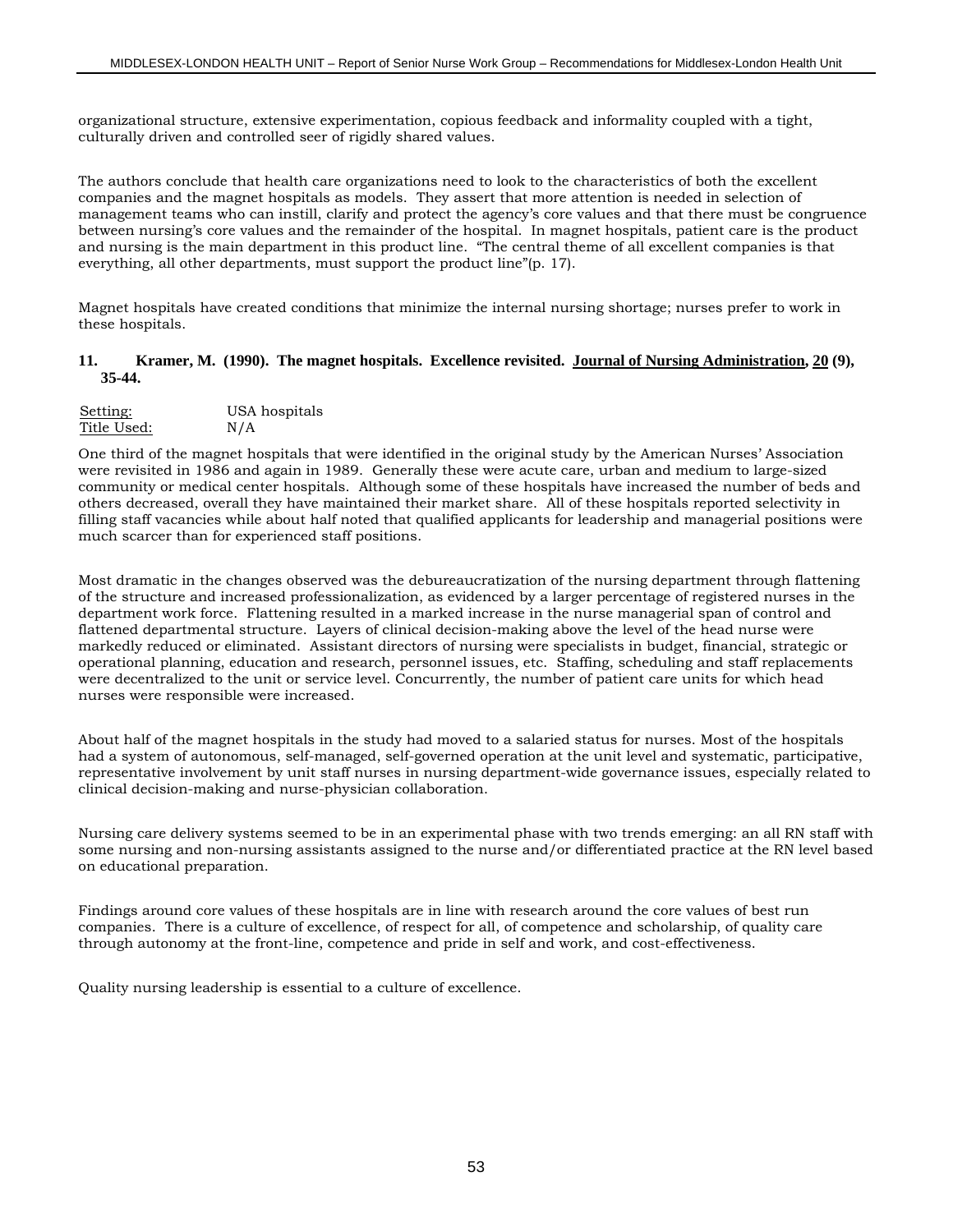organizational structure, extensive experimentation, copious feedback and informality coupled with a tight, culturally driven and controlled seer of rigidly shared values.

The authors conclude that health care organizations need to look to the characteristics of both the excellent companies and the magnet hospitals as models. They assert that more attention is needed in selection of management teams who can instill, clarify and protect the agency's core values and that there must be congruence between nursing's core values and the remainder of the hospital. In magnet hospitals, patient care is the product and nursing is the main department in this product line. "The central theme of all excellent companies is that everything, all other departments, must support the product line"(p. 17).

Magnet hospitals have created conditions that minimize the internal nursing shortage; nurses prefer to work in these hospitals.

#### **11. Kramer, M. (1990). The magnet hospitals. Excellence revisited. Journal of Nursing Administration, 20 (9), 35-44.**

| Setting:    | USA hospitals |
|-------------|---------------|
| Title Used: | N/A           |

One third of the magnet hospitals that were identified in the original study by the American Nurses' Association were revisited in 1986 and again in 1989. Generally these were acute care, urban and medium to large-sized community or medical center hospitals. Although some of these hospitals have increased the number of beds and others decreased, overall they have maintained their market share. All of these hospitals reported selectivity in filling staff vacancies while about half noted that qualified applicants for leadership and managerial positions were much scarcer than for experienced staff positions.

Most dramatic in the changes observed was the debureaucratization of the nursing department through flattening of the structure and increased professionalization, as evidenced by a larger percentage of registered nurses in the department work force. Flattening resulted in a marked increase in the nurse managerial span of control and flattened departmental structure. Layers of clinical decision-making above the level of the head nurse were markedly reduced or eliminated. Assistant directors of nursing were specialists in budget, financial, strategic or operational planning, education and research, personnel issues, etc. Staffing, scheduling and staff replacements were decentralized to the unit or service level. Concurrently, the number of patient care units for which head nurses were responsible were increased.

About half of the magnet hospitals in the study had moved to a salaried status for nurses. Most of the hospitals had a system of autonomous, self-managed, self-governed operation at the unit level and systematic, participative, representative involvement by unit staff nurses in nursing department-wide governance issues, especially related to clinical decision-making and nurse-physician collaboration.

Nursing care delivery systems seemed to be in an experimental phase with two trends emerging: an all RN staff with some nursing and non-nursing assistants assigned to the nurse and/or differentiated practice at the RN level based on educational preparation.

Findings around core values of these hospitals are in line with research around the core values of best run companies. There is a culture of excellence, of respect for all, of competence and scholarship, of quality care through autonomy at the front-line, competence and pride in self and work, and cost-effectiveness.

Quality nursing leadership is essential to a culture of excellence.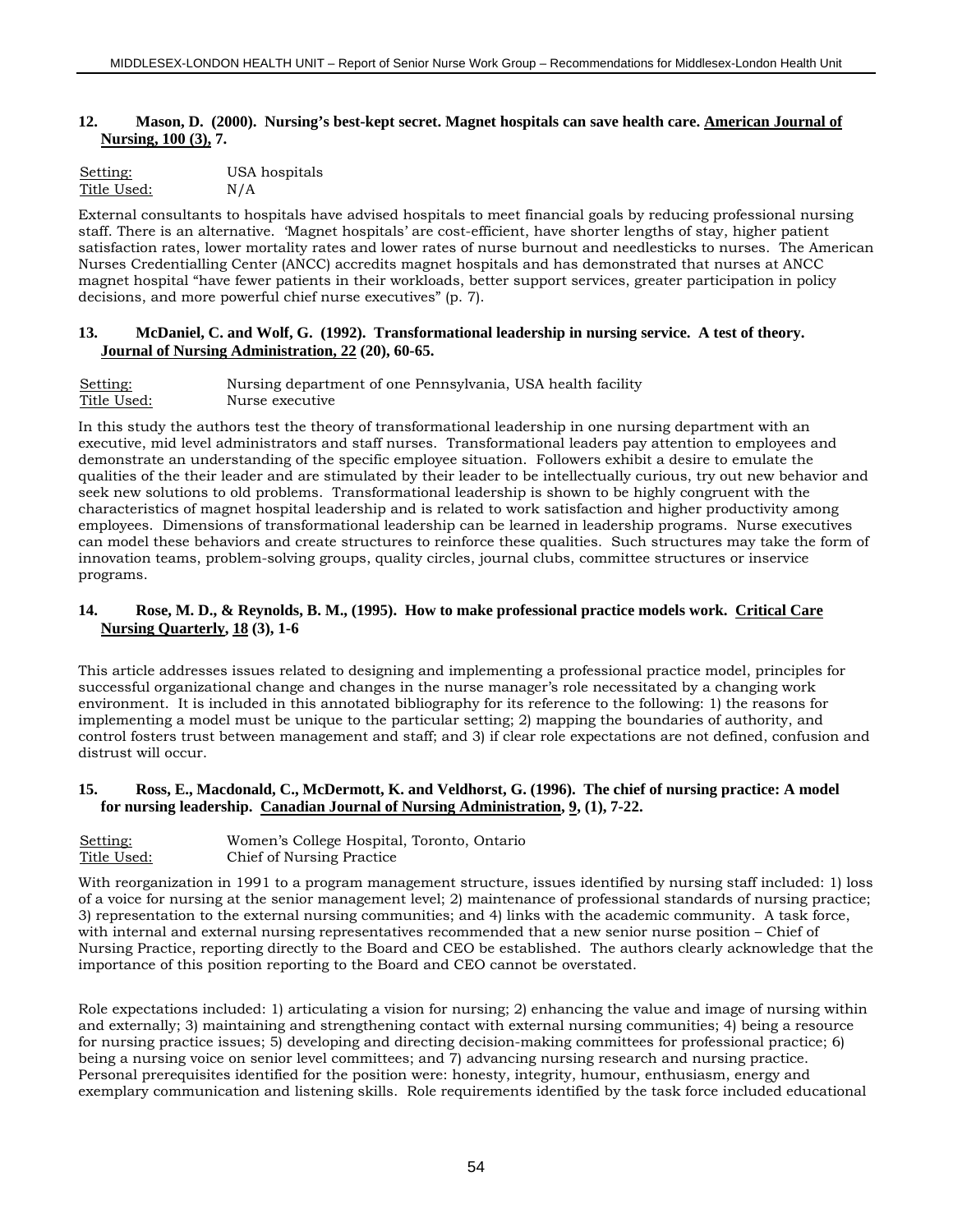#### **12. Mason, D. (2000). Nursing's best-kept secret. Magnet hospitals can save health care. American Journal of Nursing, 100 (3), 7.**

| Setting:    | USA hospitals |
|-------------|---------------|
| Title Used: | N/A           |

External consultants to hospitals have advised hospitals to meet financial goals by reducing professional nursing staff. There is an alternative. 'Magnet hospitals' are cost-efficient, have shorter lengths of stay, higher patient satisfaction rates, lower mortality rates and lower rates of nurse burnout and needlesticks to nurses. The American Nurses Credentialling Center (ANCC) accredits magnet hospitals and has demonstrated that nurses at ANCC magnet hospital "have fewer patients in their workloads, better support services, greater participation in policy decisions, and more powerful chief nurse executives" (p. 7).

#### **13. McDaniel, C. and Wolf, G. (1992). Transformational leadership in nursing service. A test of theory. Journal of Nursing Administration, 22 (20), 60-65.**

| Setting:    | Nursing department of one Pennsylvania, USA health facility |
|-------------|-------------------------------------------------------------|
| Title Used: | Nurse executive                                             |

In this study the authors test the theory of transformational leadership in one nursing department with an executive, mid level administrators and staff nurses. Transformational leaders pay attention to employees and demonstrate an understanding of the specific employee situation. Followers exhibit a desire to emulate the qualities of the their leader and are stimulated by their leader to be intellectually curious, try out new behavior and seek new solutions to old problems. Transformational leadership is shown to be highly congruent with the characteristics of magnet hospital leadership and is related to work satisfaction and higher productivity among employees. Dimensions of transformational leadership can be learned in leadership programs. Nurse executives can model these behaviors and create structures to reinforce these qualities. Such structures may take the form of innovation teams, problem-solving groups, quality circles, journal clubs, committee structures or inservice programs.

#### **14. Rose, M. D., & Reynolds, B. M., (1995). How to make professional practice models work. Critical Care Nursing Quarterly, 18 (3), 1-6**

This article addresses issues related to designing and implementing a professional practice model, principles for successful organizational change and changes in the nurse manager's role necessitated by a changing work environment. It is included in this annotated bibliography for its reference to the following: 1) the reasons for implementing a model must be unique to the particular setting; 2) mapping the boundaries of authority, and control fosters trust between management and staff; and 3) if clear role expectations are not defined, confusion and distrust will occur.

#### **15. Ross, E., Macdonald, C., McDermott, K. and Veldhorst, G. (1996). The chief of nursing practice: A model for nursing leadership. Canadian Journal of Nursing Administration, 9, (1), 7-22.**

| Setting:    | Women's College Hospital, Toronto, Ontario |
|-------------|--------------------------------------------|
| Title Used: | Chief of Nursing Practice                  |

With reorganization in 1991 to a program management structure, issues identified by nursing staff included: 1) loss of a voice for nursing at the senior management level; 2) maintenance of professional standards of nursing practice; 3) representation to the external nursing communities; and 4) links with the academic community. A task force, with internal and external nursing representatives recommended that a new senior nurse position – Chief of Nursing Practice, reporting directly to the Board and CEO be established. The authors clearly acknowledge that the importance of this position reporting to the Board and CEO cannot be overstated.

Role expectations included: 1) articulating a vision for nursing; 2) enhancing the value and image of nursing within and externally; 3) maintaining and strengthening contact with external nursing communities; 4) being a resource for nursing practice issues; 5) developing and directing decision-making committees for professional practice; 6) being a nursing voice on senior level committees; and 7) advancing nursing research and nursing practice. Personal prerequisites identified for the position were: honesty, integrity, humour, enthusiasm, energy and exemplary communication and listening skills. Role requirements identified by the task force included educational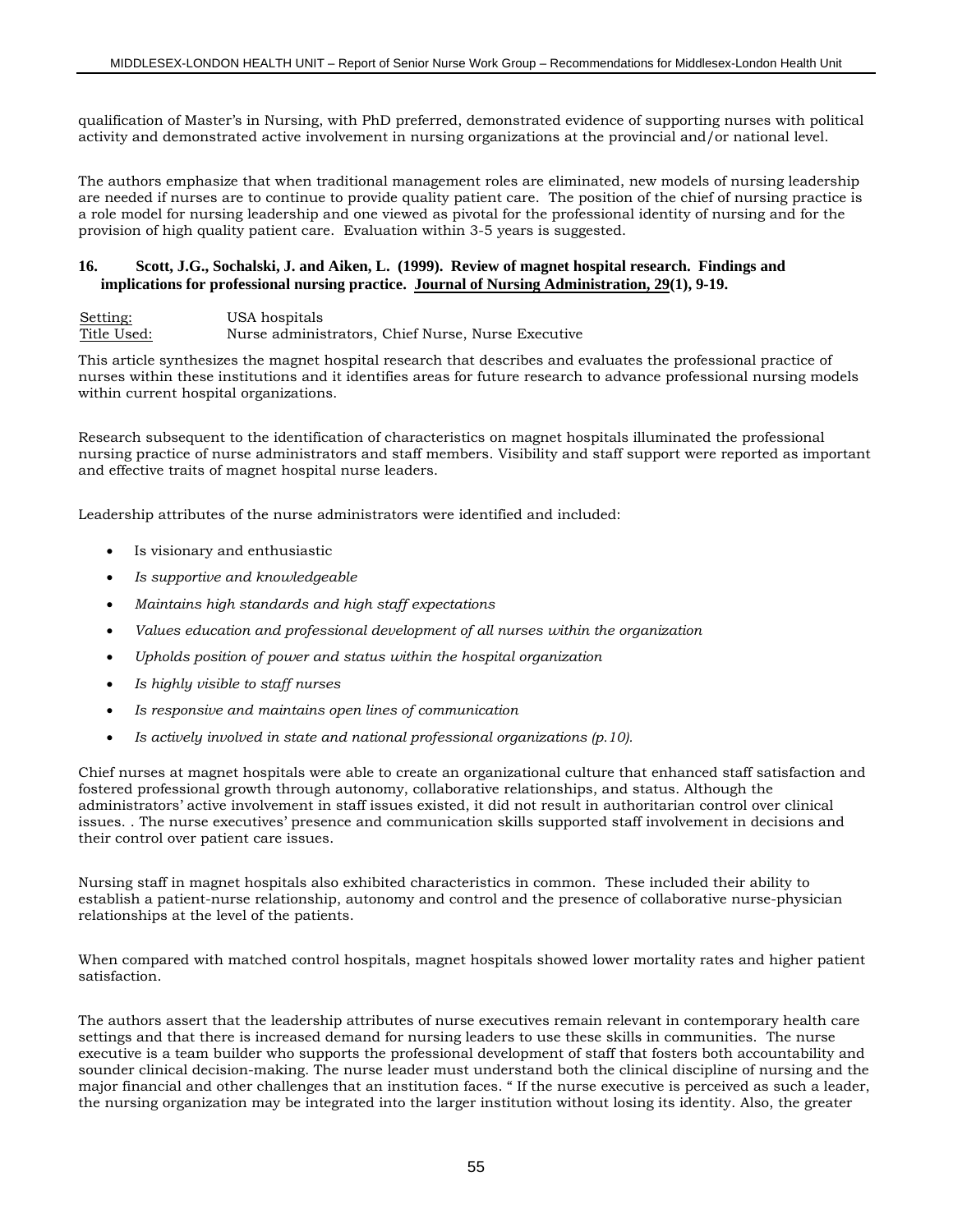qualification of Master's in Nursing, with PhD preferred, demonstrated evidence of supporting nurses with political activity and demonstrated active involvement in nursing organizations at the provincial and/or national level.

The authors emphasize that when traditional management roles are eliminated, new models of nursing leadership are needed if nurses are to continue to provide quality patient care. The position of the chief of nursing practice is a role model for nursing leadership and one viewed as pivotal for the professional identity of nursing and for the provision of high quality patient care. Evaluation within 3-5 years is suggested.

#### **16. Scott, J.G., Sochalski, J. and Aiken, L. (1999). Review of magnet hospital research. Findings and implications for professional nursing practice. Journal of Nursing Administration, 29(1), 9-19.**

Setting: USA hospitals Title Used: Nurse administrators, Chief Nurse, Nurse Executive

This article synthesizes the magnet hospital research that describes and evaluates the professional practice of nurses within these institutions and it identifies areas for future research to advance professional nursing models within current hospital organizations.

Research subsequent to the identification of characteristics on magnet hospitals illuminated the professional nursing practice of nurse administrators and staff members. Visibility and staff support were reported as important and effective traits of magnet hospital nurse leaders.

Leadership attributes of the nurse administrators were identified and included:

- Is visionary and enthusiastic
- *Is supportive and knowledgeable*
- *Maintains high standards and high staff expectations*
- *Values education and professional development of all nurses within the organization*
- *Upholds position of power and status within the hospital organization*
- *Is highly visible to staff nurses*
- *Is responsive and maintains open lines of communication*
- *Is actively involved in state and national professional organizations (p.10).*

Chief nurses at magnet hospitals were able to create an organizational culture that enhanced staff satisfaction and fostered professional growth through autonomy, collaborative relationships, and status. Although the administrators' active involvement in staff issues existed, it did not result in authoritarian control over clinical issues. . The nurse executives' presence and communication skills supported staff involvement in decisions and their control over patient care issues.

Nursing staff in magnet hospitals also exhibited characteristics in common. These included their ability to establish a patient-nurse relationship, autonomy and control and the presence of collaborative nurse-physician relationships at the level of the patients.

When compared with matched control hospitals, magnet hospitals showed lower mortality rates and higher patient satisfaction.

The authors assert that the leadership attributes of nurse executives remain relevant in contemporary health care settings and that there is increased demand for nursing leaders to use these skills in communities. The nurse executive is a team builder who supports the professional development of staff that fosters both accountability and sounder clinical decision-making. The nurse leader must understand both the clinical discipline of nursing and the major financial and other challenges that an institution faces. " If the nurse executive is perceived as such a leader, the nursing organization may be integrated into the larger institution without losing its identity. Also, the greater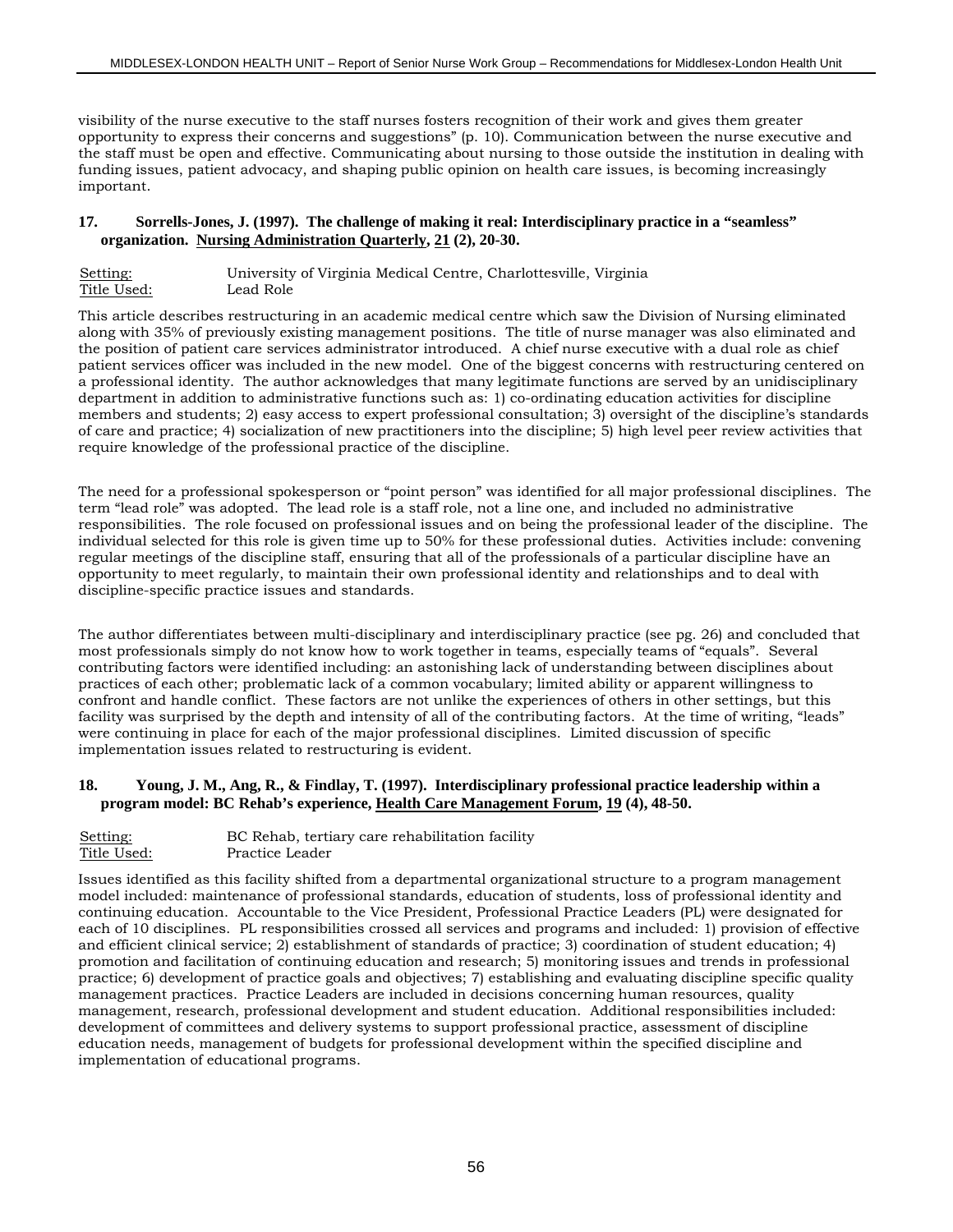visibility of the nurse executive to the staff nurses fosters recognition of their work and gives them greater opportunity to express their concerns and suggestions" (p. 10). Communication between the nurse executive and the staff must be open and effective. Communicating about nursing to those outside the institution in dealing with funding issues, patient advocacy, and shaping public opinion on health care issues, is becoming increasingly important.

#### **17. Sorrells-Jones, J. (1997). The challenge of making it real: Interdisciplinary practice in a "seamless" organization. Nursing Administration Quarterly, 21 (2), 20-30.**

| Setting:    | University of Virginia Medical Centre, Charlottesville, Virginia |  |
|-------------|------------------------------------------------------------------|--|
| Title Used: | Lead Role                                                        |  |

This article describes restructuring in an academic medical centre which saw the Division of Nursing eliminated along with 35% of previously existing management positions. The title of nurse manager was also eliminated and the position of patient care services administrator introduced. A chief nurse executive with a dual role as chief patient services officer was included in the new model. One of the biggest concerns with restructuring centered on a professional identity. The author acknowledges that many legitimate functions are served by an unidisciplinary department in addition to administrative functions such as: 1) co-ordinating education activities for discipline members and students; 2) easy access to expert professional consultation; 3) oversight of the discipline's standards of care and practice; 4) socialization of new practitioners into the discipline; 5) high level peer review activities that require knowledge of the professional practice of the discipline.

The need for a professional spokesperson or "point person" was identified for all major professional disciplines. The term "lead role" was adopted. The lead role is a staff role, not a line one, and included no administrative responsibilities. The role focused on professional issues and on being the professional leader of the discipline. The individual selected for this role is given time up to 50% for these professional duties. Activities include: convening regular meetings of the discipline staff, ensuring that all of the professionals of a particular discipline have an opportunity to meet regularly, to maintain their own professional identity and relationships and to deal with discipline-specific practice issues and standards.

The author differentiates between multi-disciplinary and interdisciplinary practice (see pg. 26) and concluded that most professionals simply do not know how to work together in teams, especially teams of "equals". Several contributing factors were identified including: an astonishing lack of understanding between disciplines about practices of each other; problematic lack of a common vocabulary; limited ability or apparent willingness to confront and handle conflict. These factors are not unlike the experiences of others in other settings, but this facility was surprised by the depth and intensity of all of the contributing factors. At the time of writing, "leads" were continuing in place for each of the major professional disciplines. Limited discussion of specific implementation issues related to restructuring is evident.

#### **18. Young, J. M., Ang, R., & Findlay, T. (1997). Interdisciplinary professional practice leadership within a program model: BC Rehab's experience, Health Care Management Forum, 19 (4), 48-50.**

| Setting:    | BC Rehab, tertiary care rehabilitation facility |
|-------------|-------------------------------------------------|
| Title Used: | Practice Leader                                 |

Issues identified as this facility shifted from a departmental organizational structure to a program management model included: maintenance of professional standards, education of students, loss of professional identity and continuing education. Accountable to the Vice President, Professional Practice Leaders (PL) were designated for each of 10 disciplines. PL responsibilities crossed all services and programs and included: 1) provision of effective and efficient clinical service; 2) establishment of standards of practice; 3) coordination of student education; 4) promotion and facilitation of continuing education and research; 5) monitoring issues and trends in professional practice; 6) development of practice goals and objectives; 7) establishing and evaluating discipline specific quality management practices. Practice Leaders are included in decisions concerning human resources, quality management, research, professional development and student education. Additional responsibilities included: development of committees and delivery systems to support professional practice, assessment of discipline education needs, management of budgets for professional development within the specified discipline and implementation of educational programs.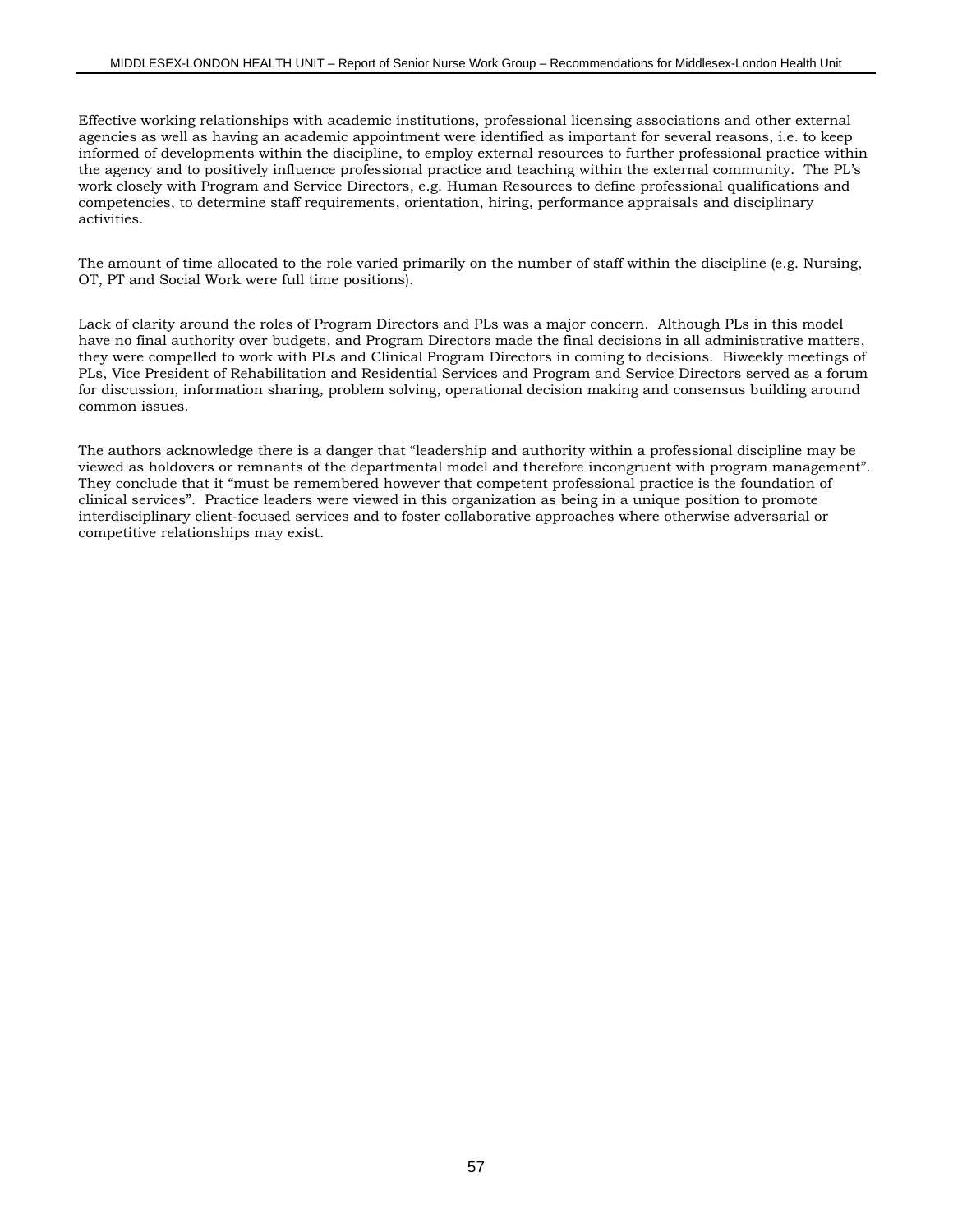Effective working relationships with academic institutions, professional licensing associations and other external agencies as well as having an academic appointment were identified as important for several reasons, i.e. to keep informed of developments within the discipline, to employ external resources to further professional practice within the agency and to positively influence professional practice and teaching within the external community. The PL's work closely with Program and Service Directors, e.g. Human Resources to define professional qualifications and competencies, to determine staff requirements, orientation, hiring, performance appraisals and disciplinary activities.

The amount of time allocated to the role varied primarily on the number of staff within the discipline (e.g. Nursing, OT, PT and Social Work were full time positions).

Lack of clarity around the roles of Program Directors and PLs was a major concern. Although PLs in this model have no final authority over budgets, and Program Directors made the final decisions in all administrative matters, they were compelled to work with PLs and Clinical Program Directors in coming to decisions. Biweekly meetings of PLs, Vice President of Rehabilitation and Residential Services and Program and Service Directors served as a forum for discussion, information sharing, problem solving, operational decision making and consensus building around common issues.

The authors acknowledge there is a danger that "leadership and authority within a professional discipline may be viewed as holdovers or remnants of the departmental model and therefore incongruent with program management". They conclude that it "must be remembered however that competent professional practice is the foundation of clinical services". Practice leaders were viewed in this organization as being in a unique position to promote interdisciplinary client-focused services and to foster collaborative approaches where otherwise adversarial or competitive relationships may exist.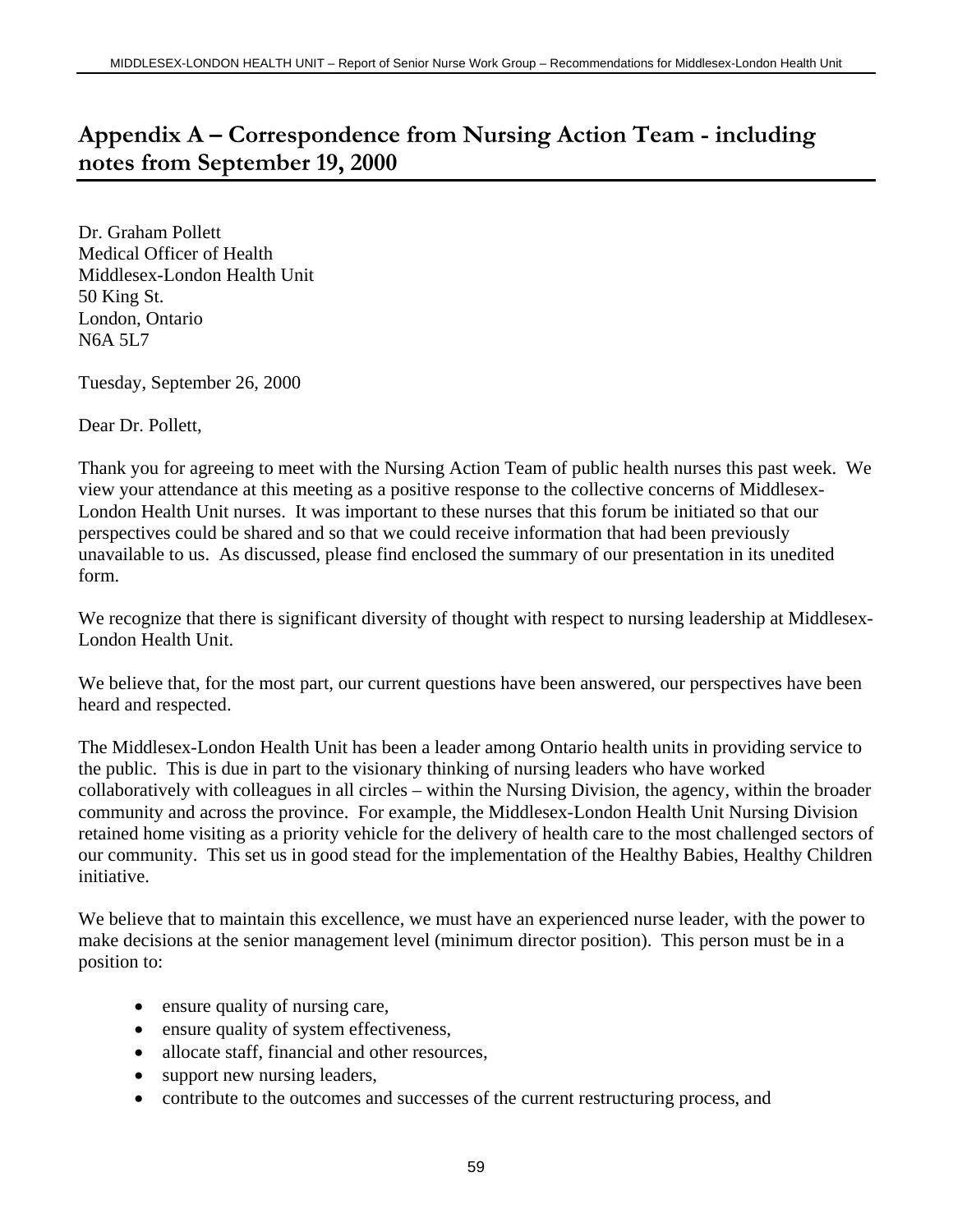# **Appendix A – Correspondence from Nursing Action Team - including notes from September 19, 2000**

Dr. Graham Pollett Medical Officer of Health Middlesex-London Health Unit 50 King St. London, Ontario N6A 5L7

Tuesday, September 26, 2000

Dear Dr. Pollett,

Thank you for agreeing to meet with the Nursing Action Team of public health nurses this past week. We view your attendance at this meeting as a positive response to the collective concerns of Middlesex-London Health Unit nurses. It was important to these nurses that this forum be initiated so that our perspectives could be shared and so that we could receive information that had been previously unavailable to us. As discussed, please find enclosed the summary of our presentation in its unedited form.

We recognize that there is significant diversity of thought with respect to nursing leadership at Middlesex-London Health Unit.

We believe that, for the most part, our current questions have been answered, our perspectives have been heard and respected.

The Middlesex-London Health Unit has been a leader among Ontario health units in providing service to the public. This is due in part to the visionary thinking of nursing leaders who have worked collaboratively with colleagues in all circles – within the Nursing Division, the agency, within the broader community and across the province. For example, the Middlesex-London Health Unit Nursing Division retained home visiting as a priority vehicle for the delivery of health care to the most challenged sectors of our community. This set us in good stead for the implementation of the Healthy Babies, Healthy Children initiative.

We believe that to maintain this excellence, we must have an experienced nurse leader, with the power to make decisions at the senior management level (minimum director position). This person must be in a position to:

- ensure quality of nursing care,
- ensure quality of system effectiveness,
- allocate staff, financial and other resources,
- support new nursing leaders,
- contribute to the outcomes and successes of the current restructuring process, and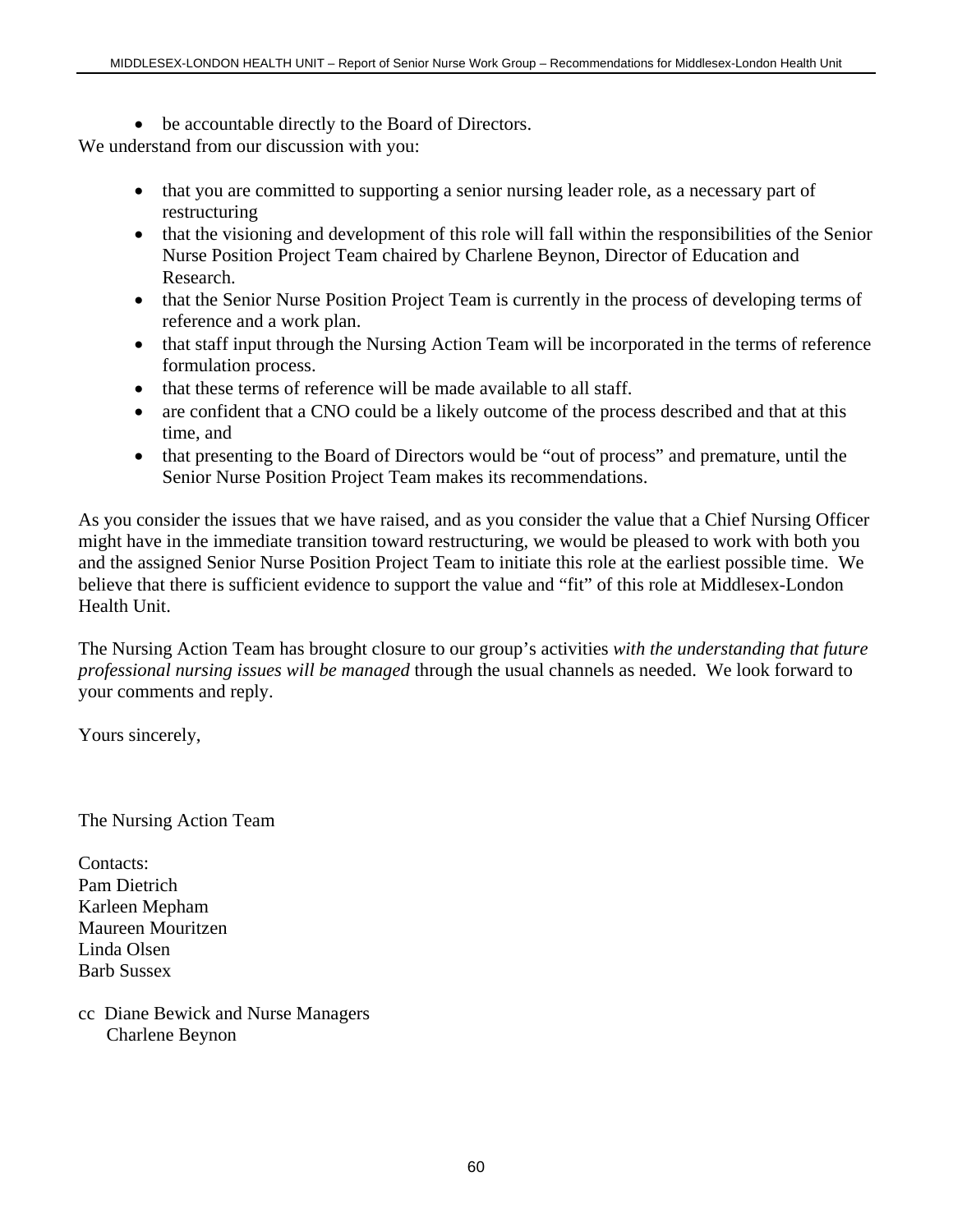- be accountable directly to the Board of Directors. We understand from our discussion with you:
	- that you are committed to supporting a senior nursing leader role, as a necessary part of restructuring
	- that the visioning and development of this role will fall within the responsibilities of the Senior Nurse Position Project Team chaired by Charlene Beynon, Director of Education and Research.
	- that the Senior Nurse Position Project Team is currently in the process of developing terms of reference and a work plan.
	- that staff input through the Nursing Action Team will be incorporated in the terms of reference formulation process.
	- that these terms of reference will be made available to all staff.
	- are confident that a CNO could be a likely outcome of the process described and that at this time, and
	- that presenting to the Board of Directors would be "out of process" and premature, until the Senior Nurse Position Project Team makes its recommendations.

As you consider the issues that we have raised, and as you consider the value that a Chief Nursing Officer might have in the immediate transition toward restructuring, we would be pleased to work with both you and the assigned Senior Nurse Position Project Team to initiate this role at the earliest possible time. We believe that there is sufficient evidence to support the value and "fit" of this role at Middlesex-London Health Unit.

The Nursing Action Team has brought closure to our group's activities *with the understanding that future professional nursing issues will be managed* through the usual channels as needed. We look forward to your comments and reply.

Yours sincerely,

The Nursing Action Team

Contacts: Pam Dietrich Karleen Mepham Maureen Mouritzen Linda Olsen Barb Sussex

cc Diane Bewick and Nurse Managers Charlene Beynon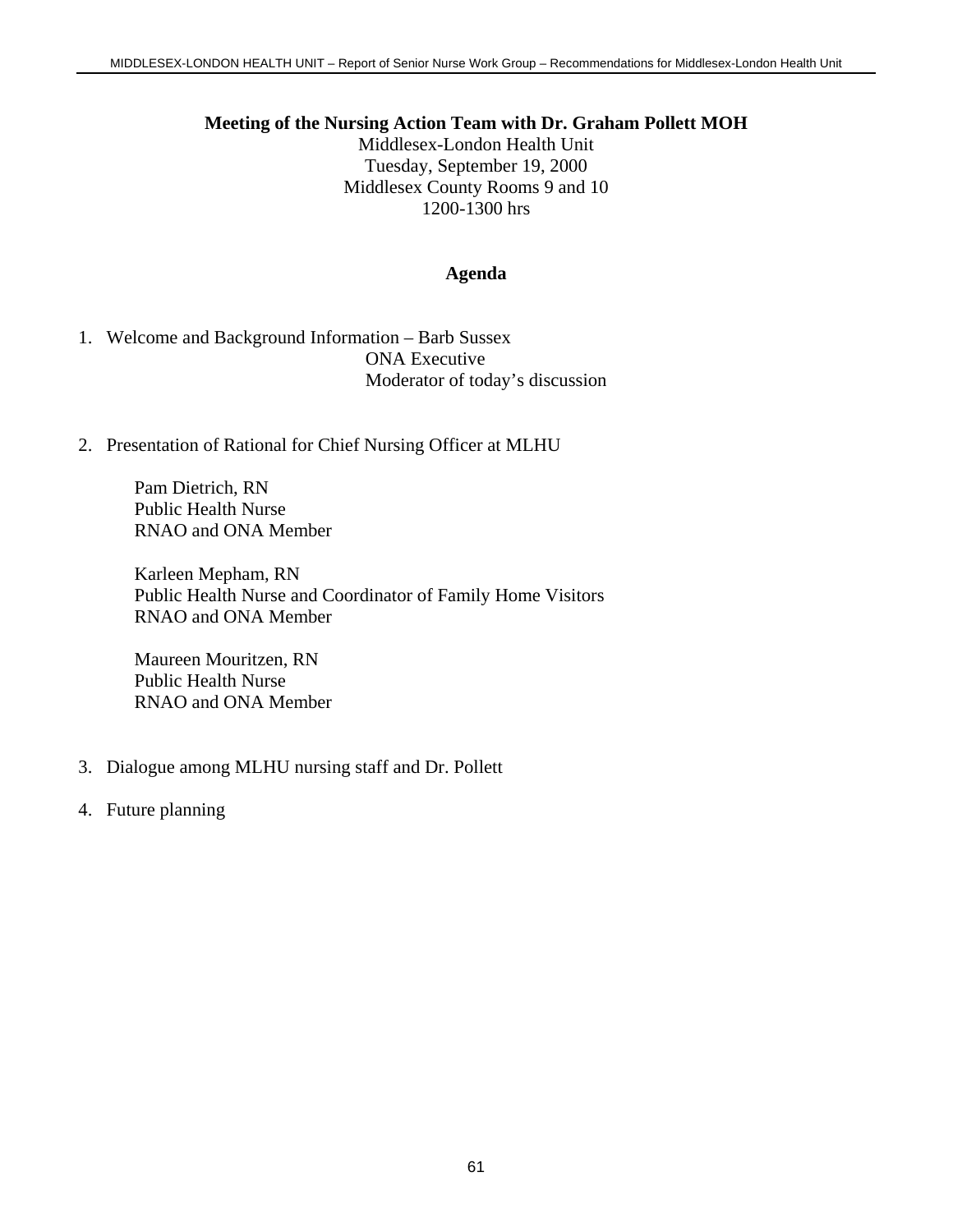### **Meeting of the Nursing Action Team with Dr. Graham Pollett MOH**

Middlesex-London Health Unit Tuesday, September 19, 2000 Middlesex County Rooms 9 and 10 1200-1300 hrs

### **Agenda**

1. Welcome and Background Information – Barb Sussex ONA Executive Moderator of today's discussion

# 2. Presentation of Rational for Chief Nursing Officer at MLHU

Pam Dietrich, RN Public Health Nurse RNAO and ONA Member

Karleen Mepham, RN Public Health Nurse and Coordinator of Family Home Visitors RNAO and ONA Member

Maureen Mouritzen, RN Public Health Nurse RNAO and ONA Member

- 3. Dialogue among MLHU nursing staff and Dr. Pollett
- 4. Future planning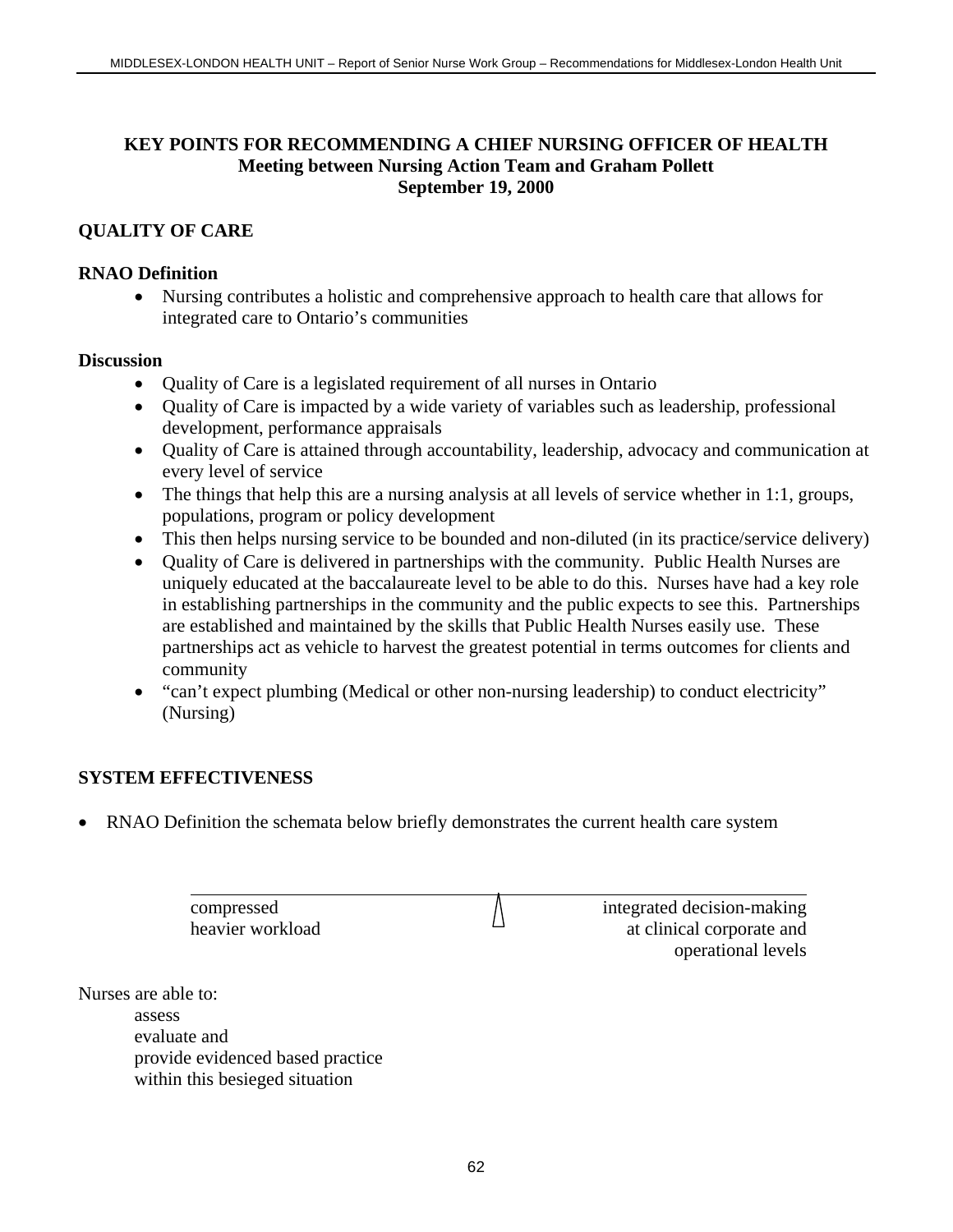# **KEY POINTS FOR RECOMMENDING A CHIEF NURSING OFFICER OF HEALTH Meeting between Nursing Action Team and Graham Pollett September 19, 2000**

# **QUALITY OF CARE**

# **RNAO Definition**

• Nursing contributes a holistic and comprehensive approach to health care that allows for integrated care to Ontario's communities

# **Discussion**

- Quality of Care is a legislated requirement of all nurses in Ontario
- Quality of Care is impacted by a wide variety of variables such as leadership, professional development, performance appraisals
- Ouality of Care is attained through accountability, leadership, advocacy and communication at every level of service
- The things that help this are a nursing analysis at all levels of service whether in 1:1, groups, populations, program or policy development
- This then helps nursing service to be bounded and non-diluted (in its practice/service delivery)
- Quality of Care is delivered in partnerships with the community. Public Health Nurses are uniquely educated at the baccalaureate level to be able to do this. Nurses have had a key role in establishing partnerships in the community and the public expects to see this. Partnerships are established and maintained by the skills that Public Health Nurses easily use. These partnerships act as vehicle to harvest the greatest potential in terms outcomes for clients and community
- "can't expect plumbing (Medical or other non-nursing leadership) to conduct electricity" (Nursing)

# **SYSTEM EFFECTIVENESS**

• RNAO Definition the schemata below briefly demonstrates the current health care system

|                     | compressed       | integrated decision-making |
|---------------------|------------------|----------------------------|
|                     | heavier workload | at clinical corporate and  |
|                     |                  | operational levels         |
| Nurses are able to: |                  |                            |
| assess              |                  |                            |

asses evaluate and provide evidenced based practice within this besieged situation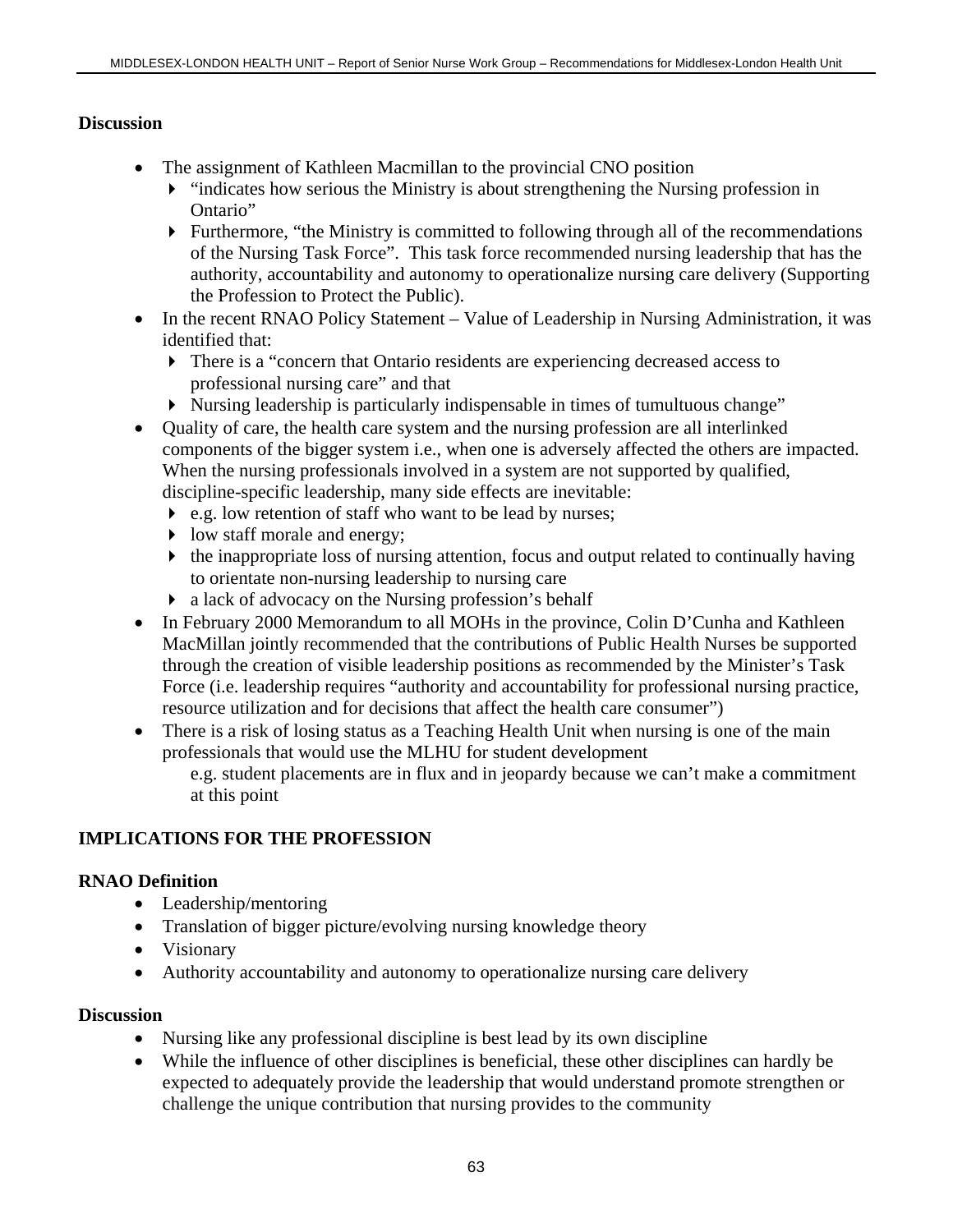# **Discussion**

- The assignment of Kathleen Macmillan to the provincial CNO position
	- $\blacktriangleright$  "indicates how serious the Ministry is about strengthening the Nursing profession in Ontario"
	- $\blacktriangleright$  Furthermore, "the Ministry is committed to following through all of the recommendations of the Nursing Task Force". This task force recommended nursing leadership that has the authority, accountability and autonomy to operationalize nursing care delivery (Supporting the Profession to Protect the Public).
- In the recent RNAO Policy Statement Value of Leadership in Nursing Administration, it was identified that:
	- There is a "concern that Ontario residents are experiencing decreased access to professional nursing care" and that
	- Nursing leadership is particularly indispensable in times of tumultuous change"
- Quality of care, the health care system and the nursing profession are all interlinked components of the bigger system i.e., when one is adversely affected the others are impacted. When the nursing professionals involved in a system are not supported by qualified, discipline-specific leadership, many side effects are inevitable:
	- e.g. low retention of staff who want to be lead by nurses;
	- I low staff morale and energy;
	- $\blacktriangleright$  the inappropriate loss of nursing attention, focus and output related to continually having to orientate non-nursing leadership to nursing care
	- a lack of advocacy on the Nursing profession's behalf
- In February 2000 Memorandum to all MOHs in the province, Colin D'Cunha and Kathleen MacMillan jointly recommended that the contributions of Public Health Nurses be supported through the creation of visible leadership positions as recommended by the Minister's Task Force (i.e. leadership requires "authority and accountability for professional nursing practice, resource utilization and for decisions that affect the health care consumer")
- There is a risk of losing status as a Teaching Health Unit when nursing is one of the main professionals that would use the MLHU for student development e.g. student placements are in flux and in jeopardy because we can't make a commitment at this point

# **IMPLICATIONS FOR THE PROFESSION**

# **RNAO Definition**

- Leadership/mentoring
- Translation of bigger picture/evolving nursing knowledge theory
- Visionary
- Authority accountability and autonomy to operationalize nursing care delivery

# **Discussion**

- Nursing like any professional discipline is best lead by its own discipline
- While the influence of other disciplines is beneficial, these other disciplines can hardly be expected to adequately provide the leadership that would understand promote strengthen or challenge the unique contribution that nursing provides to the community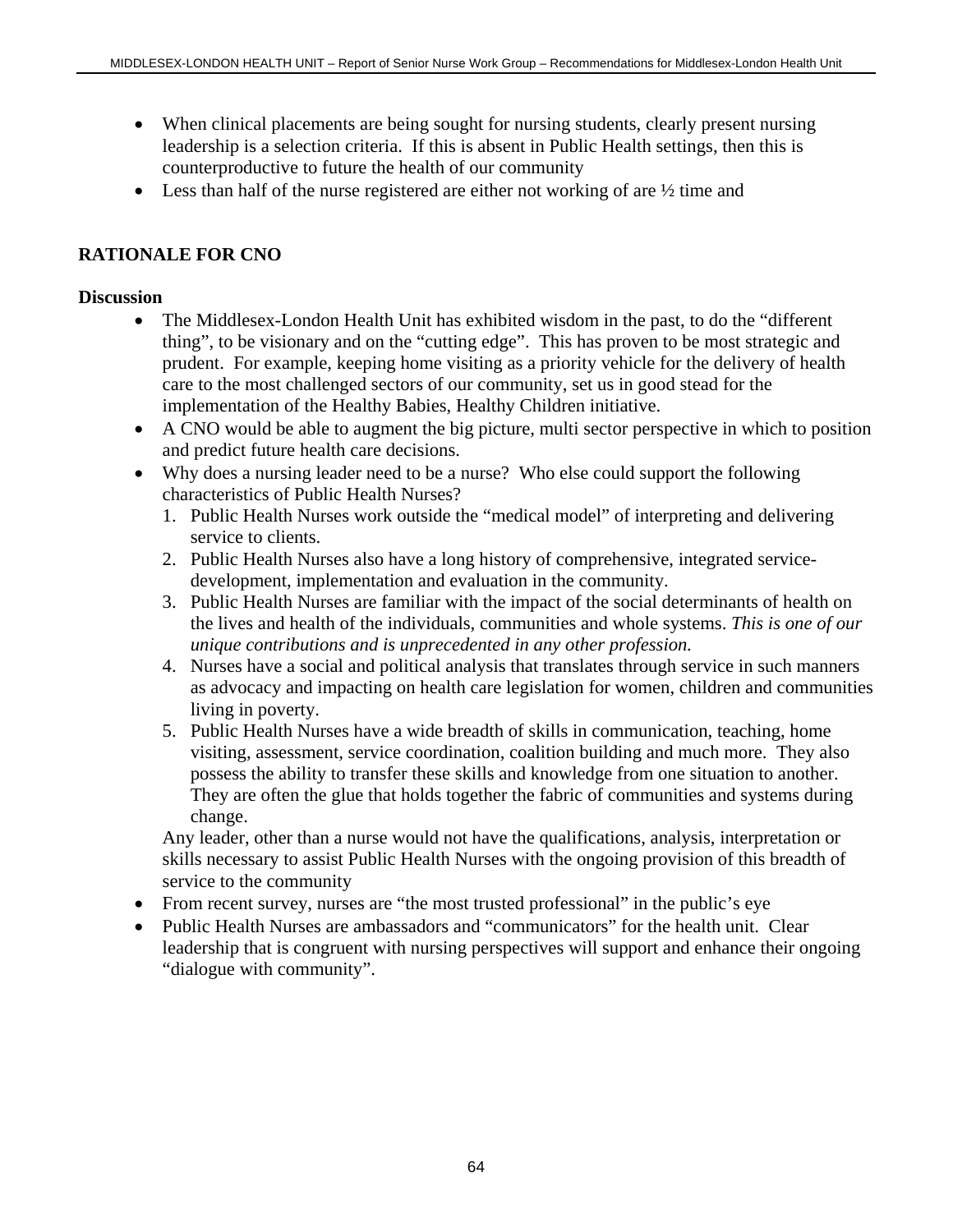- When clinical placements are being sought for nursing students, clearly present nursing leadership is a selection criteria. If this is absent in Public Health settings, then this is counterproductive to future the health of our community
- Less than half of the nurse registered are either not working of are  $\frac{1}{2}$  time and

# **RATIONALE FOR CNO**

# **Discussion**

- The Middlesex-London Health Unit has exhibited wisdom in the past, to do the "different" thing", to be visionary and on the "cutting edge". This has proven to be most strategic and prudent. For example, keeping home visiting as a priority vehicle for the delivery of health care to the most challenged sectors of our community, set us in good stead for the implementation of the Healthy Babies, Healthy Children initiative.
- A CNO would be able to augment the big picture, multi sector perspective in which to position and predict future health care decisions.
- Why does a nursing leader need to be a nurse? Who else could support the following characteristics of Public Health Nurses?
	- 1. Public Health Nurses work outside the "medical model" of interpreting and delivering service to clients.
	- 2. Public Health Nurses also have a long history of comprehensive, integrated servicedevelopment, implementation and evaluation in the community.
	- 3. Public Health Nurses are familiar with the impact of the social determinants of health on the lives and health of the individuals, communities and whole systems. *This is one of our unique contributions and is unprecedented in any other profession.*
	- 4. Nurses have a social and political analysis that translates through service in such manners as advocacy and impacting on health care legislation for women, children and communities living in poverty.
	- 5. Public Health Nurses have a wide breadth of skills in communication, teaching, home visiting, assessment, service coordination, coalition building and much more. They also possess the ability to transfer these skills and knowledge from one situation to another. They are often the glue that holds together the fabric of communities and systems during change.

Any leader, other than a nurse would not have the qualifications, analysis, interpretation or skills necessary to assist Public Health Nurses with the ongoing provision of this breadth of service to the community

- From recent survey, nurses are "the most trusted professional" in the public's eye
- Public Health Nurses are ambassadors and "communicators" for the health unit. Clear leadership that is congruent with nursing perspectives will support and enhance their ongoing "dialogue with community".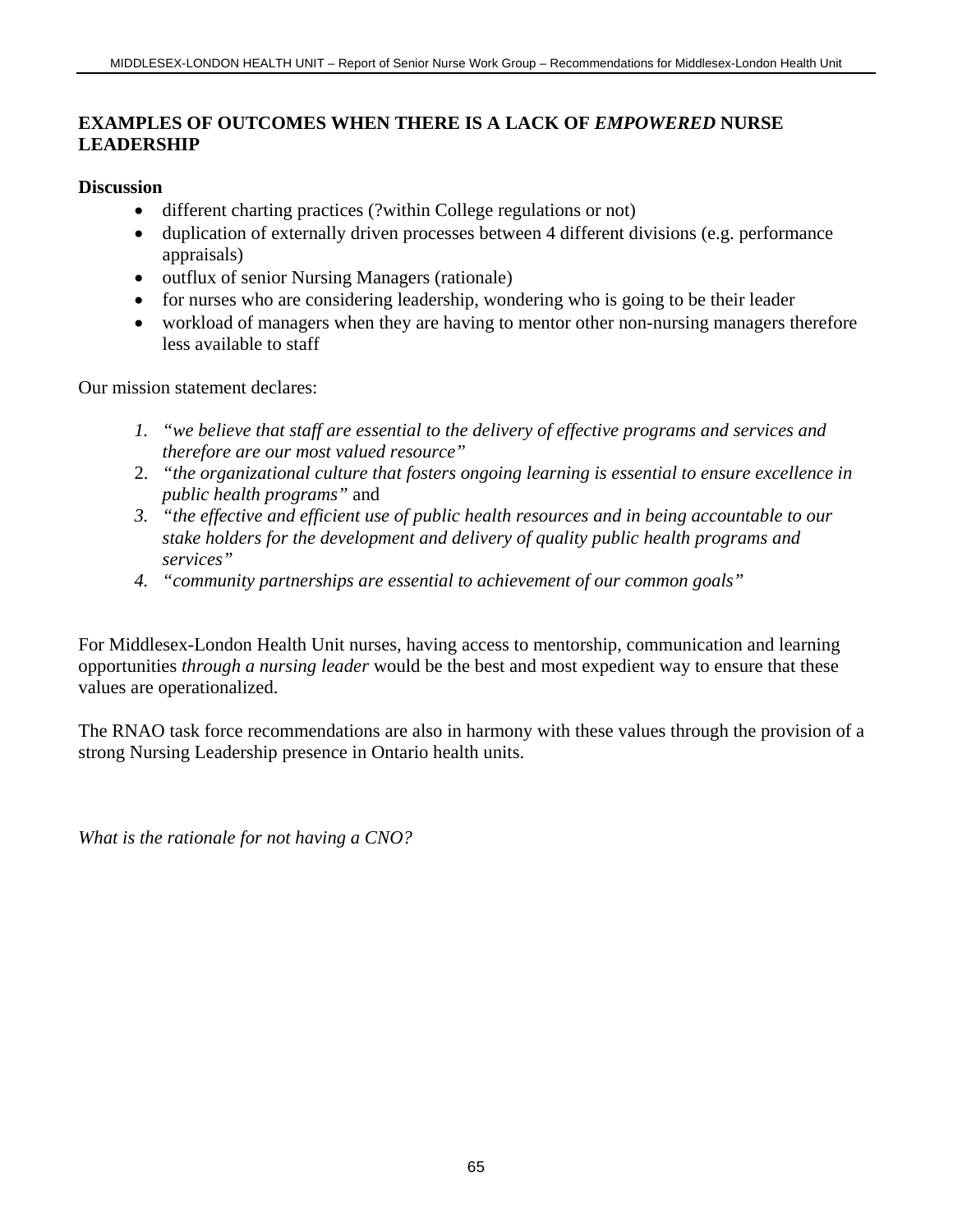### **EXAMPLES OF OUTCOMES WHEN THERE IS A LACK OF** *EMPOWERED* **NURSE LEADERSHIP**

### **Discussion**

- different charting practices (?within College regulations or not)
- duplication of externally driven processes between 4 different divisions (e.g. performance appraisals)
- outflux of senior Nursing Managers (rationale)
- for nurses who are considering leadership, wondering who is going to be their leader
- workload of managers when they are having to mentor other non-nursing managers therefore less available to staff

Our mission statement declares:

- *1. "we believe that staff are essential to the delivery of effective programs and services and therefore are our most valued resource"*
- 2. *"the organizational culture that fosters ongoing learning is essential to ensure excellence in public health programs"* and
- *3. "the effective and efficient use of public health resources and in being accountable to our stake holders for the development and delivery of quality public health programs and services"*
- *4. "community partnerships are essential to achievement of our common goals"*

For Middlesex-London Health Unit nurses, having access to mentorship, communication and learning opportunities *through a nursing leader* would be the best and most expedient way to ensure that these values are operationalized.

The RNAO task force recommendations are also in harmony with these values through the provision of a strong Nursing Leadership presence in Ontario health units.

*What is the rationale for not having a CNO?*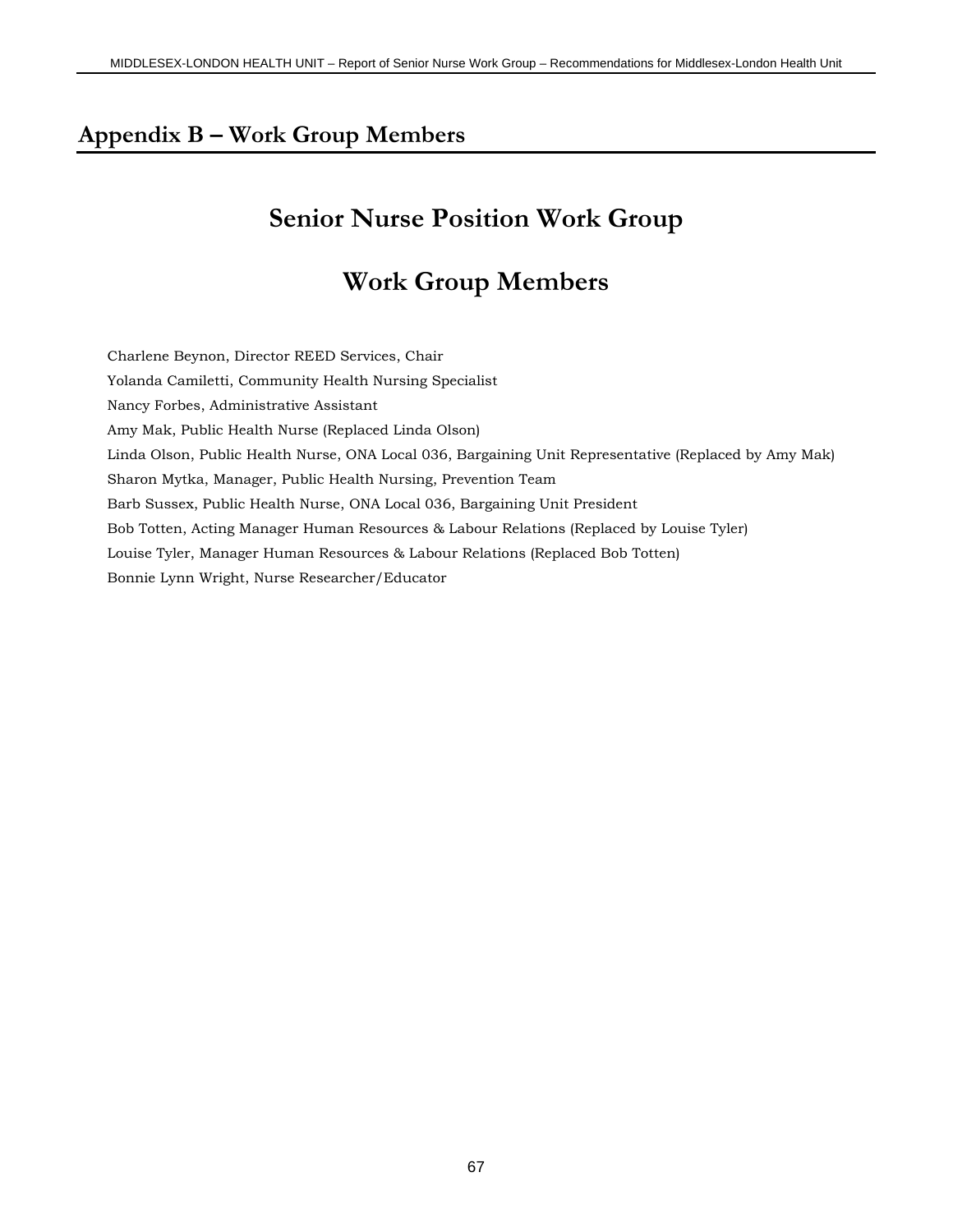## **Appendix B – Work Group Members**

# **Senior Nurse Position Work Group**

# **Work Group Members**

Charlene Beynon, Director REED Services, Chair Yolanda Camiletti, Community Health Nursing Specialist Nancy Forbes, Administrative Assistant Amy Mak, Public Health Nurse (Replaced Linda Olson) Linda Olson, Public Health Nurse, ONA Local 036, Bargaining Unit Representative (Replaced by Amy Mak) Sharon Mytka, Manager, Public Health Nursing, Prevention Team Barb Sussex, Public Health Nurse, ONA Local 036, Bargaining Unit President Bob Totten, Acting Manager Human Resources & Labour Relations (Replaced by Louise Tyler) Louise Tyler, Manager Human Resources & Labour Relations (Replaced Bob Totten) Bonnie Lynn Wright, Nurse Researcher/Educator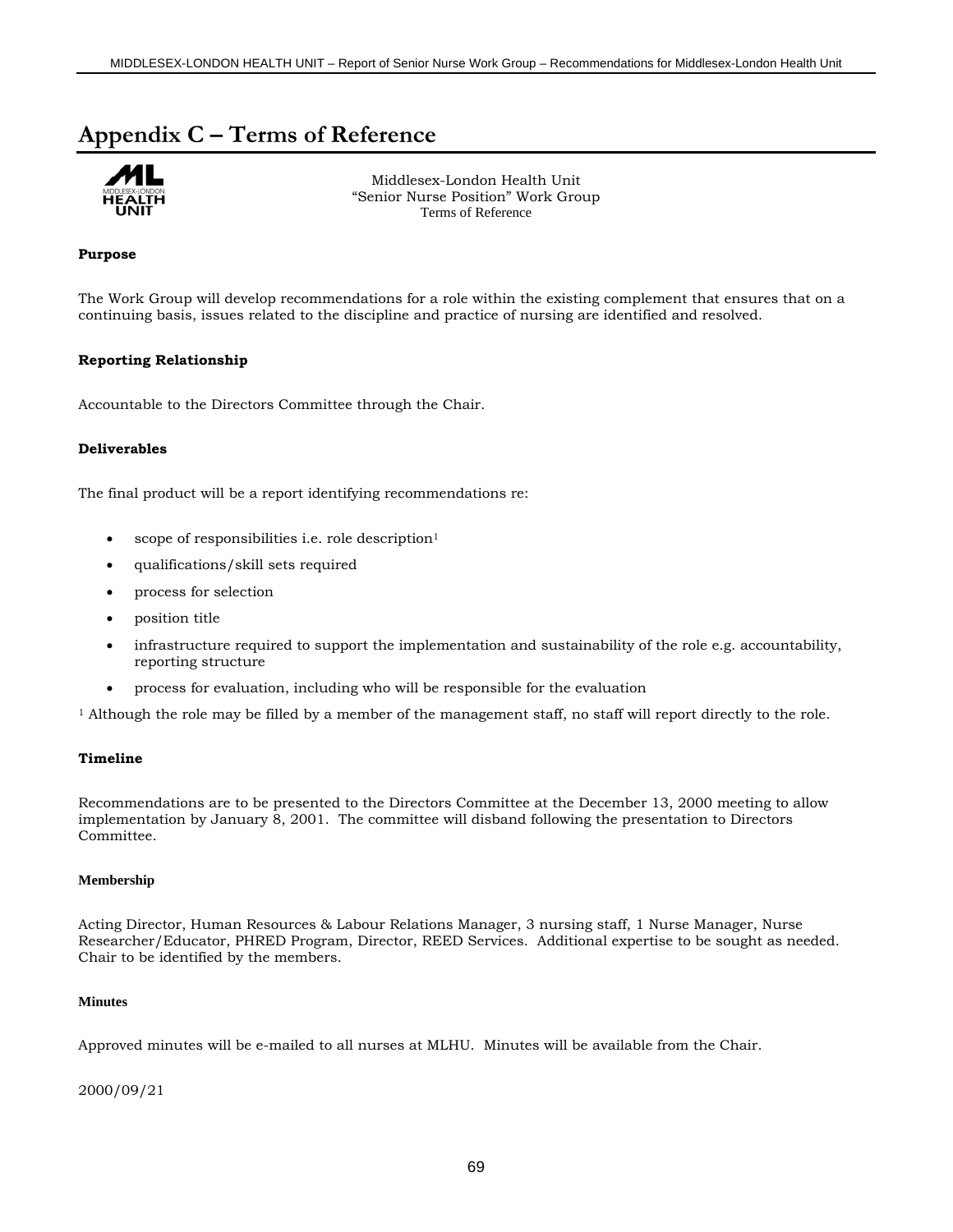## **Appendix C – Terms of Reference**



Middlesex-London Health Unit "Senior Nurse Position" Work Group Terms of Reference

### **Purpose**

The Work Group will develop recommendations for a role within the existing complement that ensures that on a continuing basis, issues related to the discipline and practice of nursing are identified and resolved.

### **Reporting Relationship**

Accountable to the Directors Committee through the Chair.

### **Deliverables**

The final product will be a report identifying recommendations re:

- scope of responsibilities i.e. role description<sup>1</sup>
- qualifications/skill sets required
- process for selection
- position title
- infrastructure required to support the implementation and sustainability of the role e.g. accountability, reporting structure
- process for evaluation, including who will be responsible for the evaluation

1 Although the role may be filled by a member of the management staff, no staff will report directly to the role.

#### **Timeline**

Recommendations are to be presented to the Directors Committee at the December 13, 2000 meeting to allow implementation by January 8, 2001. The committee will disband following the presentation to Directors Committee.

#### **Membership**

Acting Director, Human Resources & Labour Relations Manager, 3 nursing staff, 1 Nurse Manager, Nurse Researcher/Educator, PHRED Program, Director, REED Services. Additional expertise to be sought as needed. Chair to be identified by the members.

#### **Minutes**

Approved minutes will be e-mailed to all nurses at MLHU. Minutes will be available from the Chair.

2000/09/21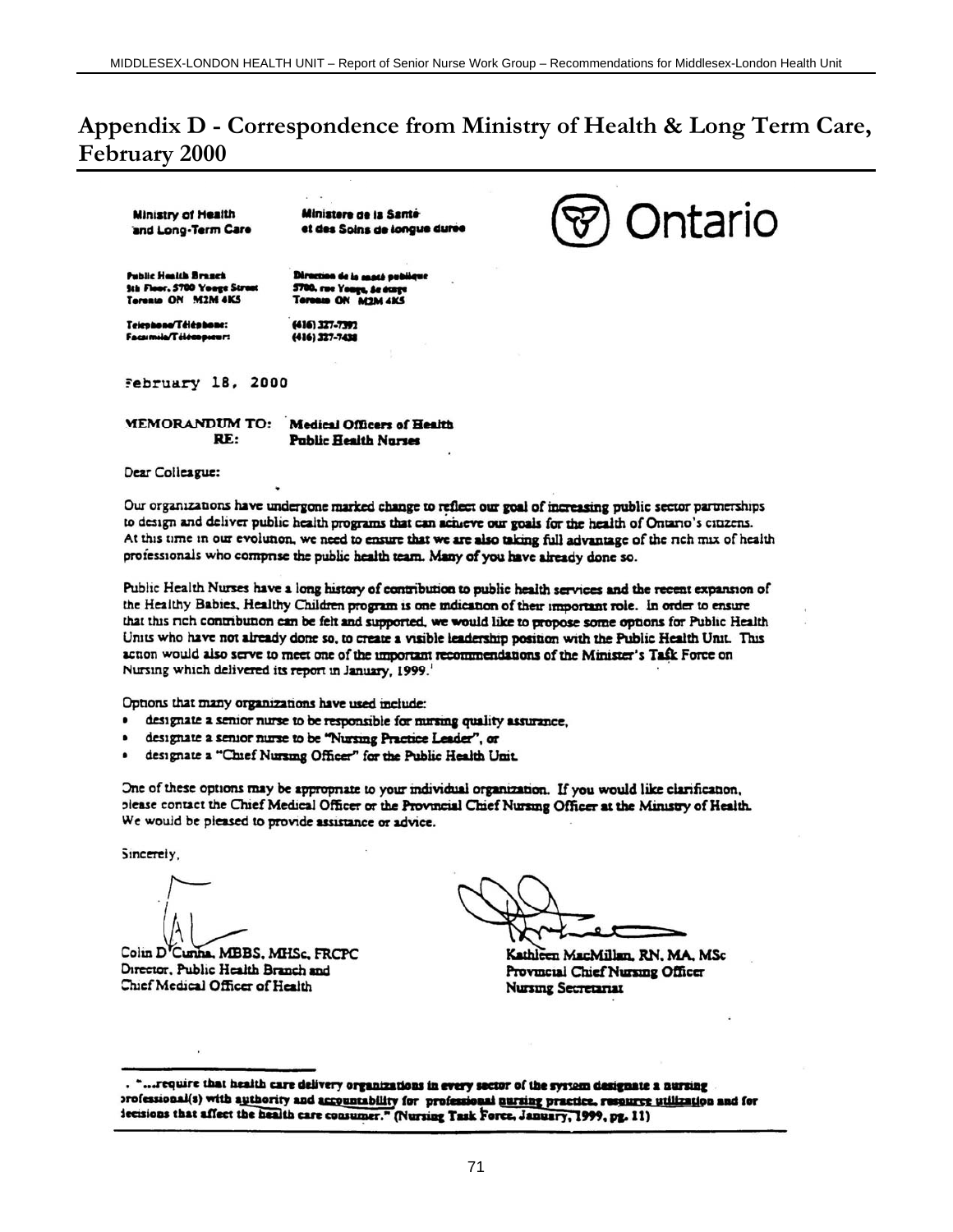# **Appendix D - Correspondence from Ministry of Health & Long Term Care, February 2000**

**Ministry of Health** and Long-Term Care

Ministere de la Santé et des Soins de longue durée

**Public Health Branch Sth Floor, 5700 Youge Str** Teresto ON M2M 4KS

5700, rue Yange, de étage<br>Toronin ON M2M 4KS

n de la mach pub

Telephone/Téléphone: Facumile/Télécopieur: (416) 327-7392 (416) 327-7438



February 18, 2000

| <b>MEMORANDUM TO:</b> | <b>Medical Officers of Health</b> |  |
|-----------------------|-----------------------------------|--|
| RE:                   | <b>Public Health Nurses</b>       |  |

Dear Colleague:

Our organizations have undergone marked change to reflect our goal of increasing public sector partnerships to design and deliver public health programs that can actueve our goals for the health of Ontario's citizens. At this time in our evolunon, we need to ensure that we are also taking full advantage of the rich mix of health professionals who comprise the public health team. Many of you have already done so.

Public Health Nurses have a long history of contribution to public health services and the recent expansion of the Healthy Babies, Healthy Children program is one mdication of their important role. In order to ensure that this rich contribution can be felt and supported, we would like to propose some options for Public Health Units who have not already done so, to create a visible leadership position with the Public Health Unit. This action would also serve to meet one of the important recommendations of the Minister's Task Force on Nursing which delivered its report in January, 1999.

Options that many organizations have used include:

- designate a senior nurse to be responsible for nursing quality assurance,
- designate a senior nurse to be "Nursing Practice Leader", or
- designate a "Chief Nursing Officer" for the Public Health Unit.

One of these options may be appropriate to your individual organization. If you would like clarification, please contact the Chief Medical Officer or the Provincial Chief Nursing Officer at the Ministry of Health. We would be pleased to provide assistance or advice.

Sincerely,

Colin D'Cunha, MBBS, MHSc, FRCPC Director, Public Health Branch and Chief Medical Officer of Health

Kathleen MacMillan, RN, MA, MSc Provincial Chief Nursing Officer **Nursing Secretariat** 

<sup>&</sup>quot;...require that health care delivery organizations in every sector of the system designate a nursing orofessional(s) with authority and accountability for professional nursing practice, resource utilization and for iecisions that affect the health care consumer." (Nursing Task Force, January, 1999, pg. 11)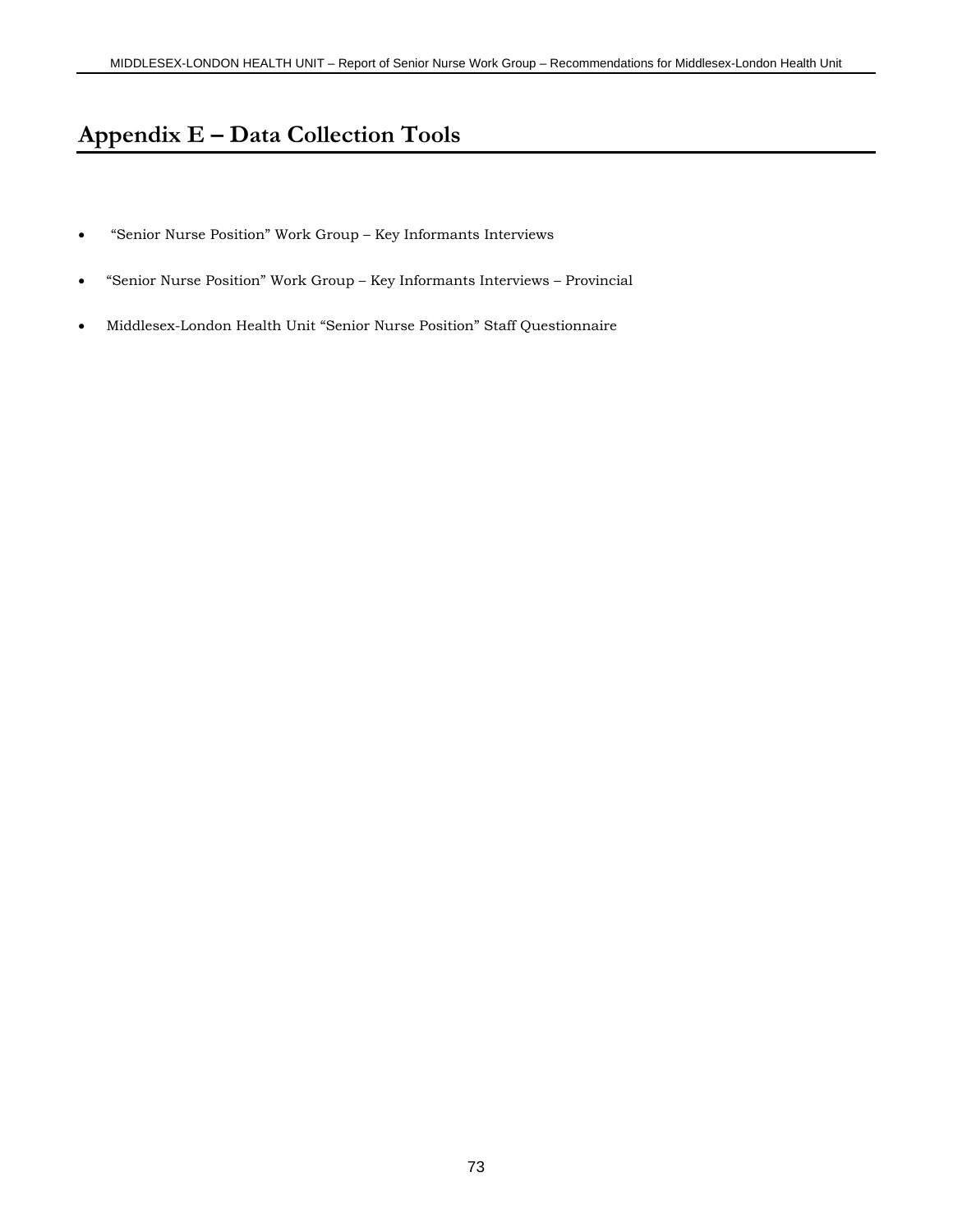# **Appendix E – Data Collection Tools**

- "Senior Nurse Position" Work Group Key Informants Interviews
- "Senior Nurse Position" Work Group Key Informants Interviews Provincial
- Middlesex-London Health Unit "Senior Nurse Position" Staff Questionnaire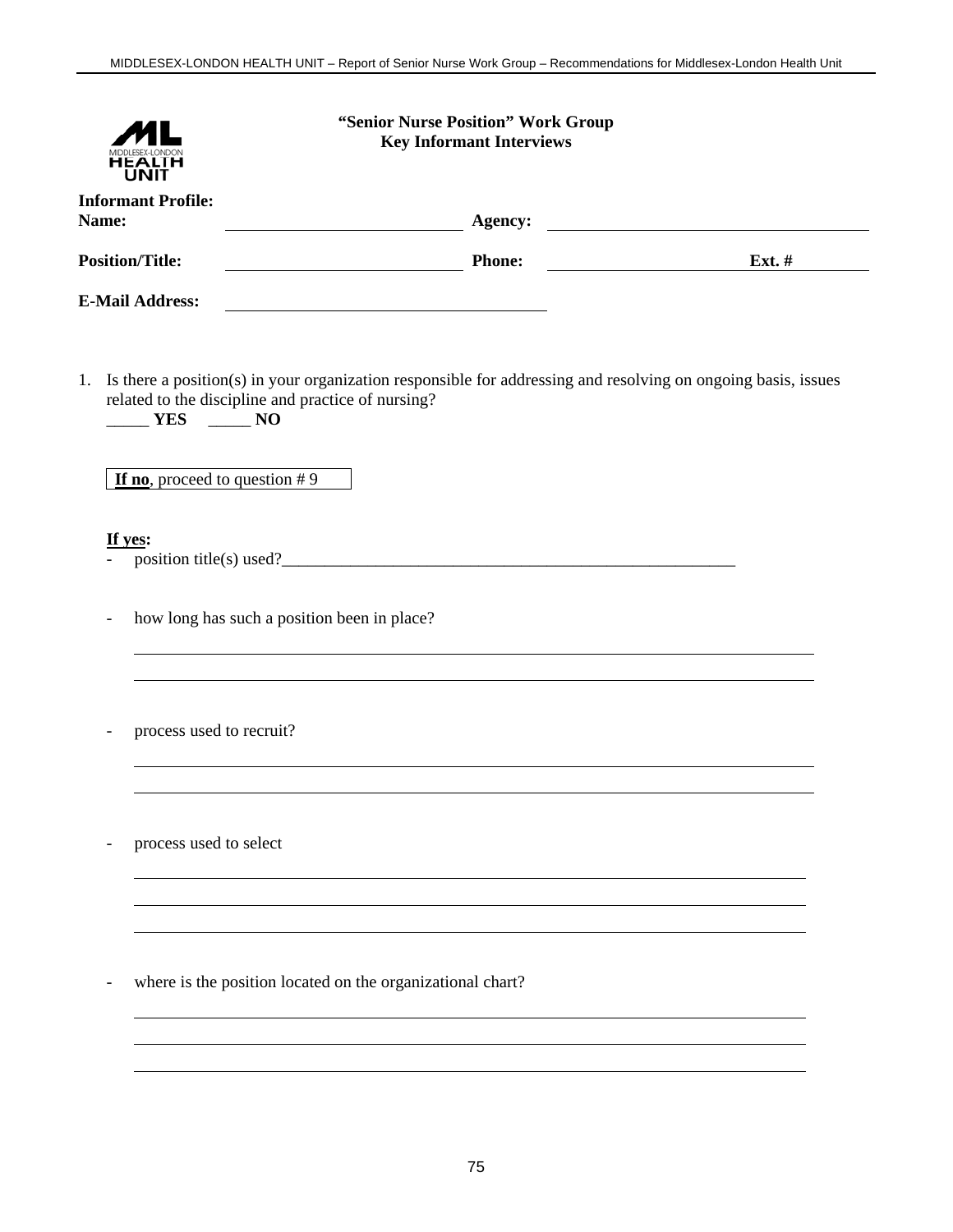| <b>Informant Profile:</b><br>Name:<br>Agency: <u>Agency:</u><br><b>Position/Title:</b><br>Phone:<br>$\overline{\text{Ext.}}$ #<br><b>E-Mail Address:</b><br>1. Is there a position(s) in your organization responsible for addressing and resolving on ongoing basis, issues<br>related to the discipline and practice of nursing?<br>YES NO<br>If no, proceed to question $# 9$<br>If yes:<br>how long has such a position been in place?<br>process used to recruit?<br>process used to select<br>where is the position located on the organizational chart?<br>$\overline{\phantom{a}}$ |  | "Senior Nurse Position" Work Group<br><b>Key Informant Interviews</b> |  |
|--------------------------------------------------------------------------------------------------------------------------------------------------------------------------------------------------------------------------------------------------------------------------------------------------------------------------------------------------------------------------------------------------------------------------------------------------------------------------------------------------------------------------------------------------------------------------------------------|--|-----------------------------------------------------------------------|--|
|                                                                                                                                                                                                                                                                                                                                                                                                                                                                                                                                                                                            |  |                                                                       |  |
|                                                                                                                                                                                                                                                                                                                                                                                                                                                                                                                                                                                            |  |                                                                       |  |
|                                                                                                                                                                                                                                                                                                                                                                                                                                                                                                                                                                                            |  |                                                                       |  |
|                                                                                                                                                                                                                                                                                                                                                                                                                                                                                                                                                                                            |  |                                                                       |  |
|                                                                                                                                                                                                                                                                                                                                                                                                                                                                                                                                                                                            |  |                                                                       |  |
|                                                                                                                                                                                                                                                                                                                                                                                                                                                                                                                                                                                            |  |                                                                       |  |
|                                                                                                                                                                                                                                                                                                                                                                                                                                                                                                                                                                                            |  |                                                                       |  |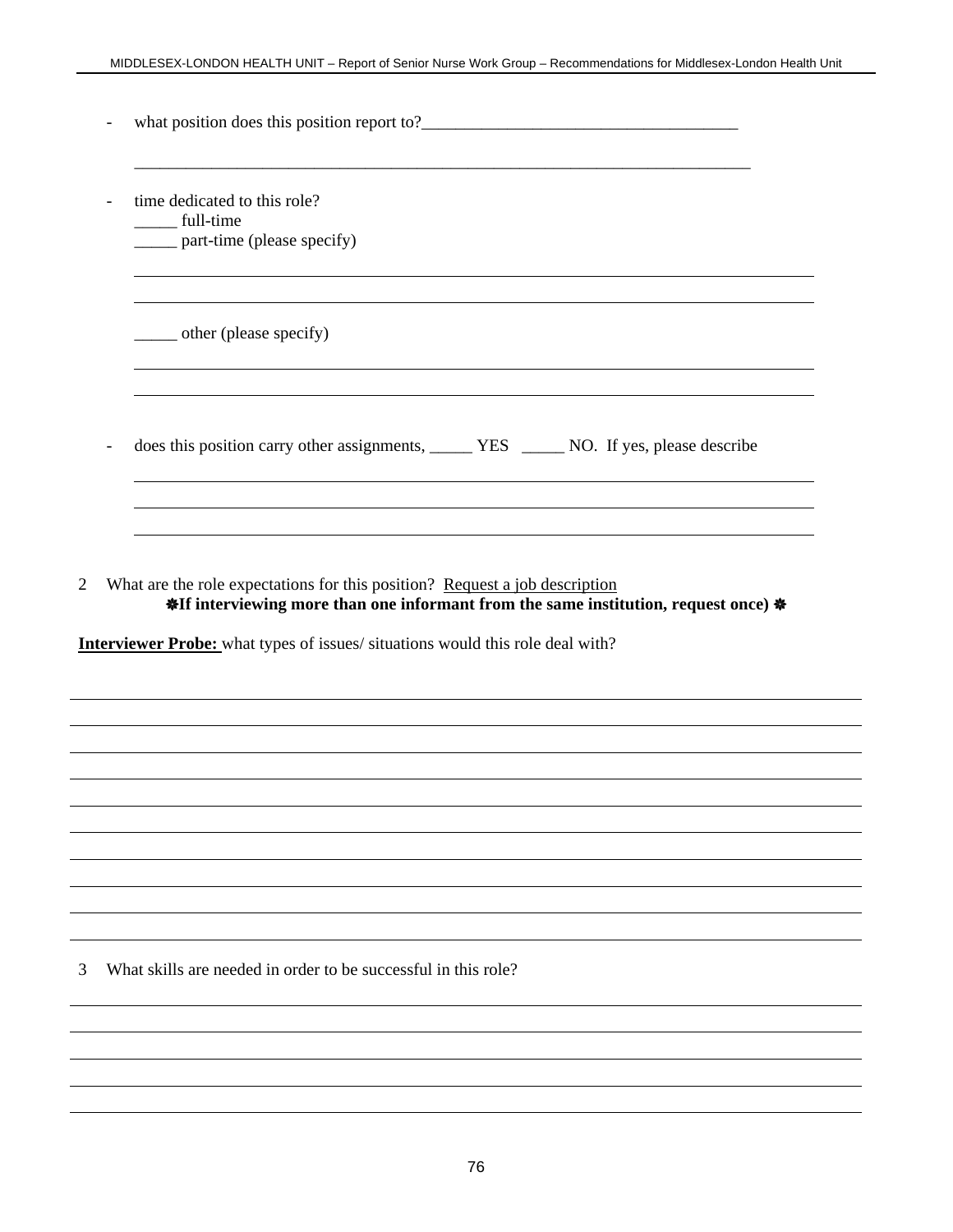| $\frac{1}{2}$ other (please specify)                                                         |  |
|----------------------------------------------------------------------------------------------|--|
|                                                                                              |  |
| does this position carry other assignments, ________ YES _______ NO. If yes, please describe |  |

2 What are the role expectations for this position? Request a job description **\*If interviewing more than one informant from the same institution, request once) \*** 

**Interviewer Probe:** what types of issues/ situations would this role deal with?

3 What skills are needed in order to be successful in this role?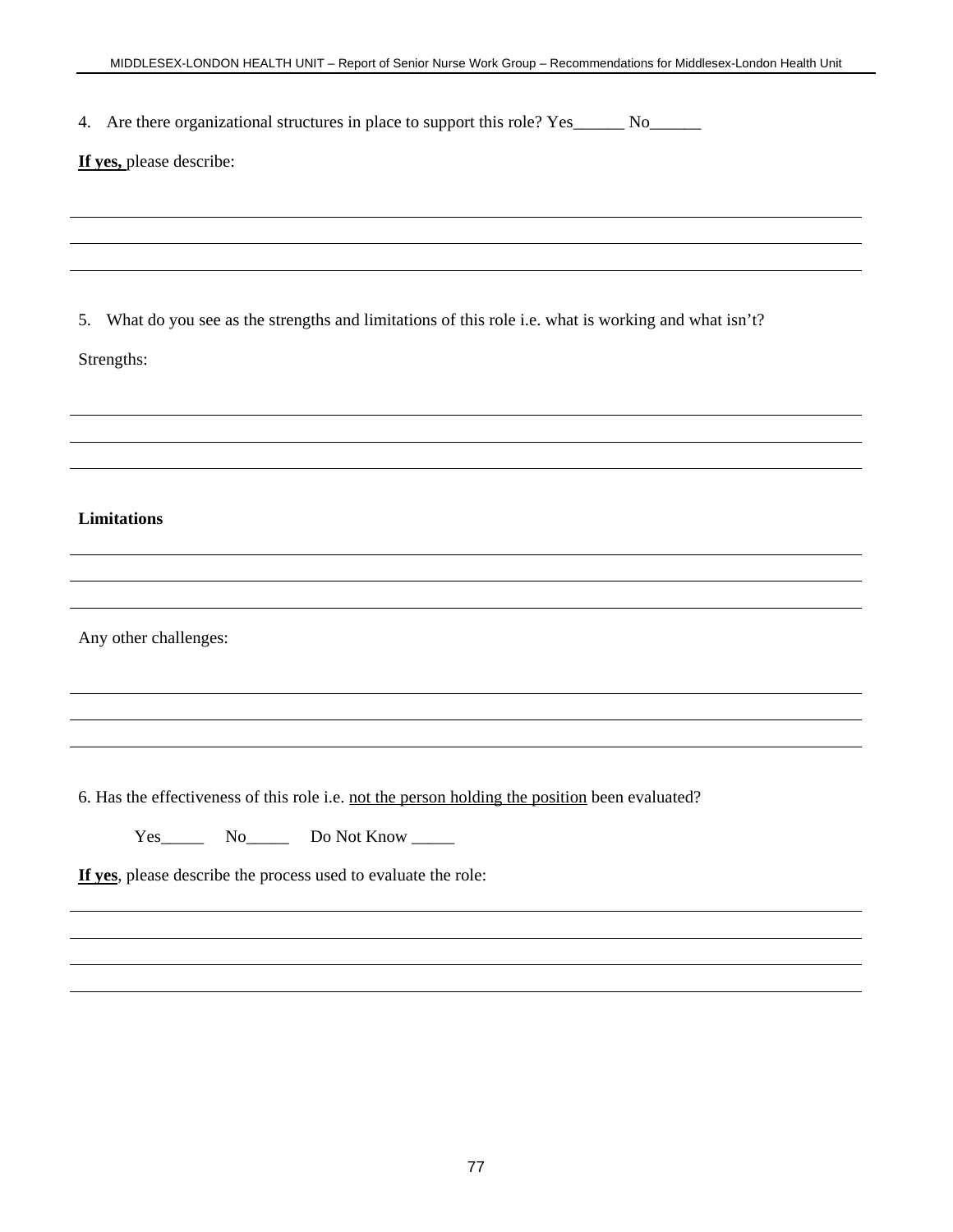4. Are there organizational structures in place to support this role? Yes\_\_\_\_\_\_ No\_\_\_\_\_\_\_

### **If yes,** please describe:

5. What do you see as the strengths and limitations of this role i.e. what is working and what isn't?

Strengths:

### **Limitations**

Any other challenges:

6. Has the effectiveness of this role i.e. not the person holding the position been evaluated?

Yes\_\_\_\_\_\_\_\_\_ No\_\_\_\_\_\_\_\_\_ Do Not Know \_\_\_\_\_\_\_

**If yes**, please describe the process used to evaluate the role: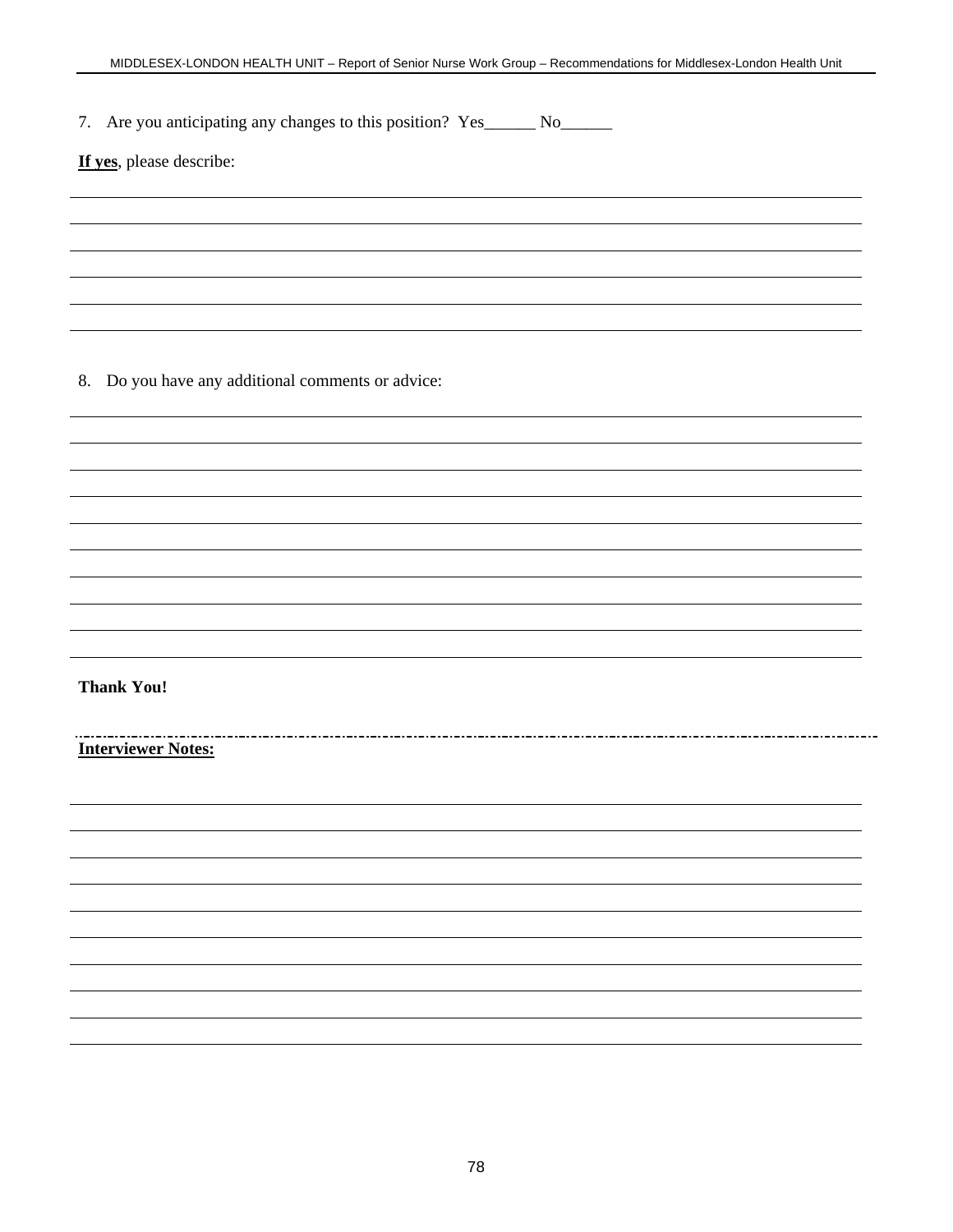7. Are you anticipating any changes to this position? Yes\_\_\_\_\_\_ No\_\_\_\_\_\_\_\_

**If yes**, please describe:

8. Do you have any additional comments or advice:

**Thank You!**

**Interviewer Notes:**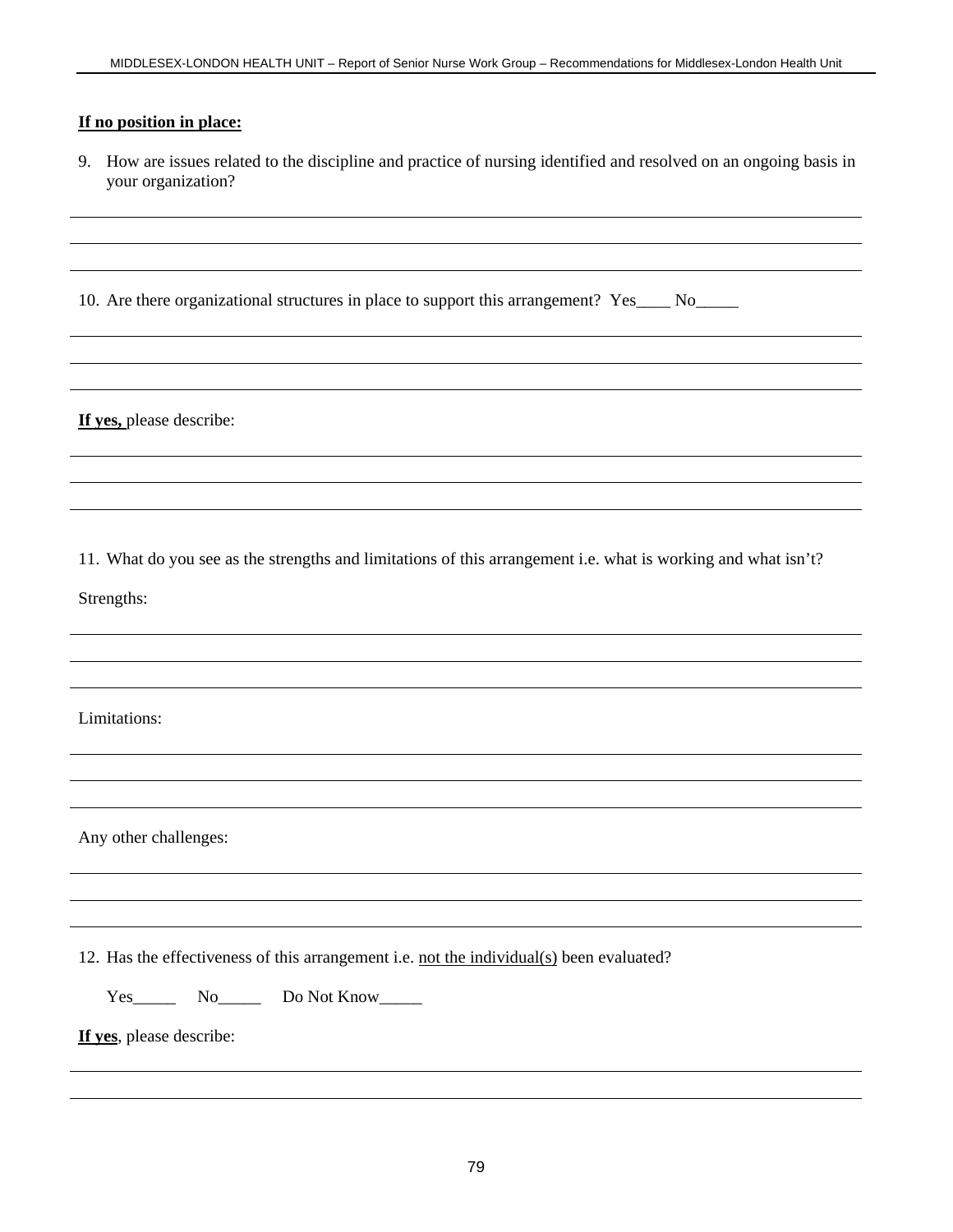### **If no position in place:**

9. How are issues related to the discipline and practice of nursing identified and resolved on an ongoing basis in your organization?

| 10. Are there organizational structures in place to support this arrangement? Yes |  |  |  |
|-----------------------------------------------------------------------------------|--|--|--|
|                                                                                   |  |  |  |

**If yes,** please describe:

11. What do you see as the strengths and limitations of this arrangement i.e. what is working and what isn't?

Strengths:

Limitations:

Any other challenges:

12. Has the effectiveness of this arrangement i.e. not the individual(s) been evaluated?

Yes\_\_\_\_\_\_\_\_\_ No\_\_\_\_\_\_\_\_\_\_ Do Not Know\_\_\_\_\_\_\_

**If yes**, please describe: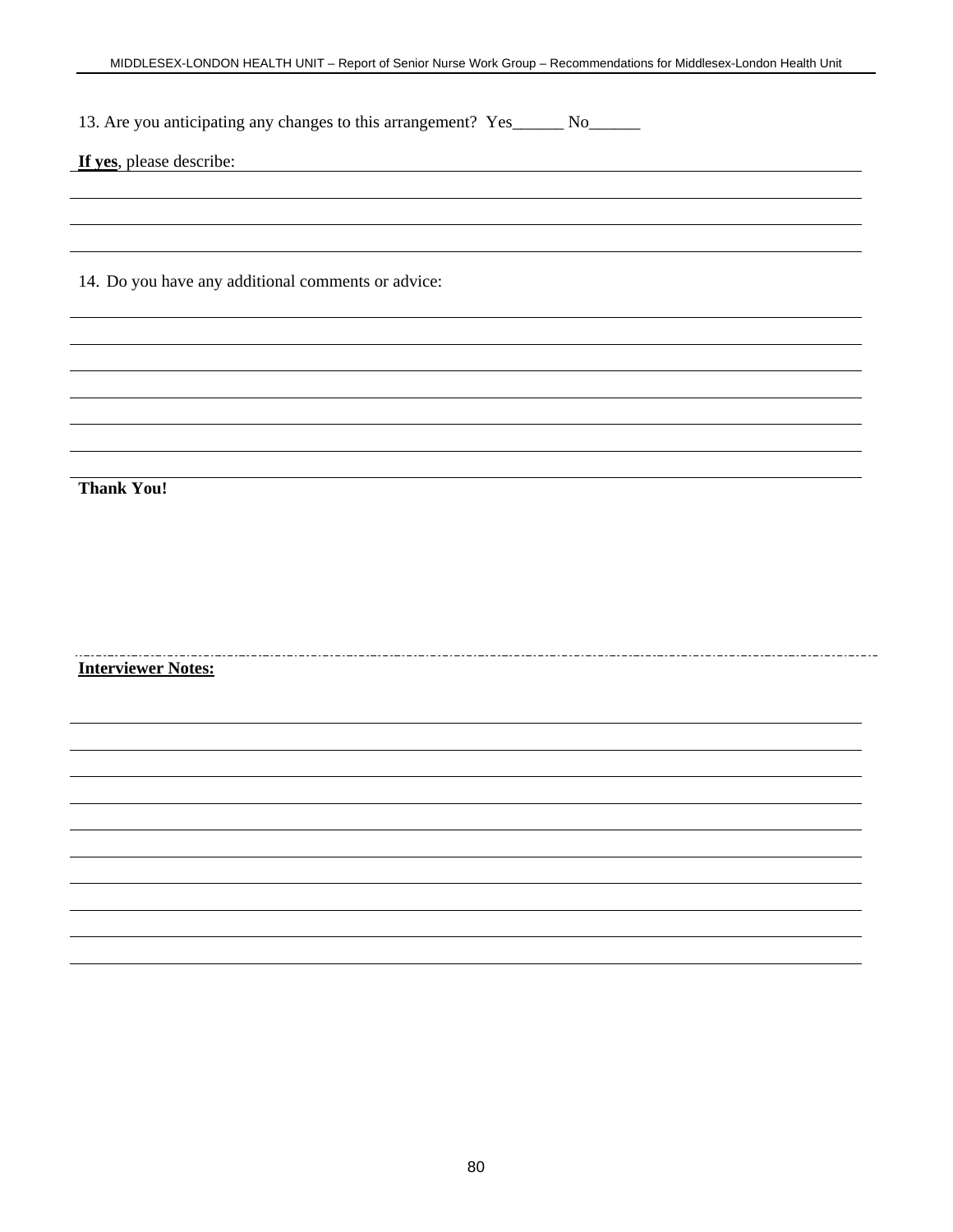13. Are you anticipating any changes to this arrangement? Yes\_\_\_\_\_\_ No\_\_\_\_\_\_\_

**If yes**, please describe:

14. Do you have any additional comments or advice:

**Thank You!**

#### **Interviewer Notes:**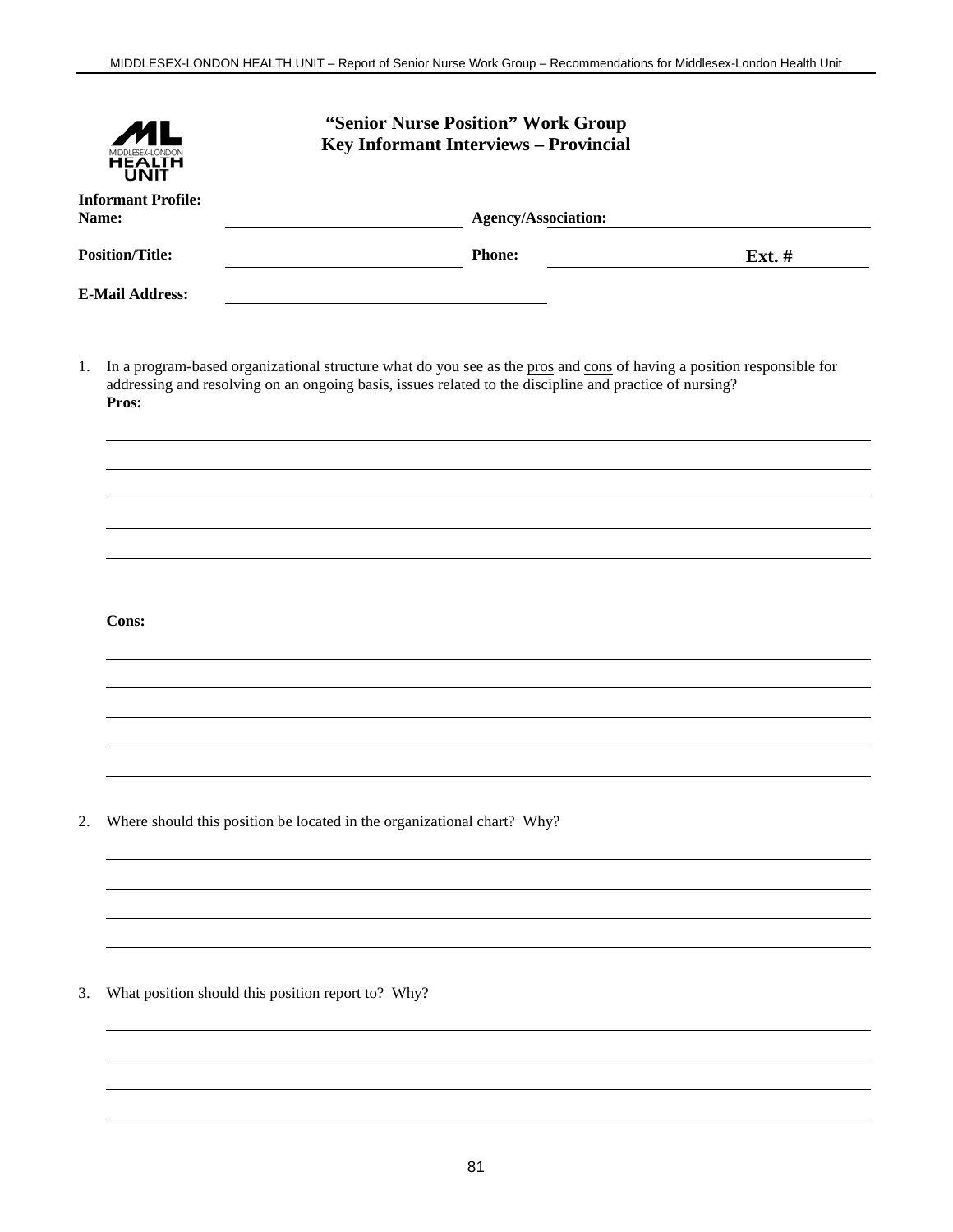|                                    |                                                                         |                     | "Senior Nurse Position" Work Group<br>Key Informant Interviews - Provincial                             |                                                                                                                       |  |
|------------------------------------|-------------------------------------------------------------------------|---------------------|---------------------------------------------------------------------------------------------------------|-----------------------------------------------------------------------------------------------------------------------|--|
| <b>Informant Profile:</b><br>Name: |                                                                         | Agency/Association: |                                                                                                         |                                                                                                                       |  |
|                                    | <b>Position/Title:</b>                                                  |                     | <b>Phone:</b>                                                                                           | Ext. #                                                                                                                |  |
|                                    | <b>E-Mail Address:</b>                                                  |                     |                                                                                                         |                                                                                                                       |  |
| 1.                                 | Pros:                                                                   |                     | addressing and resolving on an ongoing basis, issues related to the discipline and practice of nursing? | In a program-based organizational structure what do you see as the pros and cons of having a position responsible for |  |
|                                    |                                                                         |                     |                                                                                                         |                                                                                                                       |  |
|                                    |                                                                         |                     |                                                                                                         |                                                                                                                       |  |
|                                    |                                                                         |                     |                                                                                                         |                                                                                                                       |  |
|                                    | Cons:                                                                   |                     |                                                                                                         |                                                                                                                       |  |
|                                    |                                                                         |                     |                                                                                                         |                                                                                                                       |  |
|                                    |                                                                         |                     |                                                                                                         |                                                                                                                       |  |
|                                    |                                                                         |                     |                                                                                                         |                                                                                                                       |  |
| 2.                                 | Where should this position be located in the organizational chart? Why? |                     |                                                                                                         |                                                                                                                       |  |
|                                    |                                                                         |                     |                                                                                                         |                                                                                                                       |  |
|                                    |                                                                         |                     |                                                                                                         |                                                                                                                       |  |
| 3.                                 | What position should this position report to? Why?                      |                     |                                                                                                         |                                                                                                                       |  |
|                                    |                                                                         |                     |                                                                                                         |                                                                                                                       |  |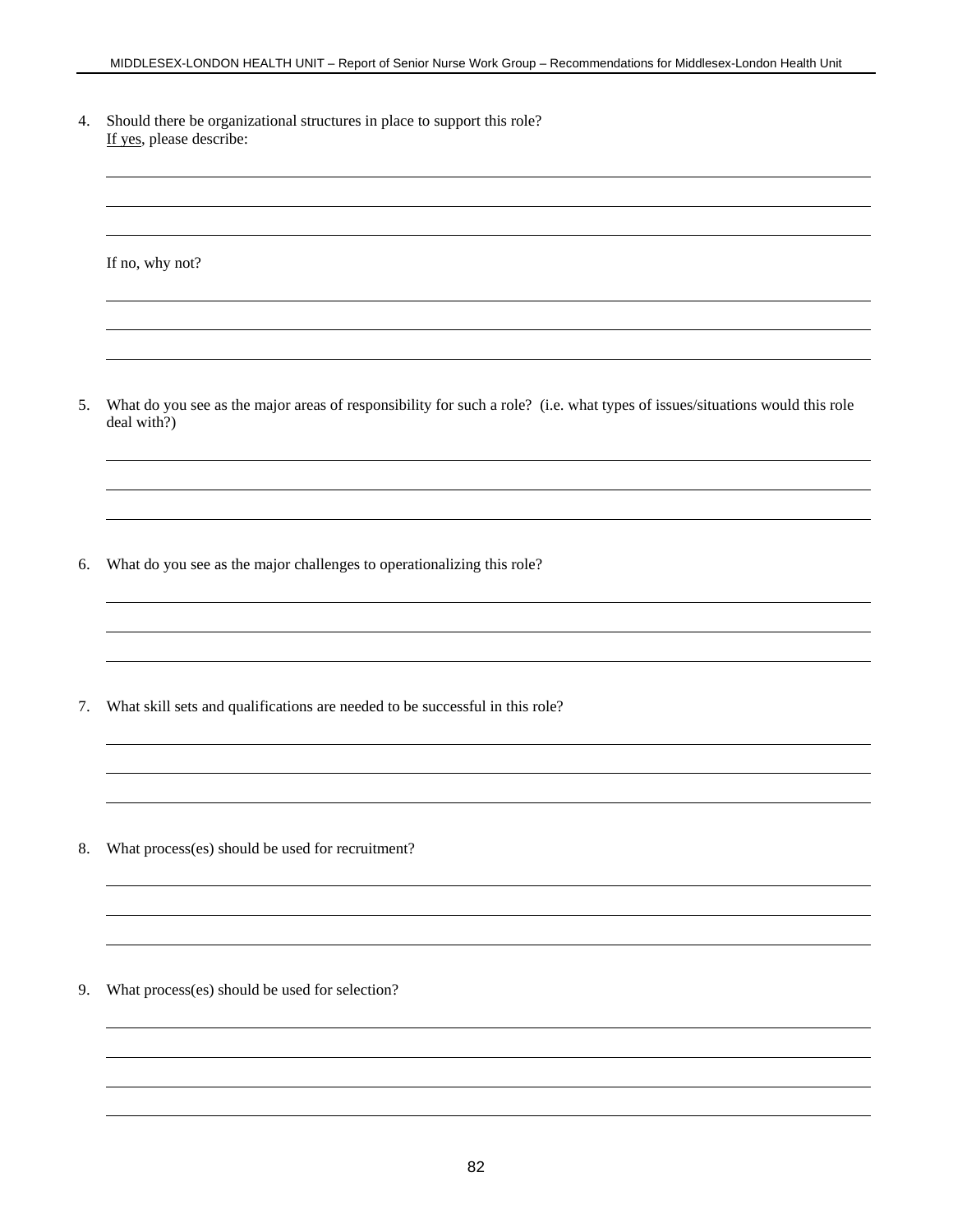4. Should there be organizational structures in place to support this role? If yes, please describe:

If no, why not?

- 5. What do you see as the major areas of responsibility for such a role? (i.e. what types of issues/situations would this role deal with?)
- 6. What do you see as the major challenges to operationalizing this role?

7. What skill sets and qualifications are needed to be successful in this role?

8. What process(es) should be used for recruitment?

9. What process(es) should be used for selection?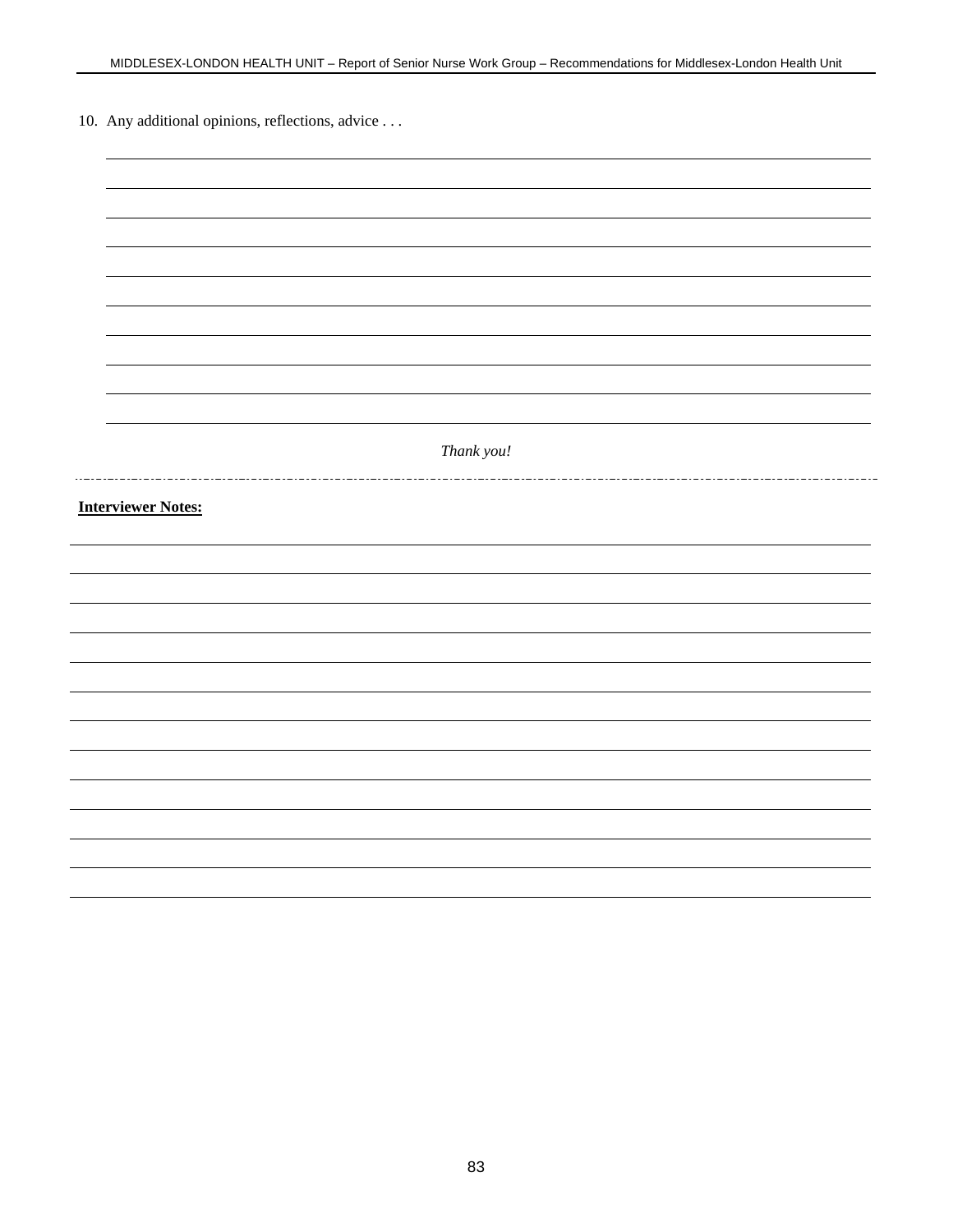10. Any additional opinions, reflections, advice . . .

| Thank you!                |
|---------------------------|
|                           |
|                           |
|                           |
|                           |
| <b>Interviewer Notes:</b> |
|                           |
|                           |
|                           |
|                           |
|                           |
|                           |
|                           |
|                           |
|                           |
|                           |
|                           |
|                           |
|                           |
|                           |
|                           |
|                           |
|                           |
|                           |
|                           |
|                           |
|                           |
|                           |
|                           |
|                           |
|                           |
|                           |
|                           |
|                           |
|                           |
|                           |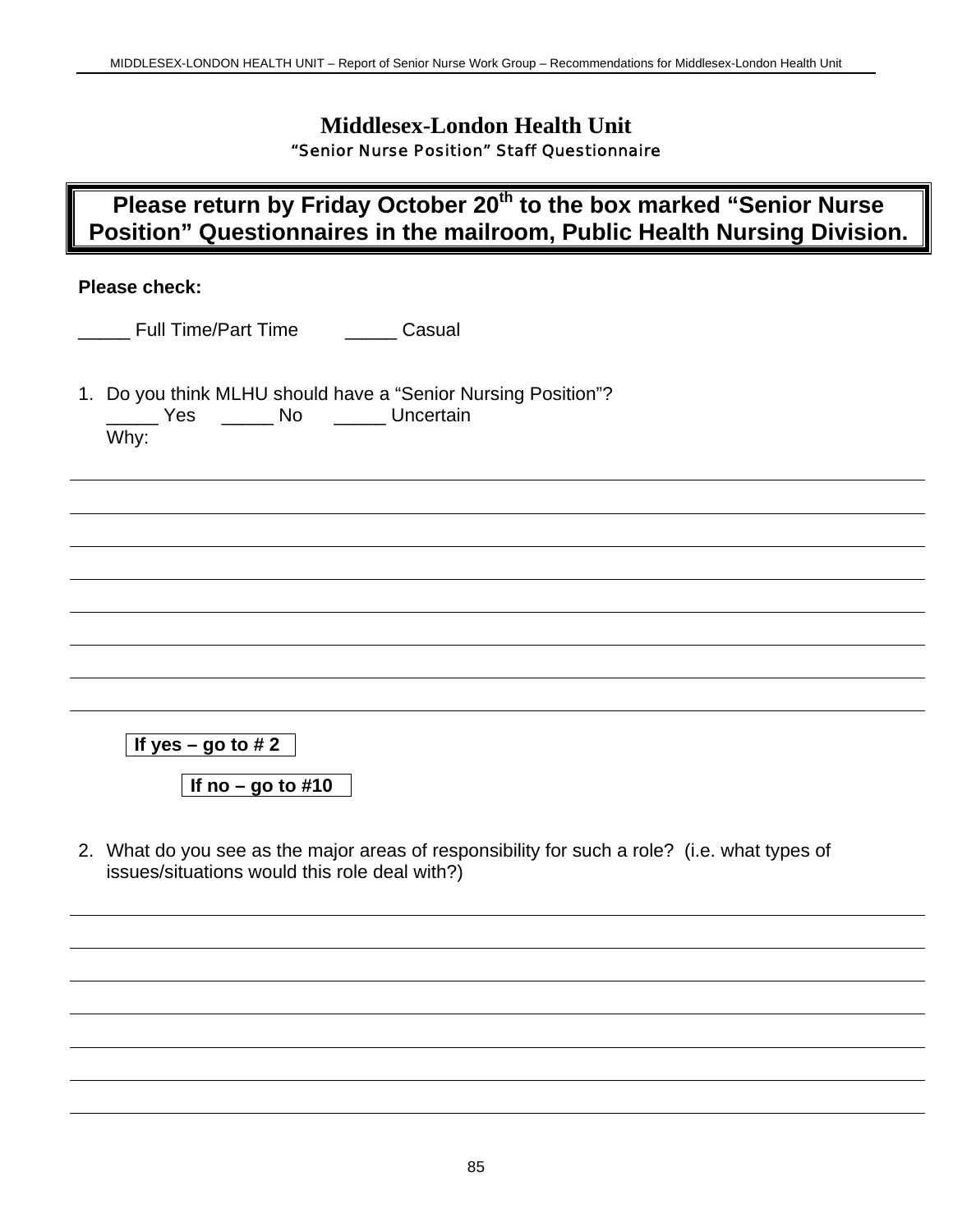### **Middlesex-London Health Unit** "Senior Nurse Position" Staff Questionnaire

# **Please return by Friday October 20th to the box marked "Senior Nurse Position" Questionnaires in the mailroom, Public Health Nursing Division.**

### **Please check:**

1. Do you think MLHU should have a "Senior Nursing Position"? \_\_\_\_ Yes \_\_\_\_\_\_ No \_\_\_\_\_\_ Uncertain Why:

**If yes – go to #2** 

**If no – go to #10**

2. What do you see as the major areas of responsibility for such a role? (i.e. what types of issues/situations would this role deal with?)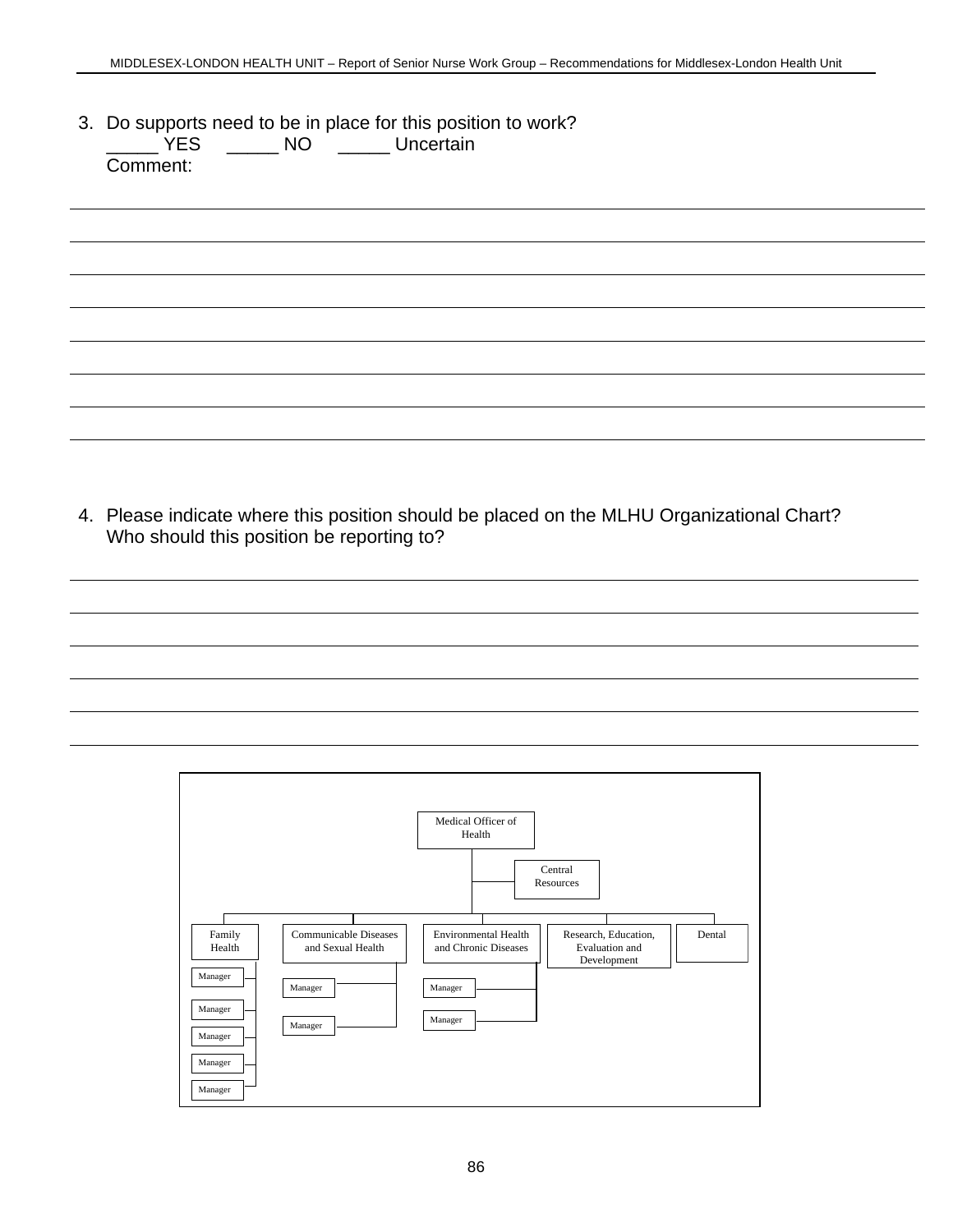3. Do supports need to be in place for this position to work?<br>
WES \_\_\_\_\_\_\_ NO \_\_\_\_\_\_ Uncertain \_\_\_\_\_ YES \_\_\_\_\_ NO \_\_\_\_\_ Uncertain Comment:

4. Please indicate where this position should be placed on the MLHU Organizational Chart? Who should this position be reporting to?

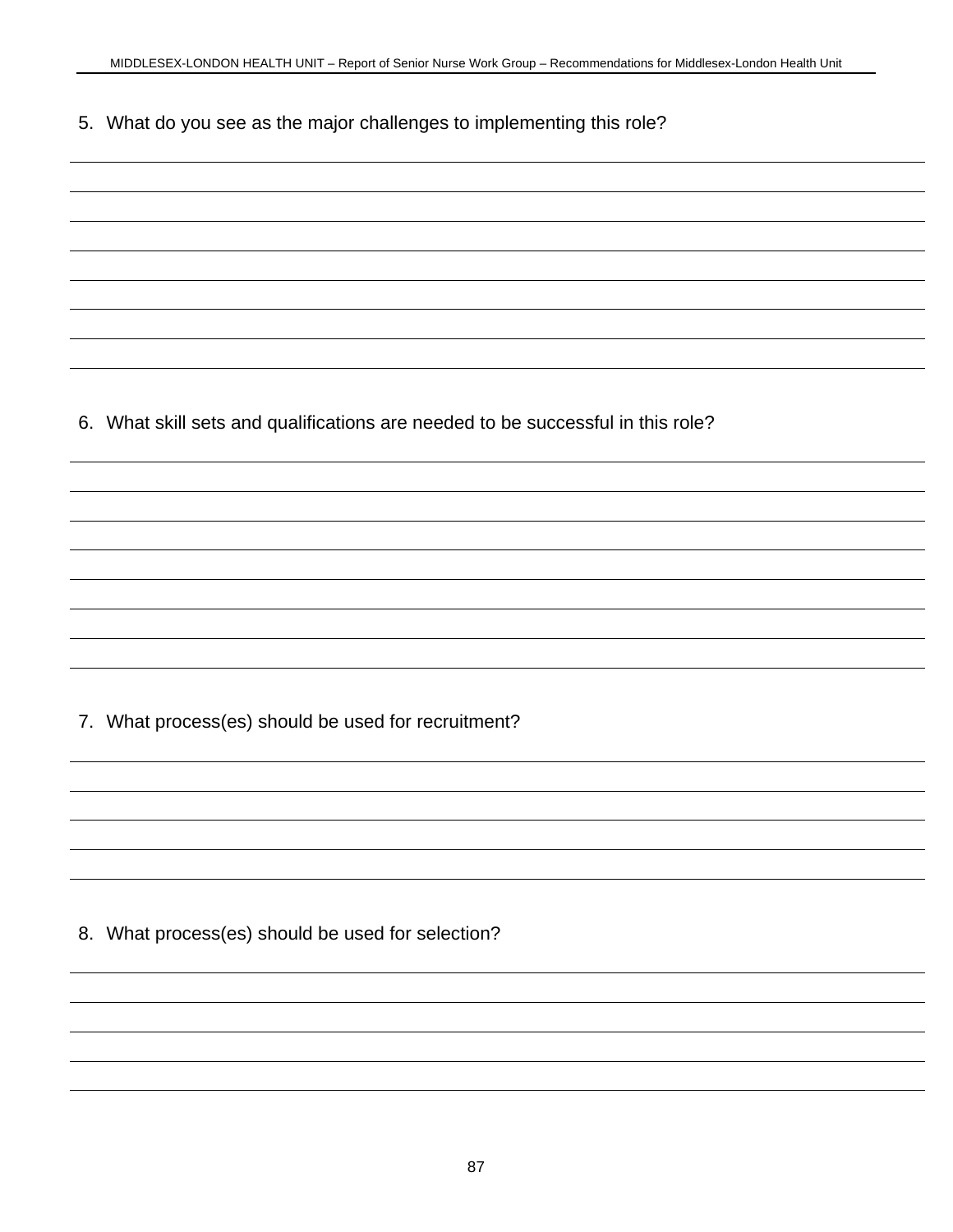5. What do you see as the major challenges to implementing this role?

6. What skill sets and qualifications are needed to be successful in this role?

7. What process(es) should be used for recruitment?

8. What process(es) should be used for selection?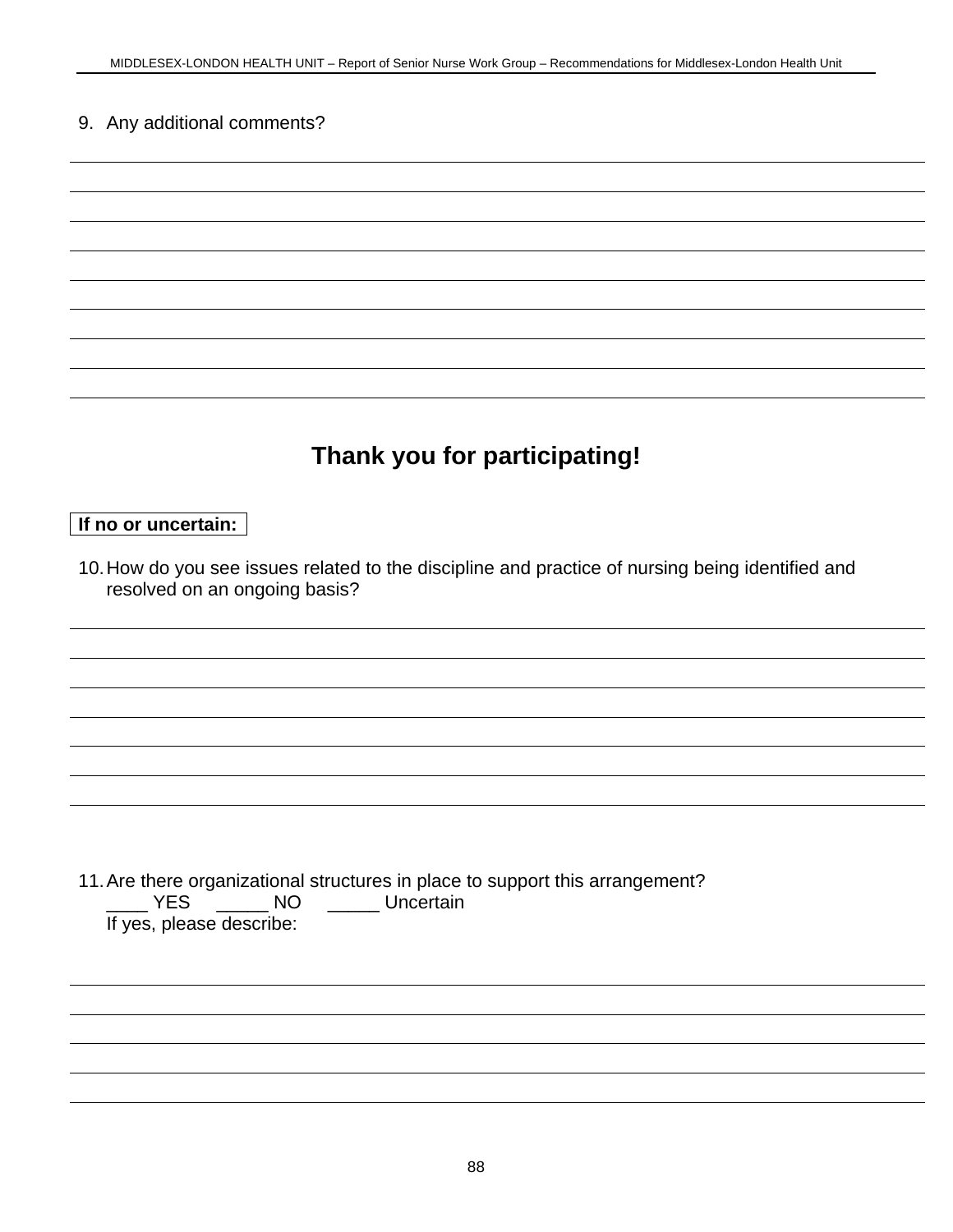### 9. Any additional comments?

# **Thank you for participating!**

### **If no or uncertain:**

10. How do you see issues related to the discipline and practice of nursing being identified and resolved on an ongoing basis?

11. Are there organizational structures in place to support this arrangement? \_\_\_\_ YES \_\_\_\_\_ NO \_\_\_\_\_ Uncertain If yes, please describe: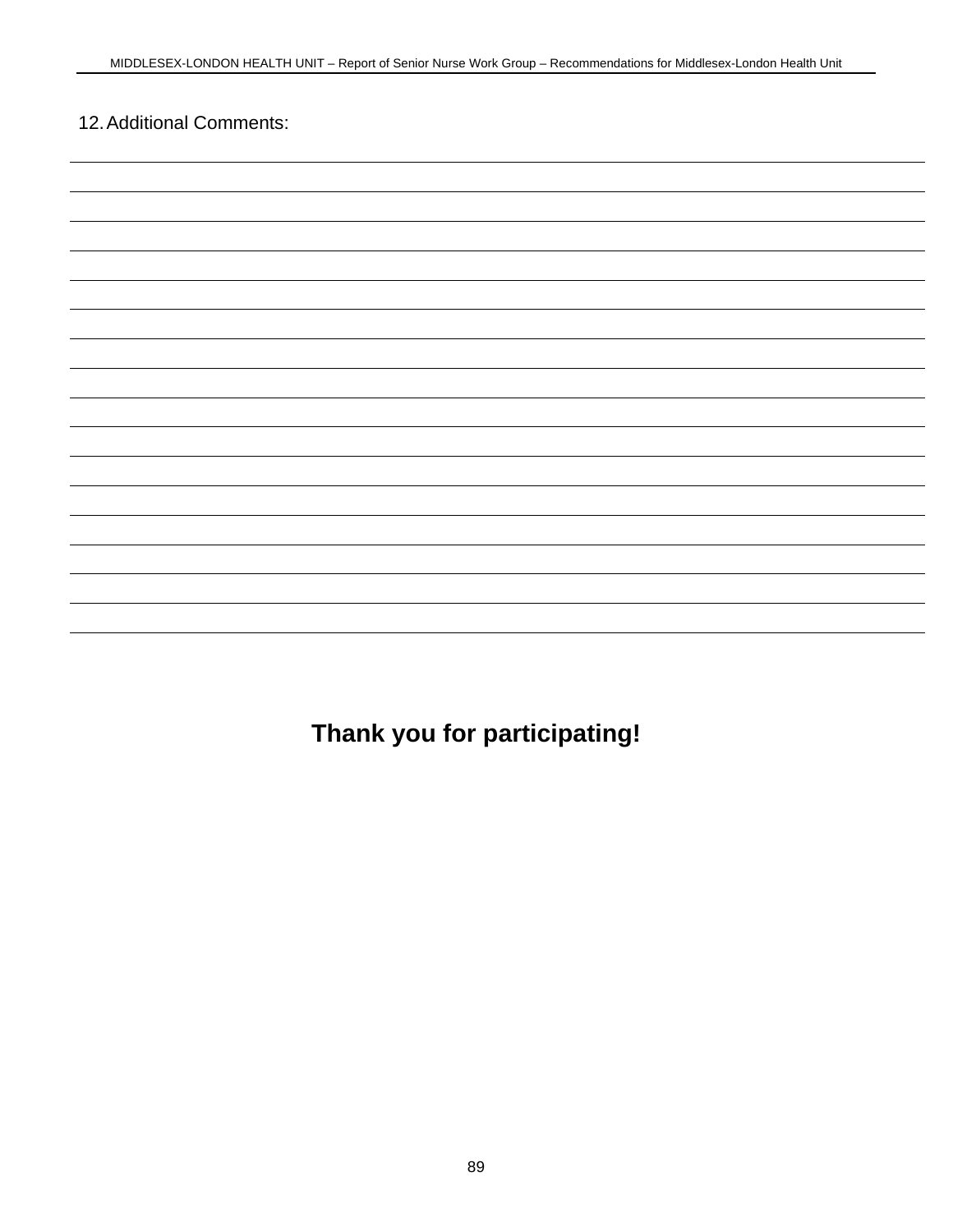## 12. Additional Comments:

**Thank you for participating!**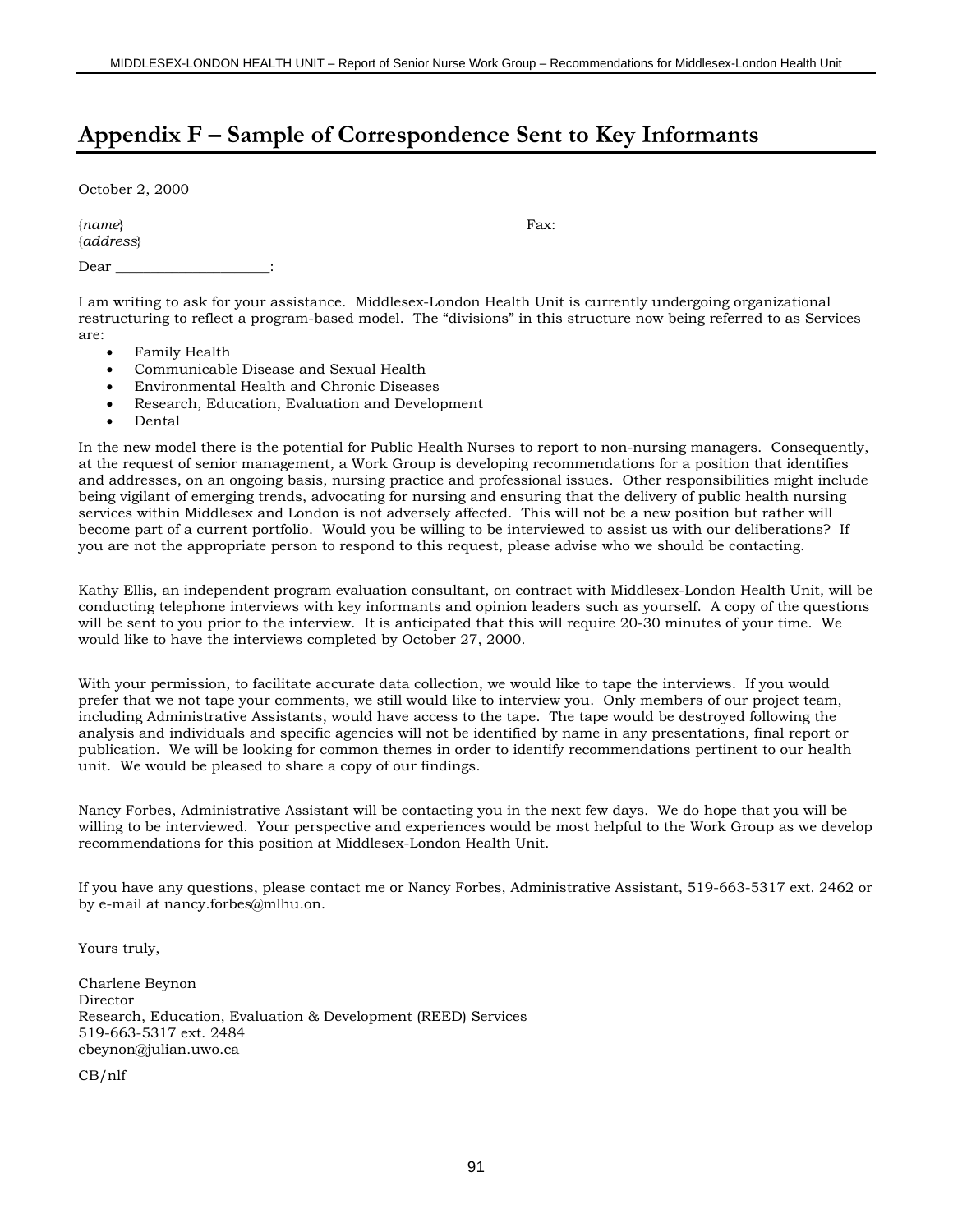## **Appendix F – Sample of Correspondence Sent to Key Informants**

October 2, 2000

{*name*} Fax: {*address*}

Dear \_\_\_\_\_\_\_\_\_\_\_\_\_\_\_\_\_\_\_\_\_\_:

I am writing to ask for your assistance. Middlesex-London Health Unit is currently undergoing organizational restructuring to reflect a program-based model. The "divisions" in this structure now being referred to as Services are:

- Family Health
- Communicable Disease and Sexual Health
- Environmental Health and Chronic Diseases
- Research, Education, Evaluation and Development
- Dental

In the new model there is the potential for Public Health Nurses to report to non-nursing managers. Consequently, at the request of senior management, a Work Group is developing recommendations for a position that identifies and addresses, on an ongoing basis, nursing practice and professional issues. Other responsibilities might include being vigilant of emerging trends, advocating for nursing and ensuring that the delivery of public health nursing services within Middlesex and London is not adversely affected. This will not be a new position but rather will become part of a current portfolio. Would you be willing to be interviewed to assist us with our deliberations? If you are not the appropriate person to respond to this request, please advise who we should be contacting.

Kathy Ellis, an independent program evaluation consultant, on contract with Middlesex-London Health Unit, will be conducting telephone interviews with key informants and opinion leaders such as yourself. A copy of the questions will be sent to you prior to the interview. It is anticipated that this will require 20-30 minutes of your time. We would like to have the interviews completed by October 27, 2000.

With your permission, to facilitate accurate data collection, we would like to tape the interviews. If you would prefer that we not tape your comments, we still would like to interview you. Only members of our project team, including Administrative Assistants, would have access to the tape. The tape would be destroyed following the analysis and individuals and specific agencies will not be identified by name in any presentations, final report or publication. We will be looking for common themes in order to identify recommendations pertinent to our health unit. We would be pleased to share a copy of our findings.

Nancy Forbes, Administrative Assistant will be contacting you in the next few days. We do hope that you will be willing to be interviewed. Your perspective and experiences would be most helpful to the Work Group as we develop recommendations for this position at Middlesex-London Health Unit.

If you have any questions, please contact me or Nancy Forbes, Administrative Assistant, 519-663-5317 ext. 2462 or by e-mail at nancy.forbes@mlhu.on.

Yours truly,

Charlene Beynon Director Research, Education, Evaluation & Development (REED) Services 519-663-5317 ext. 2484 cbeynon@julian.uwo.ca

CB/nlf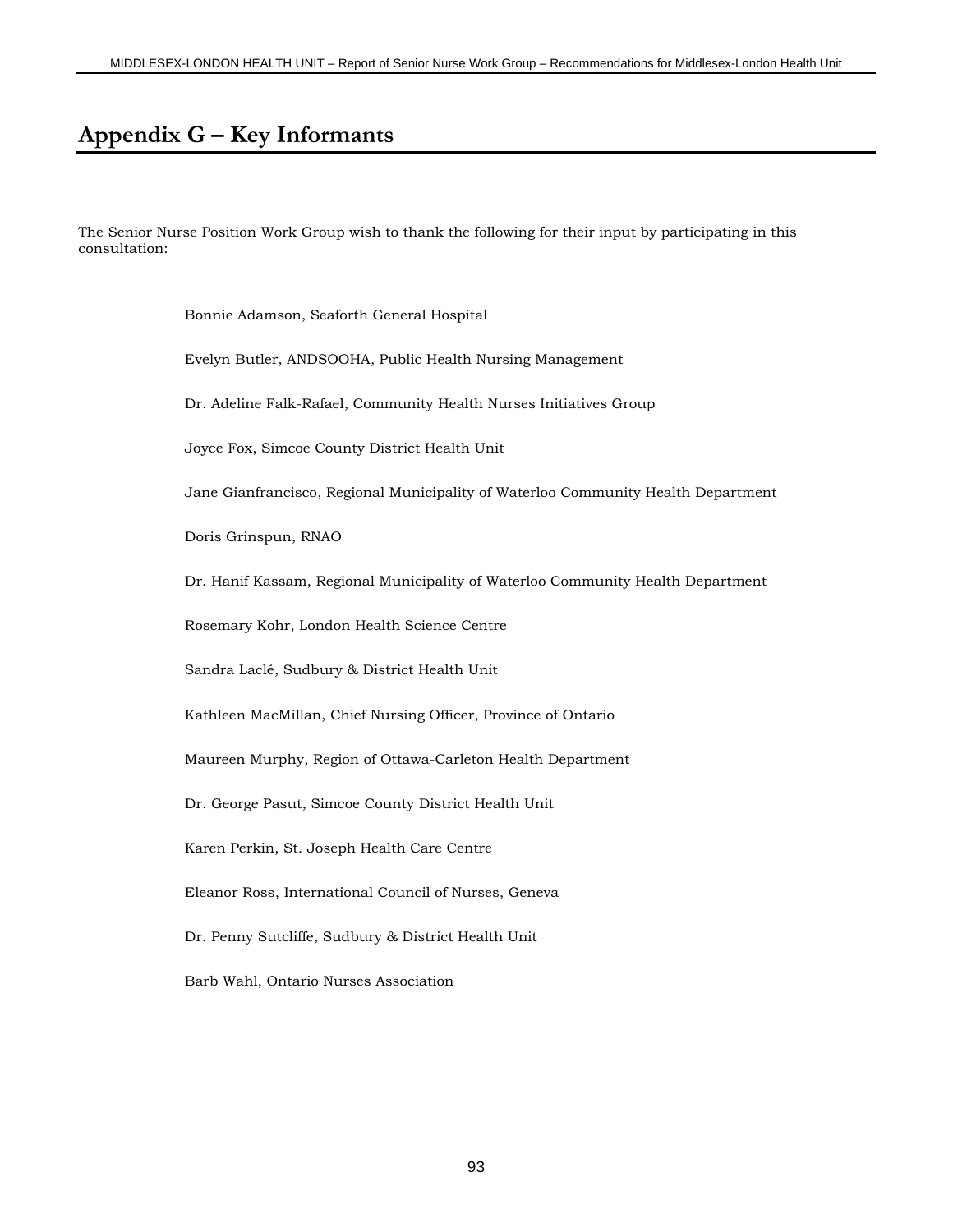## **Appendix G – Key Informants**

The Senior Nurse Position Work Group wish to thank the following for their input by participating in this consultation:

Bonnie Adamson, Seaforth General Hospital

Evelyn Butler, ANDSOOHA, Public Health Nursing Management

Dr. Adeline Falk-Rafael, Community Health Nurses Initiatives Group

Joyce Fox, Simcoe County District Health Unit

Jane Gianfrancisco, Regional Municipality of Waterloo Community Health Department

Doris Grinspun, RNAO

Dr. Hanif Kassam, Regional Municipality of Waterloo Community Health Department

Rosemary Kohr, London Health Science Centre

Sandra Laclé, Sudbury & District Health Unit

Kathleen MacMillan, Chief Nursing Officer, Province of Ontario

Maureen Murphy, Region of Ottawa-Carleton Health Department

Dr. George Pasut, Simcoe County District Health Unit

Karen Perkin, St. Joseph Health Care Centre

Eleanor Ross, International Council of Nurses, Geneva

Dr. Penny Sutcliffe, Sudbury & District Health Unit

Barb Wahl, Ontario Nurses Association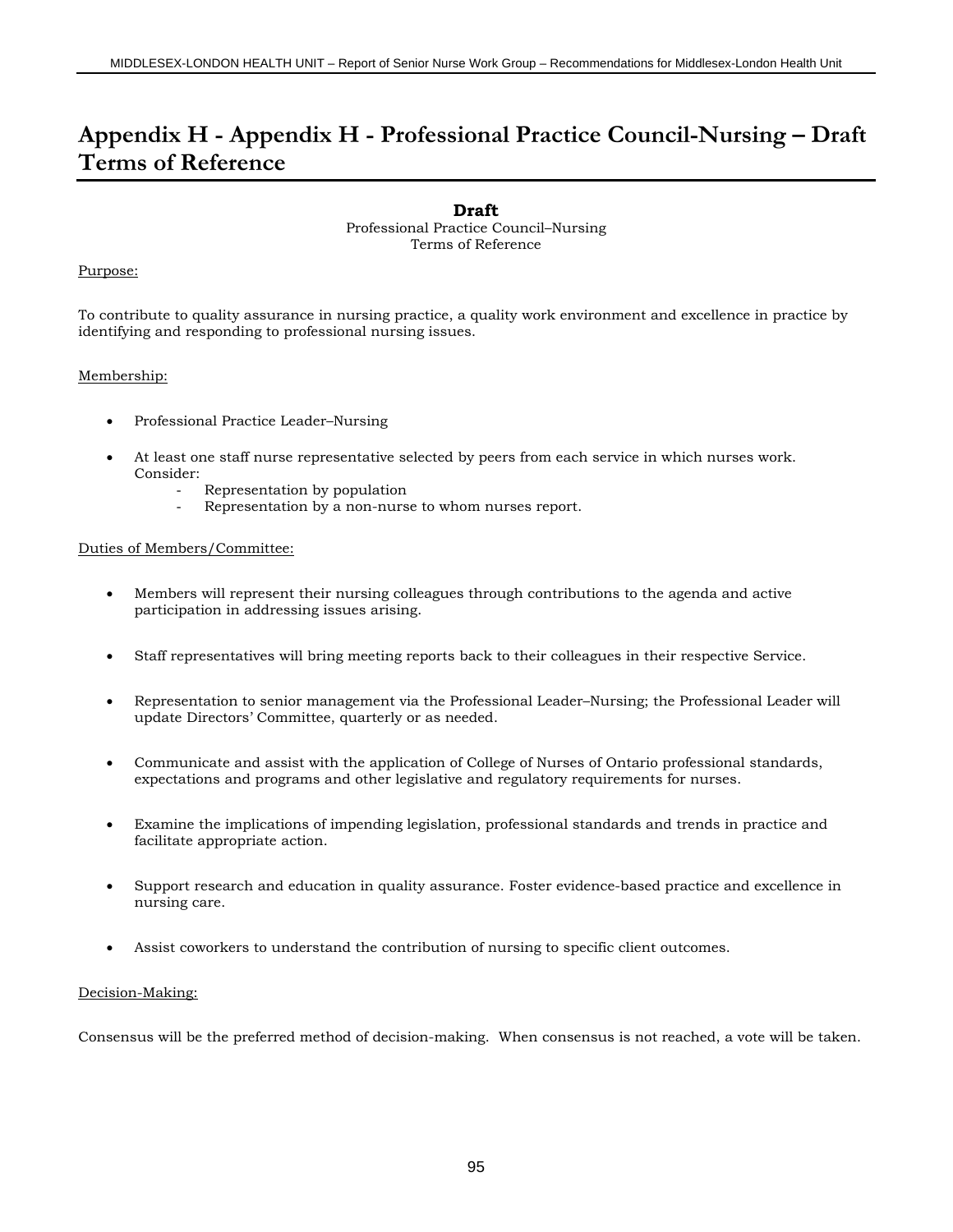## **Appendix H - Appendix H - Professional Practice Council-Nursing – Draft Terms of Reference**

### **Draft**

Professional Practice Council–Nursing Terms of Reference

### Purpose:

To contribute to quality assurance in nursing practice, a quality work environment and excellence in practice by identifying and responding to professional nursing issues.

### Membership:

- Professional Practice Leader–Nursing
- At least one staff nurse representative selected by peers from each service in which nurses work. Consider:
	- Representation by population
	- Representation by a non-nurse to whom nurses report.

### Duties of Members/Committee:

- Members will represent their nursing colleagues through contributions to the agenda and active participation in addressing issues arising.
- Staff representatives will bring meeting reports back to their colleagues in their respective Service.
- Representation to senior management via the Professional Leader–Nursing; the Professional Leader will update Directors' Committee, quarterly or as needed.
- Communicate and assist with the application of College of Nurses of Ontario professional standards, expectations and programs and other legislative and regulatory requirements for nurses.
- Examine the implications of impending legislation, professional standards and trends in practice and facilitate appropriate action.
- Support research and education in quality assurance. Foster evidence-based practice and excellence in nursing care.
- Assist coworkers to understand the contribution of nursing to specific client outcomes.

### Decision-Making:

Consensus will be the preferred method of decision-making. When consensus is not reached, a vote will be taken.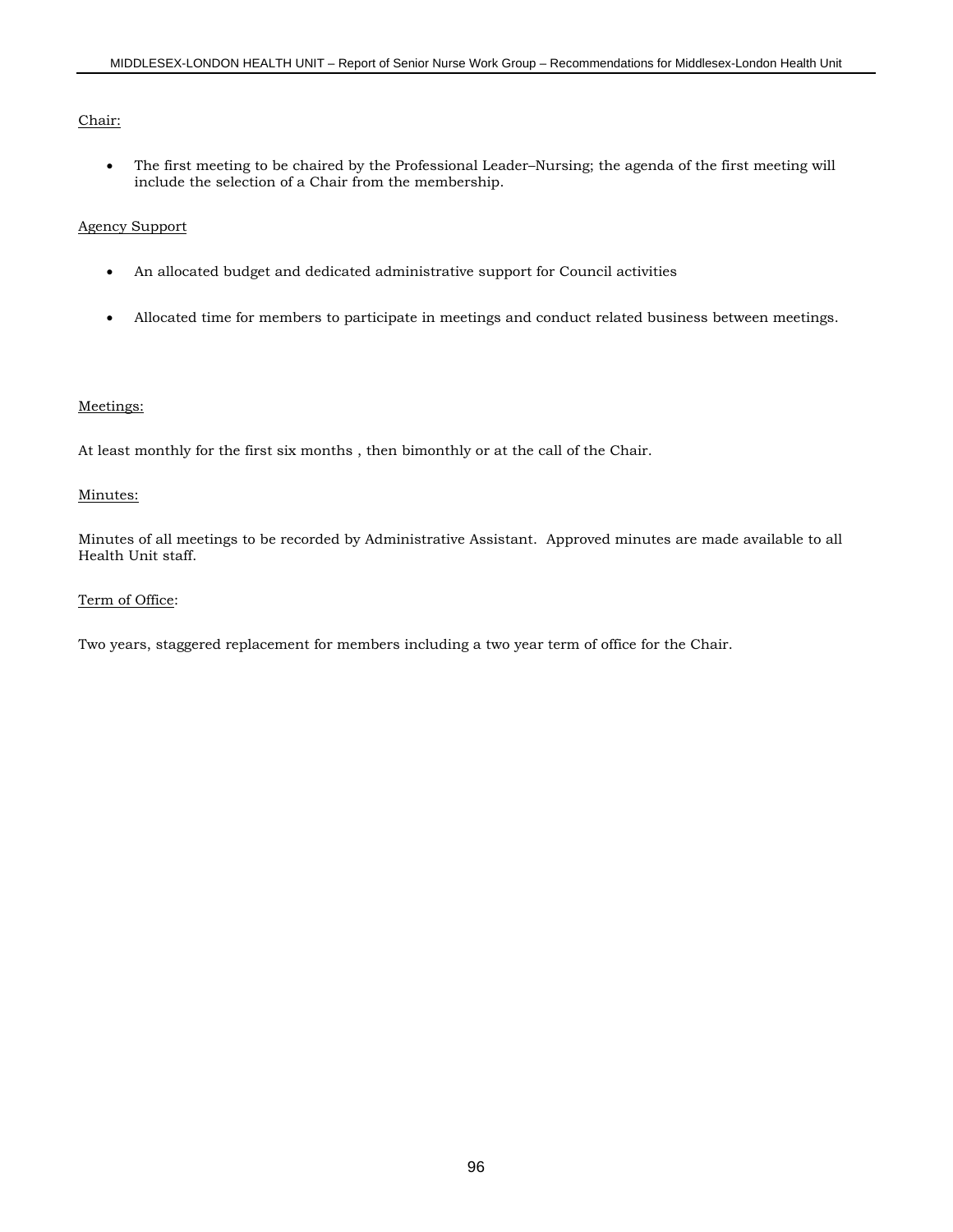### Chair:

• The first meeting to be chaired by the Professional Leader–Nursing; the agenda of the first meeting will include the selection of a Chair from the membership.

### Agency Support

- An allocated budget and dedicated administrative support for Council activities
- Allocated time for members to participate in meetings and conduct related business between meetings.

### Meetings:

At least monthly for the first six months , then bimonthly or at the call of the Chair.

### Minutes:

Minutes of all meetings to be recorded by Administrative Assistant. Approved minutes are made available to all Health Unit staff.

### Term of Office:

Two years, staggered replacement for members including a two year term of office for the Chair.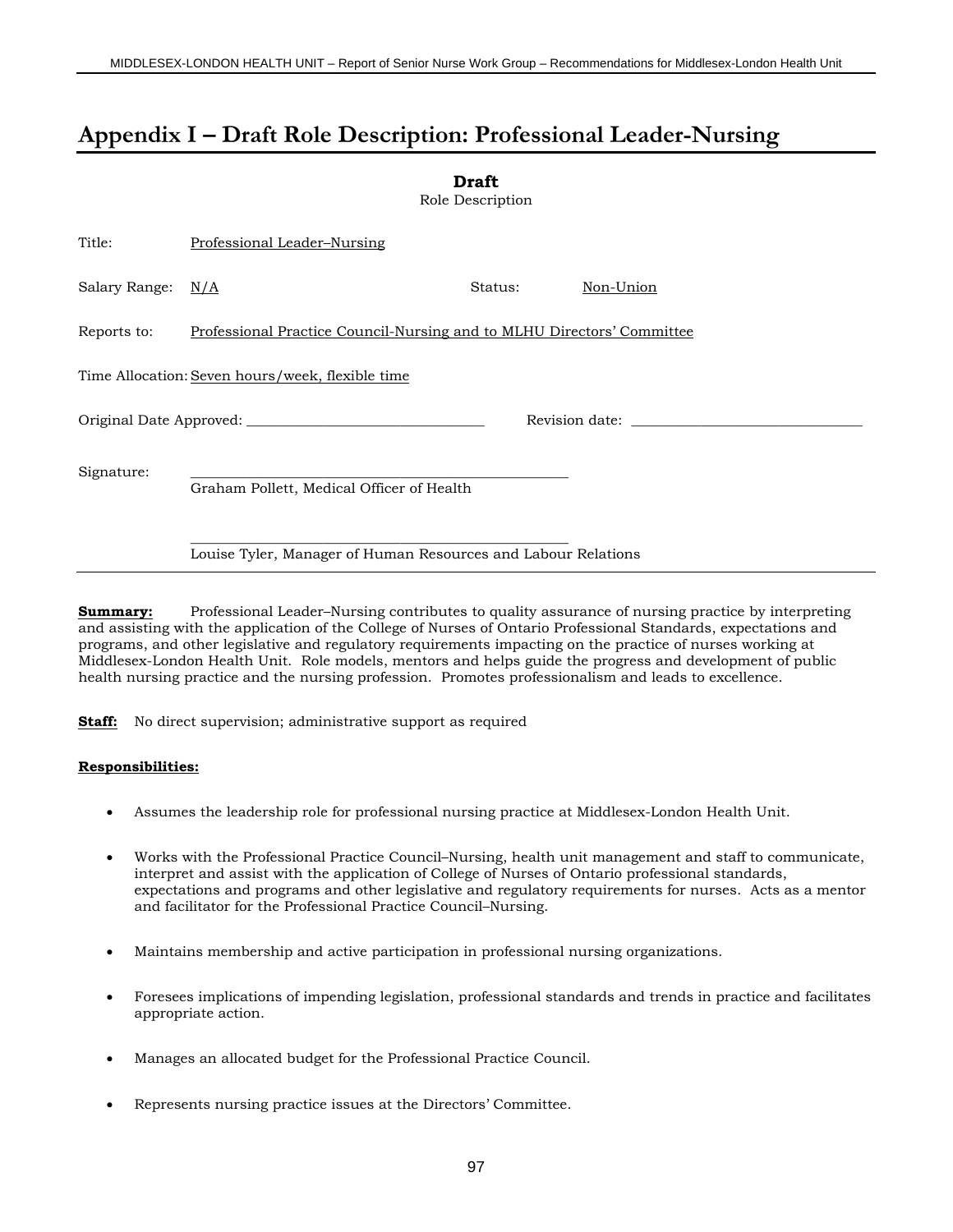**Draft**

## **Appendix I – Draft Role Description: Professional Leader-Nursing**

|                                                               |                                                                        | Diait<br>Role Description |           |  |  |
|---------------------------------------------------------------|------------------------------------------------------------------------|---------------------------|-----------|--|--|
| Title:                                                        | Professional Leader-Nursing                                            |                           |           |  |  |
| Salary Range: $N/A$                                           |                                                                        | Status:                   | Non-Union |  |  |
| Reports to:                                                   | Professional Practice Council-Nursing and to MLHU Directors' Committee |                           |           |  |  |
|                                                               | Time Allocation: Seven hours/week, flexible time                       |                           |           |  |  |
|                                                               |                                                                        |                           |           |  |  |
| Signature:                                                    | Graham Pollett, Medical Officer of Health                              |                           |           |  |  |
| Louise Tyler, Manager of Human Resources and Labour Relations |                                                                        |                           |           |  |  |

**Summary:** Professional Leader–Nursing contributes to quality assurance of nursing practice by interpreting and assisting with the application of the College of Nurses of Ontario Professional Standards, expectations and programs, and other legislative and regulatory requirements impacting on the practice of nurses working at Middlesex-London Health Unit. Role models, mentors and helps guide the progress and development of public health nursing practice and the nursing profession. Promotes professionalism and leads to excellence.

**Staff:** No direct supervision; administrative support as required

### **Responsibilities:**

- Assumes the leadership role for professional nursing practice at Middlesex-London Health Unit.
- Works with the Professional Practice Council–Nursing, health unit management and staff to communicate, interpret and assist with the application of College of Nurses of Ontario professional standards, expectations and programs and other legislative and regulatory requirements for nurses. Acts as a mentor and facilitator for the Professional Practice Council–Nursing.
- Maintains membership and active participation in professional nursing organizations.
- Foresees implications of impending legislation, professional standards and trends in practice and facilitates appropriate action.
- Manages an allocated budget for the Professional Practice Council.
- Represents nursing practice issues at the Directors' Committee.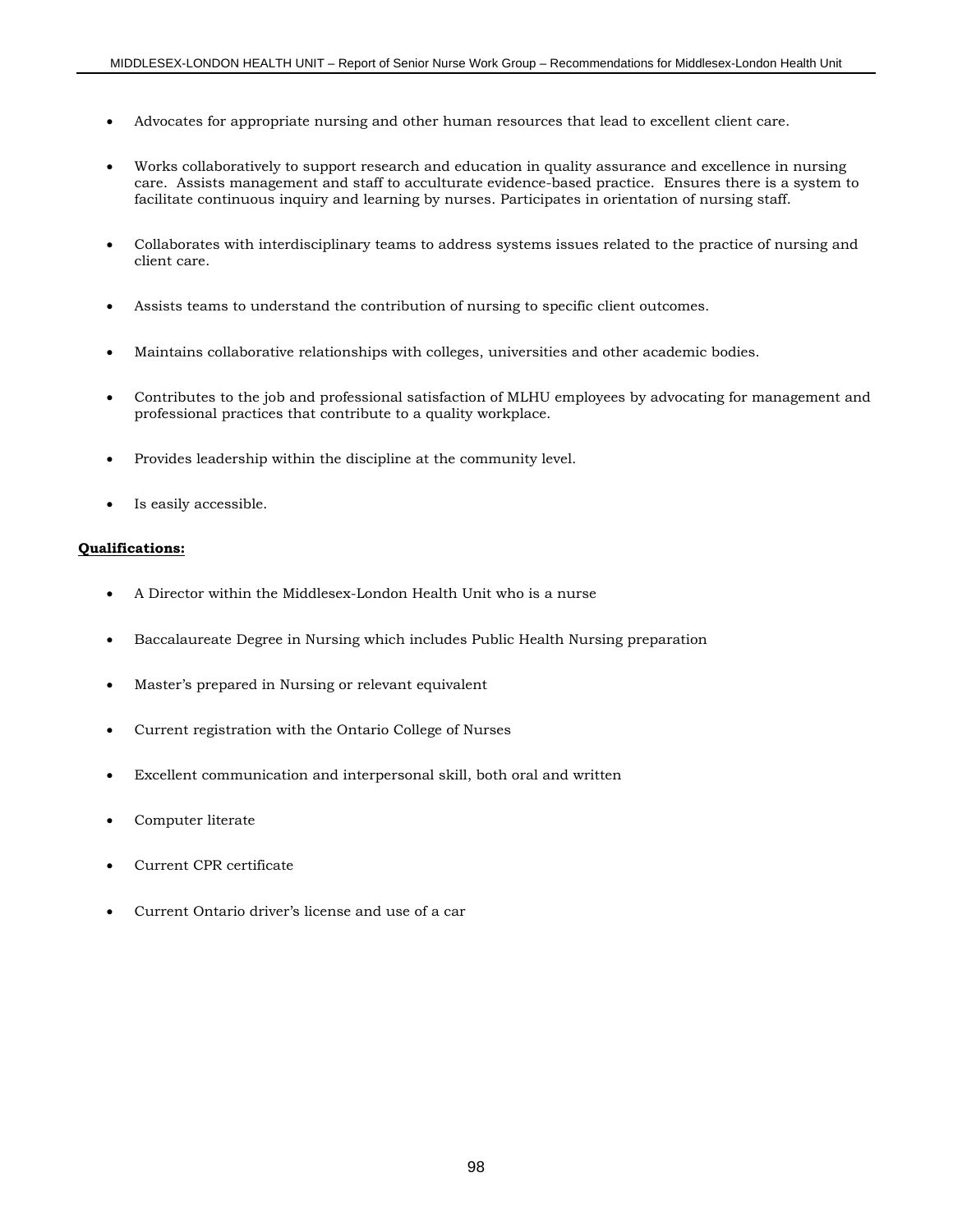- Advocates for appropriate nursing and other human resources that lead to excellent client care.
- Works collaboratively to support research and education in quality assurance and excellence in nursing care. Assists management and staff to acculturate evidence-based practice. Ensures there is a system to facilitate continuous inquiry and learning by nurses. Participates in orientation of nursing staff.
- Collaborates with interdisciplinary teams to address systems issues related to the practice of nursing and client care.
- Assists teams to understand the contribution of nursing to specific client outcomes.
- Maintains collaborative relationships with colleges, universities and other academic bodies.
- Contributes to the job and professional satisfaction of MLHU employees by advocating for management and professional practices that contribute to a quality workplace.
- Provides leadership within the discipline at the community level.
- Is easily accessible.

### **Qualifications:**

- A Director within the Middlesex-London Health Unit who is a nurse
- Baccalaureate Degree in Nursing which includes Public Health Nursing preparation
- Master's prepared in Nursing or relevant equivalent
- Current registration with the Ontario College of Nurses
- Excellent communication and interpersonal skill, both oral and written
- Computer literate
- Current CPR certificate
- Current Ontario driver's license and use of a car